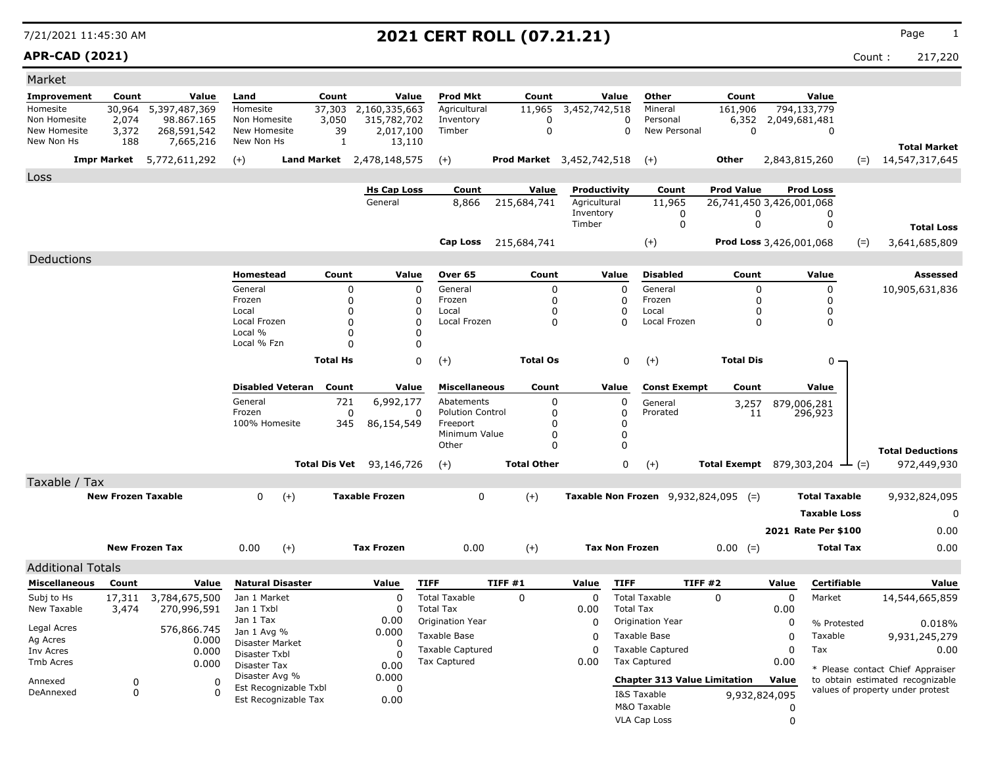### **APR-CAD (2021)** Count : 217,220

| Market                       |                           |                                  |                                  |                         |                 |                                 |                              |                                  |                       |                  |                                      |                                |               |                                      |                                                                      |
|------------------------------|---------------------------|----------------------------------|----------------------------------|-------------------------|-----------------|---------------------------------|------------------------------|----------------------------------|-----------------------|------------------|--------------------------------------|--------------------------------|---------------|--------------------------------------|----------------------------------------------------------------------|
| <b>Improvement</b>           | Count                     | Value                            | Land                             |                         | Count           | Value                           | <b>Prod Mkt</b>              | Count                            |                       | Value            | Other                                | Count                          |               | Value                                |                                                                      |
| Homesite                     | 30,964                    | 5,397,487,369                    | Homesite                         |                         | 37,303          | 2,160,335,663                   | Agricultural                 | 11,965                           | 3,452,742,518         |                  | Mineral                              | 161,906                        |               | 794,133,779                          |                                                                      |
| Non Homesite<br>New Homesite | 2,074<br>3,372            | 98.867.165<br>268,591,542        | Non Homesite<br>New Homesite     |                         | 3,050<br>39     | 315,782,702<br>2,017,100        | Inventory<br>Timber          | 0<br>$\mathbf 0$                 |                       | 0<br>$\Omega$    | Personal<br>New Personal             | 6,352<br>$\mathbf 0$           | 2,049,681,481 | 0                                    |                                                                      |
| New Non Hs                   | 188                       | 7,665,216                        | New Non Hs                       |                         | 1               | 13,110                          |                              |                                  |                       |                  |                                      |                                |               |                                      |                                                                      |
|                              |                           | <b>Impr Market</b> 5,772,611,292 | $(+)$                            |                         |                 | Land Market 2,478,148,575       | $(+)$                        | <b>Prod Market</b> 3,452,742,518 |                       |                  | $(+)$                                | Other                          | 2,843,815,260 |                                      | <b>Total Market</b><br>$=$ 14,547,317,645                            |
| Loss                         |                           |                                  |                                  |                         |                 |                                 |                              |                                  |                       |                  |                                      |                                |               |                                      |                                                                      |
|                              |                           |                                  |                                  |                         |                 | <b>Hs Cap Loss</b>              | Count                        | Value                            | Productivity          |                  | Count                                | <b>Prod Value</b>              |               | <b>Prod Loss</b>                     |                                                                      |
|                              |                           |                                  |                                  |                         |                 | General                         | 8,866                        | 215,684,741                      | Agricultural          |                  | 11,965                               | 26,741,450 3,426,001,068       |               |                                      |                                                                      |
|                              |                           |                                  |                                  |                         |                 |                                 |                              |                                  | Inventory<br>Timber   |                  | 0<br>0                               | 0<br>0                         |               | 0<br>0                               | <b>Total Loss</b>                                                    |
|                              |                           |                                  |                                  |                         |                 |                                 | Cap Loss                     | 215,684,741                      |                       |                  | $(+)$                                | <b>Prod Loss</b> 3,426,001,068 |               | $(=)$                                | 3,641,685,809                                                        |
|                              |                           |                                  |                                  |                         |                 |                                 |                              |                                  |                       |                  |                                      |                                |               |                                      |                                                                      |
| Deductions                   |                           |                                  | Homestead                        |                         | Count           | Value                           | Over 65                      | Count                            |                       | Value            | <b>Disabled</b>                      | Count                          |               | Value                                | Assessed                                                             |
|                              |                           |                                  | General                          |                         | 0               |                                 | General<br>$\mathbf 0$       | 0                                |                       | $\Omega$         | General                              | 0                              |               | 0                                    | 10,905,631,836                                                       |
|                              |                           |                                  | Frozen                           |                         | 0               |                                 | Frozen<br>0                  | 0                                |                       | $\Omega$         | Frozen                               | 0                              |               | $\Omega$                             |                                                                      |
|                              |                           |                                  | Local                            |                         | n               |                                 | $\mathbf 0$<br>Local         |                                  |                       |                  | Local                                | 0                              |               | $\Omega$                             |                                                                      |
|                              |                           |                                  | Local Frozen                     |                         | O               |                                 | $\Omega$<br>Local Frozen     | 0                                |                       | n                | Local Frozen                         | 0                              |               | $\Omega$                             |                                                                      |
|                              |                           |                                  | Local %                          |                         | $\Omega$        |                                 | 0                            |                                  |                       |                  |                                      |                                |               |                                      |                                                                      |
|                              |                           |                                  | Local % Fzn                      |                         | O               |                                 | $\mathbf 0$                  |                                  |                       |                  |                                      |                                |               |                                      |                                                                      |
|                              |                           |                                  |                                  |                         | <b>Total Hs</b> |                                 | 0<br>$(+)$                   | <b>Total Os</b>                  |                       | 0                | $^{(+)}$                             | <b>Total Dis</b>               |               | 0 -                                  |                                                                      |
|                              |                           |                                  |                                  | <b>Disabled Veteran</b> | Count           | Value                           | <b>Miscellaneous</b>         | Count                            |                       | Value            | <b>Const Exempt</b>                  | Count                          |               | Value                                |                                                                      |
|                              |                           |                                  | General                          |                         | 721             | 6,992,177                       | Abatements                   | 0                                |                       | 0                | General                              | 3,257                          |               | 879,006,281                          |                                                                      |
|                              |                           |                                  | Frozen                           |                         | 0               |                                 | <b>Polution Control</b><br>0 | 0                                |                       | 0                | Prorated                             | 11                             |               | 296,923                              |                                                                      |
|                              |                           |                                  | 100% Homesite                    |                         | 345             | 86,154,549                      | Freeport<br>Minimum Value    | O<br>0                           |                       | 0<br>$\mathbf 0$ |                                      |                                |               |                                      |                                                                      |
|                              |                           |                                  |                                  |                         |                 |                                 | Other                        | 0                                |                       | $\Omega$         |                                      |                                |               |                                      |                                                                      |
|                              |                           |                                  |                                  |                         |                 |                                 |                              |                                  |                       |                  |                                      |                                |               |                                      | <b>Total Deductions</b>                                              |
|                              |                           |                                  |                                  |                         |                 | <b>Total Dis Vet</b> 93,146,726 | $(+)$                        | <b>Total Other</b>               |                       | 0                | $(+)$                                |                                |               | Total Exempt 879,303,204 $\perp$ (=) | 972,449,930                                                          |
| Taxable / Tax                |                           |                                  |                                  |                         |                 |                                 |                              |                                  |                       |                  |                                      |                                |               |                                      |                                                                      |
|                              | <b>New Frozen Taxable</b> |                                  | 0                                | $(+)$                   |                 | <b>Taxable Frozen</b>           | 0                            | $(+)$                            |                       |                  | Taxable Non Frozen 9,932,824,095 (=) |                                |               | <b>Total Taxable</b>                 | 9,932,824,095                                                        |
|                              |                           |                                  |                                  |                         |                 |                                 |                              |                                  |                       |                  |                                      |                                |               | <b>Taxable Loss</b>                  | 0                                                                    |
|                              |                           |                                  |                                  |                         |                 |                                 |                              |                                  |                       |                  |                                      |                                |               | 2021 Rate Per \$100                  | 0.00                                                                 |
|                              |                           | <b>New Frozen Tax</b>            | 0.00                             | $(+)$                   |                 | <b>Tax Frozen</b>               | 0.00                         | $(+)$                            | <b>Tax Non Frozen</b> |                  |                                      | $0.00 (=)$                     |               | <b>Total Tax</b>                     | 0.00                                                                 |
| <b>Additional Totals</b>     |                           |                                  |                                  |                         |                 |                                 |                              |                                  |                       |                  |                                      |                                |               |                                      |                                                                      |
| <b>Miscellaneous</b>         | Count                     | Value                            |                                  | <b>Natural Disaster</b> |                 | Value                           | <b>TIFF</b>                  | TIFF#1                           | Value                 | <b>TIFF</b>      | <b>TIFF #2</b>                       |                                | Value         | <b>Certifiable</b>                   | Value                                                                |
| Subj to Hs                   | 17,311                    | 3,784,675,500                    | Jan 1 Market                     |                         |                 | 0                               | <b>Total Taxable</b>         | 0                                | 0                     |                  | <b>Total Taxable</b>                 | $\Omega$                       | $\mathbf 0$   | Market                               | 14,544,665,859                                                       |
| New Taxable                  | 3,474                     | 270,996,591                      | Jan 1 Txbl                       |                         |                 | $\Omega$                        | <b>Total Tax</b>             |                                  | 0.00                  | <b>Total Tax</b> |                                      |                                | 0.00          |                                      |                                                                      |
|                              |                           |                                  | Jan 1 Tax                        |                         |                 | 0.00                            | Origination Year             |                                  | 0                     |                  | Origination Year                     |                                | 0             | % Protested                          | 0.018%                                                               |
| Legal Acres<br>Ag Acres      |                           | 576,866.745<br>0.000             | Jan 1 Avg %                      |                         |                 | 0.000                           | Taxable Base                 |                                  | $\mathbf 0$           |                  | Taxable Base                         |                                | $\Omega$      | Taxable                              | 9,931,245,279                                                        |
| Inv Acres                    |                           | 0.000                            | Disaster Market<br>Disaster Txbl |                         |                 | 0<br>$\Omega$                   | <b>Taxable Captured</b>      |                                  | $\Omega$              |                  | <b>Taxable Captured</b>              |                                | $\mathbf 0$   | Tax                                  | 0.00                                                                 |
| Tmb Acres                    |                           | 0.000                            | Disaster Tax                     |                         |                 | 0.00                            | <b>Tax Captured</b>          |                                  | 0.00                  |                  | <b>Tax Captured</b>                  |                                | 0.00          |                                      |                                                                      |
|                              |                           |                                  | Disaster Avg %                   |                         |                 | 0.000                           |                              |                                  |                       |                  | <b>Chapter 313 Value Limitation</b>  |                                | Value         |                                      | * Please contact Chief Appraiser<br>to obtain estimated recognizable |
| Annexed<br>DeAnnexed         | 0<br>$\mathbf 0$          | 0<br>$\Omega$                    |                                  | Est Recognizable Txbl   |                 | 0                               |                              |                                  |                       |                  |                                      |                                |               |                                      | values of property under protest                                     |
|                              |                           |                                  |                                  | Est Recognizable Tax    |                 | 0.00                            |                              |                                  |                       |                  | I&S Taxable                          |                                | 9,932,824,095 |                                      |                                                                      |
|                              |                           |                                  |                                  |                         |                 |                                 |                              |                                  |                       |                  | M&O Taxable                          |                                | 0             |                                      |                                                                      |
|                              |                           |                                  |                                  |                         |                 |                                 |                              |                                  |                       |                  | <b>VLA Cap Loss</b>                  |                                | 0             |                                      |                                                                      |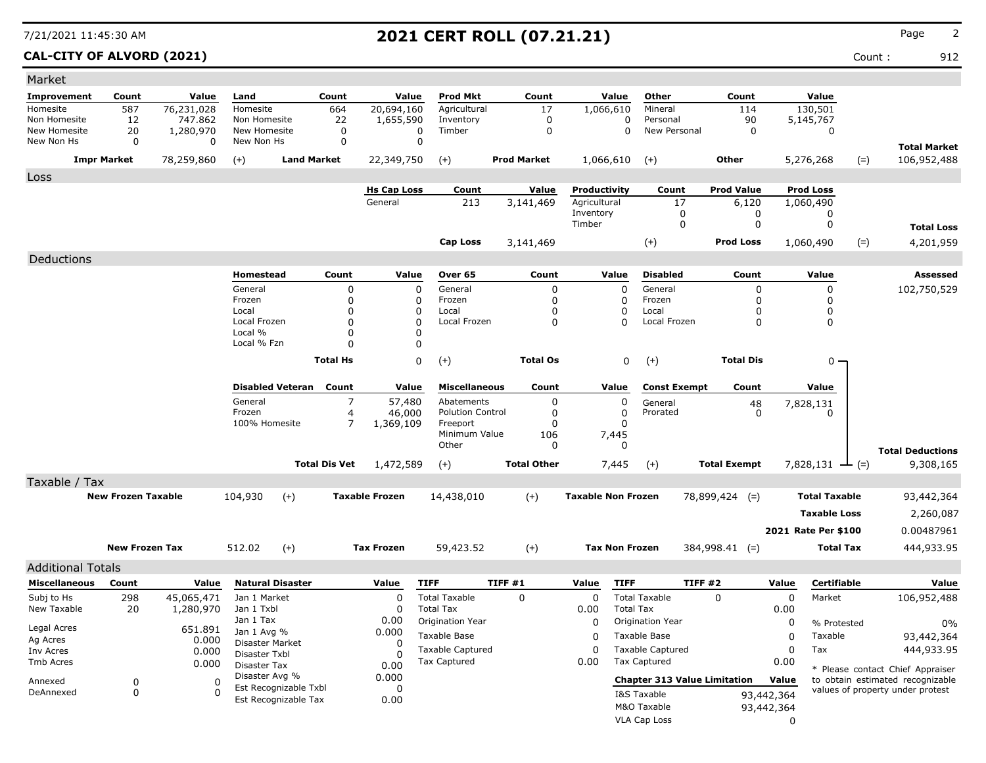### **CAL-CITY OF ALVORD (2021)** Count : 912

| Count<br>Value<br>Count<br><b>Prod Mkt</b><br>Count<br>Value<br>Other<br>Count<br>Value<br>Land<br>Value<br>587<br>Mineral<br>114<br>76,231,028<br>Homesite<br>664<br>20,694,160<br>Agricultural<br>17<br>1,066,610<br>130,501<br>22<br>$\mathbf 0$<br>90<br>12<br>Non Homesite<br>1,655,590<br>Inventory<br>Personal<br>5,145,767<br>747.862<br>$\Omega$<br>20<br>Timber<br>$\mathbf 0$<br>New Personal<br>New Homesite<br>1,280,970<br>New Homesite<br>0<br>0<br>0<br>0<br>0<br>$\mathbf 0$<br>0<br>New Non Hs<br>0<br>New Non Hs<br>0<br><b>Total Market</b><br><b>Impr Market</b><br>78,259,860<br><b>Land Market</b><br>22,349,750<br><b>Prod Market</b><br>1,066,610<br>Other<br>5,276,268<br>$(=)$<br>106,952,488<br>$(+)$<br>$(+)$<br>$(+)$<br>Loss<br>Value<br><b>Prod Value</b><br><b>Hs Cap Loss</b><br>Count<br>Productivity<br>Count<br><b>Prod Loss</b><br>General<br>213<br>Agricultural<br>17<br>3,141,469<br>6,120<br>1,060,490<br>Inventory<br>0<br>0<br>0<br>Timber<br>$\mathbf 0$<br>$\mathbf 0$<br>$\mathbf 0$<br><b>Total Loss</b><br><b>Cap Loss</b><br>$(+)$<br><b>Prod Loss</b><br>1,060,490<br>4,201,959<br>3,141,469<br>$(=)$<br>Deductions<br>Homestead<br>Count<br>Value<br>Over 65<br>Count<br>Value<br><b>Disabled</b><br>Count<br>Value<br><b>Assessed</b><br>$\mathbf 0$<br>$\Omega$<br>$\Omega$<br>$\Omega$<br>$\mathbf 0$<br>General<br>$\Omega$<br>General<br>General<br>102,750,529<br>$\mathbf 0$<br>Frozen<br>$\Omega$<br>$\Omega$<br>Frozen<br>$\mathbf 0$<br>Frozen<br>$\mathbf 0$<br>0<br>$\Omega$<br>Local<br>0<br>$\Omega$<br>Local<br>0<br>Local<br>0<br>0<br>$\Omega$<br>$\Omega$<br>Local Frozen<br>$\Omega$<br>$\Omega$<br>Local Frozen<br>$\Omega$<br>0<br>Local Frozen<br>Local %<br>$\Omega$<br>$\Omega$<br>Local % Fzn<br>$\Omega$<br>$\Omega$<br><b>Total Hs</b><br>0<br><b>Total Os</b><br>0<br><b>Total Dis</b><br>$(+)$<br>$(+)$<br>$0 -$<br><b>Disabled Veteran</b><br>Count<br>Value<br><b>Miscellaneous</b><br>Count<br>Value<br>Value<br><b>Const Exempt</b><br>Count<br>$\overline{7}$<br>General<br>57,480<br>Abatements<br>0<br>0<br>General<br>48<br>7,828,131<br>$\mathbf 0$<br>Frozen<br>4<br>46,000<br><b>Polution Control</b><br>0<br>Prorated<br>$\Omega$<br>0<br>100% Homesite<br>$\overline{7}$<br>$\mathbf 0$<br>1,369,109<br>Freeport<br>n<br>Minimum Value<br>106<br>7,445<br>Other<br>0<br>0<br><b>Total Deductions</b><br><b>Total Other</b><br><b>Total Dis Vet</b><br>1,472,589<br>7,445<br><b>Total Exempt</b><br>7,828,131 $\rightarrow$ (=)<br>9,308,165<br>$(+)$<br>$(+)$<br>Taxable / Tax<br>$(+)$<br><b>New Frozen Taxable</b><br>104,930<br>$(+)$<br><b>Taxable Frozen</b><br><b>Taxable Non Frozen</b><br><b>Total Taxable</b><br>14,438,010<br>78,899,424 (=)<br>93,442,364<br><b>Taxable Loss</b><br>2,260,087<br>2021 Rate Per \$100<br>0.00487961<br><b>New Frozen Tax</b><br>512.02<br>$(+)$<br><b>Tax Frozen</b><br>$(+)$<br><b>Tax Non Frozen</b><br><b>Total Tax</b><br>59,423.52<br>384,998.41 (=)<br>444,933.95<br><b>Additional Totals</b><br><b>TIFF #2</b><br><b>Miscellaneous</b><br>Count<br><b>Natural Disaster</b><br>Value<br><b>TIFF</b><br>TIFF#1<br>Value<br><b>TIFF</b><br>Value<br>Certifiable<br>Value<br>Value<br>298<br><b>Total Taxable</b><br><b>Total Taxable</b><br>$\mathbf 0$<br>$\mathsf 0$<br>Subj to Hs<br>45,065,471<br>Jan 1 Market<br>0<br>$\mathbf 0$<br>$\mathbf 0$<br>Market<br>106,952,488<br>20<br>Jan 1 Txbl<br><b>Total Tax</b><br><b>Total Tax</b><br>1,280,970<br>$\Omega$<br>0.00<br>0.00<br>Jan 1 Tax<br>0.00<br>Origination Year<br>$\mathbf 0$<br>Origination Year<br>0<br>% Protested<br>0%<br>Legal Acres<br>651.891<br>Jan 1 Avg %<br>0.000<br>Taxable Base<br>Taxable Base<br>Taxable<br>0<br>93,442,364<br>$\Omega$<br>Ag Acres<br>0.000<br>Disaster Market<br>0<br><b>Taxable Captured</b><br><b>Taxable Captured</b><br>$\Omega$<br>Tax<br>$\Omega$<br>444,933.95<br>0.000<br>Inv Acres<br>Disaster Txbl<br>0<br>Tax Captured<br>Tax Captured<br>0.00<br>0.00<br>0.000<br>Disaster Tax<br>0.00<br>* Please contact Chief Appraiser<br>Disaster Avg %<br>0.000<br><b>Chapter 313 Value Limitation</b><br>Value<br>to obtain estimated recognizable<br>$\mathbf 0$<br>$\Omega$<br>Annexed<br>Est Recognizable Txbl<br>$\mathbf 0$<br>values of property under protest<br>$\mathbf 0$<br>DeAnnexed<br>$\Omega$<br>93,442,364<br>I&S Taxable<br>Est Recognizable Tax<br>0.00<br>M&O Taxable<br>93,442,364<br>VLA Cap Loss | Market       |  |  |  |  |  |             |  |  |
|-----------------------------------------------------------------------------------------------------------------------------------------------------------------------------------------------------------------------------------------------------------------------------------------------------------------------------------------------------------------------------------------------------------------------------------------------------------------------------------------------------------------------------------------------------------------------------------------------------------------------------------------------------------------------------------------------------------------------------------------------------------------------------------------------------------------------------------------------------------------------------------------------------------------------------------------------------------------------------------------------------------------------------------------------------------------------------------------------------------------------------------------------------------------------------------------------------------------------------------------------------------------------------------------------------------------------------------------------------------------------------------------------------------------------------------------------------------------------------------------------------------------------------------------------------------------------------------------------------------------------------------------------------------------------------------------------------------------------------------------------------------------------------------------------------------------------------------------------------------------------------------------------------------------------------------------------------------------------------------------------------------------------------------------------------------------------------------------------------------------------------------------------------------------------------------------------------------------------------------------------------------------------------------------------------------------------------------------------------------------------------------------------------------------------------------------------------------------------------------------------------------------------------------------------------------------------------------------------------------------------------------------------------------------------------------------------------------------------------------------------------------------------------------------------------------------------------------------------------------------------------------------------------------------------------------------------------------------------------------------------------------------------------------------------------------------------------------------------------------------------------------------------------------------------------------------------------------------------------------------------------------------------------------------------------------------------------------------------------------------------------------------------------------------------------------------------------------------------------------------------------------------------------------------------------------------------------------------------------------------------------------------------------------------------------------------------------------------------------------------------------------------------------------------------------------------------------------------------------------------------------------------------------------------------------------------------------------------------------------------------------------------------------------------------------------------------------------------------------------------------------------------------------------------------------------------------------------------------------------------------------------------------------------------------------------------------------------------------------------------------------------------------------------------------------------------------------------------------|--------------|--|--|--|--|--|-------------|--|--|
|                                                                                                                                                                                                                                                                                                                                                                                                                                                                                                                                                                                                                                                                                                                                                                                                                                                                                                                                                                                                                                                                                                                                                                                                                                                                                                                                                                                                                                                                                                                                                                                                                                                                                                                                                                                                                                                                                                                                                                                                                                                                                                                                                                                                                                                                                                                                                                                                                                                                                                                                                                                                                                                                                                                                                                                                                                                                                                                                                                                                                                                                                                                                                                                                                                                                                                                                                                                                                                                                                                                                                                                                                                                                                                                                                                                                                                                                                                                                                                                                                                                                                                                                                                                                                                                                                                                                                                                                                                                                       | Improvement  |  |  |  |  |  |             |  |  |
|                                                                                                                                                                                                                                                                                                                                                                                                                                                                                                                                                                                                                                                                                                                                                                                                                                                                                                                                                                                                                                                                                                                                                                                                                                                                                                                                                                                                                                                                                                                                                                                                                                                                                                                                                                                                                                                                                                                                                                                                                                                                                                                                                                                                                                                                                                                                                                                                                                                                                                                                                                                                                                                                                                                                                                                                                                                                                                                                                                                                                                                                                                                                                                                                                                                                                                                                                                                                                                                                                                                                                                                                                                                                                                                                                                                                                                                                                                                                                                                                                                                                                                                                                                                                                                                                                                                                                                                                                                                                       | Homesite     |  |  |  |  |  |             |  |  |
|                                                                                                                                                                                                                                                                                                                                                                                                                                                                                                                                                                                                                                                                                                                                                                                                                                                                                                                                                                                                                                                                                                                                                                                                                                                                                                                                                                                                                                                                                                                                                                                                                                                                                                                                                                                                                                                                                                                                                                                                                                                                                                                                                                                                                                                                                                                                                                                                                                                                                                                                                                                                                                                                                                                                                                                                                                                                                                                                                                                                                                                                                                                                                                                                                                                                                                                                                                                                                                                                                                                                                                                                                                                                                                                                                                                                                                                                                                                                                                                                                                                                                                                                                                                                                                                                                                                                                                                                                                                                       | Non Homesite |  |  |  |  |  |             |  |  |
|                                                                                                                                                                                                                                                                                                                                                                                                                                                                                                                                                                                                                                                                                                                                                                                                                                                                                                                                                                                                                                                                                                                                                                                                                                                                                                                                                                                                                                                                                                                                                                                                                                                                                                                                                                                                                                                                                                                                                                                                                                                                                                                                                                                                                                                                                                                                                                                                                                                                                                                                                                                                                                                                                                                                                                                                                                                                                                                                                                                                                                                                                                                                                                                                                                                                                                                                                                                                                                                                                                                                                                                                                                                                                                                                                                                                                                                                                                                                                                                                                                                                                                                                                                                                                                                                                                                                                                                                                                                                       |              |  |  |  |  |  |             |  |  |
|                                                                                                                                                                                                                                                                                                                                                                                                                                                                                                                                                                                                                                                                                                                                                                                                                                                                                                                                                                                                                                                                                                                                                                                                                                                                                                                                                                                                                                                                                                                                                                                                                                                                                                                                                                                                                                                                                                                                                                                                                                                                                                                                                                                                                                                                                                                                                                                                                                                                                                                                                                                                                                                                                                                                                                                                                                                                                                                                                                                                                                                                                                                                                                                                                                                                                                                                                                                                                                                                                                                                                                                                                                                                                                                                                                                                                                                                                                                                                                                                                                                                                                                                                                                                                                                                                                                                                                                                                                                                       |              |  |  |  |  |  |             |  |  |
|                                                                                                                                                                                                                                                                                                                                                                                                                                                                                                                                                                                                                                                                                                                                                                                                                                                                                                                                                                                                                                                                                                                                                                                                                                                                                                                                                                                                                                                                                                                                                                                                                                                                                                                                                                                                                                                                                                                                                                                                                                                                                                                                                                                                                                                                                                                                                                                                                                                                                                                                                                                                                                                                                                                                                                                                                                                                                                                                                                                                                                                                                                                                                                                                                                                                                                                                                                                                                                                                                                                                                                                                                                                                                                                                                                                                                                                                                                                                                                                                                                                                                                                                                                                                                                                                                                                                                                                                                                                                       |              |  |  |  |  |  |             |  |  |
|                                                                                                                                                                                                                                                                                                                                                                                                                                                                                                                                                                                                                                                                                                                                                                                                                                                                                                                                                                                                                                                                                                                                                                                                                                                                                                                                                                                                                                                                                                                                                                                                                                                                                                                                                                                                                                                                                                                                                                                                                                                                                                                                                                                                                                                                                                                                                                                                                                                                                                                                                                                                                                                                                                                                                                                                                                                                                                                                                                                                                                                                                                                                                                                                                                                                                                                                                                                                                                                                                                                                                                                                                                                                                                                                                                                                                                                                                                                                                                                                                                                                                                                                                                                                                                                                                                                                                                                                                                                                       |              |  |  |  |  |  |             |  |  |
|                                                                                                                                                                                                                                                                                                                                                                                                                                                                                                                                                                                                                                                                                                                                                                                                                                                                                                                                                                                                                                                                                                                                                                                                                                                                                                                                                                                                                                                                                                                                                                                                                                                                                                                                                                                                                                                                                                                                                                                                                                                                                                                                                                                                                                                                                                                                                                                                                                                                                                                                                                                                                                                                                                                                                                                                                                                                                                                                                                                                                                                                                                                                                                                                                                                                                                                                                                                                                                                                                                                                                                                                                                                                                                                                                                                                                                                                                                                                                                                                                                                                                                                                                                                                                                                                                                                                                                                                                                                                       |              |  |  |  |  |  |             |  |  |
|                                                                                                                                                                                                                                                                                                                                                                                                                                                                                                                                                                                                                                                                                                                                                                                                                                                                                                                                                                                                                                                                                                                                                                                                                                                                                                                                                                                                                                                                                                                                                                                                                                                                                                                                                                                                                                                                                                                                                                                                                                                                                                                                                                                                                                                                                                                                                                                                                                                                                                                                                                                                                                                                                                                                                                                                                                                                                                                                                                                                                                                                                                                                                                                                                                                                                                                                                                                                                                                                                                                                                                                                                                                                                                                                                                                                                                                                                                                                                                                                                                                                                                                                                                                                                                                                                                                                                                                                                                                                       |              |  |  |  |  |  |             |  |  |
|                                                                                                                                                                                                                                                                                                                                                                                                                                                                                                                                                                                                                                                                                                                                                                                                                                                                                                                                                                                                                                                                                                                                                                                                                                                                                                                                                                                                                                                                                                                                                                                                                                                                                                                                                                                                                                                                                                                                                                                                                                                                                                                                                                                                                                                                                                                                                                                                                                                                                                                                                                                                                                                                                                                                                                                                                                                                                                                                                                                                                                                                                                                                                                                                                                                                                                                                                                                                                                                                                                                                                                                                                                                                                                                                                                                                                                                                                                                                                                                                                                                                                                                                                                                                                                                                                                                                                                                                                                                                       |              |  |  |  |  |  |             |  |  |
|                                                                                                                                                                                                                                                                                                                                                                                                                                                                                                                                                                                                                                                                                                                                                                                                                                                                                                                                                                                                                                                                                                                                                                                                                                                                                                                                                                                                                                                                                                                                                                                                                                                                                                                                                                                                                                                                                                                                                                                                                                                                                                                                                                                                                                                                                                                                                                                                                                                                                                                                                                                                                                                                                                                                                                                                                                                                                                                                                                                                                                                                                                                                                                                                                                                                                                                                                                                                                                                                                                                                                                                                                                                                                                                                                                                                                                                                                                                                                                                                                                                                                                                                                                                                                                                                                                                                                                                                                                                                       |              |  |  |  |  |  |             |  |  |
|                                                                                                                                                                                                                                                                                                                                                                                                                                                                                                                                                                                                                                                                                                                                                                                                                                                                                                                                                                                                                                                                                                                                                                                                                                                                                                                                                                                                                                                                                                                                                                                                                                                                                                                                                                                                                                                                                                                                                                                                                                                                                                                                                                                                                                                                                                                                                                                                                                                                                                                                                                                                                                                                                                                                                                                                                                                                                                                                                                                                                                                                                                                                                                                                                                                                                                                                                                                                                                                                                                                                                                                                                                                                                                                                                                                                                                                                                                                                                                                                                                                                                                                                                                                                                                                                                                                                                                                                                                                                       |              |  |  |  |  |  |             |  |  |
|                                                                                                                                                                                                                                                                                                                                                                                                                                                                                                                                                                                                                                                                                                                                                                                                                                                                                                                                                                                                                                                                                                                                                                                                                                                                                                                                                                                                                                                                                                                                                                                                                                                                                                                                                                                                                                                                                                                                                                                                                                                                                                                                                                                                                                                                                                                                                                                                                                                                                                                                                                                                                                                                                                                                                                                                                                                                                                                                                                                                                                                                                                                                                                                                                                                                                                                                                                                                                                                                                                                                                                                                                                                                                                                                                                                                                                                                                                                                                                                                                                                                                                                                                                                                                                                                                                                                                                                                                                                                       |              |  |  |  |  |  |             |  |  |
|                                                                                                                                                                                                                                                                                                                                                                                                                                                                                                                                                                                                                                                                                                                                                                                                                                                                                                                                                                                                                                                                                                                                                                                                                                                                                                                                                                                                                                                                                                                                                                                                                                                                                                                                                                                                                                                                                                                                                                                                                                                                                                                                                                                                                                                                                                                                                                                                                                                                                                                                                                                                                                                                                                                                                                                                                                                                                                                                                                                                                                                                                                                                                                                                                                                                                                                                                                                                                                                                                                                                                                                                                                                                                                                                                                                                                                                                                                                                                                                                                                                                                                                                                                                                                                                                                                                                                                                                                                                                       |              |  |  |  |  |  |             |  |  |
|                                                                                                                                                                                                                                                                                                                                                                                                                                                                                                                                                                                                                                                                                                                                                                                                                                                                                                                                                                                                                                                                                                                                                                                                                                                                                                                                                                                                                                                                                                                                                                                                                                                                                                                                                                                                                                                                                                                                                                                                                                                                                                                                                                                                                                                                                                                                                                                                                                                                                                                                                                                                                                                                                                                                                                                                                                                                                                                                                                                                                                                                                                                                                                                                                                                                                                                                                                                                                                                                                                                                                                                                                                                                                                                                                                                                                                                                                                                                                                                                                                                                                                                                                                                                                                                                                                                                                                                                                                                                       |              |  |  |  |  |  |             |  |  |
|                                                                                                                                                                                                                                                                                                                                                                                                                                                                                                                                                                                                                                                                                                                                                                                                                                                                                                                                                                                                                                                                                                                                                                                                                                                                                                                                                                                                                                                                                                                                                                                                                                                                                                                                                                                                                                                                                                                                                                                                                                                                                                                                                                                                                                                                                                                                                                                                                                                                                                                                                                                                                                                                                                                                                                                                                                                                                                                                                                                                                                                                                                                                                                                                                                                                                                                                                                                                                                                                                                                                                                                                                                                                                                                                                                                                                                                                                                                                                                                                                                                                                                                                                                                                                                                                                                                                                                                                                                                                       |              |  |  |  |  |  |             |  |  |
|                                                                                                                                                                                                                                                                                                                                                                                                                                                                                                                                                                                                                                                                                                                                                                                                                                                                                                                                                                                                                                                                                                                                                                                                                                                                                                                                                                                                                                                                                                                                                                                                                                                                                                                                                                                                                                                                                                                                                                                                                                                                                                                                                                                                                                                                                                                                                                                                                                                                                                                                                                                                                                                                                                                                                                                                                                                                                                                                                                                                                                                                                                                                                                                                                                                                                                                                                                                                                                                                                                                                                                                                                                                                                                                                                                                                                                                                                                                                                                                                                                                                                                                                                                                                                                                                                                                                                                                                                                                                       |              |  |  |  |  |  |             |  |  |
|                                                                                                                                                                                                                                                                                                                                                                                                                                                                                                                                                                                                                                                                                                                                                                                                                                                                                                                                                                                                                                                                                                                                                                                                                                                                                                                                                                                                                                                                                                                                                                                                                                                                                                                                                                                                                                                                                                                                                                                                                                                                                                                                                                                                                                                                                                                                                                                                                                                                                                                                                                                                                                                                                                                                                                                                                                                                                                                                                                                                                                                                                                                                                                                                                                                                                                                                                                                                                                                                                                                                                                                                                                                                                                                                                                                                                                                                                                                                                                                                                                                                                                                                                                                                                                                                                                                                                                                                                                                                       |              |  |  |  |  |  |             |  |  |
|                                                                                                                                                                                                                                                                                                                                                                                                                                                                                                                                                                                                                                                                                                                                                                                                                                                                                                                                                                                                                                                                                                                                                                                                                                                                                                                                                                                                                                                                                                                                                                                                                                                                                                                                                                                                                                                                                                                                                                                                                                                                                                                                                                                                                                                                                                                                                                                                                                                                                                                                                                                                                                                                                                                                                                                                                                                                                                                                                                                                                                                                                                                                                                                                                                                                                                                                                                                                                                                                                                                                                                                                                                                                                                                                                                                                                                                                                                                                                                                                                                                                                                                                                                                                                                                                                                                                                                                                                                                                       |              |  |  |  |  |  |             |  |  |
|                                                                                                                                                                                                                                                                                                                                                                                                                                                                                                                                                                                                                                                                                                                                                                                                                                                                                                                                                                                                                                                                                                                                                                                                                                                                                                                                                                                                                                                                                                                                                                                                                                                                                                                                                                                                                                                                                                                                                                                                                                                                                                                                                                                                                                                                                                                                                                                                                                                                                                                                                                                                                                                                                                                                                                                                                                                                                                                                                                                                                                                                                                                                                                                                                                                                                                                                                                                                                                                                                                                                                                                                                                                                                                                                                                                                                                                                                                                                                                                                                                                                                                                                                                                                                                                                                                                                                                                                                                                                       |              |  |  |  |  |  |             |  |  |
|                                                                                                                                                                                                                                                                                                                                                                                                                                                                                                                                                                                                                                                                                                                                                                                                                                                                                                                                                                                                                                                                                                                                                                                                                                                                                                                                                                                                                                                                                                                                                                                                                                                                                                                                                                                                                                                                                                                                                                                                                                                                                                                                                                                                                                                                                                                                                                                                                                                                                                                                                                                                                                                                                                                                                                                                                                                                                                                                                                                                                                                                                                                                                                                                                                                                                                                                                                                                                                                                                                                                                                                                                                                                                                                                                                                                                                                                                                                                                                                                                                                                                                                                                                                                                                                                                                                                                                                                                                                                       |              |  |  |  |  |  |             |  |  |
|                                                                                                                                                                                                                                                                                                                                                                                                                                                                                                                                                                                                                                                                                                                                                                                                                                                                                                                                                                                                                                                                                                                                                                                                                                                                                                                                                                                                                                                                                                                                                                                                                                                                                                                                                                                                                                                                                                                                                                                                                                                                                                                                                                                                                                                                                                                                                                                                                                                                                                                                                                                                                                                                                                                                                                                                                                                                                                                                                                                                                                                                                                                                                                                                                                                                                                                                                                                                                                                                                                                                                                                                                                                                                                                                                                                                                                                                                                                                                                                                                                                                                                                                                                                                                                                                                                                                                                                                                                                                       |              |  |  |  |  |  |             |  |  |
|                                                                                                                                                                                                                                                                                                                                                                                                                                                                                                                                                                                                                                                                                                                                                                                                                                                                                                                                                                                                                                                                                                                                                                                                                                                                                                                                                                                                                                                                                                                                                                                                                                                                                                                                                                                                                                                                                                                                                                                                                                                                                                                                                                                                                                                                                                                                                                                                                                                                                                                                                                                                                                                                                                                                                                                                                                                                                                                                                                                                                                                                                                                                                                                                                                                                                                                                                                                                                                                                                                                                                                                                                                                                                                                                                                                                                                                                                                                                                                                                                                                                                                                                                                                                                                                                                                                                                                                                                                                                       |              |  |  |  |  |  |             |  |  |
|                                                                                                                                                                                                                                                                                                                                                                                                                                                                                                                                                                                                                                                                                                                                                                                                                                                                                                                                                                                                                                                                                                                                                                                                                                                                                                                                                                                                                                                                                                                                                                                                                                                                                                                                                                                                                                                                                                                                                                                                                                                                                                                                                                                                                                                                                                                                                                                                                                                                                                                                                                                                                                                                                                                                                                                                                                                                                                                                                                                                                                                                                                                                                                                                                                                                                                                                                                                                                                                                                                                                                                                                                                                                                                                                                                                                                                                                                                                                                                                                                                                                                                                                                                                                                                                                                                                                                                                                                                                                       |              |  |  |  |  |  |             |  |  |
|                                                                                                                                                                                                                                                                                                                                                                                                                                                                                                                                                                                                                                                                                                                                                                                                                                                                                                                                                                                                                                                                                                                                                                                                                                                                                                                                                                                                                                                                                                                                                                                                                                                                                                                                                                                                                                                                                                                                                                                                                                                                                                                                                                                                                                                                                                                                                                                                                                                                                                                                                                                                                                                                                                                                                                                                                                                                                                                                                                                                                                                                                                                                                                                                                                                                                                                                                                                                                                                                                                                                                                                                                                                                                                                                                                                                                                                                                                                                                                                                                                                                                                                                                                                                                                                                                                                                                                                                                                                                       |              |  |  |  |  |  |             |  |  |
|                                                                                                                                                                                                                                                                                                                                                                                                                                                                                                                                                                                                                                                                                                                                                                                                                                                                                                                                                                                                                                                                                                                                                                                                                                                                                                                                                                                                                                                                                                                                                                                                                                                                                                                                                                                                                                                                                                                                                                                                                                                                                                                                                                                                                                                                                                                                                                                                                                                                                                                                                                                                                                                                                                                                                                                                                                                                                                                                                                                                                                                                                                                                                                                                                                                                                                                                                                                                                                                                                                                                                                                                                                                                                                                                                                                                                                                                                                                                                                                                                                                                                                                                                                                                                                                                                                                                                                                                                                                                       |              |  |  |  |  |  |             |  |  |
|                                                                                                                                                                                                                                                                                                                                                                                                                                                                                                                                                                                                                                                                                                                                                                                                                                                                                                                                                                                                                                                                                                                                                                                                                                                                                                                                                                                                                                                                                                                                                                                                                                                                                                                                                                                                                                                                                                                                                                                                                                                                                                                                                                                                                                                                                                                                                                                                                                                                                                                                                                                                                                                                                                                                                                                                                                                                                                                                                                                                                                                                                                                                                                                                                                                                                                                                                                                                                                                                                                                                                                                                                                                                                                                                                                                                                                                                                                                                                                                                                                                                                                                                                                                                                                                                                                                                                                                                                                                                       |              |  |  |  |  |  |             |  |  |
|                                                                                                                                                                                                                                                                                                                                                                                                                                                                                                                                                                                                                                                                                                                                                                                                                                                                                                                                                                                                                                                                                                                                                                                                                                                                                                                                                                                                                                                                                                                                                                                                                                                                                                                                                                                                                                                                                                                                                                                                                                                                                                                                                                                                                                                                                                                                                                                                                                                                                                                                                                                                                                                                                                                                                                                                                                                                                                                                                                                                                                                                                                                                                                                                                                                                                                                                                                                                                                                                                                                                                                                                                                                                                                                                                                                                                                                                                                                                                                                                                                                                                                                                                                                                                                                                                                                                                                                                                                                                       |              |  |  |  |  |  |             |  |  |
|                                                                                                                                                                                                                                                                                                                                                                                                                                                                                                                                                                                                                                                                                                                                                                                                                                                                                                                                                                                                                                                                                                                                                                                                                                                                                                                                                                                                                                                                                                                                                                                                                                                                                                                                                                                                                                                                                                                                                                                                                                                                                                                                                                                                                                                                                                                                                                                                                                                                                                                                                                                                                                                                                                                                                                                                                                                                                                                                                                                                                                                                                                                                                                                                                                                                                                                                                                                                                                                                                                                                                                                                                                                                                                                                                                                                                                                                                                                                                                                                                                                                                                                                                                                                                                                                                                                                                                                                                                                                       |              |  |  |  |  |  |             |  |  |
|                                                                                                                                                                                                                                                                                                                                                                                                                                                                                                                                                                                                                                                                                                                                                                                                                                                                                                                                                                                                                                                                                                                                                                                                                                                                                                                                                                                                                                                                                                                                                                                                                                                                                                                                                                                                                                                                                                                                                                                                                                                                                                                                                                                                                                                                                                                                                                                                                                                                                                                                                                                                                                                                                                                                                                                                                                                                                                                                                                                                                                                                                                                                                                                                                                                                                                                                                                                                                                                                                                                                                                                                                                                                                                                                                                                                                                                                                                                                                                                                                                                                                                                                                                                                                                                                                                                                                                                                                                                                       |              |  |  |  |  |  |             |  |  |
|                                                                                                                                                                                                                                                                                                                                                                                                                                                                                                                                                                                                                                                                                                                                                                                                                                                                                                                                                                                                                                                                                                                                                                                                                                                                                                                                                                                                                                                                                                                                                                                                                                                                                                                                                                                                                                                                                                                                                                                                                                                                                                                                                                                                                                                                                                                                                                                                                                                                                                                                                                                                                                                                                                                                                                                                                                                                                                                                                                                                                                                                                                                                                                                                                                                                                                                                                                                                                                                                                                                                                                                                                                                                                                                                                                                                                                                                                                                                                                                                                                                                                                                                                                                                                                                                                                                                                                                                                                                                       |              |  |  |  |  |  |             |  |  |
|                                                                                                                                                                                                                                                                                                                                                                                                                                                                                                                                                                                                                                                                                                                                                                                                                                                                                                                                                                                                                                                                                                                                                                                                                                                                                                                                                                                                                                                                                                                                                                                                                                                                                                                                                                                                                                                                                                                                                                                                                                                                                                                                                                                                                                                                                                                                                                                                                                                                                                                                                                                                                                                                                                                                                                                                                                                                                                                                                                                                                                                                                                                                                                                                                                                                                                                                                                                                                                                                                                                                                                                                                                                                                                                                                                                                                                                                                                                                                                                                                                                                                                                                                                                                                                                                                                                                                                                                                                                                       |              |  |  |  |  |  |             |  |  |
|                                                                                                                                                                                                                                                                                                                                                                                                                                                                                                                                                                                                                                                                                                                                                                                                                                                                                                                                                                                                                                                                                                                                                                                                                                                                                                                                                                                                                                                                                                                                                                                                                                                                                                                                                                                                                                                                                                                                                                                                                                                                                                                                                                                                                                                                                                                                                                                                                                                                                                                                                                                                                                                                                                                                                                                                                                                                                                                                                                                                                                                                                                                                                                                                                                                                                                                                                                                                                                                                                                                                                                                                                                                                                                                                                                                                                                                                                                                                                                                                                                                                                                                                                                                                                                                                                                                                                                                                                                                                       |              |  |  |  |  |  |             |  |  |
|                                                                                                                                                                                                                                                                                                                                                                                                                                                                                                                                                                                                                                                                                                                                                                                                                                                                                                                                                                                                                                                                                                                                                                                                                                                                                                                                                                                                                                                                                                                                                                                                                                                                                                                                                                                                                                                                                                                                                                                                                                                                                                                                                                                                                                                                                                                                                                                                                                                                                                                                                                                                                                                                                                                                                                                                                                                                                                                                                                                                                                                                                                                                                                                                                                                                                                                                                                                                                                                                                                                                                                                                                                                                                                                                                                                                                                                                                                                                                                                                                                                                                                                                                                                                                                                                                                                                                                                                                                                                       |              |  |  |  |  |  |             |  |  |
|                                                                                                                                                                                                                                                                                                                                                                                                                                                                                                                                                                                                                                                                                                                                                                                                                                                                                                                                                                                                                                                                                                                                                                                                                                                                                                                                                                                                                                                                                                                                                                                                                                                                                                                                                                                                                                                                                                                                                                                                                                                                                                                                                                                                                                                                                                                                                                                                                                                                                                                                                                                                                                                                                                                                                                                                                                                                                                                                                                                                                                                                                                                                                                                                                                                                                                                                                                                                                                                                                                                                                                                                                                                                                                                                                                                                                                                                                                                                                                                                                                                                                                                                                                                                                                                                                                                                                                                                                                                                       | New Taxable  |  |  |  |  |  |             |  |  |
|                                                                                                                                                                                                                                                                                                                                                                                                                                                                                                                                                                                                                                                                                                                                                                                                                                                                                                                                                                                                                                                                                                                                                                                                                                                                                                                                                                                                                                                                                                                                                                                                                                                                                                                                                                                                                                                                                                                                                                                                                                                                                                                                                                                                                                                                                                                                                                                                                                                                                                                                                                                                                                                                                                                                                                                                                                                                                                                                                                                                                                                                                                                                                                                                                                                                                                                                                                                                                                                                                                                                                                                                                                                                                                                                                                                                                                                                                                                                                                                                                                                                                                                                                                                                                                                                                                                                                                                                                                                                       |              |  |  |  |  |  |             |  |  |
|                                                                                                                                                                                                                                                                                                                                                                                                                                                                                                                                                                                                                                                                                                                                                                                                                                                                                                                                                                                                                                                                                                                                                                                                                                                                                                                                                                                                                                                                                                                                                                                                                                                                                                                                                                                                                                                                                                                                                                                                                                                                                                                                                                                                                                                                                                                                                                                                                                                                                                                                                                                                                                                                                                                                                                                                                                                                                                                                                                                                                                                                                                                                                                                                                                                                                                                                                                                                                                                                                                                                                                                                                                                                                                                                                                                                                                                                                                                                                                                                                                                                                                                                                                                                                                                                                                                                                                                                                                                                       |              |  |  |  |  |  |             |  |  |
|                                                                                                                                                                                                                                                                                                                                                                                                                                                                                                                                                                                                                                                                                                                                                                                                                                                                                                                                                                                                                                                                                                                                                                                                                                                                                                                                                                                                                                                                                                                                                                                                                                                                                                                                                                                                                                                                                                                                                                                                                                                                                                                                                                                                                                                                                                                                                                                                                                                                                                                                                                                                                                                                                                                                                                                                                                                                                                                                                                                                                                                                                                                                                                                                                                                                                                                                                                                                                                                                                                                                                                                                                                                                                                                                                                                                                                                                                                                                                                                                                                                                                                                                                                                                                                                                                                                                                                                                                                                                       |              |  |  |  |  |  |             |  |  |
|                                                                                                                                                                                                                                                                                                                                                                                                                                                                                                                                                                                                                                                                                                                                                                                                                                                                                                                                                                                                                                                                                                                                                                                                                                                                                                                                                                                                                                                                                                                                                                                                                                                                                                                                                                                                                                                                                                                                                                                                                                                                                                                                                                                                                                                                                                                                                                                                                                                                                                                                                                                                                                                                                                                                                                                                                                                                                                                                                                                                                                                                                                                                                                                                                                                                                                                                                                                                                                                                                                                                                                                                                                                                                                                                                                                                                                                                                                                                                                                                                                                                                                                                                                                                                                                                                                                                                                                                                                                                       | Tmb Acres    |  |  |  |  |  |             |  |  |
|                                                                                                                                                                                                                                                                                                                                                                                                                                                                                                                                                                                                                                                                                                                                                                                                                                                                                                                                                                                                                                                                                                                                                                                                                                                                                                                                                                                                                                                                                                                                                                                                                                                                                                                                                                                                                                                                                                                                                                                                                                                                                                                                                                                                                                                                                                                                                                                                                                                                                                                                                                                                                                                                                                                                                                                                                                                                                                                                                                                                                                                                                                                                                                                                                                                                                                                                                                                                                                                                                                                                                                                                                                                                                                                                                                                                                                                                                                                                                                                                                                                                                                                                                                                                                                                                                                                                                                                                                                                                       |              |  |  |  |  |  |             |  |  |
|                                                                                                                                                                                                                                                                                                                                                                                                                                                                                                                                                                                                                                                                                                                                                                                                                                                                                                                                                                                                                                                                                                                                                                                                                                                                                                                                                                                                                                                                                                                                                                                                                                                                                                                                                                                                                                                                                                                                                                                                                                                                                                                                                                                                                                                                                                                                                                                                                                                                                                                                                                                                                                                                                                                                                                                                                                                                                                                                                                                                                                                                                                                                                                                                                                                                                                                                                                                                                                                                                                                                                                                                                                                                                                                                                                                                                                                                                                                                                                                                                                                                                                                                                                                                                                                                                                                                                                                                                                                                       |              |  |  |  |  |  |             |  |  |
|                                                                                                                                                                                                                                                                                                                                                                                                                                                                                                                                                                                                                                                                                                                                                                                                                                                                                                                                                                                                                                                                                                                                                                                                                                                                                                                                                                                                                                                                                                                                                                                                                                                                                                                                                                                                                                                                                                                                                                                                                                                                                                                                                                                                                                                                                                                                                                                                                                                                                                                                                                                                                                                                                                                                                                                                                                                                                                                                                                                                                                                                                                                                                                                                                                                                                                                                                                                                                                                                                                                                                                                                                                                                                                                                                                                                                                                                                                                                                                                                                                                                                                                                                                                                                                                                                                                                                                                                                                                                       |              |  |  |  |  |  |             |  |  |
|                                                                                                                                                                                                                                                                                                                                                                                                                                                                                                                                                                                                                                                                                                                                                                                                                                                                                                                                                                                                                                                                                                                                                                                                                                                                                                                                                                                                                                                                                                                                                                                                                                                                                                                                                                                                                                                                                                                                                                                                                                                                                                                                                                                                                                                                                                                                                                                                                                                                                                                                                                                                                                                                                                                                                                                                                                                                                                                                                                                                                                                                                                                                                                                                                                                                                                                                                                                                                                                                                                                                                                                                                                                                                                                                                                                                                                                                                                                                                                                                                                                                                                                                                                                                                                                                                                                                                                                                                                                                       |              |  |  |  |  |  | $\mathbf 0$ |  |  |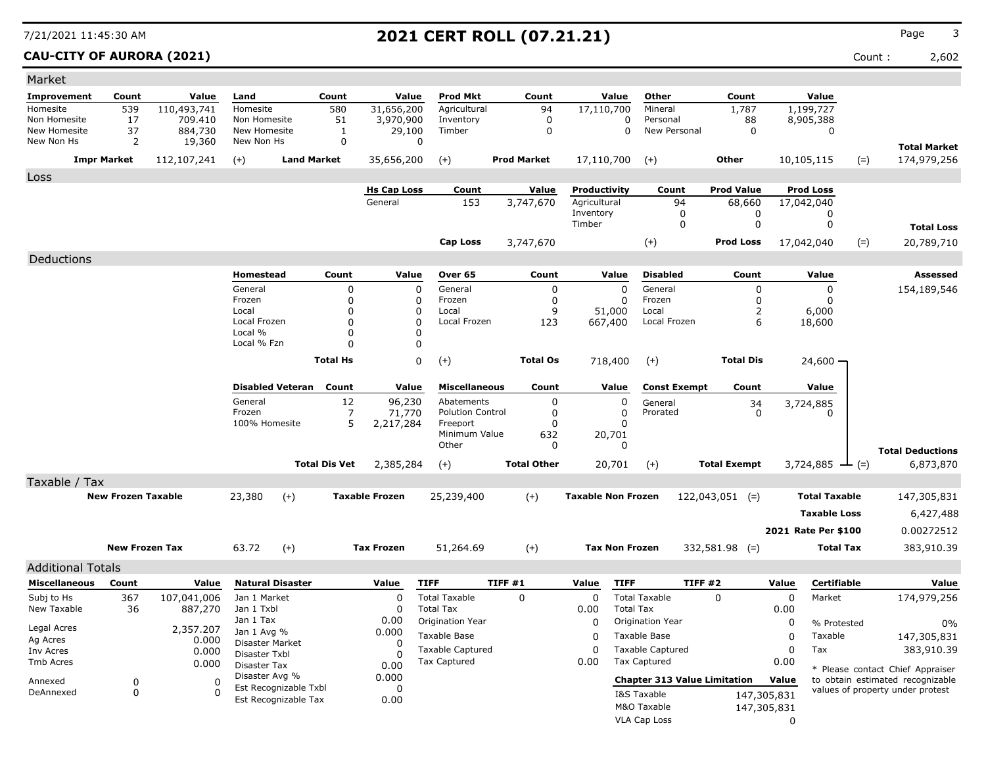### **CAU-CITY OF AURORA (2021)** Count : 2,602

| Market                       |                           |                    |                              |                       |                  |                       |                           |         |                            |                           |                       |                                     |                     |             |                             |       |                                    |
|------------------------------|---------------------------|--------------------|------------------------------|-----------------------|------------------|-----------------------|---------------------------|---------|----------------------------|---------------------------|-----------------------|-------------------------------------|---------------------|-------------|-----------------------------|-------|------------------------------------|
| <b>Improvement</b>           | Count                     | Value              | Land                         |                       | Count            | Value                 | <b>Prod Mkt</b>           |         | Count                      |                           | Value                 | Other                               | Count               |             | Value                       |       |                                    |
| Homesite                     | 539                       | 110,493,741        | Homesite                     |                       | 580              | 31,656,200            | Agricultural              |         | 94                         | 17,110,700                |                       | Mineral                             | 1,787               |             | 1,199,727                   |       |                                    |
| Non Homesite<br>New Homesite | 17<br>37                  | 709.410<br>884,730 | Non Homesite<br>New Homesite |                       | 51               | 3,970,900             | Inventory<br>Timber       |         | $\mathbf 0$<br>$\mathbf 0$ |                           | 0<br>0                | Personal<br>New Personal            | 88<br>0             |             | 8,905,388                   |       |                                    |
| New Non Hs                   | 2                         | 19,360             | New Non Hs                   |                       | 1<br>$\mathbf 0$ | 29,100                | 0                         |         |                            |                           |                       |                                     |                     |             | 0                           |       |                                    |
|                              | <b>Impr Market</b>        | 112,107,241        | $(+)$                        | <b>Land Market</b>    |                  | 35,656,200            | $(+)$                     |         | <b>Prod Market</b>         | 17,110,700                |                       | $(+)$                               | Other               |             | 10,105,115                  | $(=)$ | <b>Total Market</b><br>174,979,256 |
| Loss                         |                           |                    |                              |                       |                  |                       |                           |         |                            |                           |                       |                                     |                     |             |                             |       |                                    |
|                              |                           |                    |                              |                       |                  | <b>Hs Cap Loss</b>    | Count                     |         | <b>Value</b>               | Productivity              |                       | Count                               | <b>Prod Value</b>   |             | <b>Prod Loss</b>            |       |                                    |
|                              |                           |                    |                              |                       |                  | General               | 153                       |         | 3,747,670                  | Agricultural              |                       | 94                                  | 68,660              |             | 17,042,040                  |       |                                    |
|                              |                           |                    |                              |                       |                  |                       |                           |         |                            | Inventory                 |                       | 0                                   | 0                   |             | 0                           |       |                                    |
|                              |                           |                    |                              |                       |                  |                       |                           |         |                            | Timber                    |                       | $\mathbf 0$                         | 0                   |             | 0                           |       | <b>Total Loss</b>                  |
|                              |                           |                    |                              |                       |                  |                       | Cap Loss                  |         | 3,747,670                  |                           |                       | $(+)$                               | <b>Prod Loss</b>    |             | 17,042,040                  | $(=)$ | 20,789,710                         |
| Deductions                   |                           |                    |                              |                       |                  |                       |                           |         |                            |                           |                       |                                     |                     |             |                             |       |                                    |
|                              |                           |                    | Homestead                    |                       | Count            | Value                 | Over 65                   |         | Count                      |                           | Value                 | <b>Disabled</b>                     | Count               |             | Value                       |       | Assessed                           |
|                              |                           |                    | General                      |                       | 0                | 0                     | General                   |         | 0                          |                           | $\Omega$              | General                             | 0                   |             | 0                           |       | 154,189,546                        |
|                              |                           |                    | Frozen<br>Local              |                       | 0<br>$\Omega$    | 0<br>0                | Frozen<br>Local           |         | 0<br>9                     |                           | 0<br>51,000           | Frozen<br>Local                     | $\Omega$<br>2       |             | 0<br>6,000                  |       |                                    |
|                              |                           |                    | Local Frozen                 |                       | $\Omega$         | 0                     | Local Frozen              |         | 123                        |                           | 667,400               | Local Frozen                        | 6                   |             | 18,600                      |       |                                    |
|                              |                           |                    | Local %                      |                       | $\Omega$         | 0                     |                           |         |                            |                           |                       |                                     |                     |             |                             |       |                                    |
|                              |                           |                    | Local % Fzn                  |                       | $\Omega$         |                       | 0                         |         |                            |                           |                       |                                     |                     |             |                             |       |                                    |
|                              |                           |                    |                              |                       | <b>Total Hs</b>  |                       | 0<br>$(+)$                |         | <b>Total Os</b>            |                           | 718,400               | $(+)$                               | <b>Total Dis</b>    |             | 24,600 -                    |       |                                    |
|                              |                           |                    | <b>Disabled Veteran</b>      |                       | Count            | Value                 | <b>Miscellaneous</b>      |         | Count                      |                           | Value                 | <b>Const Exempt</b>                 | Count               |             | Value                       |       |                                    |
|                              |                           |                    | General                      |                       | 12               | 96,230                | Abatements                |         | 0                          |                           | 0                     | General                             | 34                  |             | 3,724,885                   |       |                                    |
|                              |                           |                    | Frozen                       |                       | 7                | 71,770                | <b>Polution Control</b>   |         | 0                          |                           | 0                     | Prorated                            | 0                   |             | 0                           |       |                                    |
|                              |                           |                    | 100% Homesite                |                       | 5                | 2,217,284             | Freeport<br>Minimum Value |         | 0<br>632                   |                           | $\Omega$<br>20,701    |                                     |                     |             |                             |       |                                    |
|                              |                           |                    |                              |                       |                  |                       | Other                     |         | 0                          |                           | 0                     |                                     |                     |             |                             |       | <b>Total Deductions</b>            |
|                              |                           |                    |                              | <b>Total Dis Vet</b>  |                  | 2,385,284             | $(+)$                     |         | <b>Total Other</b>         |                           | 20,701                | $(+)$                               | <b>Total Exempt</b> |             | 3,724,885 $\rightarrow$ (=) |       | 6,873,870                          |
| Taxable / Tax                |                           |                    |                              |                       |                  |                       |                           |         |                            |                           |                       |                                     |                     |             |                             |       |                                    |
|                              | <b>New Frozen Taxable</b> |                    | 23,380                       | $(+)$                 |                  | <b>Taxable Frozen</b> | 25,239,400                |         | $(+)$                      | <b>Taxable Non Frozen</b> |                       |                                     | $122,043,051$ (=)   |             | <b>Total Taxable</b>        |       | 147,305,831                        |
|                              |                           |                    |                              |                       |                  |                       |                           |         |                            |                           |                       |                                     |                     |             | <b>Taxable Loss</b>         |       | 6,427,488                          |
|                              |                           |                    |                              |                       |                  |                       |                           |         |                            |                           |                       |                                     |                     |             |                             |       |                                    |
|                              |                           |                    |                              |                       |                  |                       |                           |         |                            |                           |                       |                                     |                     |             | 2021 Rate Per \$100         |       | 0.00272512                         |
|                              | <b>New Frozen Tax</b>     |                    | 63.72                        | $(+)$                 |                  | <b>Tax Frozen</b>     | 51,264.69                 |         | $(+)$                      |                           | <b>Tax Non Frozen</b> |                                     | $332,581.98$ (=)    |             | Total Tax                   |       | 383,910.39                         |
| <b>Additional Totals</b>     |                           |                    |                              |                       |                  |                       |                           |         |                            |                           |                       |                                     |                     |             |                             |       |                                    |
| <b>Miscellaneous</b>         | Count                     | Value              | <b>Natural Disaster</b>      |                       |                  | Value                 | <b>TIFF</b>               | TIFF #1 |                            | Value                     | <b>TIFF</b>           | TIFF#2                              |                     | Value       | Certifiable                 |       | Value                              |
| Subj to Hs                   | 367                       | 107,041,006        | Jan 1 Market                 |                       |                  | $\Omega$              | <b>Total Taxable</b>      |         | $\Omega$                   | $\Omega$                  |                       | <b>Total Taxable</b>                | $\Omega$            | 0           | Market                      |       | 174,979,256                        |
| New Taxable                  | 36                        | 887,270            | Jan 1 Txbl                   |                       |                  | 0                     | <b>Total Tax</b>          |         |                            | 0.00                      | <b>Total Tax</b>      |                                     |                     | 0.00        |                             |       |                                    |
| Legal Acres                  |                           | 2,357.207          | Jan 1 Tax<br>Jan 1 Avg %     |                       |                  | 0.00<br>0.000         | Origination Year          |         |                            | 0                         |                       | Origination Year                    |                     | 0           | % Protested                 |       | $0\%$                              |
| Ag Acres                     |                           | 0.000              | Disaster Market              |                       |                  | 0                     | Taxable Base              |         |                            | 0                         |                       | Taxable Base                        |                     | 0           | Taxable                     |       | 147,305,831                        |
| Inv Acres                    |                           | 0.000              | Disaster Txbl                |                       |                  | 0                     | <b>Taxable Captured</b>   |         |                            | 0                         |                       | <b>Taxable Captured</b>             |                     | 0           | Tax                         |       | 383,910.39                         |
| Tmb Acres                    |                           | 0.000              | Disaster Tax                 |                       |                  | 0.00                  | Tax Captured              |         |                            | 0.00                      |                       | Tax Captured                        |                     | 0.00        |                             |       | * Please contact Chief Appraiser   |
| Annexed                      | 0                         | 0                  | Disaster Avg %               | Est Recognizable Txbl |                  | 0.000<br>0            |                           |         |                            |                           |                       | <b>Chapter 313 Value Limitation</b> |                     | Value       |                             |       | to obtain estimated recognizable   |
| DeAnnexed                    | 0                         | 0                  |                              | Est Recognizable Tax  |                  | 0.00                  |                           |         |                            |                           |                       | I&S Taxable                         |                     | 147,305,831 |                             |       | values of property under protest   |
|                              |                           |                    |                              |                       |                  |                       |                           |         |                            |                           |                       | M&O Taxable                         |                     | 147,305,831 |                             |       |                                    |
|                              |                           |                    |                              |                       |                  |                       |                           |         |                            |                           |                       | VLA Cap Loss                        |                     | 0           |                             |       |                                    |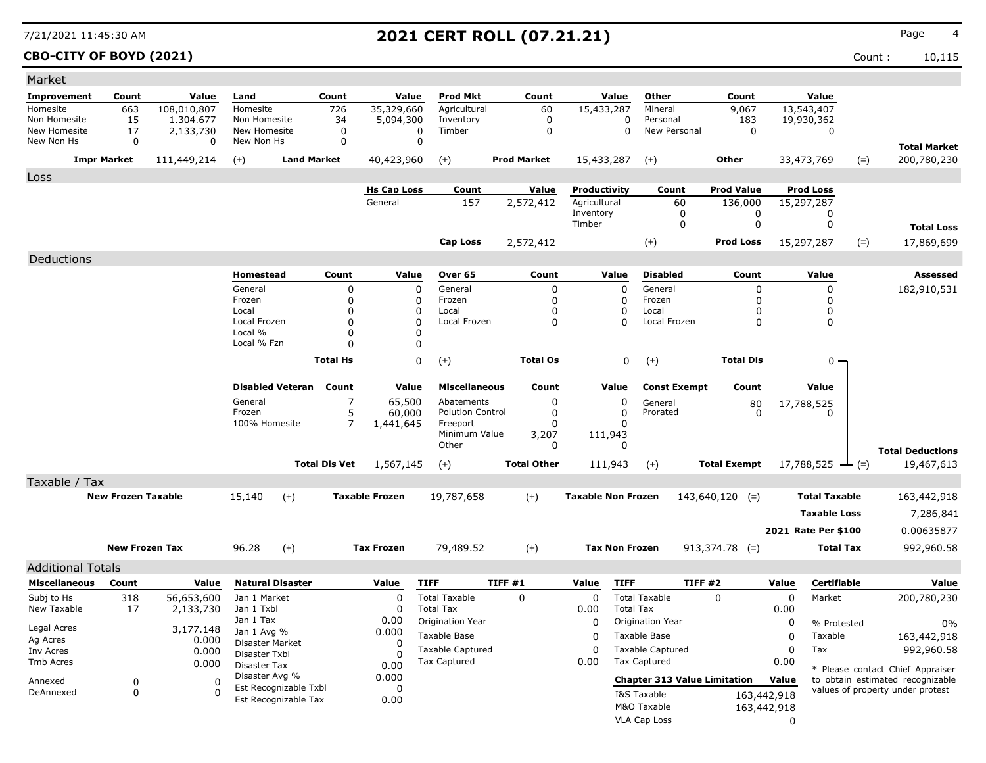### **CBO-CITY OF BOYD (2021)** Count : 10,115

| Market                     |                           |                      |                               |                         |                            |                         |                                     |        |                         |                           |                         |                                     |                      |             |                      |             |                                                                      |
|----------------------------|---------------------------|----------------------|-------------------------------|-------------------------|----------------------------|-------------------------|-------------------------------------|--------|-------------------------|---------------------------|-------------------------|-------------------------------------|----------------------|-------------|----------------------|-------------|----------------------------------------------------------------------|
| <b>Improvement</b>         | Count                     | Value                | Land                          |                         | Count                      | Value                   | <b>Prod Mkt</b>                     |        | Count                   |                           | Value                   | Other                               | Count                |             | Value                |             |                                                                      |
| Homesite                   | 663                       | 108,010,807          | Homesite                      |                         | 726                        | 35,329,660              | Agricultural                        |        | 60                      | 15,433,287                |                         | Mineral                             | 9,067                |             | 13,543,407           |             |                                                                      |
| Non Homesite               | 15                        | 1.304.677            | Non Homesite                  |                         | 34                         | 5,094,300               | Inventory                           |        | $\mathbf 0$             |                           | 0                       | Personal                            | 183                  |             | 19,930,362           |             |                                                                      |
| New Homesite<br>New Non Hs | 17<br>$\mathbf 0$         | 2,133,730<br>0       | New Homesite<br>New Non Hs    |                         | $\mathbf 0$<br>0           |                         | Timber<br>0<br>$\mathbf 0$          |        | $\Omega$                |                           | 0                       | New Personal                        | $\mathbf 0$          |             | 0                    |             |                                                                      |
|                            |                           |                      |                               |                         |                            |                         |                                     |        |                         |                           |                         |                                     |                      |             |                      |             | <b>Total Market</b>                                                  |
| <b>Impr Market</b>         |                           | 111,449,214          | $(+)$                         | <b>Land Market</b>      |                            | 40,423,960              | $(+)$                               |        | <b>Prod Market</b>      | 15,433,287                |                         | $(+)$                               | Other                |             | 33,473,769           | $(=)$       | 200,780,230                                                          |
| Loss                       |                           |                      |                               |                         |                            |                         |                                     |        |                         |                           |                         |                                     |                      |             |                      |             |                                                                      |
|                            |                           |                      |                               |                         |                            | <b>Hs Cap Loss</b>      | Count                               |        | Value                   | Productivity              |                         | Count                               | <b>Prod Value</b>    |             | <b>Prod Loss</b>     |             |                                                                      |
|                            |                           |                      |                               |                         |                            | General                 | 157                                 |        | 2,572,412               | Agricultural<br>Inventory |                         | 60<br>0                             | 136,000<br>0         |             | 15,297,287           |             |                                                                      |
|                            |                           |                      |                               |                         |                            |                         |                                     |        |                         | Timber                    |                         | $\mathbf 0$                         | $\mathbf 0$          |             | 0<br>0               |             | <b>Total Loss</b>                                                    |
|                            |                           |                      |                               |                         |                            |                         |                                     |        |                         |                           |                         |                                     |                      |             |                      |             |                                                                      |
|                            |                           |                      |                               |                         |                            |                         | <b>Cap Loss</b>                     |        | 2,572,412               |                           |                         | $(+)$                               | <b>Prod Loss</b>     |             | 15,297,287           | $(=)$       | 17,869,699                                                           |
| Deductions                 |                           |                      |                               |                         |                            |                         |                                     |        |                         |                           |                         |                                     |                      |             |                      |             |                                                                      |
|                            |                           |                      | <b>Homestead</b>              |                         | Count                      | Value                   | Over 65                             |        | Count                   |                           | Value                   | <b>Disabled</b>                     | Count                |             | Value                |             | <b>Assessed</b>                                                      |
|                            |                           |                      | General                       |                         | $\mathbf 0$                | $\mathbf 0$             | General                             |        | $\mathbf 0$             |                           | $\mathbf 0$             | General                             | 0                    |             | 0                    |             | 182,910,531                                                          |
|                            |                           |                      | Frozen<br>Local               |                         | $\mathbf 0$<br>$\mathbf 0$ | $\Omega$<br>$\mathbf 0$ | Frozen<br>Local                     |        | $\mathbf 0$<br>$\Omega$ |                           | $\Omega$<br>$\mathbf 0$ | Frozen<br>Local                     | $\Omega$<br>$\Omega$ |             | $\Omega$<br>0        |             |                                                                      |
|                            |                           |                      | Local Frozen                  |                         | $\mathbf 0$                | $\Omega$                | Local Frozen                        |        | $\mathbf 0$             |                           | $\Omega$                | Local Frozen                        | $\mathbf 0$          |             | 0                    |             |                                                                      |
|                            |                           |                      | Local %                       |                         | 0                          | 0                       |                                     |        |                         |                           |                         |                                     |                      |             |                      |             |                                                                      |
|                            |                           |                      | Local % Fzn                   |                         | $\Omega$                   | $\mathbf 0$             |                                     |        |                         |                           |                         |                                     |                      |             |                      |             |                                                                      |
|                            |                           |                      |                               |                         | <b>Total Hs</b>            | 0                       | $(+)$                               |        | <b>Total Os</b>         |                           | 0                       | $(+)$                               | <b>Total Dis</b>     |             | 0                    |             |                                                                      |
|                            |                           |                      |                               |                         |                            |                         |                                     |        |                         |                           |                         |                                     |                      |             |                      |             |                                                                      |
|                            |                           |                      |                               | <b>Disabled Veteran</b> | Count                      | Value                   | <b>Miscellaneous</b>                |        | Count                   |                           | Value                   | <b>Const Exempt</b>                 | Count                |             | Value                |             |                                                                      |
|                            |                           |                      | General                       |                         | $\overline{7}$             | 65,500                  | Abatements                          |        | 0                       |                           | 0                       | General                             | 80                   |             | 17,788,525           |             |                                                                      |
|                            |                           |                      | Frozen<br>100% Homesite       |                         | 5<br>$\overline{7}$        | 60,000<br>1,441,645     | <b>Polution Control</b><br>Freeport |        | 0<br>$\Omega$           |                           | $\mathbf 0$<br>$\Omega$ | Prorated                            | $\Omega$             |             | 0                    |             |                                                                      |
|                            |                           |                      |                               |                         |                            |                         | Minimum Value                       |        | 3,207                   |                           | 111,943                 |                                     |                      |             |                      |             |                                                                      |
|                            |                           |                      |                               |                         |                            |                         | Other                               |        | 0                       |                           | $\Omega$                |                                     |                      |             |                      |             | <b>Total Deductions</b>                                              |
|                            |                           |                      |                               |                         | <b>Total Dis Vet</b>       | 1,567,145               | $(+)$                               |        | <b>Total Other</b>      |                           | 111,943                 | $(+)$                               | <b>Total Exempt</b>  |             | 17,788,525           | $\perp$ (=) | 19,467,613                                                           |
| Taxable / Tax              |                           |                      |                               |                         |                            |                         |                                     |        |                         |                           |                         |                                     |                      |             |                      |             |                                                                      |
|                            | <b>New Frozen Taxable</b> |                      | 15,140                        | $(+)$                   |                            | <b>Taxable Frozen</b>   | 19,787,658                          |        | $(+)$                   | <b>Taxable Non Frozen</b> |                         |                                     | $143,640,120$ (=)    |             | <b>Total Taxable</b> |             | 163,442,918                                                          |
|                            |                           |                      |                               |                         |                            |                         |                                     |        |                         |                           |                         |                                     |                      |             |                      |             |                                                                      |
|                            |                           |                      |                               |                         |                            |                         |                                     |        |                         |                           |                         |                                     |                      |             | <b>Taxable Loss</b>  |             | 7,286,841                                                            |
|                            |                           |                      |                               |                         |                            |                         |                                     |        |                         |                           |                         |                                     |                      |             | 2021 Rate Per \$100  |             | 0.00635877                                                           |
|                            | <b>New Frozen Tax</b>     |                      | 96.28                         | $(+)$                   |                            | <b>Tax Frozen</b>       | 79,489.52                           |        | $(+)$                   |                           | <b>Tax Non Frozen</b>   |                                     | $913,374.78$ (=)     |             | <b>Total Tax</b>     |             | 992,960.58                                                           |
| <b>Additional Totals</b>   |                           |                      |                               |                         |                            |                         |                                     |        |                         |                           |                         |                                     |                      |             |                      |             |                                                                      |
| <b>Miscellaneous</b>       | Count                     | Value                | <b>Natural Disaster</b>       |                         |                            | Value                   | <b>TIFF</b>                         | TIFF#1 |                         | Value                     | <b>TIFF</b>             |                                     | <b>TIFF #2</b>       | Value       | Certifiable          |             | Value                                                                |
| Subj to Hs                 | 318                       | 56,653,600           | Jan 1 Market                  |                         |                            | $\mathbf 0$             | <b>Total Taxable</b>                |        | $\mathbf 0$             | $\mathbf 0$               |                         | <b>Total Taxable</b>                | $\mathbf 0$          | 0           | Market               |             | 200,780,230                                                          |
| New Taxable                | 17                        | 2,133,730            | Jan 1 Txbl                    |                         |                            | $\Omega$                | <b>Total Tax</b>                    |        |                         | 0.00                      | <b>Total Tax</b>        |                                     |                      | 0.00        |                      |             |                                                                      |
|                            |                           |                      | Jan 1 Tax                     |                         |                            | 0.00                    | Origination Year                    |        |                         | 0                         |                         | Origination Year                    |                      | 0           | % Protested          |             | $0\%$                                                                |
| Legal Acres<br>Ag Acres    |                           | 3,177.148            | Jan 1 Avg %                   |                         |                            | 0.000                   | <b>Taxable Base</b>                 |        |                         | $\Omega$                  |                         | <b>Taxable Base</b>                 |                      | 0           | Taxable              |             | 163,442,918                                                          |
| Inv Acres                  |                           | 0.000<br>0.000       | <b>Disaster Market</b>        |                         |                            | $\Omega$                | <b>Taxable Captured</b>             |        |                         | $\Omega$                  |                         | <b>Taxable Captured</b>             |                      | $\mathsf 0$ | Tax                  |             | 992,960.58                                                           |
| <b>Tmb Acres</b>           |                           | 0.000                | Disaster Txbl<br>Disaster Tax |                         |                            | 0<br>0.00               | <b>Tax Captured</b>                 |        |                         | 0.00                      |                         | <b>Tax Captured</b>                 |                      | 0.00        |                      |             |                                                                      |
|                            | $\mathbf 0$               |                      | Disaster Avg %                |                         |                            | 0.000                   |                                     |        |                         |                           |                         | <b>Chapter 313 Value Limitation</b> |                      | Value       |                      |             | * Please contact Chief Appraiser<br>to obtain estimated recognizable |
| Annexed<br>DeAnnexed       | $\mathbf 0$               | $\Omega$<br>$\Omega$ |                               | Est Recognizable Txbl   |                            | $\mathbf 0$             |                                     |        |                         |                           |                         | I&S Taxable                         |                      |             |                      |             | values of property under protest                                     |
|                            |                           |                      |                               | Est Recognizable Tax    |                            | 0.00                    |                                     |        |                         |                           |                         |                                     |                      | 163,442,918 |                      |             |                                                                      |
|                            |                           |                      |                               |                         |                            |                         |                                     |        |                         |                           |                         | M&O Taxable                         |                      | 163,442,918 |                      |             |                                                                      |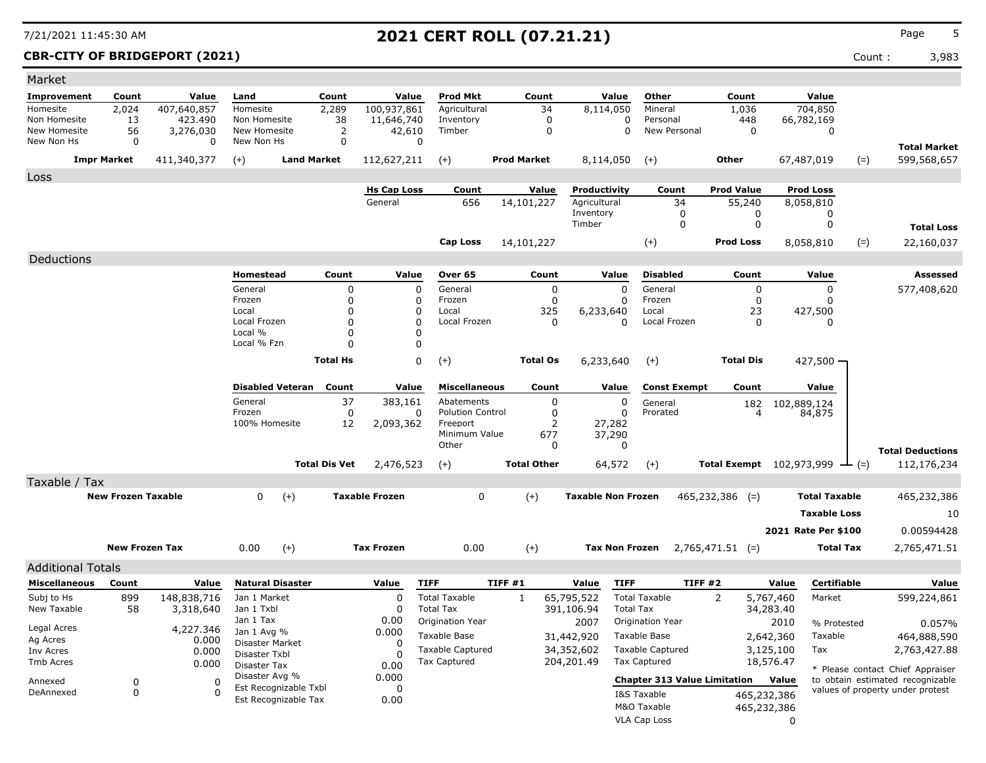| Market                   |                           |             |                                         |                      |                       |                                         |                    |                           |                                         |                     |                    |             |                                              |                                  |
|--------------------------|---------------------------|-------------|-----------------------------------------|----------------------|-----------------------|-----------------------------------------|--------------------|---------------------------|-----------------------------------------|---------------------|--------------------|-------------|----------------------------------------------|----------------------------------|
| <b>Improvement</b>       | Count                     | Value       | Land                                    | Count                | Value                 | <b>Prod Mkt</b>                         | Count              | Value                     | Other                                   |                     | Count              |             | Value                                        |                                  |
| Homesite                 | 2,024                     | 407,640,857 | Homesite                                | 2,289                | 100,937,861           | Agricultural                            | 34                 | 8,114,050                 | Mineral                                 |                     | 1,036              |             | 704,850                                      |                                  |
| Non Homesite             | 13                        | 423,490     | Non Homesite                            | 38                   | 11,646,740            | Inventory                               | $\mathbf 0$        |                           | 0<br>Personal                           |                     | 448                |             | 66,782,169                                   |                                  |
| New Homesite             | 56                        | 3,276,030   | New Homesite                            | 2                    | 42,610                | Timber                                  | 0                  |                           | 0                                       | New Personal        | 0                  |             | 0                                            |                                  |
| New Non Hs               | 0                         | $\Omega$    | New Non Hs                              | $\mathbf 0$          | 0                     |                                         |                    |                           |                                         |                     |                    |             |                                              | <b>Total Market</b>              |
|                          | <b>Impr Market</b>        | 411,340,377 | $(+)$                                   | <b>Land Market</b>   | 112,627,211           | $(+)$                                   | <b>Prod Market</b> | 8,114,050                 | $(+)$                                   |                     | Other              | 67,487,019  | $(=)$                                        | 599,568,657                      |
| Loss                     |                           |             |                                         |                      |                       |                                         |                    |                           |                                         |                     |                    |             |                                              |                                  |
|                          |                           |             |                                         |                      | <b>Hs Cap Loss</b>    | Count                                   | <b>Value</b>       | Productivity              |                                         | Count               | <b>Prod Value</b>  |             | <b>Prod Loss</b>                             |                                  |
|                          |                           |             |                                         |                      | General               | 656                                     | 14,101,227         | Agricultural              |                                         | 34                  | 55,240             |             | 8,058,810                                    |                                  |
|                          |                           |             |                                         |                      |                       |                                         |                    | Inventory<br>Timber       |                                         | 0<br>0              | 0<br>0             |             | 0<br>0                                       |                                  |
|                          |                           |             |                                         |                      |                       |                                         |                    |                           |                                         |                     |                    |             |                                              | <b>Total Loss</b>                |
|                          |                           |             |                                         |                      |                       | Cap Loss                                | 14,101,227         |                           | $(+)$                                   |                     | <b>Prod Loss</b>   |             | $(=)$<br>8,058,810                           | 22,160,037                       |
| Deductions               |                           |             |                                         |                      |                       |                                         |                    |                           |                                         |                     |                    |             |                                              |                                  |
|                          |                           |             | Homestead                               | Count                | Value                 | Over 65                                 | Count              | Value                     | <b>Disabled</b>                         |                     | Count              |             | Value                                        | Assessed                         |
|                          |                           |             | General                                 | 0                    | $\mathbf 0$           | General                                 | 0                  |                           | $\Omega$<br>General                     |                     | 0                  |             | 0                                            | 577,408,620                      |
|                          |                           |             | Frozen                                  | $\Omega$             | 0                     | Frozen                                  | 0                  |                           | Frozen<br>O                             |                     | 0                  |             | 0                                            |                                  |
|                          |                           |             | Local<br>Local Frozen                   | 0<br>$\Omega$        | 0<br>$\Omega$         | Local<br>Local Frozen                   | 325<br>0           | 6,233,640                 | Local<br>$\Omega$                       | Local Frozen        | 23<br>$\Omega$     |             | 427,500<br>0                                 |                                  |
|                          |                           |             | Local %                                 | $\Omega$             | 0                     |                                         |                    |                           |                                         |                     |                    |             |                                              |                                  |
|                          |                           |             | Local % Fzn                             | $\Omega$             | 0                     |                                         |                    |                           |                                         |                     |                    |             |                                              |                                  |
|                          |                           |             |                                         | <b>Total Hs</b>      | $\mathbf 0$           | $(+)$                                   | <b>Total Os</b>    | 6,233,640                 | $(+)$                                   |                     | <b>Total Dis</b>   |             | $427,500 -$                                  |                                  |
|                          |                           |             |                                         |                      |                       |                                         |                    |                           |                                         |                     |                    |             |                                              |                                  |
|                          |                           |             | <b>Disabled Veteran</b>                 | Count                | Value                 | <b>Miscellaneous</b>                    | Count              | Value                     |                                         | <b>Const Exempt</b> | Count              |             | Value                                        |                                  |
|                          |                           |             | General                                 | 37                   | 383,161               | Abatements                              | 0                  |                           | 0<br>General                            |                     | 182                | 102,889,124 |                                              |                                  |
|                          |                           |             | Frozen                                  | 0                    | 0                     | <b>Polution Control</b>                 | 0                  |                           | 0<br>Prorated                           |                     | 4                  |             | 84,875                                       |                                  |
|                          |                           |             | 100% Homesite                           | 12                   | 2,093,362             | Freeport<br>Minimum Value               | 2<br>677           | 27,282                    |                                         |                     |                    |             |                                              |                                  |
|                          |                           |             |                                         |                      |                       | Other                                   | 0                  | 37,290                    | 0                                       |                     |                    |             |                                              |                                  |
|                          |                           |             |                                         |                      |                       |                                         |                    |                           |                                         |                     |                    |             |                                              | <b>Total Deductions</b>          |
|                          |                           |             |                                         | <b>Total Dis Vet</b> | 2,476,523             | $(+)$                                   | <b>Total Other</b> | 64,572                    | $(+)$                                   |                     |                    |             | Total Exempt $102,973,999$ $\rightarrow$ (=) | 112,176,234                      |
| Taxable / Tax            |                           |             |                                         |                      |                       |                                         |                    |                           |                                         |                     |                    |             |                                              |                                  |
|                          | <b>New Frozen Taxable</b> |             | 0<br>$(+)$                              |                      | <b>Taxable Frozen</b> | 0                                       | $(+)$              | <b>Taxable Non Frozen</b> |                                         |                     | $465,232,386$ (=)  |             | <b>Total Taxable</b>                         | 465,232,386                      |
|                          |                           |             |                                         |                      |                       |                                         |                    |                           |                                         |                     |                    |             | <b>Taxable Loss</b>                          | 10                               |
|                          |                           |             |                                         |                      |                       |                                         |                    |                           |                                         |                     |                    |             | 2021 Rate Per \$100                          | 0.00594428                       |
|                          | <b>New Frozen Tax</b>     |             | $(+)$<br>0.00                           |                      | <b>Tax Frozen</b>     | 0.00                                    | $(+)$              |                           | <b>Tax Non Frozen</b>                   |                     | $2,765,471.51$ (=) |             | Total Tax                                    | 2,765,471.51                     |
|                          |                           |             |                                         |                      |                       |                                         |                    |                           |                                         |                     |                    |             |                                              |                                  |
| <b>Additional Totals</b> |                           |             |                                         |                      |                       |                                         |                    |                           |                                         |                     |                    |             |                                              |                                  |
| <b>Miscellaneous</b>     | Count                     | Value       | <b>Natural Disaster</b>                 |                      | Value                 | <b>TIFF</b>                             | TIFF#1             | Value                     | <b>TIFF</b>                             | TIFF#2              |                    | Value       | Certifiable                                  | Value                            |
| Subj to Hs               | 899                       | 148,838,716 | Jan 1 Market                            |                      | 0                     | <b>Total Taxable</b>                    | 1                  | 65,795,522                | <b>Total Taxable</b>                    |                     | 2                  | 5,767,460   | Market                                       | 599,224,861                      |
| New Taxable              | 58                        | 3,318,640   | Jan 1 Txbl<br>Jan 1 Tax                 |                      | 0<br>0.00             | <b>Total Tax</b><br>Origination Year    |                    | 391,106.94                | <b>Total Tax</b>                        |                     |                    | 34,283.40   |                                              |                                  |
| Legal Acres              |                           |             | 4,227.346 Jan 1 Avg %                   |                      | 0.000                 |                                         |                    | 2007                      | Origination Year                        |                     |                    | 2010        | % Protested                                  | 0.057%                           |
| Ag Acres                 |                           | 0.000       | Disaster Market                         |                      | 0                     | Taxable Base                            |                    | 31,442,920                | Taxable Base                            |                     |                    | 2,642,360   | Taxable                                      | 464,888,590                      |
| Inv Acres                |                           | 0.000       | Disaster Txbl                           |                      | -0                    | <b>Taxable Captured</b><br>Tax Captured |                    | 34,352,602                | <b>Taxable Captured</b><br>Tax Captured |                     |                    | 3,125,100   | Tax                                          | 2,763,427.88                     |
| Tmb Acres                |                           | 0.000       | Disaster Tax                            |                      | 0.00                  |                                         |                    | 204,201.49                |                                         |                     |                    | 18,576.47   |                                              | * Please contact Chief Appraiser |
| Annexed                  | 0                         | 0           | Disaster Avg %<br>Est Recognizable Txbl |                      | 0.000<br>0            |                                         |                    |                           | <b>Chapter 313 Value Limitation</b>     |                     |                    | Value       |                                              | to obtain estimated recognizable |
| DeAnnexed                | 0                         | $\Omega$    | Est Recognizable Tax                    |                      | 0.00                  |                                         |                    |                           | I&S Taxable                             |                     |                    | 465,232,386 |                                              | values of property under protest |
|                          |                           |             |                                         |                      |                       |                                         |                    |                           | M&O Taxable                             |                     |                    | 465,232,386 |                                              |                                  |
|                          |                           |             |                                         |                      |                       |                                         |                    |                           | VLA Cap Loss                            |                     |                    | $\Omega$    |                                              |                                  |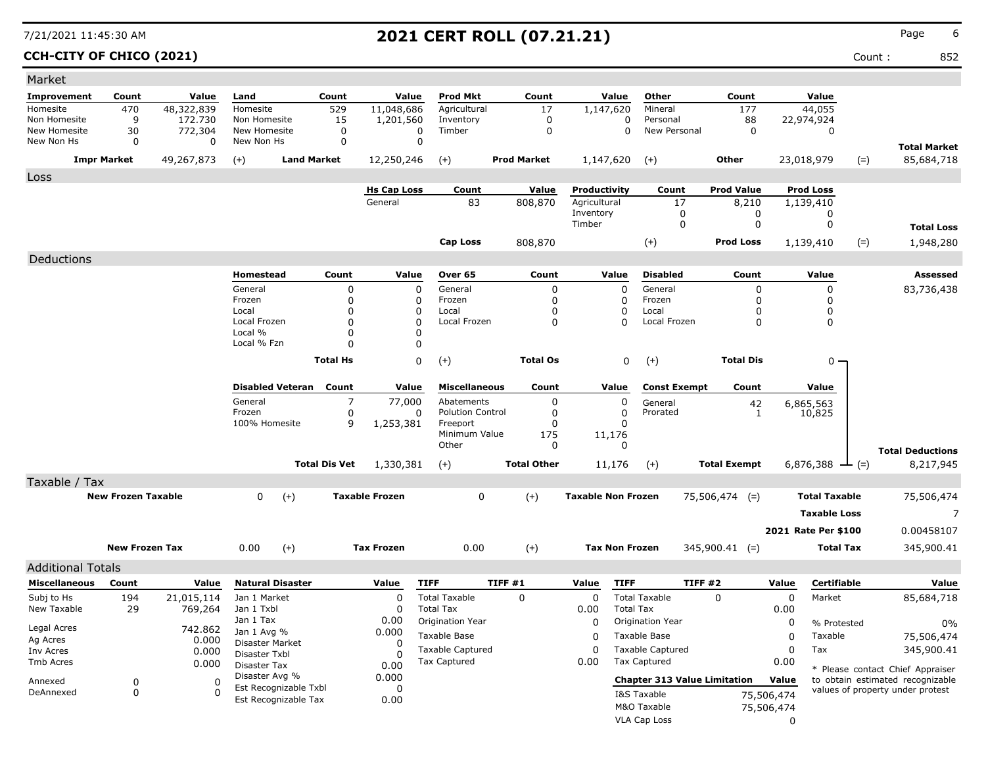**CCH-CITY OF CHICO (2021)** Count : 852

| Market                       |                           |                       |                                       |                      |                       |                                          |                    |                           |                                          |                                     |            |                           |                                                                      |
|------------------------------|---------------------------|-----------------------|---------------------------------------|----------------------|-----------------------|------------------------------------------|--------------------|---------------------------|------------------------------------------|-------------------------------------|------------|---------------------------|----------------------------------------------------------------------|
| Improvement                  | Count                     | Value                 | Land                                  | Count                | Value                 | Prod Mkt                                 | Count              | Value                     | Other                                    | Count                               |            | Value                     |                                                                      |
| Homesite                     | 470                       | 48,322,839            | Homesite                              | 529                  | 11,048,686            | Agricultural                             | 17                 | 1,147,620                 | Mineral                                  | 177                                 |            | 44,055                    |                                                                      |
| Non Homesite<br>New Homesite | 9                         | 172,730               | Non Homesite<br>New Homesite          | 15                   | 1,201,560<br>0        | Inventory<br>Timber                      | 0<br>0             |                           | 0<br>Personal<br>0<br>New Personal       | 88<br>0                             |            | 22,974,924<br>$\mathbf 0$ |                                                                      |
| New Non Hs                   | 30<br>0                   | 772,304<br>0          | New Non Hs                            | 0<br>0               | $\mathbf 0$           |                                          |                    |                           |                                          |                                     |            |                           |                                                                      |
|                              | <b>Impr Market</b>        | 49,267,873            | $(+)$                                 | <b>Land Market</b>   | 12,250,246            | $(+)$                                    | <b>Prod Market</b> | 1,147,620                 | $(+)$                                    | <b>Other</b>                        |            | 23,018,979<br>$(=)$       | <b>Total Market</b><br>85,684,718                                    |
| Loss                         |                           |                       |                                       |                      |                       |                                          |                    |                           |                                          |                                     |            |                           |                                                                      |
|                              |                           |                       |                                       |                      | <b>Hs Cap Loss</b>    | Count                                    | Value              | Productivity              | Count                                    | <b>Prod Value</b>                   |            | Prod Loss                 |                                                                      |
|                              |                           |                       |                                       |                      | General               | 83                                       | 808,870            | Agricultural              | 17                                       | 8,210                               |            | 1,139,410                 |                                                                      |
|                              |                           |                       |                                       |                      |                       |                                          |                    | Inventory<br>Timber       |                                          | 0<br>0<br>0<br>0                    |            | 0<br>0                    |                                                                      |
|                              |                           |                       |                                       |                      |                       |                                          |                    |                           |                                          |                                     |            |                           | <b>Total Loss</b>                                                    |
|                              |                           |                       |                                       |                      |                       | Cap Loss                                 | 808,870            |                           | $(+)$                                    | <b>Prod Loss</b>                    |            | $(=)$<br>1,139,410        | 1,948,280                                                            |
| Deductions                   |                           |                       |                                       |                      |                       |                                          |                    |                           |                                          |                                     |            |                           |                                                                      |
|                              |                           |                       | Homestead                             | Count                | Value                 | Over 65                                  | Count              | Value                     | <b>Disabled</b>                          | Count                               |            | Value                     | Assessed                                                             |
|                              |                           |                       | General                               | 0                    | 0                     | General                                  | 0                  |                           | General<br>0                             | 0                                   |            | 0                         | 83,736,438                                                           |
|                              |                           |                       | Frozen<br>Local                       | 0<br>0               | 0<br>0                | Frozen<br>Local                          | 0<br>0             |                           | 0<br>Frozen<br>0<br>Local                | 0<br>0                              |            | $\Omega$<br>$\mathbf 0$   |                                                                      |
|                              |                           |                       | Local Frozen                          | 0                    | $\mathbf 0$           | Local Frozen                             | 0                  |                           | Local Frozen<br>$\Omega$                 | 0                                   |            | 0                         |                                                                      |
|                              |                           |                       | Local %                               | 0                    | 0                     |                                          |                    |                           |                                          |                                     |            |                           |                                                                      |
|                              |                           |                       | Local % Fzn                           | 0                    | 0                     |                                          |                    |                           |                                          |                                     |            |                           |                                                                      |
|                              |                           |                       |                                       | <b>Total Hs</b>      | 0                     | $(+)$                                    | <b>Total Os</b>    |                           | 0<br>$(+)$                               | <b>Total Dis</b>                    |            | $0 -$                     |                                                                      |
|                              |                           |                       | <b>Disabled Veteran</b>               | Count                | Value                 | <b>Miscellaneous</b>                     | Count              | Value                     | <b>Const Exempt</b>                      | Count                               |            | Value                     |                                                                      |
|                              |                           |                       | General                               | 7                    | 77,000                | Abatements                               | 0                  |                           | 0<br>General                             | 42                                  |            | 6,865,563                 |                                                                      |
|                              |                           |                       | Frozen                                | 0                    | 0                     | <b>Polution Control</b>                  | 0                  |                           | 0<br>Prorated                            | 1                                   |            | 10,825                    |                                                                      |
|                              |                           |                       | 100% Homesite                         | 9                    | 1,253,381             | Freeport                                 | 0                  |                           | 0                                        |                                     |            |                           |                                                                      |
|                              |                           |                       |                                       |                      |                       | Minimum Value<br>Other                   | 175<br>0           | 11,176                    | $\mathbf{0}$                             |                                     |            |                           |                                                                      |
|                              |                           |                       |                                       |                      |                       |                                          |                    |                           |                                          |                                     |            |                           | <b>Total Deductions</b>                                              |
|                              |                           |                       |                                       | <b>Total Dis Vet</b> | 1,330,381             | $(+)$                                    | <b>Total Other</b> | 11,176                    | $(+)$                                    | <b>Total Exempt</b>                 |            | 6,876,388<br>$-(-)$       | 8,217,945                                                            |
| Taxable / Tax                |                           |                       |                                       |                      |                       |                                          |                    |                           |                                          |                                     |            |                           |                                                                      |
|                              | <b>New Frozen Taxable</b> |                       | 0<br>$(+)$                            |                      | <b>Taxable Frozen</b> | 0                                        | $(+)$              | <b>Taxable Non Frozen</b> |                                          | $75,506,474$ (=)                    |            | <b>Total Taxable</b>      | 75,506,474                                                           |
|                              |                           |                       |                                       |                      |                       |                                          |                    |                           |                                          |                                     |            | <b>Taxable Loss</b>       | 7                                                                    |
|                              |                           |                       |                                       |                      |                       |                                          |                    |                           |                                          |                                     |            | 2021 Rate Per \$100       | 0.00458107                                                           |
|                              | <b>New Frozen Tax</b>     |                       | 0.00<br>$(+)$                         |                      | <b>Tax Frozen</b>     | 0.00                                     | $(+)$              |                           | <b>Tax Non Frozen</b>                    | $345,900.41$ (=)                    |            | <b>Total Tax</b>          | 345,900.41                                                           |
| <b>Additional Totals</b>     |                           |                       |                                       |                      |                       |                                          |                    |                           |                                          |                                     |            |                           |                                                                      |
| <b>Miscellaneous</b>         | Count                     | Value                 | <b>Natural Disaster</b>               |                      | Value                 | <b>TIFF</b>                              | TIFF#1             | Value                     | <b>TIFF</b>                              | TIFF#2                              | Value      | Certifiable               | Value                                                                |
|                              |                           |                       | Jan 1 Market                          |                      | $\Omega$              |                                          |                    |                           |                                          |                                     |            |                           |                                                                      |
| Subj to Hs<br>New Taxable    | 194<br>29                 | 21,015,114<br>769,264 | Jan 1 Txbl                            |                      | $\Omega$              | <b>Total Taxable</b><br><b>Total Tax</b> | 0                  | 0<br>0.00                 | <b>Total Taxable</b><br><b>Total Tax</b> | 0                                   | 0<br>0.00  | Market                    | 85,684,718                                                           |
|                              |                           |                       | Jan 1 Tax                             |                      | 0.00                  | Origination Year                         |                    | 0                         | Origination Year                         |                                     | 0          | % Protested               | 0%                                                                   |
| Legal Acres                  |                           | 742.862               | Jan 1 Avg %                           |                      | 0.000                 | Taxable Base                             |                    | 0                         | Taxable Base                             |                                     | 0          | Taxable                   | 75,506,474                                                           |
| Ag Acres                     |                           | 0.000                 | Disaster Market                       |                      | 0                     | <b>Taxable Captured</b>                  |                    | 0                         | <b>Taxable Captured</b>                  |                                     | 0          | Tax                       | 345,900.41                                                           |
| Inv Acres<br>Tmb Acres       |                           | 0.000<br>0.000        | Disaster Txbl                         |                      | n                     | <b>Tax Captured</b>                      |                    | 0.00                      | Tax Captured                             |                                     | 0.00       |                           |                                                                      |
|                              |                           |                       | <b>Disaster Tax</b><br>Disaster Avg % |                      | 0.00<br>0.000         |                                          |                    |                           |                                          |                                     |            |                           | * Please contact Chief Appraiser                                     |
| Annexed                      | 0                         | 0                     | Est Recognizable Txbl                 |                      | 0                     |                                          |                    |                           |                                          | <b>Chapter 313 Value Limitation</b> | Value      |                           | to obtain estimated recognizable<br>values of property under protest |
| DeAnnexed                    | 0                         | 0                     | Est Recognizable Tax                  |                      | 0.00                  |                                          |                    |                           | I&S Taxable                              |                                     | 75,506,474 |                           |                                                                      |
|                              |                           |                       |                                       |                      |                       |                                          |                    |                           | M&O Taxable                              |                                     | 75,506,474 |                           |                                                                      |
|                              |                           |                       |                                       |                      |                       |                                          |                    |                           | VLA Cap Loss                             |                                     | 0          |                           |                                                                      |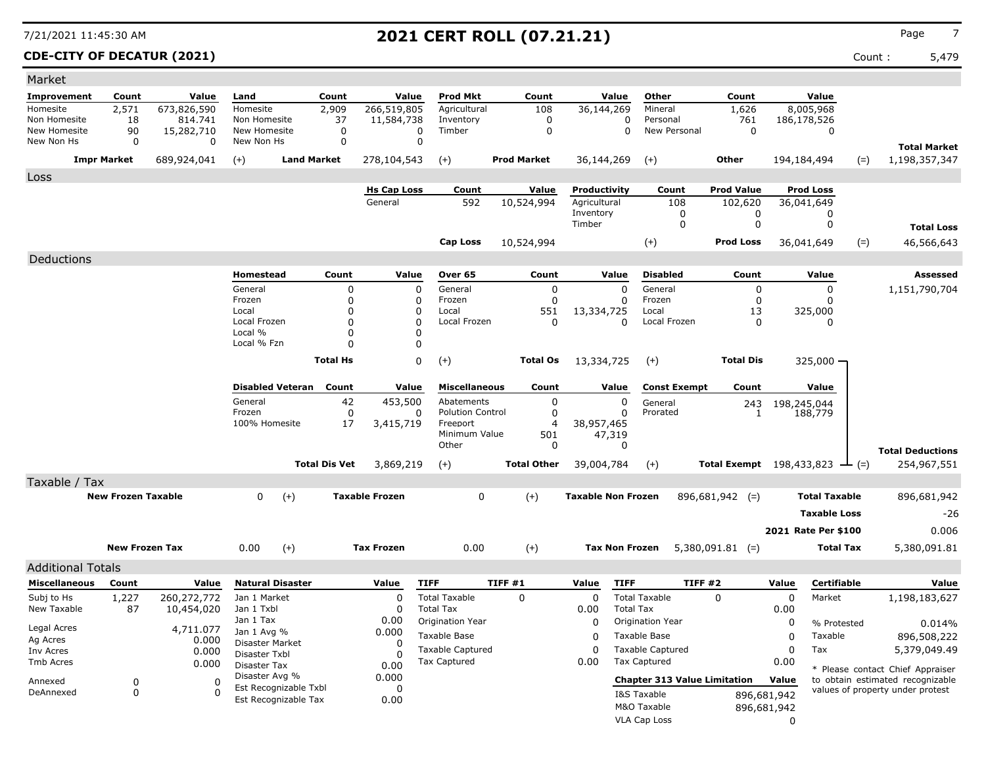**CDE-CITY OF DECATUR (2021)** Count : 5,479

| Market                       |                           |                 |                              |                                               |                      |                        |                           |         |                    |                           |                       |                                     |                                              |             |                      |       |                                      |
|------------------------------|---------------------------|-----------------|------------------------------|-----------------------------------------------|----------------------|------------------------|---------------------------|---------|--------------------|---------------------------|-----------------------|-------------------------------------|----------------------------------------------|-------------|----------------------|-------|--------------------------------------|
| <b>Improvement</b>           | Count                     | Value           | Land                         |                                               | Count                | Value                  | <b>Prod Mkt</b>           |         | Count              |                           | Value                 | Other                               | Count                                        |             | Value                |       |                                      |
| Homesite                     | 2,571                     | 673,826,590     | Homesite                     |                                               | 2,909                | 266,519,805            | Agricultural              |         | 108                | 36,144,269                |                       | Mineral                             | 1,626                                        |             | 8,005,968            |       |                                      |
| Non Homesite<br>New Homesite | 18                        | 814.741         | Non Homesite<br>New Homesite |                                               | 37<br>0              | 11,584,738<br>$\Omega$ | Inventory<br>Timber       |         | 0<br>0             |                           | 0<br>$\mathbf 0$      | Personal<br>New Personal            | 761<br>$\mathbf 0$                           |             | 186,178,526          |       |                                      |
| New Non Hs                   | 90<br>$\mathbf 0$         | 15,282,710<br>0 | New Non Hs                   |                                               | $\mathbf 0$          | $\Omega$               |                           |         |                    |                           |                       |                                     |                                              |             | 0                    |       |                                      |
|                              | <b>Impr Market</b>        | 689,924,041     | $(+)$                        | <b>Land Market</b>                            |                      | 278,104,543            | $(+)$                     |         | <b>Prod Market</b> | 36,144,269                |                       | $(+)$                               | Other                                        |             | 194,184,494          | $(=)$ | <b>Total Market</b><br>1,198,357,347 |
|                              |                           |                 |                              |                                               |                      |                        |                           |         |                    |                           |                       |                                     |                                              |             |                      |       |                                      |
| Loss                         |                           |                 |                              |                                               |                      | <b>Hs Cap Loss</b>     | Count                     |         | <b>Value</b>       | Productivity              |                       | Count                               | <b>Prod Value</b>                            |             | <b>Prod Loss</b>     |       |                                      |
|                              |                           |                 |                              |                                               |                      | General                | 592                       |         | 10,524,994         | Agricultural              |                       | 108                                 | 102,620                                      |             | 36,041,649           |       |                                      |
|                              |                           |                 |                              |                                               |                      |                        |                           |         |                    | Inventory                 |                       | 0                                   | 0                                            |             | 0                    |       |                                      |
|                              |                           |                 |                              |                                               |                      |                        |                           |         |                    | Timber                    |                       | $\mathbf 0$                         | 0                                            |             | 0                    |       | <b>Total Loss</b>                    |
|                              |                           |                 |                              |                                               |                      |                        | Cap Loss                  |         | 10,524,994         |                           |                       | $(+)$                               | <b>Prod Loss</b>                             |             | 36,041,649           | $(=)$ | 46,566,643                           |
| Deductions                   |                           |                 |                              |                                               |                      |                        |                           |         |                    |                           |                       |                                     |                                              |             |                      |       |                                      |
|                              |                           |                 | Homestead                    |                                               | Count                | Value                  | Over 65                   |         | Count              |                           | Value                 | <b>Disabled</b>                     | Count                                        |             | Value                |       | Assessed                             |
|                              |                           |                 | General                      |                                               | 0                    | 0                      | General                   |         | 0                  |                           | $\Omega$              | General                             | 0                                            |             | 0                    |       | 1,151,790,704                        |
|                              |                           |                 | Frozen                       |                                               | 0                    | 0                      | Frozen                    |         | $\mathbf{0}$       |                           |                       | Frozen                              | 0                                            |             | $\Omega$             |       |                                      |
|                              |                           |                 | Local<br>Local Frozen        |                                               | $\mathbf 0$<br>0     | 0<br>$\mathbf 0$       | Local<br>Local Frozen     |         | 551<br>0           | 13,334,725                | $\Omega$              | Local<br>Local Frozen               | 13<br>0                                      |             | 325,000<br>0         |       |                                      |
|                              |                           |                 | Local %                      |                                               | 0                    | 0                      |                           |         |                    |                           |                       |                                     |                                              |             |                      |       |                                      |
|                              |                           |                 | Local % Fzn                  |                                               | $\Omega$             | 0                      |                           |         |                    |                           |                       |                                     |                                              |             |                      |       |                                      |
|                              |                           |                 |                              |                                               | <b>Total Hs</b>      | 0                      | $(+)$                     |         | <b>Total Os</b>    | 13,334,725                |                       | $(+)$                               | <b>Total Dis</b>                             |             | $325,000 -$          |       |                                      |
|                              |                           |                 |                              |                                               |                      |                        |                           |         |                    |                           |                       |                                     |                                              |             |                      |       |                                      |
|                              |                           |                 | <b>Disabled Veteran</b>      |                                               | Count                | Value                  | <b>Miscellaneous</b>      |         | Count              |                           | Value                 | <b>Const Exempt</b>                 | Count                                        |             | Value                |       |                                      |
|                              |                           |                 | General                      |                                               | 42                   | 453,500                | Abatements                |         | 0                  |                           | 0                     | General                             | 243                                          |             | 198,245,044          |       |                                      |
|                              |                           |                 | Frozen<br>100% Homesite      |                                               | 0                    | 0                      | <b>Polution Control</b>   |         | 0                  |                           | $\Omega$              | Prorated                            | 1                                            |             | 188,779              |       |                                      |
|                              |                           |                 |                              |                                               | 17                   | 3,415,719              | Freeport<br>Minimum Value |         | 4<br>501           | 38,957,465                | 47,319                |                                     |                                              |             |                      |       |                                      |
|                              |                           |                 |                              |                                               |                      |                        | Other                     |         | 0                  |                           | 0                     |                                     |                                              |             |                      |       | <b>Total Deductions</b>              |
|                              |                           |                 |                              |                                               | <b>Total Dis Vet</b> | 3,869,219              | $(+)$                     |         | <b>Total Other</b> | 39,004,784                |                       | $(+)$                               | Total Exempt $198,433,823$ $\rightarrow$ (=) |             |                      |       | 254,967,551                          |
| Taxable / Tax                |                           |                 |                              |                                               |                      |                        |                           |         |                    |                           |                       |                                     |                                              |             |                      |       |                                      |
|                              | <b>New Frozen Taxable</b> |                 | 0                            | $(+)$                                         |                      | <b>Taxable Frozen</b>  | 0                         |         | $(+)$              | <b>Taxable Non Frozen</b> |                       |                                     | $896,681,942$ (=)                            |             | <b>Total Taxable</b> |       | 896,681,942                          |
|                              |                           |                 |                              |                                               |                      |                        |                           |         |                    |                           |                       |                                     |                                              |             | <b>Taxable Loss</b>  |       | -26                                  |
|                              |                           |                 |                              |                                               |                      |                        |                           |         |                    |                           |                       |                                     |                                              |             | 2021 Rate Per \$100  |       | 0.006                                |
|                              |                           |                 |                              |                                               |                      |                        |                           |         |                    |                           |                       |                                     |                                              |             |                      |       |                                      |
|                              | <b>New Frozen Tax</b>     |                 | 0.00                         | $(+)$                                         |                      | <b>Tax Frozen</b>      | 0.00                      |         | $(+)$              |                           | <b>Tax Non Frozen</b> |                                     | $5,380,091.81$ (=)                           |             | Total Tax            |       | 5,380,091.81                         |
| <b>Additional Totals</b>     |                           |                 |                              |                                               |                      |                        |                           |         |                    |                           |                       |                                     |                                              |             |                      |       |                                      |
| <b>Miscellaneous</b>         | Count                     | Value           | <b>Natural Disaster</b>      |                                               |                      | Value                  | <b>TIFF</b>               | TIFF #1 |                    | Value                     | <b>TIFF</b>           | TIFF #2                             |                                              | Value       | Certifiable          |       | Value                                |
| Subj to Hs                   | 1,227                     | 260,272,772     | Jan 1 Market                 |                                               |                      | 0                      | <b>Total Taxable</b>      |         | $\Omega$           | 0                         |                       | <b>Total Taxable</b>                | $\Omega$                                     | 0           | Market               |       | 1,198,183,627                        |
| New Taxable                  | 87                        | 10,454,020      | Jan 1 Txbl<br>Jan 1 Tax      |                                               |                      | 0                      | <b>Total Tax</b>          |         |                    | 0.00                      | <b>Total Tax</b>      |                                     |                                              | 0.00        |                      |       |                                      |
| Legal Acres                  |                           | 4,711.077       | Jan 1 Avg %                  |                                               |                      | 0.00<br>0.000          | Origination Year          |         |                    | 0                         |                       | <b>Origination Year</b>             |                                              | 0           | % Protested          |       | 0.014%                               |
| Ag Acres                     |                           | 0.000           | Disaster Market              |                                               |                      | 0                      | Taxable Base              |         |                    | 0                         |                       | Taxable Base                        |                                              | 0           | Taxable              |       | 896,508,222                          |
| Inv Acres                    |                           | 0.000           | Disaster Txbl                |                                               |                      | 0                      | <b>Taxable Captured</b>   |         |                    | 0                         |                       | <b>Taxable Captured</b>             |                                              | 0           | Tax                  |       | 5,379,049.49                         |
| Tmb Acres                    |                           | 0.000           | Disaster Tax                 |                                               |                      | 0.00                   | Tax Captured              |         |                    | 0.00                      |                       | Tax Captured                        |                                              | 0.00        |                      |       | * Please contact Chief Appraiser     |
| Annexed                      | 0                         | $\Omega$        | Disaster Avg %               |                                               |                      | 0.000                  |                           |         |                    |                           |                       | <b>Chapter 313 Value Limitation</b> |                                              | Value       |                      |       | to obtain estimated recognizable     |
| DeAnnexed                    | $\pmb{0}$                 | $\Omega$        |                              | Est Recognizable Txbl<br>Est Recognizable Tax |                      | 0<br>0.00              |                           |         |                    |                           |                       | I&S Taxable                         |                                              | 896,681,942 |                      |       | values of property under protest     |
|                              |                           |                 |                              |                                               |                      |                        |                           |         |                    |                           |                       | M&O Taxable                         |                                              | 896,681,942 |                      |       |                                      |
|                              |                           |                 |                              |                                               |                      |                        |                           |         |                    |                           |                       | VLA Cap Loss                        |                                              | 0           |                      |       |                                      |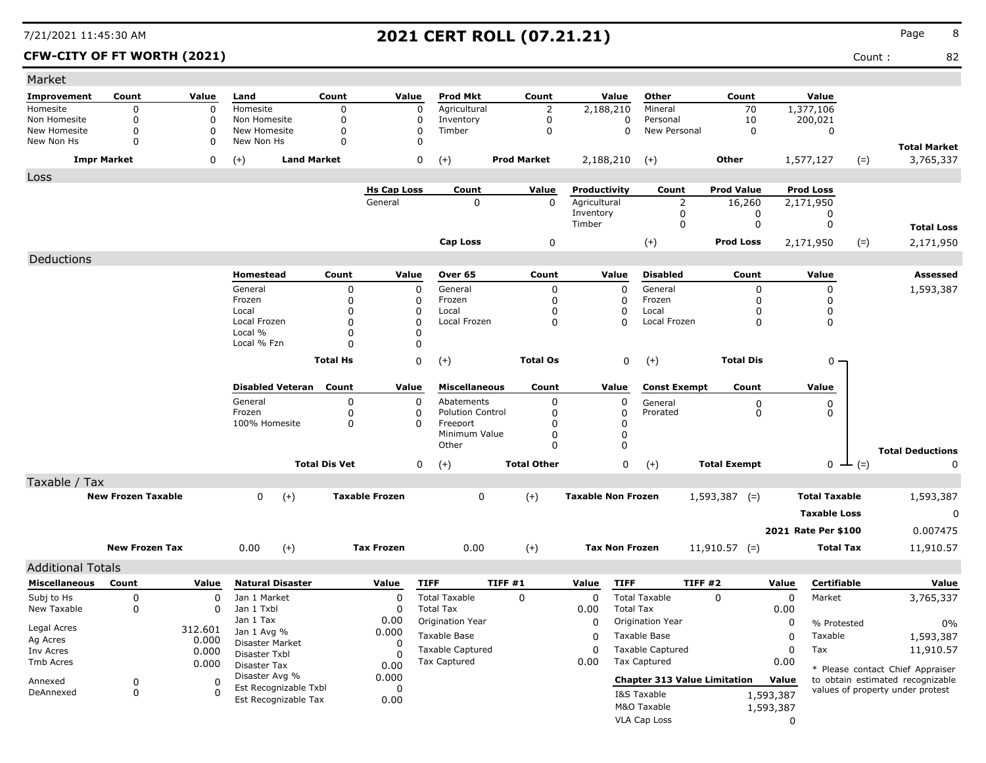| Market                       |                           |                      |                                |                      |                       |                         |                            |                           |                                           |                                     |           |                        |               |                                                                      |
|------------------------------|---------------------------|----------------------|--------------------------------|----------------------|-----------------------|-------------------------|----------------------------|---------------------------|-------------------------------------------|-------------------------------------|-----------|------------------------|---------------|----------------------------------------------------------------------|
| Improvement                  | Count                     | Value                | Land                           | Count                | Value                 | <b>Prod Mkt</b>         | Count                      | Value                     | Other                                     | Count                               |           | Value                  |               |                                                                      |
| Homesite                     | $\mathbf 0$               | $\Omega$             | Homesite                       | 0                    | $\mathbf 0$           | Agricultural            | $\overline{2}$             | 2,188,210                 | Mineral                                   | 70                                  |           | 1,377,106              |               |                                                                      |
| Non Homesite<br>New Homesite | 0<br>$\mathbf 0$          | $\Omega$<br>$\Omega$ | Non Homesite<br>New Homesite   | 0<br>0               | $\Omega$<br>$\Omega$  | Inventory<br>Timber     | $\mathbf 0$<br>$\mathbf 0$ |                           | 0<br>Personal<br>New Personal<br>$\Omega$ | 10<br>$\mathbf 0$                   |           | 200,021<br>$\mathbf 0$ |               |                                                                      |
| New Non Hs                   | 0                         | 0                    | New Non Hs                     | 0                    | $\Omega$              |                         |                            |                           |                                           |                                     |           |                        |               |                                                                      |
| <b>Impr Market</b>           |                           | 0                    | <b>Land Market</b><br>$(+)$    |                      | 0                     | $(+)$                   | <b>Prod Market</b>         | 2,188,210                 | $(+)$                                     | Other                               |           | 1,577,127              | $(=)$         | <b>Total Market</b><br>3,765,337                                     |
| Loss                         |                           |                      |                                |                      |                       |                         |                            |                           |                                           |                                     |           |                        |               |                                                                      |
|                              |                           |                      |                                |                      | <b>Hs Cap Loss</b>    | Count                   | Value                      | Productivity              | Count                                     | <b>Prod Value</b>                   |           | <b>Prod Loss</b>       |               |                                                                      |
|                              |                           |                      |                                |                      | General               | $\mathbf 0$             | $\mathbf{0}$               | Agricultural<br>Inventory | 2<br>0                                    | 16,260<br>0                         |           | 2,171,950<br>0         |               |                                                                      |
|                              |                           |                      |                                |                      |                       |                         |                            | Timber                    | 0                                         | 0                                   |           | 0                      |               | <b>Total Loss</b>                                                    |
|                              |                           |                      |                                |                      |                       | <b>Cap Loss</b>         | 0                          |                           | $^{(+)}$                                  | <b>Prod Loss</b>                    |           | 2,171,950              | $(=)$         | 2,171,950                                                            |
|                              |                           |                      |                                |                      |                       |                         |                            |                           |                                           |                                     |           |                        |               |                                                                      |
| Deductions                   |                           |                      |                                |                      |                       |                         |                            |                           |                                           |                                     |           |                        |               |                                                                      |
|                              |                           |                      | Homestead                      | Count                | Value                 | <b>Over 65</b>          | Count                      | Value                     | <b>Disabled</b>                           | Count                               |           | Value                  |               | <b>Assessed</b>                                                      |
|                              |                           |                      | General<br>Frozen              | 0<br>$\mathbf 0$     | $\mathbf 0$<br>0      | General<br>Frozen       | 0<br>0                     | $\mathbf 0$<br>0          | General<br>Frozen                         | 0<br>$\Omega$                       |           | 0<br>0                 |               | 1,593,387                                                            |
|                              |                           |                      | Local                          | $\Omega$             | 0                     | Local                   | 0                          | 0                         | Local                                     | O                                   |           | 0                      |               |                                                                      |
|                              |                           |                      | Local Frozen                   | $\Omega$             | 0                     | Local Frozen            | $\mathbf 0$                | $\Omega$                  | Local Frozen                              | 0                                   |           | 0                      |               |                                                                      |
|                              |                           |                      | Local %                        | $\Omega$             | 0                     |                         |                            |                           |                                           |                                     |           |                        |               |                                                                      |
|                              |                           |                      | Local % Fzn                    | n                    | 0                     |                         |                            |                           |                                           |                                     |           |                        |               |                                                                      |
|                              |                           |                      |                                | <b>Total Hs</b>      | 0                     | $(+)$                   | <b>Total Os</b>            |                           | 0<br>$(+)$                                | <b>Total Dis</b>                    |           | 0                      |               |                                                                      |
|                              |                           |                      |                                |                      |                       |                         |                            |                           |                                           |                                     |           |                        |               |                                                                      |
|                              |                           |                      | <b>Disabled Veteran</b>        | Count                | Value                 | <b>Miscellaneous</b>    | Count                      | Value                     | <b>Const Exempt</b>                       | Count                               |           | Value                  |               |                                                                      |
|                              |                           |                      | General                        | 0                    | 0                     | Abatements              | 0                          | 0                         | General                                   | 0                                   |           | 0                      |               |                                                                      |
|                              |                           |                      | Frozen                         | 0                    | 0                     | <b>Polution Control</b> | 0                          | 0                         | Prorated                                  | 0                                   |           | 0                      |               |                                                                      |
|                              |                           |                      | 100% Homesite                  | 0                    | 0                     | Freeport                | 0                          | 0                         |                                           |                                     |           |                        |               |                                                                      |
|                              |                           |                      |                                |                      |                       | Minimum Value<br>Other  | 0<br>$\Omega$              | $\pmb{0}$<br>$\mathbf 0$  |                                           |                                     |           |                        |               |                                                                      |
|                              |                           |                      |                                |                      |                       |                         |                            |                           |                                           |                                     |           |                        |               | <b>Total Deductions</b>                                              |
|                              |                           |                      |                                | <b>Total Dis Vet</b> | 0                     | $(+)$                   | <b>Total Other</b>         |                           | 0<br>$(+)$                                | <b>Total Exempt</b>                 |           |                        | $0 \perp (=)$ | 0                                                                    |
| Taxable / Tax                |                           |                      |                                |                      |                       |                         |                            |                           |                                           |                                     |           |                        |               |                                                                      |
|                              | <b>New Frozen Taxable</b> |                      | $(+)$<br>0                     |                      | <b>Taxable Frozen</b> | 0                       | $(+)$                      | <b>Taxable Non Frozen</b> |                                           | $1,593,387$ (=)                     |           | <b>Total Taxable</b>   |               | 1,593,387                                                            |
|                              |                           |                      |                                |                      |                       |                         |                            |                           |                                           |                                     |           | <b>Taxable Loss</b>    |               | 0                                                                    |
|                              |                           |                      |                                |                      |                       |                         |                            |                           |                                           |                                     |           | 2021 Rate Per \$100    |               | 0.007475                                                             |
|                              | <b>New Frozen Tax</b>     |                      | 0.00<br>$(+)$                  |                      | <b>Tax Frozen</b>     | 0.00                    | $(+)$                      | <b>Tax Non Frozen</b>     |                                           | $11,910.57$ (=)                     |           | <b>Total Tax</b>       |               |                                                                      |
|                              |                           |                      |                                |                      |                       |                         |                            |                           |                                           |                                     |           |                        |               | 11,910.57                                                            |
| <b>Additional Totals</b>     |                           |                      |                                |                      |                       |                         |                            |                           |                                           |                                     |           |                        |               |                                                                      |
| <b>Miscellaneous</b>         | Count                     | Value                | <b>Natural Disaster</b>        |                      | Value                 | <b>TIFF</b>             | TIFF #1                    | <b>TIFF</b><br>Value      |                                           | TIFF #2                             | Value     | Certifiable            |               | Value                                                                |
| Subj to Hs                   | 0                         | 0                    | Jan 1 Market                   |                      | 0                     | <b>Total Taxable</b>    | $\mathbf 0$                | 0                         | <b>Total Taxable</b>                      | 0                                   | 0         | Market                 |               | 3,765,337                                                            |
| New Taxable                  | 0                         | 0                    | Jan 1 Txbl                     |                      | 0                     | <b>Total Tax</b>        |                            | 0.00                      | <b>Total Tax</b>                          |                                     | 0.00      |                        |               |                                                                      |
| Legal Acres                  |                           | 312.601              | Jan 1 Tax                      |                      | 0.00                  | <b>Origination Year</b> |                            | 0                         | Origination Year                          |                                     | 0         | % Protested            |               | $0\%$                                                                |
| Ag Acres                     |                           | 0.000                | Jan 1 Avg %<br>Disaster Market |                      | 0.000                 | Taxable Base            |                            | 0                         | Taxable Base                              |                                     | 0         | Taxable                |               | 1,593,387                                                            |
| Inv Acres                    |                           | 0.000                | Disaster Txbl                  |                      | 0<br>0                | <b>Taxable Captured</b> |                            | 0                         | <b>Taxable Captured</b>                   |                                     | 0         | Tax                    |               | 11,910.57                                                            |
| Tmb Acres                    |                           | 0.000                | Disaster Tax                   |                      | 0.00                  | <b>Tax Captured</b>     |                            | 0.00                      | <b>Tax Captured</b>                       |                                     | 0.00      |                        |               |                                                                      |
| Annexed                      | 0                         | 0                    | Disaster Avg %                 |                      | 0.000                 |                         |                            |                           |                                           | <b>Chapter 313 Value Limitation</b> | Value     |                        |               | * Please contact Chief Appraiser<br>to obtain estimated recognizable |
| DeAnnexed                    | 0                         | 0                    | Est Recognizable Txbl          |                      | 0                     |                         |                            |                           | I&S Taxable                               |                                     | 1,593,387 |                        |               | values of property under protest                                     |
|                              |                           |                      | Est Recognizable Tax           |                      | 0.00                  |                         |                            |                           | M&O Taxable                               |                                     | 1,593,387 |                        |               |                                                                      |
|                              |                           |                      |                                |                      |                       |                         |                            |                           | VLA Cap Loss                              |                                     | 0         |                        |               |                                                                      |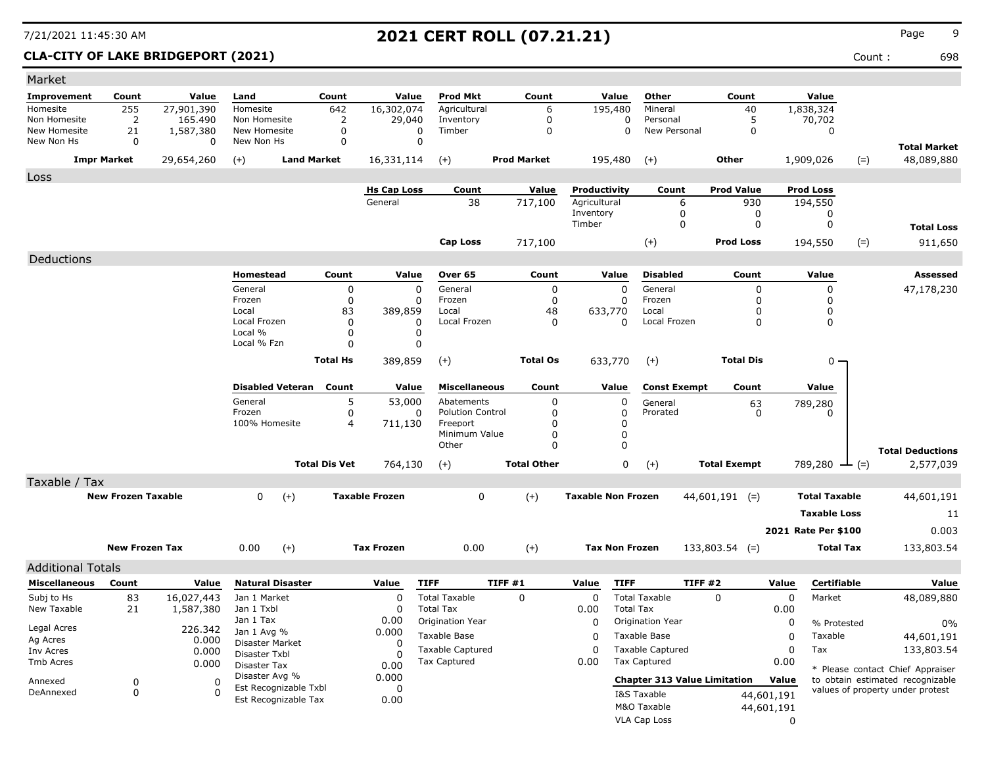### **CLA-CITY OF LAKE BRIDGEPORT (2021)** Count : 698

| Market                   |                           |            |                                         |                      |                       |                                                |                    |                           |                                                |                     |             |                      |                                  |
|--------------------------|---------------------------|------------|-----------------------------------------|----------------------|-----------------------|------------------------------------------------|--------------------|---------------------------|------------------------------------------------|---------------------|-------------|----------------------|----------------------------------|
| Improvement              | Count                     | Value      | Land                                    | Count                | Value                 | <b>Prod Mkt</b>                                | Count              | Value                     | Other                                          | Count               |             | Value                |                                  |
| Homesite                 | 255                       | 27,901,390 | Homesite                                | 642                  | 16,302,074            | Agricultural                                   | 6                  | 195,480                   | Mineral                                        | 40                  |             | 1,838,324            |                                  |
| Non Homesite             | 2                         | 165,490    | Non Homesite                            | 2                    | 29,040                | Inventory                                      | 0                  | $\mathbf 0$               | Personal                                       | 5                   |             | 70,702               |                                  |
| New Homesite             | 21                        | 1,587,380  | New Homesite                            | 0                    | 0                     | Timber                                         | $\mathbf 0$        | $\Omega$                  | New Personal                                   | $\mathbf 0$         |             | 0                    |                                  |
| New Non Hs               | 0                         | 0          | New Non Hs                              | 0                    | 0                     |                                                |                    |                           |                                                |                     |             |                      | <b>Total Market</b>              |
|                          | <b>Impr Market</b>        | 29,654,260 | $(+)$<br><b>Land Market</b>             |                      | 16,331,114            | $(+)$                                          | <b>Prod Market</b> | 195,480                   | $(+)$                                          | Other               | 1,909,026   |                      | 48,089,880<br>$(=)$              |
| Loss                     |                           |            |                                         |                      |                       |                                                |                    |                           |                                                |                     |             |                      |                                  |
|                          |                           |            |                                         |                      | <b>Hs Cap Loss</b>    | Count                                          | Value              | Productivity              | Count                                          | <b>Prod Value</b>   |             | <b>Prod Loss</b>     |                                  |
|                          |                           |            |                                         |                      | General               | 38                                             | 717,100            | Agricultural<br>Inventory | 6<br>0                                         | 930<br>0            |             | 194,550<br>0         |                                  |
|                          |                           |            |                                         |                      |                       |                                                |                    | Timber                    | 0                                              | 0                   |             | $\mathbf 0$          | <b>Total Loss</b>                |
|                          |                           |            |                                         |                      |                       | <b>Cap Loss</b>                                | 717,100            |                           | $(+)$                                          | <b>Prod Loss</b>    |             | 194,550              | 911,650<br>$(=)$                 |
| Deductions               |                           |            |                                         |                      |                       |                                                |                    |                           |                                                |                     |             |                      |                                  |
|                          |                           |            | Homestead                               | Count                | Value                 | Over 65                                        | Count              | Value                     | <b>Disabled</b>                                | Count               |             | Value                | Assessed                         |
|                          |                           |            | General                                 | 0                    | 0                     | General                                        | 0                  | $\Omega$                  | General                                        | 0                   |             | 0                    | 47,178,230                       |
|                          |                           |            | Frozen                                  | 0                    | 0                     | Frozen                                         | $\mathbf 0$        | $\Omega$                  | Frozen                                         | 0                   |             | 0                    |                                  |
|                          |                           |            | Local                                   | 83                   | 389,859               | Local                                          | 48                 | 633,770                   | Local                                          | 0                   |             | 0                    |                                  |
|                          |                           |            | Local Frozen                            | 0                    | 0                     | Local Frozen                                   | 0                  | 0                         | Local Frozen                                   | 0                   |             | 0                    |                                  |
|                          |                           |            | Local %<br>Local % Fzn                  | 0<br>0               | 0<br>0                |                                                |                    |                           |                                                |                     |             |                      |                                  |
|                          |                           |            |                                         |                      |                       |                                                |                    |                           |                                                |                     |             |                      |                                  |
|                          |                           |            |                                         | <b>Total Hs</b>      | 389,859               | $(+)$                                          | <b>Total Os</b>    | 633,770                   | $(+)$                                          | <b>Total Dis</b>    |             | 0 -                  |                                  |
|                          |                           |            | <b>Disabled Veteran</b>                 | Count                | Value                 | <b>Miscellaneous</b>                           | Count              | Value                     | <b>Const Exempt</b>                            | Count               |             | Value                |                                  |
|                          |                           |            | General                                 | 5                    | 53,000                | Abatements                                     | $\mathbf 0$        | 0                         | General                                        |                     |             |                      |                                  |
|                          |                           |            | Frozen                                  | 0                    | 0                     | <b>Polution Control</b>                        | $\Omega$           | 0                         | Prorated                                       | 63<br>0             |             | 789,280<br>0         |                                  |
|                          |                           |            | 100% Homesite                           | 4                    | 711,130               | Freeport                                       | $\Omega$           | 0                         |                                                |                     |             |                      |                                  |
|                          |                           |            |                                         |                      |                       | Minimum Value                                  | 0                  | $\mathbf 0$               |                                                |                     |             |                      |                                  |
|                          |                           |            |                                         |                      |                       | Other                                          | $\Omega$           | $\mathbf 0$               |                                                |                     |             |                      | <b>Total Deductions</b>          |
|                          |                           |            |                                         | <b>Total Dis Vet</b> | 764,130               | $(+)$                                          | <b>Total Other</b> | 0                         | $(+)$                                          | <b>Total Exempt</b> |             | 789,280 $-$ (=)      | 2,577,039                        |
| Taxable / Tax            |                           |            |                                         |                      |                       |                                                |                    |                           |                                                |                     |             |                      |                                  |
|                          | <b>New Frozen Taxable</b> |            | $\mathbf{0}$<br>$(+)$                   |                      | <b>Taxable Frozen</b> | 0                                              | $(+)$              | <b>Taxable Non Frozen</b> |                                                | $44,601,191$ (=)    |             | <b>Total Taxable</b> | 44,601,191                       |
|                          |                           |            |                                         |                      |                       |                                                |                    |                           |                                                |                     |             | <b>Taxable Loss</b>  | 11                               |
|                          |                           |            |                                         |                      |                       |                                                |                    |                           |                                                |                     |             | 2021 Rate Per \$100  | 0.003                            |
|                          | <b>New Frozen Tax</b>     |            | $(+)$<br>0.00                           |                      | <b>Tax Frozen</b>     | 0.00                                           | $(+)$              | <b>Tax Non Frozen</b>     |                                                | $133,803.54$ (=)    |             | <b>Total Tax</b>     | 133,803.54                       |
|                          |                           |            |                                         |                      |                       |                                                |                    |                           |                                                |                     |             |                      |                                  |
| <b>Additional Totals</b> |                           |            |                                         |                      |                       |                                                |                    |                           |                                                |                     |             |                      |                                  |
| Miscellaneous            | Count                     | Value      | <b>Natural Disaster</b>                 |                      | Value                 | <b>TIFF</b>                                    | TIFF #1            | <b>TIFF</b><br>Value      | TIFF #2                                        |                     | Value       | Certifiable          | Value                            |
| Subj to Hs               | 83                        | 16,027,443 | Jan 1 Market                            |                      | 0                     | <b>Total Taxable</b>                           | 0                  | 0                         | <b>Total Taxable</b>                           | $\Omega$            | $\mathbf 0$ | Market               | 48,089,880                       |
| New Taxable              | 21                        | 1,587,380  | Jan 1 Txbl<br>Jan 1 Tax                 |                      | $\Omega$<br>0.00      | <b>Total Tax</b>                               |                    | 0.00                      | <b>Total Tax</b>                               |                     | 0.00        |                      |                                  |
| Legal Acres              |                           | 226.342    | Jan 1 Avg %                             |                      | 0.000                 | Origination Year                               |                    | $\Omega$                  | Origination Year                               |                     | 0           | % Protested          | 0%                               |
| Ag Acres                 |                           | 0.000      | Disaster Market                         |                      | $\Omega$              | Taxable Base                                   |                    | 0                         | Taxable Base                                   |                     | 0           | Taxable              | 44,601,191                       |
| Inv Acres                |                           | 0.000      | Disaster Txbl                           |                      |                       | <b>Taxable Captured</b><br><b>Tax Captured</b> |                    | $\Omega$                  | <b>Taxable Captured</b><br><b>Tax Captured</b> |                     | 0           | Tax                  | 133,803.54                       |
| Tmb Acres                |                           | 0.000      | Disaster Tax                            |                      | 0.00                  |                                                |                    | 0.00                      |                                                |                     | 0.00        |                      | * Please contact Chief Appraiser |
| Annexed                  | 0                         | 0          | Disaster Avg %<br>Est Recognizable Txbl |                      | 0.000<br>0            |                                                |                    |                           | <b>Chapter 313 Value Limitation</b>            |                     | Value       |                      | to obtain estimated recognizable |
| DeAnnexed                | 0                         | $\Omega$   | Est Recognizable Tax                    |                      | 0.00                  |                                                |                    |                           | I&S Taxable                                    |                     | 44,601,191  |                      | values of property under protest |
|                          |                           |            |                                         |                      |                       |                                                |                    |                           | M&O Taxable                                    |                     | 44,601,191  |                      |                                  |
|                          |                           |            |                                         |                      |                       |                                                |                    |                           | VLA Cap Loss                                   |                     | 0           |                      |                                  |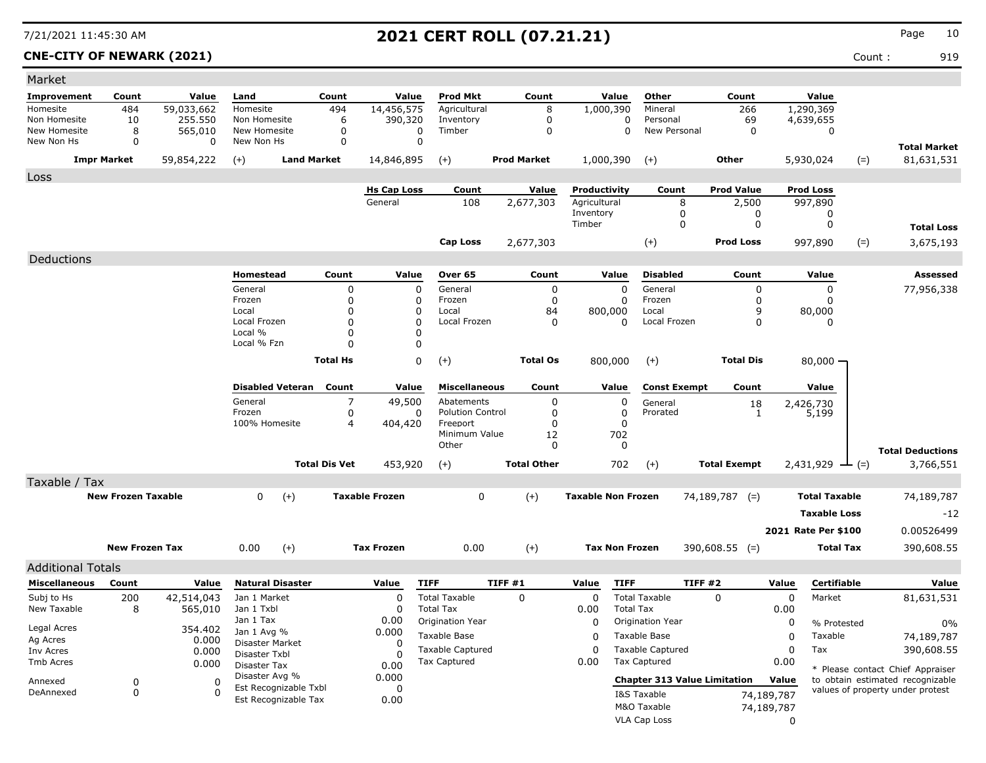**CNE-CITY OF NEWARK (2021)** Count : 919

| Market                     |                           |                      |                               |                      |                       |                           |                            |                           |                                              |                                     |                         |            |                      |                                                                      |
|----------------------------|---------------------------|----------------------|-------------------------------|----------------------|-----------------------|---------------------------|----------------------------|---------------------------|----------------------------------------------|-------------------------------------|-------------------------|------------|----------------------|----------------------------------------------------------------------|
| Improvement                | Count                     | Value                | Land                          | Count                | Value                 | <b>Prod Mkt</b>           | Count                      | Value                     | Other                                        |                                     | Count                   |            | Value                |                                                                      |
| Homesite                   | 484                       | 59,033,662           | Homesite                      | 494                  | 14,456,575            | Agricultural              | 8                          | 1,000,390                 | Mineral                                      |                                     | 266                     |            | 1,290,369            |                                                                      |
| Non Homesite               | 10                        | 255.550              | Non Homesite                  | 6                    | 390,320               | Inventory                 | $\mathbf 0$                |                           | Personal<br>0                                |                                     | 69                      |            | 4,639,655            |                                                                      |
| New Homesite<br>New Non Hs | 8<br>0                    | 565,010<br>0         | New Homesite<br>New Non Hs    | 0<br>$\mathbf 0$     | 0<br>0                | Timber                    | 0                          |                           | 0                                            | New Personal                        | 0                       |            | 0                    |                                                                      |
|                            |                           |                      |                               |                      |                       |                           |                            |                           |                                              |                                     |                         |            |                      | <b>Total Market</b>                                                  |
|                            | <b>Impr Market</b>        | 59,854,222           | $(+)$                         | <b>Land Market</b>   | 14,846,895            | $(+)$                     | <b>Prod Market</b>         | 1,000,390                 | $(+)$                                        |                                     | <b>Other</b>            |            | 5,930,024<br>$(=)$   | 81,631,531                                                           |
| Loss                       |                           |                      |                               |                      |                       |                           |                            |                           |                                              |                                     |                         |            |                      |                                                                      |
|                            |                           |                      |                               |                      | <b>Hs Cap Loss</b>    | Count                     | Value                      | Productivity              |                                              | Count                               | <b>Prod Value</b>       |            | <b>Prod Loss</b>     |                                                                      |
|                            |                           |                      |                               |                      | General               | 108                       | 2,677,303                  | Agricultural<br>Inventory |                                              | 8<br>0                              | 2,500<br>0              |            | 997,890<br>0         |                                                                      |
|                            |                           |                      |                               |                      |                       |                           |                            | Timber                    |                                              | $\Omega$                            | 0                       |            | $\mathbf 0$          | <b>Total Loss</b>                                                    |
|                            |                           |                      |                               |                      |                       | <b>Cap Loss</b>           | 2,677,303                  |                           | $(+)$                                        |                                     | <b>Prod Loss</b>        |            | 997,890              | 3,675,193                                                            |
|                            |                           |                      |                               |                      |                       |                           |                            |                           |                                              |                                     |                         |            | $(=)$                |                                                                      |
| Deductions                 |                           |                      |                               |                      |                       |                           |                            |                           |                                              |                                     |                         |            |                      |                                                                      |
|                            |                           |                      | Homestead                     | Count                | Value                 | Over 65                   | Count                      | Value                     | <b>Disabled</b>                              |                                     | Count                   |            | Value                | Assessed                                                             |
|                            |                           |                      | General<br>Frozen             | 0<br>0               | $\Omega$<br>0         | General<br>Frozen         | $\mathbf 0$<br>$\mathbf 0$ |                           | $\Omega$<br>General<br>$\mathbf 0$<br>Frozen |                                     | $\Omega$<br>$\mathbf 0$ |            | $\Omega$<br>0        | 77,956,338                                                           |
|                            |                           |                      | Local                         | 0                    | $\Omega$              | Local                     | 84                         | 800,000                   | Local                                        |                                     | 9                       |            | 80,000               |                                                                      |
|                            |                           |                      | Local Frozen                  | $\Omega$             | $\Omega$              | Local Frozen              | $\Omega$                   |                           | $\Omega$                                     | Local Frozen                        | $\Omega$                |            | 0                    |                                                                      |
|                            |                           |                      | Local %                       | $\Omega$             | $\Omega$              |                           |                            |                           |                                              |                                     |                         |            |                      |                                                                      |
|                            |                           |                      | Local % Fzn                   | $\Omega$             | 0                     |                           |                            |                           |                                              |                                     |                         |            |                      |                                                                      |
|                            |                           |                      |                               | <b>Total Hs</b>      | $\mathbf 0$           | $(+)$                     | <b>Total Os</b>            | 800,000                   | $(+)$                                        |                                     | <b>Total Dis</b>        |            | $80,000 -$           |                                                                      |
|                            |                           |                      | <b>Disabled Veteran</b>       | Count                | Value                 | <b>Miscellaneous</b>      | Count                      | Value                     |                                              | <b>Const Exempt</b>                 | Count                   |            | Value                |                                                                      |
|                            |                           |                      | General                       | 7                    | 49,500                | Abatements                | 0                          |                           | 0<br>General                                 |                                     | 18                      |            | 2,426,730            |                                                                      |
|                            |                           |                      | Frozen                        | 0                    | 0                     | <b>Polution Control</b>   | 0                          |                           | 0<br>Prorated                                |                                     | 1                       |            | 5,199                |                                                                      |
|                            |                           |                      | 100% Homesite                 | 4                    | 404,420               | Freeport<br>Minimum Value | 0<br>12                    | 702                       | 0                                            |                                     |                         |            |                      |                                                                      |
|                            |                           |                      |                               |                      |                       | Other                     | 0                          |                           | 0                                            |                                     |                         |            |                      |                                                                      |
|                            |                           |                      |                               | <b>Total Dis Vet</b> | 453,920               | $(+)$                     | <b>Total Other</b>         | 702                       | $(+)$                                        |                                     | <b>Total Exempt</b>     |            | $2,431,929$ — (=)    | <b>Total Deductions</b><br>3,766,551                                 |
|                            |                           |                      |                               |                      |                       |                           |                            |                           |                                              |                                     |                         |            |                      |                                                                      |
| Taxable / Tax              |                           |                      |                               |                      |                       |                           |                            |                           |                                              |                                     |                         |            |                      |                                                                      |
|                            | <b>New Frozen Taxable</b> |                      | 0<br>$(+)$                    |                      | <b>Taxable Frozen</b> | $\mathsf 0$               | $(+)$                      | <b>Taxable Non Frozen</b> |                                              |                                     | $74,189,787$ (=)        |            | <b>Total Taxable</b> | 74,189,787                                                           |
|                            |                           |                      |                               |                      |                       |                           |                            |                           |                                              |                                     |                         |            | <b>Taxable Loss</b>  | $-12$                                                                |
|                            |                           |                      |                               |                      |                       |                           |                            |                           |                                              |                                     |                         |            | 2021 Rate Per \$100  | 0.00526499                                                           |
|                            | <b>New Frozen Tax</b>     |                      | 0.00<br>$(+)$                 |                      | <b>Tax Frozen</b>     | 0.00                      | $(+)$                      |                           | <b>Tax Non Frozen</b>                        |                                     | $390,608.55$ (=)        |            | <b>Total Tax</b>     | 390,608.55                                                           |
| <b>Additional Totals</b>   |                           |                      |                               |                      |                       |                           |                            |                           |                                              |                                     |                         |            |                      |                                                                      |
| <b>Miscellaneous</b>       | Count                     | Value                | <b>Natural Disaster</b>       |                      | Value                 | <b>TIFF</b>               | TIFF#1                     | Value                     | <b>TIFF</b>                                  | <b>TIFF #2</b>                      |                         | Value      | Certifiable          | Value                                                                |
| Subj to Hs                 | 200                       | 42,514,043           | Jan 1 Market                  |                      | $\mathbf 0$           | <b>Total Taxable</b>      | $\mathbf 0$                | 0                         | <b>Total Taxable</b>                         |                                     | $\mathbf 0$             | 0          | Market               | 81,631,531                                                           |
| New Taxable                | 8                         | 565,010              | Jan 1 Txbl                    |                      | $\Omega$              | <b>Total Tax</b>          |                            | 0.00                      | <b>Total Tax</b>                             |                                     |                         | 0.00       |                      |                                                                      |
|                            |                           |                      | Jan 1 Tax                     |                      | 0.00                  | Origination Year          |                            | 0                         | Origination Year                             |                                     |                         | 0          | % Protested          | 0%                                                                   |
| Legal Acres                |                           | 354.402              | Jan 1 Avg %                   |                      | 0.000                 | Taxable Base              |                            | $\Omega$                  | Taxable Base                                 |                                     |                         | 0          | Taxable              | 74,189,787                                                           |
| Ag Acres<br>Inv Acres      |                           | 0.000<br>0.000       | <b>Disaster Market</b>        |                      | $\Omega$              | <b>Taxable Captured</b>   |                            | $\Omega$                  | <b>Taxable Captured</b>                      |                                     |                         | 0          | Tax                  | 390,608.55                                                           |
| Tmb Acres                  |                           | 0.000                | Disaster Txbl<br>Disaster Tax |                      | $\Omega$              | <b>Tax Captured</b>       |                            | 0.00                      | <b>Tax Captured</b>                          |                                     |                         | 0.00       |                      |                                                                      |
|                            |                           |                      | Disaster Avg %                |                      | 0.00<br>0.000         |                           |                            |                           |                                              |                                     |                         |            |                      | * Please contact Chief Appraiser                                     |
| Annexed                    | 0<br>$\mathbf 0$          | $\Omega$<br>$\Omega$ | Est Recognizable Txbl         |                      | $\Omega$              |                           |                            |                           |                                              | <b>Chapter 313 Value Limitation</b> |                         | Value      |                      | to obtain estimated recognizable<br>values of property under protest |
| DeAnnexed                  |                           |                      | Est Recognizable Tax          |                      | 0.00                  |                           |                            |                           | I&S Taxable                                  |                                     |                         | 74,189,787 |                      |                                                                      |
|                            |                           |                      |                               |                      |                       |                           |                            |                           | M&O Taxable                                  |                                     |                         | 74,189,787 |                      |                                                                      |
|                            |                           |                      |                               |                      |                       |                           |                            |                           | <b>VLA Cap Loss</b>                          |                                     |                         | $\Omega$   |                      |                                                                      |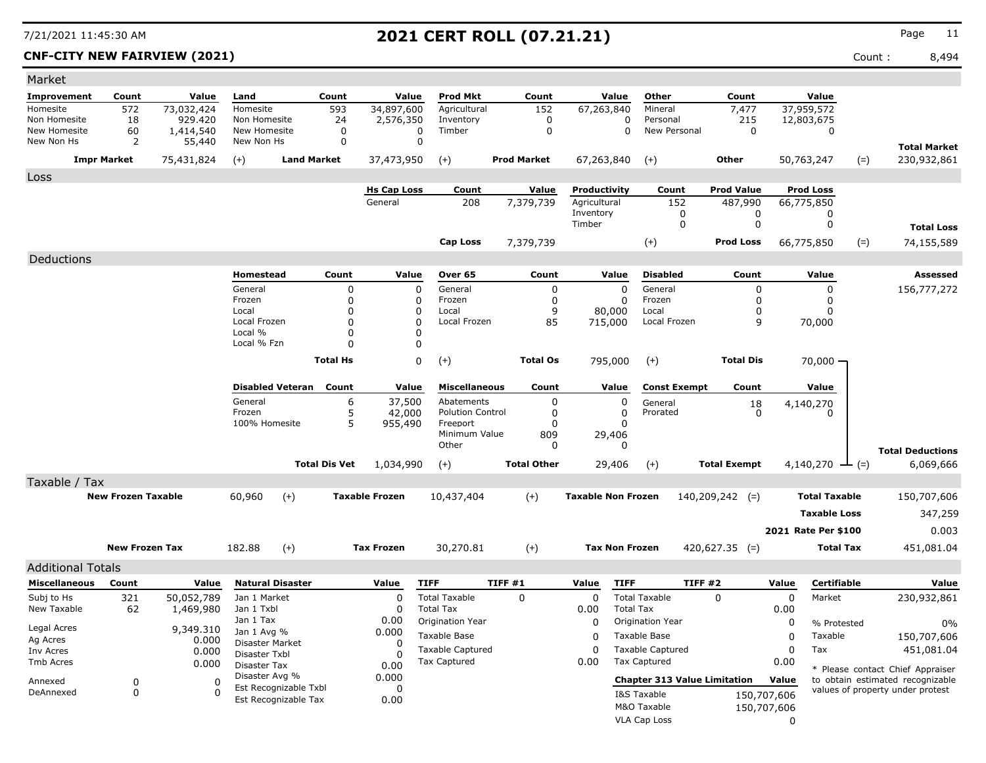**CNF-CITY NEW FAIRVIEW (2021)** Count : 8,494

| Market                     |                           |                     |                               |                         |                      |                       |                            |         |                           |                           |                       |                                     |                     |                            |                       |                                                                      |
|----------------------------|---------------------------|---------------------|-------------------------------|-------------------------|----------------------|-----------------------|----------------------------|---------|---------------------------|---------------------------|-----------------------|-------------------------------------|---------------------|----------------------------|-----------------------|----------------------------------------------------------------------|
| <b>Improvement</b>         | Count                     | Value               | Land                          |                         | Count                | Value                 | <b>Prod Mkt</b>            |         | Count                     |                           | Value                 | Other                               | Count               |                            | Value                 |                                                                      |
| Homesite                   | 572                       | 73,032,424          | Homesite                      |                         | 593                  | 34,897,600            | Agricultural               |         | 152                       | 67,263,840                |                       | Mineral                             | 7,477               |                            | 37,959,572            |                                                                      |
| Non Homesite               | 18                        | 929,420             | Non Homesite                  |                         | 24                   | 2,576,350             | Inventory                  |         | $\mathbf 0$               |                           | 0                     | Personal                            | 215                 |                            | 12,803,675            |                                                                      |
| New Homesite<br>New Non Hs | 60<br>2                   | 1,414,540<br>55,440 | New Homesite<br>New Non Hs    |                         | 0<br>$\mathbf 0$     |                       | Timber<br>0<br>$\mathbf 0$ |         | $\mathbf 0$               |                           | 0                     | New Personal                        | 0                   |                            | 0                     |                                                                      |
|                            | <b>Impr Market</b>        | 75,431,824          | $(+)$                         | <b>Land Market</b>      |                      | 37,473,950            | $(+)$                      |         | <b>Prod Market</b>        | 67,263,840                |                       | $(+)$                               | Other               |                            | 50,763,247            | <b>Total Market</b><br>$(=)$<br>230,932,861                          |
|                            |                           |                     |                               |                         |                      |                       |                            |         |                           |                           |                       |                                     |                     |                            |                       |                                                                      |
| Loss                       |                           |                     |                               |                         |                      | <b>Hs Cap Loss</b>    | Count                      |         |                           | Productivity              |                       |                                     | <b>Prod Value</b>   |                            | <b>Prod Loss</b>      |                                                                      |
|                            |                           |                     |                               |                         |                      | General               | 208                        |         | <b>Value</b><br>7,379,739 | Agricultural              |                       | Count<br>152                        | 487,990             |                            | 66,775,850            |                                                                      |
|                            |                           |                     |                               |                         |                      |                       |                            |         |                           | Inventory                 |                       | 0                                   | 0                   |                            | 0                     |                                                                      |
|                            |                           |                     |                               |                         |                      |                       |                            |         |                           | Timber                    |                       | $\Omega$                            | 0                   |                            | 0                     | <b>Total Loss</b>                                                    |
|                            |                           |                     |                               |                         |                      |                       | <b>Cap Loss</b>            |         | 7,379,739                 |                           |                       | $(+)$                               | <b>Prod Loss</b>    |                            | $(=)$<br>66,775,850   | 74,155,589                                                           |
| Deductions                 |                           |                     |                               |                         |                      |                       |                            |         |                           |                           |                       |                                     |                     |                            |                       |                                                                      |
|                            |                           |                     | Homestead                     |                         | Count                | Value                 | Over 65                    |         | Count                     |                           | Value                 | <b>Disabled</b>                     | Count               |                            | Value                 | Assessed                                                             |
|                            |                           |                     | General                       |                         | 0                    | 0                     | General                    |         | 0                         |                           | $\Omega$              | General                             | 0                   |                            | 0                     | 156,777,272                                                          |
|                            |                           |                     | Frozen                        |                         | 0                    | 0                     | Frozen                     |         | 0                         |                           | 0                     | Frozen                              | 0                   |                            | 0                     |                                                                      |
|                            |                           |                     | Local                         |                         | $\Omega$             | 0                     | Local                      |         | 9                         |                           | 80,000                | Local                               | 0                   |                            | 0                     |                                                                      |
|                            |                           |                     | Local Frozen<br>Local %       |                         | $\Omega$<br>$\Omega$ | 0<br>0                | Local Frozen               |         | 85                        |                           | 715,000               | Local Frozen                        | 9                   |                            | 70,000                |                                                                      |
|                            |                           |                     | Local % Fzn                   |                         | $\Omega$             | 0                     |                            |         |                           |                           |                       |                                     |                     |                            |                       |                                                                      |
|                            |                           |                     |                               |                         | <b>Total Hs</b>      | 0                     | $(+)$                      |         | <b>Total Os</b>           |                           | 795,000               | $(+)$                               | <b>Total Dis</b>    |                            | $70,000 -$            |                                                                      |
|                            |                           |                     |                               |                         |                      |                       |                            |         |                           |                           |                       |                                     |                     |                            |                       |                                                                      |
|                            |                           |                     |                               | <b>Disabled Veteran</b> | Count                | Value                 | <b>Miscellaneous</b>       |         | Count                     |                           | Value                 | <b>Const Exempt</b>                 | Count               |                            | Value                 |                                                                      |
|                            |                           |                     | General                       |                         | 6                    | 37,500                | Abatements                 |         | 0                         |                           | 0                     | General                             | 18                  |                            | 4,140,270             |                                                                      |
|                            |                           |                     | Frozen                        |                         | 5                    | 42,000                | <b>Polution Control</b>    |         | 0                         |                           | 0                     | Prorated                            | 0                   |                            | 0                     |                                                                      |
|                            |                           |                     | 100% Homesite                 |                         | 5                    | 955,490               | Freeport<br>Minimum Value  |         | 0<br>809                  |                           | $\Omega$<br>29,406    |                                     |                     |                            |                       |                                                                      |
|                            |                           |                     |                               |                         |                      |                       | Other                      |         | 0                         |                           | 0                     |                                     |                     |                            |                       |                                                                      |
|                            |                           |                     |                               |                         | <b>Total Dis Vet</b> | 1,034,990             | $(+)$                      |         | <b>Total Other</b>        |                           | 29,406                | $(+)$                               | <b>Total Exempt</b> |                            | 4,140,270 $\perp$ (=) | <b>Total Deductions</b><br>6,069,666                                 |
|                            |                           |                     |                               |                         |                      |                       |                            |         |                           |                           |                       |                                     |                     |                            |                       |                                                                      |
| Taxable / Tax              | <b>New Frozen Taxable</b> |                     | 60,960                        | $(+)$                   |                      | <b>Taxable Frozen</b> | 10,437,404                 |         | $(+)$                     | <b>Taxable Non Frozen</b> |                       |                                     | $140,209,242$ (=)   |                            | <b>Total Taxable</b>  | 150,707,606                                                          |
|                            |                           |                     |                               |                         |                      |                       |                            |         |                           |                           |                       |                                     |                     |                            |                       |                                                                      |
|                            |                           |                     |                               |                         |                      |                       |                            |         |                           |                           |                       |                                     |                     |                            | <b>Taxable Loss</b>   | 347,259                                                              |
|                            |                           |                     |                               |                         |                      |                       |                            |         |                           |                           |                       |                                     |                     |                            | 2021 Rate Per \$100   | 0.003                                                                |
|                            | <b>New Frozen Tax</b>     |                     | 182.88                        | $(+)$                   |                      | <b>Tax Frozen</b>     | 30,270.81                  |         | $(+)$                     |                           | <b>Tax Non Frozen</b> |                                     | $420,627.35$ (=)    |                            | Total Tax             | 451,081.04                                                           |
| <b>Additional Totals</b>   |                           |                     |                               |                         |                      |                       |                            |         |                           |                           |                       |                                     |                     |                            |                       |                                                                      |
| <b>Miscellaneous</b>       | Count                     | Value               |                               | <b>Natural Disaster</b> |                      | Value                 | <b>TIFF</b>                | TIFF #1 |                           | Value                     | <b>TIFF</b>           |                                     | TIFF#2              | Value                      | Certifiable           | Value                                                                |
| Subj to Hs                 | 321                       | 50,052,789          | Jan 1 Market                  |                         |                      | $\Omega$              | <b>Total Taxable</b>       |         | $\Omega$                  | $\Omega$                  |                       | <b>Total Taxable</b>                | $\mathbf{0}$        | 0                          | Market                | 230,932,861                                                          |
| New Taxable                | 62                        | 1,469,980           | Jan 1 Txbl                    |                         |                      | 0                     | <b>Total Tax</b>           |         |                           | 0.00                      | <b>Total Tax</b>      |                                     |                     | 0.00                       |                       |                                                                      |
|                            |                           |                     | Jan 1 Tax                     |                         |                      | 0.00                  | Origination Year           |         |                           | 0                         |                       | Origination Year                    |                     | 0                          | % Protested           | $0\%$                                                                |
| Legal Acres<br>Ag Acres    |                           | 9,349.310           | Jan 1 Avg %                   |                         |                      | 0.000                 | Taxable Base               |         |                           | 0                         |                       | Taxable Base                        |                     | 0                          | Taxable               | 150,707,606                                                          |
| Inv Acres                  |                           | 0.000<br>0.000      | Disaster Market               |                         |                      | 0                     | <b>Taxable Captured</b>    |         |                           | 0                         |                       | <b>Taxable Captured</b>             |                     | 0                          | Tax                   | 451,081.04                                                           |
| Tmb Acres                  |                           | 0.000               | Disaster Txbl<br>Disaster Tax |                         |                      | 0<br>0.00             | Tax Captured               |         |                           | 0.00                      |                       | Tax Captured                        |                     | 0.00                       |                       |                                                                      |
|                            |                           |                     | Disaster Avg %                |                         |                      | 0.000                 |                            |         |                           |                           |                       | <b>Chapter 313 Value Limitation</b> |                     | Value                      |                       | * Please contact Chief Appraiser<br>to obtain estimated recognizable |
| Annexed<br>DeAnnexed       | 0<br>0                    | 0<br>0              |                               | Est Recognizable Txbl   |                      | 0                     |                            |         |                           |                           |                       | I&S Taxable                         |                     |                            |                       | values of property under protest                                     |
|                            |                           |                     |                               | Est Recognizable Tax    |                      | 0.00                  |                            |         |                           |                           |                       | M&O Taxable                         |                     | 150,707,606<br>150,707,606 |                       |                                                                      |
|                            |                           |                     |                               |                         |                      |                       |                            |         |                           |                           |                       | VLA Cap Loss                        |                     | 0                          |                       |                                                                      |
|                            |                           |                     |                               |                         |                      |                       |                            |         |                           |                           |                       |                                     |                     |                            |                       |                                                                      |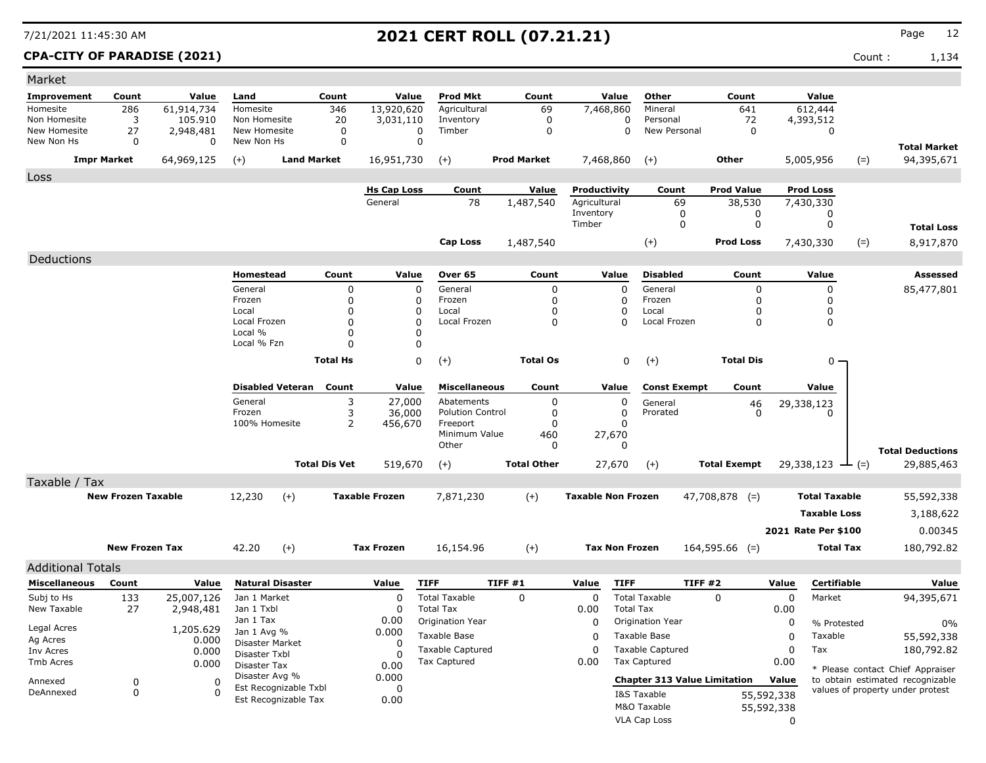### **CPA-CITY OF PARADISE (2021)** Count : 1,134

| Market                       |                           |                         |                              |                         |                      |                       |                                          |                    |                 |                           |                  |                                     |                     |            |                      |        |                                   |
|------------------------------|---------------------------|-------------------------|------------------------------|-------------------------|----------------------|-----------------------|------------------------------------------|--------------------|-----------------|---------------------------|------------------|-------------------------------------|---------------------|------------|----------------------|--------|-----------------------------------|
| Improvement                  | Count                     | Value                   | Land                         |                         | Count                | Value                 | Prod Mkt                                 | Count              |                 | Value                     |                  | Other                               | Count               |            | Value                |        |                                   |
| Homesite                     | 286                       | 61,914,734              | Homesite                     |                         | 346                  | 13,920,620            | Agricultural                             |                    | 69              | 7,468,860                 |                  | Mineral                             | 641                 |            | 612,444              |        |                                   |
| Non Homesite<br>New Homesite | 3                         | 105.910                 | Non Homesite<br>New Homesite |                         | 20                   | 3,031,110             | Inventory<br>Timber                      |                    | 0               |                           | 0                | Personal<br>New Personal            | 72                  |            | 4,393,512            |        |                                   |
| New Non Hs                   | 27<br>0                   | 2,948,481<br>0          | New Non Hs                   |                         | 0<br>0               | 0<br>$\mathbf 0$      |                                          |                    | 0               |                           | 0                |                                     | 0                   |            | 0                    |        |                                   |
|                              | <b>Impr Market</b>        | 64,969,125              | $(+)$                        | <b>Land Market</b>      |                      | 16,951,730            | $(+)$                                    | <b>Prod Market</b> |                 | 7,468,860                 |                  | $(+)$                               | <b>Other</b>        |            | 5,005,956            | $(=)$  | <b>Total Market</b><br>94,395,671 |
|                              |                           |                         |                              |                         |                      |                       |                                          |                    |                 |                           |                  |                                     |                     |            |                      |        |                                   |
| Loss                         |                           |                         |                              |                         |                      | <b>Hs Cap Loss</b>    | Count                                    |                    | Value           | Productivity              |                  | Count                               | <b>Prod Value</b>   |            | <b>Prod Loss</b>     |        |                                   |
|                              |                           |                         |                              |                         |                      | General               | 78                                       | 1,487,540          |                 | Agricultural              |                  | 69                                  | 38,530              |            | 7,430,330            |        |                                   |
|                              |                           |                         |                              |                         |                      |                       |                                          |                    |                 | Inventory                 |                  | 0                                   | 0                   |            | 0                    |        |                                   |
|                              |                           |                         |                              |                         |                      |                       |                                          |                    |                 | Timber                    |                  | 0                                   | 0                   |            | 0                    |        | <b>Total Loss</b>                 |
|                              |                           |                         |                              |                         |                      |                       | <b>Cap Loss</b>                          | 1,487,540          |                 |                           |                  | $(+)$                               | Prod Loss           |            | 7,430,330            | $(=)$  | 8,917,870                         |
| Deductions                   |                           |                         |                              |                         |                      |                       |                                          |                    |                 |                           |                  |                                     |                     |            |                      |        |                                   |
|                              |                           |                         | Homestead                    |                         | Count                | Value                 | Over 65                                  |                    | Count           | Value                     |                  | <b>Disabled</b>                     | Count               |            | Value                |        | Assessed                          |
|                              |                           |                         | General                      |                         | 0                    | 0                     | General                                  |                    | 0               |                           | 0                | General                             | 0                   |            | 0                    |        | 85,477,801                        |
|                              |                           |                         | Frozen                       |                         | 0                    | 0                     | Frozen                                   |                    | 0               |                           | 0                | Frozen                              | 0                   |            | $\Omega$             |        |                                   |
|                              |                           |                         | Local                        |                         | 0                    | 0                     | Local                                    |                    | 0               |                           | 0                | Local                               | 0                   |            | $\Omega$             |        |                                   |
|                              |                           |                         | Local Frozen                 |                         | 0                    | $\mathbf 0$           | Local Frozen                             |                    | 0               |                           | $\Omega$         | Local Frozen                        | 0                   |            | 0                    |        |                                   |
|                              |                           |                         | Local %<br>Local % Fzn       |                         | 0<br>0               | 0<br>0                |                                          |                    |                 |                           |                  |                                     |                     |            |                      |        |                                   |
|                              |                           |                         |                              |                         |                      |                       |                                          |                    |                 |                           |                  |                                     |                     |            |                      |        |                                   |
|                              |                           |                         |                              |                         | <b>Total Hs</b>      | 0                     | $(+)$                                    |                    | <b>Total Os</b> |                           | 0                | $(+)$                               | <b>Total Dis</b>    |            | $0 -$                |        |                                   |
|                              |                           |                         |                              | <b>Disabled Veteran</b> | Count                | Value                 | <b>Miscellaneous</b>                     |                    | Count           | Value                     |                  | <b>Const Exempt</b>                 | Count               |            | Value                |        |                                   |
|                              |                           |                         | General                      |                         | 3                    | 27,000                | Abatements                               |                    | 0               |                           | 0                | General                             | 46                  |            | 29,338,123           |        |                                   |
|                              |                           |                         | Frozen                       |                         | 3                    | 36,000                | <b>Polution Control</b>                  |                    | 0               |                           | 0                | Prorated                            | 0                   |            | <sup>0</sup>         |        |                                   |
|                              |                           |                         | 100% Homesite                |                         | 2                    | 456,670               | Freeport                                 |                    | 0               |                           | <sup>0</sup>     |                                     |                     |            |                      |        |                                   |
|                              |                           |                         |                              |                         |                      |                       | Minimum Value<br>Other                   |                    | 460             | 27,670                    | $\mathbf{0}$     |                                     |                     |            |                      |        |                                   |
|                              |                           |                         |                              |                         |                      |                       |                                          |                    | 0               |                           |                  |                                     |                     |            |                      |        | <b>Total Deductions</b>           |
|                              |                           |                         |                              |                         | <b>Total Dis Vet</b> | 519,670               | $(+)$                                    | <b>Total Other</b> |                 | 27,670                    |                  | $(+)$                               | <b>Total Exempt</b> |            | 29,338,123           | $ (=)$ | 29,885,463                        |
| Taxable / Tax                |                           |                         |                              |                         |                      |                       |                                          |                    |                 |                           |                  |                                     |                     |            |                      |        |                                   |
|                              | <b>New Frozen Taxable</b> |                         | 12,230                       | $(+)$                   |                      | <b>Taxable Frozen</b> | 7,871,230                                | $(+)$              |                 | <b>Taxable Non Frozen</b> |                  |                                     | $47,708,878$ (=)    |            | <b>Total Taxable</b> |        | 55,592,338                        |
|                              |                           |                         |                              |                         |                      |                       |                                          |                    |                 |                           |                  |                                     |                     |            | <b>Taxable Loss</b>  |        | 3,188,622                         |
|                              |                           |                         |                              |                         |                      |                       |                                          |                    |                 |                           |                  |                                     |                     |            | 2021 Rate Per \$100  |        | 0.00345                           |
|                              | <b>New Frozen Tax</b>     |                         | 42.20                        | $(+)$                   |                      | <b>Tax Frozen</b>     | 16,154.96                                | $(+)$              |                 | <b>Tax Non Frozen</b>     |                  |                                     | $164,595.66$ (=)    |            | <b>Total Tax</b>     |        | 180,792.82                        |
|                              |                           |                         |                              |                         |                      |                       |                                          |                    |                 |                           |                  |                                     |                     |            |                      |        |                                   |
| <b>Additional Totals</b>     |                           |                         |                              |                         |                      |                       |                                          |                    |                 |                           |                  |                                     |                     |            |                      |        |                                   |
| <b>Miscellaneous</b>         | Count                     | Value                   | <b>Natural Disaster</b>      |                         |                      | Value                 | <b>TIFF</b>                              | TIFF#1             |                 | Value                     | <b>TIFF</b>      | TIFF#2                              |                     | Value      | Certifiable          |        | Value                             |
| Subj to Hs<br>New Taxable    | 133<br>27                 | 25,007,126<br>2,948,481 | Jan 1 Market<br>Jan 1 Txbl   |                         |                      | $\Omega$<br>$\Omega$  | <b>Total Taxable</b><br><b>Total Tax</b> | $\Omega$           |                 | 0                         | <b>Total Tax</b> | <b>Total Taxable</b>                | 0                   | 0<br>0.00  | Market               |        | 94,395,671                        |
|                              |                           |                         | Jan 1 Tax                    |                         |                      | 0.00                  | Origination Year                         |                    |                 | 0.00<br>0                 |                  | <b>Origination Year</b>             |                     |            |                      |        |                                   |
| Legal Acres                  |                           | 1,205.629               | Jan 1 Avg %                  |                         |                      | 0.000                 |                                          |                    |                 |                           |                  |                                     |                     | 0          | % Protested          |        | 0%                                |
| Ag Acres                     |                           | 0.000                   | Disaster Market              |                         |                      | 0                     | Taxable Base                             |                    |                 | 0                         |                  | Taxable Base                        |                     | 0          | Taxable              |        | 55,592,338                        |
| Inv Acres                    |                           | 0.000                   | Disaster Txbl                |                         |                      | <sup>0</sup>          | <b>Taxable Captured</b>                  |                    |                 | 0                         |                  | <b>Taxable Captured</b>             |                     | 0          | Tax                  |        | 180,792.82                        |
| Tmb Acres                    |                           | 0.000                   | <b>Disaster Tax</b>          |                         |                      | 0.00                  | <b>Tax Captured</b>                      |                    |                 | 0.00                      |                  | Tax Captured                        |                     | 0.00       |                      |        | * Please contact Chief Appraiser  |
| Annexed                      | 0                         | 0                       | Disaster Avg %               | Est Recognizable Txbl   |                      | 0.000                 |                                          |                    |                 |                           |                  | <b>Chapter 313 Value Limitation</b> |                     | Value      |                      |        | to obtain estimated recognizable  |
| DeAnnexed                    | 0                         | 0                       |                              | Est Recognizable Tax    |                      | 0<br>0.00             |                                          |                    |                 |                           |                  | I&S Taxable                         |                     | 55,592,338 |                      |        | values of property under protest  |
|                              |                           |                         |                              |                         |                      |                       |                                          |                    |                 |                           |                  | M&O Taxable                         |                     | 55,592,338 |                      |        |                                   |
|                              |                           |                         |                              |                         |                      |                       |                                          |                    |                 |                           |                  | VLA Cap Loss                        |                     | 0          |                      |        |                                   |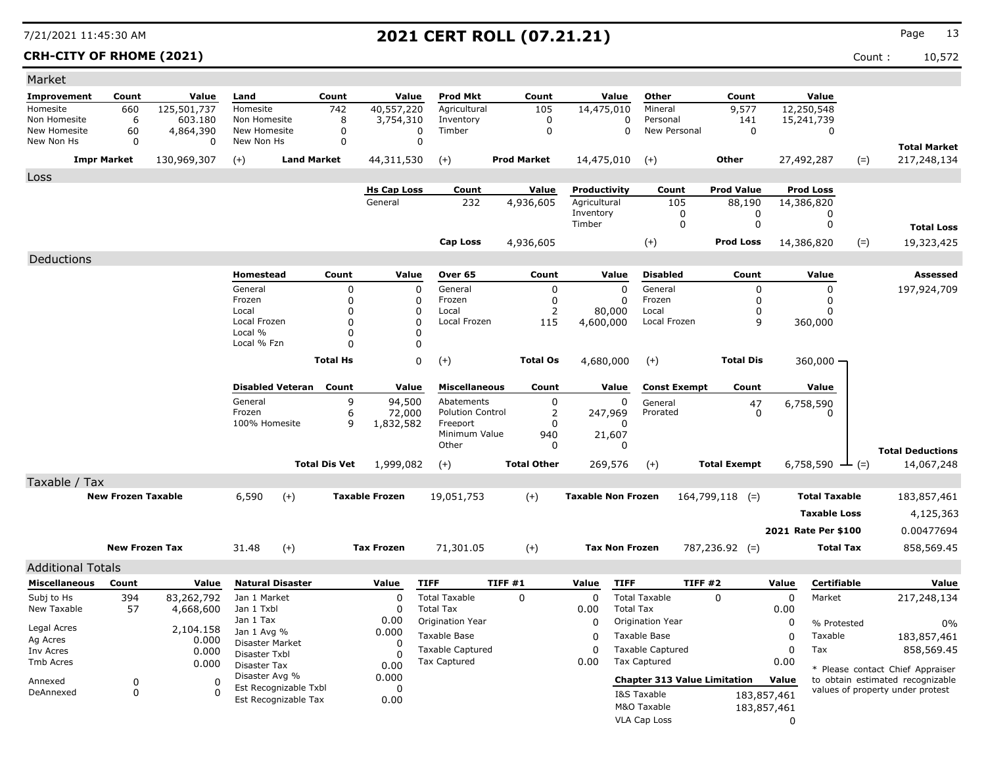### **CRH-CITY OF RHOME (2021)** Count : 10,572

| Market                    |                           |                         |                            |                       |                      |                       |                                                |        |                    |                           |                       |                                                |                     |             |                             |                                  |
|---------------------------|---------------------------|-------------------------|----------------------------|-----------------------|----------------------|-----------------------|------------------------------------------------|--------|--------------------|---------------------------|-----------------------|------------------------------------------------|---------------------|-------------|-----------------------------|----------------------------------|
| <b>Improvement</b>        | Count                     | Value                   | Land                       |                       | Count                | Value                 | <b>Prod Mkt</b>                                |        | Count              |                           | Value                 | Other                                          | Count               |             | Value                       |                                  |
| Homesite                  | 660                       | 125,501,737             | Homesite                   |                       | 742                  | 40,557,220            | Agricultural                                   |        | 105                | 14,475,010                |                       | Mineral                                        | 9,577               |             | 12,250,548                  |                                  |
| Non Homesite              | 6                         | 603.180                 | Non Homesite               |                       | 8                    | 3,754,310             | Inventory                                      |        | 0                  |                           | 0                     | Personal                                       | 141                 |             | 15,241,739                  |                                  |
| New Homesite              | 60                        | 4,864,390               | New Homesite               |                       | 0                    | $\mathbf 0$           | Timber                                         |        | $\mathbf 0$        |                           | 0                     | New Personal                                   | $\mathbf 0$         |             | 0                           |                                  |
| New Non Hs                | 0                         | $\Omega$                | New Non Hs                 |                       | 0                    | $\mathbf 0$           |                                                |        |                    |                           |                       |                                                |                     |             |                             | <b>Total Market</b>              |
|                           | <b>Impr Market</b>        | 130,969,307             | $(+)$                      | <b>Land Market</b>    |                      | 44,311,530            | $(+)$                                          |        | <b>Prod Market</b> | 14,475,010                |                       | $(+)$                                          | Other               |             | 27,492,287<br>$(=)$         | 217,248,134                      |
| Loss                      |                           |                         |                            |                       |                      |                       |                                                |        |                    |                           |                       |                                                |                     |             |                             |                                  |
|                           |                           |                         |                            |                       |                      | <b>Hs Cap Loss</b>    | Count                                          |        | <u>Value</u>       | Productivity              |                       | Count                                          | <b>Prod Value</b>   |             | <b>Prod Loss</b>            |                                  |
|                           |                           |                         |                            |                       |                      | General               | 232                                            |        | 4,936,605          | Agricultural              |                       | 105                                            | 88,190              |             | 14,386,820                  |                                  |
|                           |                           |                         |                            |                       |                      |                       |                                                |        |                    | Inventory<br>Timber       |                       | 0<br>0                                         | 0<br>0              |             | 0<br>0                      |                                  |
|                           |                           |                         |                            |                       |                      |                       |                                                |        |                    |                           |                       |                                                |                     |             |                             | <b>Total Loss</b>                |
|                           |                           |                         |                            |                       |                      |                       | <b>Cap Loss</b>                                |        | 4,936,605          |                           |                       | $(+)$                                          | <b>Prod Loss</b>    |             | $(=)$<br>14,386,820         | 19,323,425                       |
| Deductions                |                           |                         |                            |                       |                      |                       |                                                |        |                    |                           |                       |                                                |                     |             |                             |                                  |
|                           |                           |                         | Homestead                  |                       | Count                | Value                 | Over 65                                        |        | Count              |                           | Value                 | <b>Disabled</b>                                | Count               |             | Value                       | Assessed                         |
|                           |                           |                         | General                    |                       | 0                    | $\mathbf 0$           | General                                        |        | 0                  |                           | $\mathbf 0$           | General                                        | 0                   |             | 0                           | 197,924,709                      |
|                           |                           |                         | Frozen                     |                       | 0                    | 0                     | Frozen                                         |        | 0                  |                           | 0                     | Frozen                                         | 0                   |             | 0                           |                                  |
|                           |                           |                         | Local<br>Local Frozen      |                       | $\Omega$<br>$\Omega$ | 0<br>$\mathbf 0$      | Local<br>Local Frozen                          |        | 2                  |                           | 80,000                | Local                                          | O                   |             | 0                           |                                  |
|                           |                           |                         | Local %                    |                       | $\Omega$             | 0                     |                                                |        | 115                | 4,600,000                 |                       | Local Frozen                                   | 9                   |             | 360,000                     |                                  |
|                           |                           |                         | Local % Fzn                |                       | $\Omega$             | 0                     |                                                |        |                    |                           |                       |                                                |                     |             |                             |                                  |
|                           |                           |                         |                            |                       | <b>Total Hs</b>      | 0                     | $(+)$                                          |        | <b>Total Os</b>    | 4,680,000                 |                       | $(+)$                                          | <b>Total Dis</b>    |             | 360,000 -                   |                                  |
|                           |                           |                         |                            |                       |                      |                       |                                                |        |                    |                           |                       |                                                |                     |             |                             |                                  |
|                           |                           |                         | <b>Disabled Veteran</b>    |                       | Count                | Value                 | <b>Miscellaneous</b>                           |        | Count              |                           | Value                 | <b>Const Exempt</b>                            | Count               |             | Value                       |                                  |
|                           |                           |                         | General                    |                       | 9                    | 94,500                | Abatements                                     |        | 0                  |                           | 0                     | General                                        | 47                  |             | 6,758,590                   |                                  |
|                           |                           |                         | Frozen                     |                       | 6                    | 72,000                | <b>Polution Control</b>                        |        | 2                  | 247,969                   |                       | Prorated                                       | $\Omega$            |             | 0                           |                                  |
|                           |                           |                         | 100% Homesite              |                       | 9                    | 1,832,582             | Freeport<br>Minimum Value                      |        | 0                  |                           | 0<br>21,607           |                                                |                     |             |                             |                                  |
|                           |                           |                         |                            |                       |                      |                       | Other                                          |        | 940<br>0           |                           | 0                     |                                                |                     |             |                             |                                  |
|                           |                           |                         |                            |                       |                      |                       |                                                |        | <b>Total Other</b> |                           |                       |                                                |                     |             |                             | <b>Total Deductions</b>          |
|                           |                           |                         |                            |                       | <b>Total Dis Vet</b> | 1,999,082             | $(+)$                                          |        |                    |                           | 269,576               | $(+)$                                          | <b>Total Exempt</b> |             | 6,758,590 $\rightarrow$ (=) | 14,067,248                       |
| Taxable / Tax             |                           |                         |                            |                       |                      |                       |                                                |        |                    |                           |                       |                                                |                     |             |                             |                                  |
|                           | <b>New Frozen Taxable</b> |                         | 6,590                      | $(+)$                 |                      | <b>Taxable Frozen</b> | 19,051,753                                     |        | $(+)$              | <b>Taxable Non Frozen</b> |                       |                                                | $164,799,118$ (=)   |             | <b>Total Taxable</b>        | 183,857,461                      |
|                           |                           |                         |                            |                       |                      |                       |                                                |        |                    |                           |                       |                                                |                     |             | <b>Taxable Loss</b>         | 4,125,363                        |
|                           |                           |                         |                            |                       |                      |                       |                                                |        |                    |                           |                       |                                                |                     |             | 2021 Rate Per \$100         | 0.00477694                       |
|                           | <b>New Frozen Tax</b>     |                         | 31.48                      | $(+)$                 |                      | <b>Tax Frozen</b>     | 71,301.05                                      |        | $(+)$              |                           | <b>Tax Non Frozen</b> |                                                | $787,236.92$ (=)    |             | Total Tax                   | 858,569.45                       |
|                           |                           |                         |                            |                       |                      |                       |                                                |        |                    |                           |                       |                                                |                     |             |                             |                                  |
| <b>Additional Totals</b>  |                           |                         |                            |                       |                      |                       |                                                |        |                    |                           |                       |                                                |                     |             | Certifiable                 |                                  |
| <b>Miscellaneous</b>      | Count                     | Value                   | <b>Natural Disaster</b>    |                       |                      | Value                 | <b>TIFF</b>                                    | TIFF#1 |                    | Value                     | <b>TIFF</b>           | TIFF#2                                         |                     | Value       |                             | Value                            |
| Subj to Hs<br>New Taxable | 394<br>57                 | 83,262,792<br>4,668,600 | Jan 1 Market<br>Jan 1 Txbl |                       |                      | $\Omega$<br>0         | <b>Total Taxable</b><br><b>Total Tax</b>       |        | $\Omega$           | $\mathbf 0$<br>0.00       | <b>Total Tax</b>      | <b>Total Taxable</b>                           | $\Omega$            | 0<br>0.00   | Market                      | 217,248,134                      |
|                           |                           |                         | Jan 1 Tax                  |                       |                      | 0.00                  | Origination Year                               |        |                    | 0                         |                       | Origination Year                               |                     | 0           |                             |                                  |
| Legal Acres               |                           | 2,104.158               | Jan 1 Avg %                |                       |                      | 0.000                 | Taxable Base                                   |        |                    |                           |                       | Taxable Base                                   |                     |             | % Protested                 | $0\%$<br>183,857,461             |
| Ag Acres                  |                           | 0.000                   | Disaster Market            |                       |                      | 0                     |                                                |        |                    | 0                         |                       |                                                |                     | 0           | Taxable                     |                                  |
| Inv Acres                 |                           | 0.000                   | Disaster Txbl              |                       |                      | 0                     | <b>Taxable Captured</b><br><b>Tax Captured</b> |        |                    | 0<br>0.00                 |                       | <b>Taxable Captured</b><br><b>Tax Captured</b> |                     | 0<br>0.00   | Tax                         | 858,569.45                       |
| Tmb Acres                 |                           | 0.000                   | Disaster Tax               |                       |                      | 0.00                  |                                                |        |                    |                           |                       |                                                |                     |             |                             | * Please contact Chief Appraiser |
| Annexed                   | 0                         | 0                       | Disaster Avg %             | Est Recognizable Txbl |                      | 0.000<br>0            |                                                |        |                    |                           |                       | <b>Chapter 313 Value Limitation</b>            |                     | Value       |                             | to obtain estimated recognizable |
| DeAnnexed                 | 0                         | 0                       |                            | Est Recognizable Tax  |                      | 0.00                  |                                                |        |                    |                           |                       | I&S Taxable                                    |                     | 183,857,461 |                             | values of property under protest |
|                           |                           |                         |                            |                       |                      |                       |                                                |        |                    |                           |                       | M&O Taxable                                    |                     | 183,857,461 |                             |                                  |
|                           |                           |                         |                            |                       |                      |                       |                                                |        |                    |                           |                       | VLA Cap Loss                                   |                     | $\Omega$    |                             |                                  |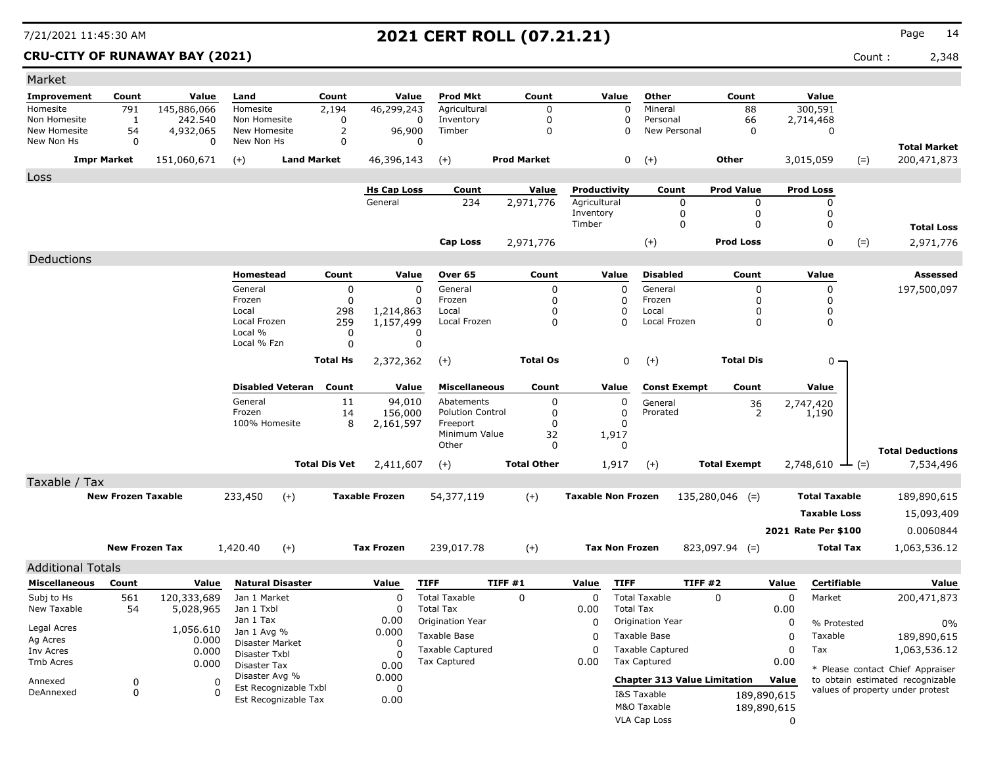| Market                     |                           |                       |                                  |                      |                        |                                       |                    |                           |                                     |                     |             |                               |                                                                      |
|----------------------------|---------------------------|-----------------------|----------------------------------|----------------------|------------------------|---------------------------------------|--------------------|---------------------------|-------------------------------------|---------------------|-------------|-------------------------------|----------------------------------------------------------------------|
| Improvement                | Count                     | Value                 | Land                             | Count                | Value                  | <b>Prod Mkt</b>                       | Count              | Value                     | Other                               | Count               |             | Value                         |                                                                      |
| Homesite                   | 791                       | 145,886,066           | Homesite                         | 2,194                | 46,299,243             | Agricultural                          | 0                  | 0                         | Mineral                             | 88                  |             | 300,591                       |                                                                      |
| Non Homesite               | $\mathbf{1}$              | 242,540               | Non Homesite                     | 0                    | 0                      | Inventory                             | 0                  | 0                         | Personal                            | 66                  |             | 2,714,468                     |                                                                      |
| New Homesite<br>New Non Hs | 54<br>0                   | 4,932,065<br>$\Omega$ | New Homesite<br>New Non Hs       | 2<br>0               | 96,900<br>0            | Timber                                | $\mathbf 0$        | 0                         | New Personal                        | 0                   |             | 0                             |                                                                      |
|                            | <b>Impr Market</b>        | 151,060,671           | $(+)$                            | <b>Land Market</b>   | 46,396,143             | $(+)$                                 | <b>Prod Market</b> | 0                         | $(+)$                               | Other               |             | 3,015,059<br>$(=)$            | <b>Total Market</b><br>200,471,873                                   |
|                            |                           |                       |                                  |                      |                        |                                       |                    |                           |                                     |                     |             |                               |                                                                      |
| Loss                       |                           |                       |                                  |                      | <b>Hs Cap Loss</b>     | Count                                 | Value              | Productivity              | Count                               | <b>Prod Value</b>   |             | <b>Prod Loss</b>              |                                                                      |
|                            |                           |                       |                                  |                      | General                | 234                                   | 2,971,776          | Agricultural              | 0                                   | 0                   |             | 0                             |                                                                      |
|                            |                           |                       |                                  |                      |                        |                                       |                    | Inventory                 | 0                                   | 0                   |             | 0                             |                                                                      |
|                            |                           |                       |                                  |                      |                        |                                       |                    | Timber                    | 0                                   | $\Omega$            |             | $\mathbf 0$                   | <b>Total Loss</b>                                                    |
|                            |                           |                       |                                  |                      |                        | <b>Cap Loss</b>                       | 2,971,776          |                           | $(+)$                               | <b>Prod Loss</b>    |             | 0<br>$(=)$                    | 2,971,776                                                            |
| Deductions                 |                           |                       |                                  |                      |                        |                                       |                    |                           |                                     |                     |             |                               |                                                                      |
|                            |                           |                       | Homestead                        | Count                | Value                  | Over 65                               | Count              | Value                     | <b>Disabled</b>                     | Count               |             | Value                         | Assessed                                                             |
|                            |                           |                       | General                          | 0                    | $\mathbf 0$            | General                               | 0                  | $\Omega$                  | General                             | 0                   |             | 0                             | 197,500,097                                                          |
|                            |                           |                       | Frozen                           | 0                    | 0                      | Frozen                                | 0                  | 0                         | Frozen                              | 0                   |             | 0                             |                                                                      |
|                            |                           |                       | Local<br>Local Frozen            | 298<br>259           | 1,214,863<br>1,157,499 | Local<br>Local Frozen                 | 0<br>0             | 0<br>$\Omega$             | Local<br>Local Frozen               | 0<br>0              |             | 0<br>0                        |                                                                      |
|                            |                           |                       | Local %                          | 0                    | 0                      |                                       |                    |                           |                                     |                     |             |                               |                                                                      |
|                            |                           |                       | Local % Fzn                      | $\Omega$             | 0                      |                                       |                    |                           |                                     |                     |             |                               |                                                                      |
|                            |                           |                       |                                  | <b>Total Hs</b>      | 2,372,362              | $(+)$                                 | <b>Total Os</b>    | 0                         | $(+)$                               | <b>Total Dis</b>    |             | $0 -$                         |                                                                      |
|                            |                           |                       |                                  |                      |                        |                                       |                    |                           |                                     |                     |             |                               |                                                                      |
|                            |                           |                       | <b>Disabled Veteran</b>          | Count                | Value                  | <b>Miscellaneous</b>                  | Count              | Value                     | <b>Const Exempt</b>                 | Count               |             | Value                         |                                                                      |
|                            |                           |                       | General<br>Frozen                | 11<br>14             | 94,010<br>156,000      | Abatements<br><b>Polution Control</b> | 0<br>0             | 0<br>0                    | General<br>Prorated                 | 36<br>2             |             | 2,747,420<br>1,190            |                                                                      |
|                            |                           |                       | 100% Homesite                    | 8                    | 2,161,597              | Freeport                              | 0                  | 0                         |                                     |                     |             |                               |                                                                      |
|                            |                           |                       |                                  |                      |                        | Minimum Value                         | 32                 | 1,917                     |                                     |                     |             |                               |                                                                      |
|                            |                           |                       |                                  |                      |                        | Other                                 | 0                  | 0                         |                                     |                     |             |                               | <b>Total Deductions</b>                                              |
|                            |                           |                       |                                  | <b>Total Dis Vet</b> | 2,411,607              | $(+)$                                 | <b>Total Other</b> | 1,917                     | $(+)$                               | <b>Total Exempt</b> |             | $2,748,610$ $\rightarrow$ (=) | 7,534,496                                                            |
| Taxable / Tax              |                           |                       |                                  |                      |                        |                                       |                    |                           |                                     |                     |             |                               |                                                                      |
|                            | <b>New Frozen Taxable</b> |                       | 233,450<br>$(+)$                 |                      | <b>Taxable Frozen</b>  | 54,377,119                            | $(+)$              | <b>Taxable Non Frozen</b> |                                     | $135,280,046$ (=)   |             | <b>Total Taxable</b>          | 189,890,615                                                          |
|                            |                           |                       |                                  |                      |                        |                                       |                    |                           |                                     |                     |             | <b>Taxable Loss</b>           | 15,093,409                                                           |
|                            |                           |                       |                                  |                      |                        |                                       |                    |                           |                                     |                     |             | 2021 Rate Per \$100           | 0.0060844                                                            |
|                            | <b>New Frozen Tax</b>     |                       | 1,420.40<br>$(+)$                |                      | <b>Tax Frozen</b>      | 239,017.78                            | $(+)$              | <b>Tax Non Frozen</b>     |                                     | $823,097.94$ (=)    |             | <b>Total Tax</b>              | 1,063,536.12                                                         |
| <b>Additional Totals</b>   |                           |                       |                                  |                      |                        |                                       |                    |                           |                                     |                     |             |                               |                                                                      |
| <b>Miscellaneous</b>       | Count                     | Value                 | <b>Natural Disaster</b>          |                      | Value                  | <b>TIFF</b>                           | TIFF#1             | <b>TIFF</b><br>Value      |                                     | TIFF#2              | Value       | <b>Certifiable</b>            | Value                                                                |
| Subj to Hs                 | 561                       | 120,333,689           | Jan 1 Market                     |                      | $\Omega$               | <b>Total Taxable</b>                  | $\Omega$           | 0                         | <b>Total Taxable</b>                | 0                   | 0           | Market                        | 200,471,873                                                          |
| New Taxable                | 54                        | 5,028,965             | Jan 1 Txbl                       |                      | 0                      | <b>Total Tax</b>                      |                    | 0.00                      | <b>Total Tax</b>                    |                     | 0.00        |                               |                                                                      |
|                            |                           |                       | Jan 1 Tax                        |                      | 0.00                   | Origination Year                      |                    | 0                         | Origination Year                    |                     | 0           | % Protested                   | 0%                                                                   |
| Legal Acres<br>Ag Acres    |                           | 0.000                 | 1,056.610 Jan 1 Avg %            |                      | 0.000                  | Taxable Base                          |                    | 0                         | Taxable Base                        |                     | 0           | Taxable                       | 189,890,615                                                          |
| Inv Acres                  |                           | 0.000                 | Disaster Market<br>Disaster Txbl |                      | 0<br>$\Omega$          | <b>Taxable Captured</b>               |                    | 0                         | <b>Taxable Captured</b>             |                     | 0           | Tax                           | 1,063,536.12                                                         |
| Tmb Acres                  |                           | 0.000                 | Disaster Tax                     |                      | 0.00                   | Tax Captured                          |                    | 0.00                      | <b>Tax Captured</b>                 |                     | 0.00        |                               |                                                                      |
| Annexed                    | 0                         | 0                     | Disaster Avg %                   |                      | 0.000                  |                                       |                    |                           | <b>Chapter 313 Value Limitation</b> |                     | Value       |                               | * Please contact Chief Appraiser<br>to obtain estimated recognizable |
| DeAnnexed                  | 0                         | $\Omega$              | Est Recognizable Txbl            |                      | 0                      |                                       |                    |                           | I&S Taxable                         |                     | 189,890,615 |                               | values of property under protest                                     |
|                            |                           |                       | Est Recognizable Tax             |                      | 0.00                   |                                       |                    |                           | M&O Taxable                         |                     | 189,890,615 |                               |                                                                      |
|                            |                           |                       |                                  |                      |                        |                                       |                    |                           | VLA Cap Loss                        |                     | 0           |                               |                                                                      |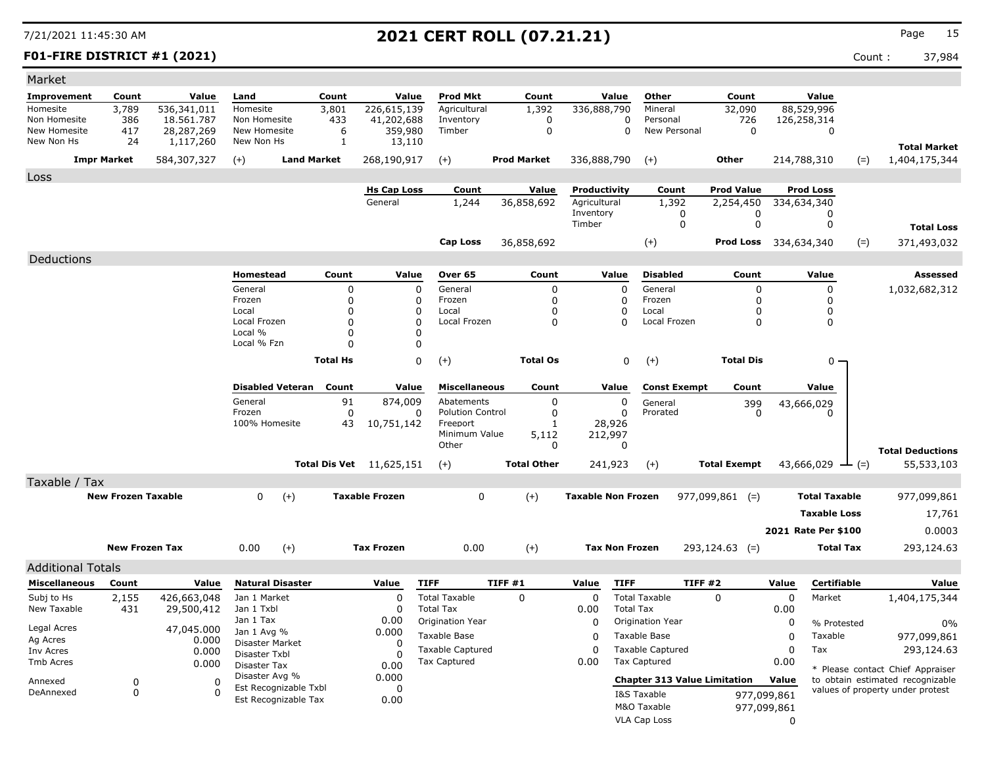### **F01-FIRE DISTRICT #1 (2021)** Count : 37,984

| Market                       |                           |                           |                               |                       |                                 |                                              |                    |                           |                                          |                              |                     |                                 |       |                                                                      |
|------------------------------|---------------------------|---------------------------|-------------------------------|-----------------------|---------------------------------|----------------------------------------------|--------------------|---------------------------|------------------------------------------|------------------------------|---------------------|---------------------------------|-------|----------------------------------------------------------------------|
| <b>Improvement</b>           | Count                     | Value                     | Land                          | Count                 | Value                           | <b>Prod Mkt</b>                              | Count              | Value                     | Other                                    | Count                        |                     | Value                           |       |                                                                      |
| Homesite                     | 3,789                     | 536,341,011               | Homesite                      | 3,801                 | 226,615,139                     | Agricultural                                 | 1,392              | 336,888,790               | Mineral                                  | 32,090                       |                     | 88,529,996                      |       |                                                                      |
| Non Homesite<br>New Homesite | 386                       | 18,561,787                | Non Homesite<br>New Homesite  | 433<br>6              | 41,202,688                      | Inventory<br>Timber                          | 0<br>$\mathbf 0$   | 0<br>$\mathbf 0$          | Personal<br>New Personal                 | 726<br>$\mathbf 0$           |                     | 126,258,314                     |       |                                                                      |
| New Non Hs                   | 417<br>24                 | 28,287,269<br>1,117,260   | New Non Hs                    | 1                     | 359,980<br>13,110               |                                              |                    |                           |                                          |                              |                     | $\mathbf 0$                     |       |                                                                      |
|                              | <b>Impr Market</b>        | 584,307,327               | $(+)$                         | <b>Land Market</b>    | 268,190,917                     | $(+)$                                        | <b>Prod Market</b> | 336,888,790               | $(+)$                                    | <b>Other</b>                 |                     | 214,788,310                     | $(=)$ | <b>Total Market</b><br>1,404,175,344                                 |
|                              |                           |                           |                               |                       |                                 |                                              |                    |                           |                                          |                              |                     |                                 |       |                                                                      |
| Loss                         |                           |                           |                               |                       | <b>Hs Cap Loss</b>              | Count                                        | Value              | Productivity              |                                          | <b>Prod Value</b>            |                     |                                 |       |                                                                      |
|                              |                           |                           |                               |                       | General                         | 1,244                                        | 36,858,692         | Agricultural              | Count<br>1,392                           | 2,254,450                    |                     | <b>Prod Loss</b><br>334,634,340 |       |                                                                      |
|                              |                           |                           |                               |                       |                                 |                                              |                    | Inventory                 | 0                                        | 0                            |                     | 0                               |       |                                                                      |
|                              |                           |                           |                               |                       |                                 |                                              |                    | Timber                    | $\mathbf 0$                              | 0                            |                     | 0                               |       | <b>Total Loss</b>                                                    |
|                              |                           |                           |                               |                       |                                 | <b>Cap Loss</b>                              | 36,858,692         |                           | $(+)$                                    | <b>Prod Loss</b> 334,634,340 |                     |                                 | $(=)$ | 371,493,032                                                          |
| Deductions                   |                           |                           |                               |                       |                                 |                                              |                    |                           |                                          |                              |                     |                                 |       |                                                                      |
|                              |                           |                           | <b>Homestead</b>              | Count                 | Value                           | Over 65                                      | Count              | Value                     | <b>Disabled</b>                          | Count                        |                     | Value                           |       | <b>Assessed</b>                                                      |
|                              |                           |                           | General                       |                       | $\mathbf 0$                     | 0<br>General                                 | 0                  | $\Omega$                  | General                                  | $\mathbf 0$                  |                     | $\mathbf 0$                     |       | 1,032,682,312                                                        |
|                              |                           |                           | Frozen                        |                       | $\Omega$                        | 0<br>Frozen                                  | 0                  | $\Omega$                  | Frozen                                   | $\Omega$                     |                     | 0                               |       |                                                                      |
|                              |                           |                           | Local<br>Local Frozen         |                       | $\Omega$<br>$\Omega$            | 0<br>Local<br>$\overline{0}$<br>Local Frozen | 0<br>$\Omega$      | $\Omega$<br>0             | Local<br>Local Frozen                    | 0<br>$\mathbf 0$             |                     | 0<br>$\mathbf 0$                |       |                                                                      |
|                              |                           |                           | Local %                       |                       | $\Omega$                        | 0                                            |                    |                           |                                          |                              |                     |                                 |       |                                                                      |
|                              |                           |                           | Local % Fzn                   |                       | $\Omega$                        | 0                                            |                    |                           |                                          |                              |                     |                                 |       |                                                                      |
|                              |                           |                           |                               | <b>Total Hs</b>       |                                 | $\Omega$<br>$(+)$                            | <b>Total Os</b>    | 0                         | $(+)$                                    | <b>Total Dis</b>             |                     | $0 \cdot$                       |       |                                                                      |
|                              |                           |                           |                               |                       |                                 |                                              |                    |                           |                                          |                              |                     |                                 |       |                                                                      |
|                              |                           |                           | <b>Disabled Veteran</b>       | Count                 | Value                           | <b>Miscellaneous</b>                         | Count              | Value                     | <b>Const Exempt</b>                      | Count                        |                     | Value                           |       |                                                                      |
|                              |                           |                           | General<br>Frozen             | 91                    | 874,009<br>$\mathbf 0$          | Abatements<br>0<br><b>Polution Control</b>   | 0<br>0             | 0<br>0                    | General                                  | 399                          |                     | 43,666,029                      |       |                                                                      |
|                              |                           |                           | 100% Homesite                 | 43                    | 10,751,142                      | Freeport                                     | $\mathbf{1}$       | 28,926                    | Prorated                                 | $\Omega$                     |                     |                                 |       |                                                                      |
|                              |                           |                           |                               |                       |                                 | Minimum Value                                | 5,112              | 212,997                   |                                          |                              |                     |                                 |       |                                                                      |
|                              |                           |                           |                               |                       |                                 | Other                                        | $\mathbf 0$        | $\mathbf 0$               |                                          |                              |                     |                                 |       | <b>Total Deductions</b>                                              |
|                              |                           |                           |                               |                       | <b>Total Dis Vet</b> 11,625,151 | $(+)$                                        | <b>Total Other</b> | 241,923                   | $(+)$                                    | <b>Total Exempt</b>          |                     | 43,666,029<br>$ (=)$            |       | 55,533,103                                                           |
| Taxable / Tax                |                           |                           |                               |                       |                                 |                                              |                    |                           |                                          |                              |                     |                                 |       |                                                                      |
|                              | <b>New Frozen Taxable</b> |                           | $\Omega$                      | $(+)$                 | <b>Taxable Frozen</b>           | $\mathbf 0$                                  | $(+)$              | <b>Taxable Non Frozen</b> |                                          | $977,099,861$ (=)            |                     | <b>Total Taxable</b>            |       | 977,099,861                                                          |
|                              |                           |                           |                               |                       |                                 |                                              |                    |                           |                                          |                              |                     | <b>Taxable Loss</b>             |       | 17,761                                                               |
|                              |                           |                           |                               |                       |                                 |                                              |                    |                           |                                          |                              |                     | 2021 Rate Per \$100             |       | 0.0003                                                               |
|                              | <b>New Frozen Tax</b>     |                           | 0.00                          | $(+)$                 | <b>Tax Frozen</b>               | 0.00                                         | $(+)$              | <b>Tax Non Frozen</b>     |                                          | $293,124.63$ (=)             |                     | <b>Total Tax</b>                |       | 293,124.63                                                           |
|                              |                           |                           |                               |                       |                                 |                                              |                    |                           |                                          |                              |                     |                                 |       |                                                                      |
| <b>Additional Totals</b>     |                           |                           |                               |                       |                                 |                                              |                    |                           |                                          |                              |                     |                                 |       |                                                                      |
| <b>Miscellaneous</b>         | Count                     | Value                     | <b>Natural Disaster</b>       |                       | Value                           | <b>TIFF</b>                                  | TIFF #1            | Value<br><b>TIFF</b>      |                                          | <b>TIFF #2</b>               | Value               | <b>Certifiable</b>              |       | Value                                                                |
| Subj to Hs<br>New Taxable    | 2,155<br>431              | 426,663,048<br>29,500,412 | Jan 1 Market<br>Jan 1 Txbl    |                       | 0<br>$\mathbf 0$                | <b>Total Taxable</b><br><b>Total Tax</b>     | $\mathbf 0$        | $\Omega$<br>0.00          | <b>Total Taxable</b><br><b>Total Tax</b> | $\Omega$                     | $\mathbf 0$<br>0.00 | Market                          |       | 1,404,175,344                                                        |
|                              |                           |                           | Jan 1 Tax                     |                       | 0.00                            | Origination Year                             |                    | 0                         | Origination Year                         |                              | 0                   | % Protested                     |       | 0%                                                                   |
| Legal Acres                  |                           | 47,045.000                | Jan 1 Avg %                   |                       | 0.000                           | Taxable Base                                 |                    | 0                         | Taxable Base                             |                              | $\mathbf 0$         | Taxable                         |       | 977,099,861                                                          |
| Ag Acres<br>Inv Acres        |                           | 0.000<br>0.000            | Disaster Market               |                       | $\Omega$                        | <b>Taxable Captured</b>                      |                    | 0                         | <b>Taxable Captured</b>                  |                              | $\mathbf 0$         | Tax                             |       | 293,124.63                                                           |
| <b>Tmb Acres</b>             |                           | 0.000                     | Disaster Txbl<br>Disaster Tax |                       | $\Omega$<br>0.00                | Tax Captured                                 |                    | 0.00                      | <b>Tax Captured</b>                      |                              | 0.00                |                                 |       |                                                                      |
|                              | $\Omega$                  | $\Omega$                  | Disaster Avg %                |                       | 0.000                           |                                              |                    |                           | <b>Chapter 313 Value Limitation</b>      |                              | Value               |                                 |       | * Please contact Chief Appraiser<br>to obtain estimated recognizable |
| Annexed<br>DeAnnexed         | $\mathbf 0$               | $\Omega$                  |                               | Est Recognizable Txbl | 0                               |                                              |                    |                           | I&S Taxable                              |                              | 977,099,861         |                                 |       | values of property under protest                                     |
|                              |                           |                           |                               | Est Recognizable Tax  | 0.00                            |                                              |                    |                           | M&O Taxable                              |                              | 977,099,861         |                                 |       |                                                                      |
|                              |                           |                           |                               |                       |                                 |                                              |                    |                           | <b>VLA Cap Loss</b>                      |                              | $\Omega$            |                                 |       |                                                                      |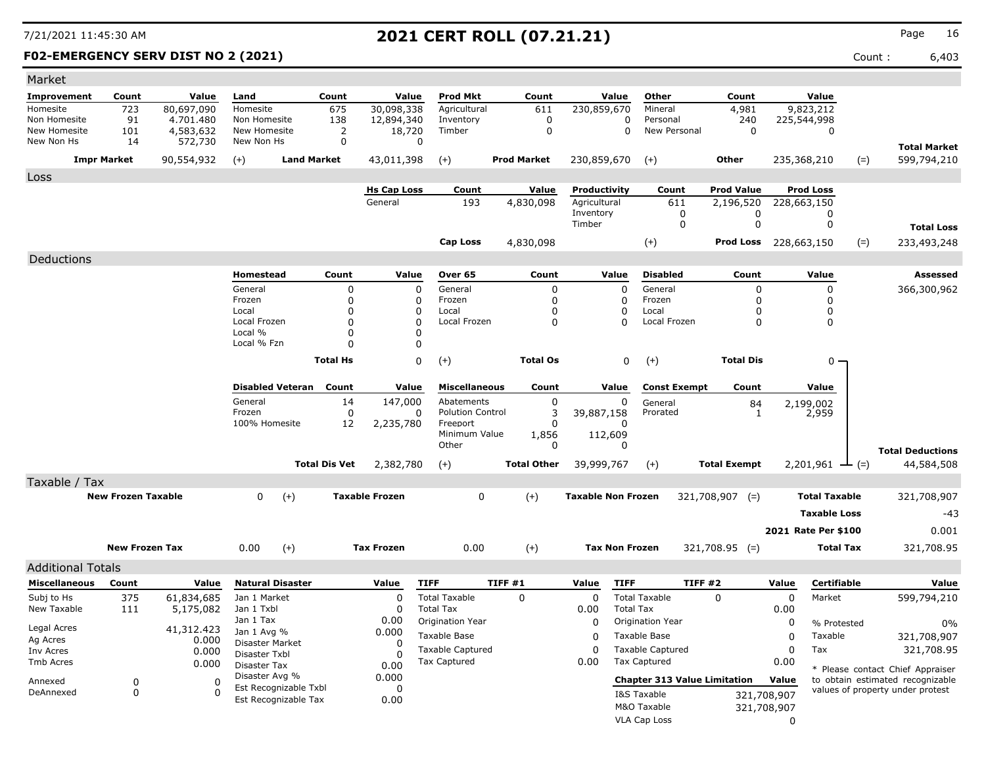### **F02-EMERGENCY SERV DIST NO 2 (2021)** Count : 6,403

| Market                       |                           |                         |                                |                         |                       |                                          |                    |                           |                                              |                              |                            |                             |                                                                      |
|------------------------------|---------------------------|-------------------------|--------------------------------|-------------------------|-----------------------|------------------------------------------|--------------------|---------------------------|----------------------------------------------|------------------------------|----------------------------|-----------------------------|----------------------------------------------------------------------|
| <b>Improvement</b>           | Count                     | Value                   | Land                           | Count                   | Value                 | <b>Prod Mkt</b>                          | Count              | Value                     | Other                                        | Count                        |                            | Value                       |                                                                      |
| Homesite                     | 723                       | 80,697,090              | Homesite                       | 675                     | 30,098,338            | Agricultural                             | 611                | 230,859,670               | Mineral                                      | 4,981                        |                            | 9,823,212                   |                                                                      |
| Non Homesite<br>New Homesite | 91<br>101                 | 4.701.480<br>4,583,632  | Non Homesite<br>New Homesite   | 138<br>2                | 12,894,340<br>18,720  | Inventory<br>Timber                      | 0<br>$\mathbf 0$   |                           | 0<br>Personal<br>$\mathbf 0$<br>New Personal | 240<br>0                     | 225,544,998                | $\mathbf 0$                 |                                                                      |
| New Non Hs                   | 14                        | 572,730                 | New Non Hs                     | 0                       |                       | 0                                        |                    |                           |                                              |                              |                            |                             | <b>Total Market</b>                                                  |
|                              | <b>Impr Market</b>        | 90,554,932              | $(+)$                          | <b>Land Market</b>      | 43,011,398            | $(+)$                                    | <b>Prod Market</b> | 230,859,670               | $(+)$                                        | Other                        | 235,368,210                | $(=)$                       | 599,794,210                                                          |
| Loss                         |                           |                         |                                |                         |                       |                                          |                    |                           |                                              |                              |                            |                             |                                                                      |
|                              |                           |                         |                                |                         | <b>Hs Cap Loss</b>    | Count                                    | Value              | Productivity              | Count                                        | <b>Prod Value</b>            |                            | Prod Loss                   |                                                                      |
|                              |                           |                         |                                |                         | General               | 193                                      | 4,830,098          | Agricultural              | 611                                          | 2,196,520                    | 228,663,150                |                             |                                                                      |
|                              |                           |                         |                                |                         |                       |                                          |                    | Inventory<br>Timber       | 0<br>0                                       | 0<br>0                       |                            | 0<br>0                      | <b>Total Loss</b>                                                    |
|                              |                           |                         |                                |                         |                       | <b>Cap Loss</b>                          | 4,830,098          |                           | $^{(+)}$                                     | <b>Prod Loss</b> 228,663,150 |                            | $(=)$                       | 233,493,248                                                          |
| Deductions                   |                           |                         |                                |                         |                       |                                          |                    |                           |                                              |                              |                            |                             |                                                                      |
|                              |                           |                         | Homestead                      | Count                   | Value                 | Over 65                                  | Count              | Value                     | <b>Disabled</b>                              | Count                        |                            | Value                       | Assessed                                                             |
|                              |                           |                         | General                        | 0                       | 0                     | General                                  | 0                  | 0                         | General                                      | 0                            |                            | $\mathbf 0$                 | 366,300,962                                                          |
|                              |                           |                         | Frozen                         | 0                       | 0                     | Frozen                                   | 0                  | 0                         | Frozen                                       | 0                            |                            | 0                           |                                                                      |
|                              |                           |                         | Local                          | $\mathbf 0$             | 0                     | Local                                    | 0                  | 0                         | Local                                        | 0                            |                            | 0                           |                                                                      |
|                              |                           |                         | Local Frozen<br>Local %        | $\mathbf 0$<br>$\Omega$ | $\Omega$              | Local Frozen                             | 0                  | $\Omega$                  | Local Frozen                                 | 0                            |                            | 0                           |                                                                      |
|                              |                           |                         | Local % Fzn                    | $\Omega$                | 0<br>0                |                                          |                    |                           |                                              |                              |                            |                             |                                                                      |
|                              |                           |                         |                                | <b>Total Hs</b>         |                       | 0<br>$(+)$                               | <b>Total Os</b>    |                           | 0<br>$(+)$                                   | <b>Total Dis</b>             |                            | $0 -$                       |                                                                      |
|                              |                           |                         |                                |                         |                       |                                          |                    |                           |                                              |                              |                            |                             |                                                                      |
|                              |                           |                         | <b>Disabled Veteran</b>        | Count                   | Value                 | <b>Miscellaneous</b>                     | Count              | Value                     | <b>Const Exempt</b>                          | Count                        |                            | Value                       |                                                                      |
|                              |                           |                         | General                        | 14                      | 147,000               | Abatements                               | 0                  | 0                         | General                                      | 84                           |                            | 2,199,002                   |                                                                      |
|                              |                           |                         | Frozen                         | 0                       | 0                     | <b>Polution Control</b>                  | 3                  | 39,887,158                | Prorated                                     | 1                            |                            | 2,959                       |                                                                      |
|                              |                           |                         | 100% Homesite                  | 12                      | 2,235,780             | Freeport<br>Minimum Value                | 0<br>1,856         | 0<br>112,609              |                                              |                              |                            |                             |                                                                      |
|                              |                           |                         |                                |                         |                       | Other                                    | 0                  | 0                         |                                              |                              |                            |                             | <b>Total Deductions</b>                                              |
|                              |                           |                         |                                | <b>Total Dis Vet</b>    | 2,382,780             | $(+)$                                    | <b>Total Other</b> | 39,999,767                | $(+)$                                        | <b>Total Exempt</b>          |                            | $2,201,961 \rightarrow$ (=) | 44,584,508                                                           |
| Taxable / Tax                |                           |                         |                                |                         |                       |                                          |                    |                           |                                              |                              |                            |                             |                                                                      |
|                              | <b>New Frozen Taxable</b> |                         | $\mathbf{0}$<br>$(+)$          |                         | <b>Taxable Frozen</b> | 0                                        | $(+)$              | <b>Taxable Non Frozen</b> |                                              | 321,708,907 (=)              |                            | <b>Total Taxable</b>        | 321,708,907                                                          |
|                              |                           |                         |                                |                         |                       |                                          |                    |                           |                                              |                              |                            | <b>Taxable Loss</b>         | $-43$                                                                |
|                              |                           |                         |                                |                         |                       |                                          |                    |                           |                                              |                              |                            | 2021 Rate Per \$100         | 0.001                                                                |
|                              | <b>New Frozen Tax</b>     |                         | $(+)$<br>0.00                  |                         | <b>Tax Frozen</b>     | 0.00                                     | $(+)$              | <b>Tax Non Frozen</b>     |                                              | $321,708.95$ (=)             |                            | <b>Total Tax</b>            | 321,708.95                                                           |
|                              |                           |                         |                                |                         |                       |                                          |                    |                           |                                              |                              |                            |                             |                                                                      |
| <b>Additional Totals</b>     |                           |                         |                                |                         |                       |                                          |                    |                           |                                              |                              |                            |                             |                                                                      |
| Miscellaneous                | Count                     | Value                   | <b>Natural Disaster</b>        |                         | Value                 | <b>TIFF</b>                              | TIFF #1            | <b>TIFF</b><br>Value      |                                              | TIFF #2                      | Value                      | Certifiable                 | Value                                                                |
| Subj to Hs<br>New Taxable    | 375<br>111                | 61,834,685<br>5,175,082 | Jan 1 Market<br>Jan 1 Txbl     |                         | 0<br>0                | <b>Total Taxable</b><br><b>Total Tax</b> | $\mathbf 0$        | 0<br>0.00                 | <b>Total Taxable</b><br><b>Total Tax</b>     | $\Omega$                     | 0<br>0.00                  | Market                      | 599,794,210                                                          |
|                              |                           |                         | Jan 1 Tax                      |                         | 0.00                  | Origination Year                         |                    | 0                         | <b>Origination Year</b>                      |                              | 0                          | % Protested                 |                                                                      |
| Legal Acres                  |                           | 41,312.423              | Jan 1 Avg %                    |                         | 0.000                 | Taxable Base                             |                    | 0                         | Taxable Base                                 |                              | 0                          | Taxable                     | $0\%$<br>321,708,907                                                 |
| Ag Acres                     |                           | 0.000                   | Disaster Market                |                         | O                     | <b>Taxable Captured</b>                  |                    | 0                         | <b>Taxable Captured</b>                      |                              | 0                          | Tax                         | 321,708.95                                                           |
| Inv Acres<br>Tmb Acres       |                           | 0.000<br>0.000          | Disaster Txbl                  |                         | C                     | <b>Tax Captured</b>                      |                    | 0.00                      | <b>Tax Captured</b>                          |                              | 0.00                       |                             |                                                                      |
|                              |                           |                         | Disaster Tax<br>Disaster Avg % |                         | 0.00<br>0.000         |                                          |                    |                           |                                              |                              |                            |                             | * Please contact Chief Appraiser                                     |
| Annexed<br>DeAnnexed         | 0<br>0                    | 0<br>0                  | Est Recognizable Txbl          |                         | 0                     |                                          |                    |                           | <b>Chapter 313 Value Limitation</b>          |                              | Value                      |                             | to obtain estimated recognizable<br>values of property under protest |
|                              |                           |                         | Est Recognizable Tax           |                         | 0.00                  |                                          |                    |                           | I&S Taxable<br>M&O Taxable                   |                              | 321,708,907<br>321,708,907 |                             |                                                                      |
|                              |                           |                         |                                |                         |                       |                                          |                    |                           | <b>VLA Cap Loss</b>                          |                              | 0                          |                             |                                                                      |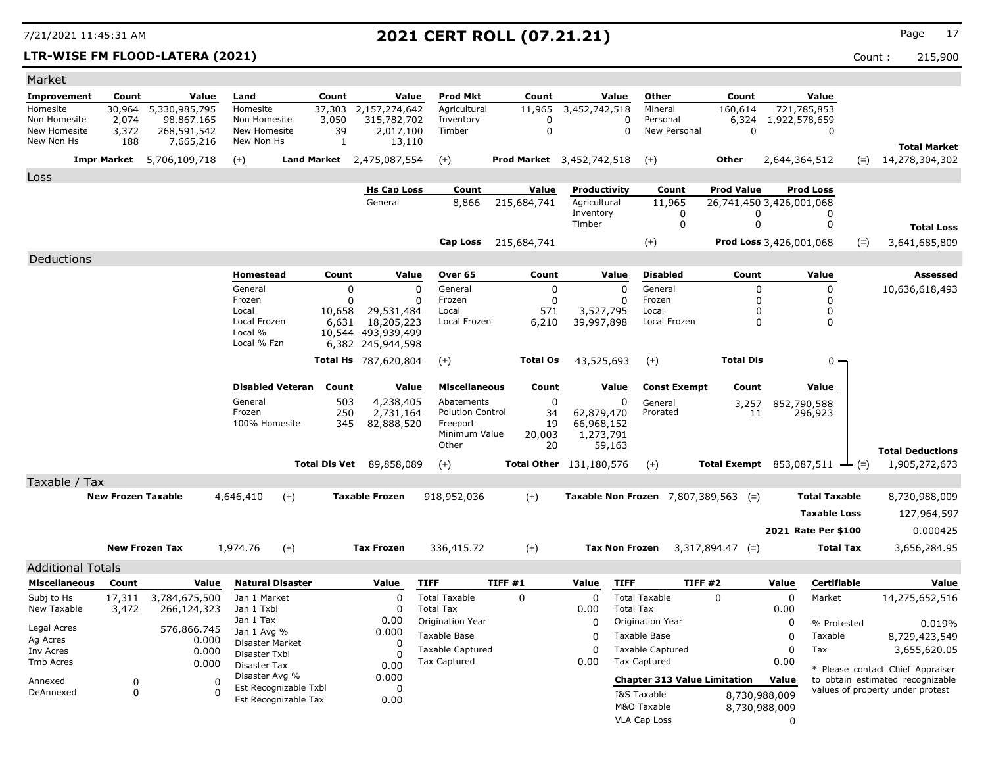### **LTR-WISE FM FLOOD-LATERA (2021)** Count : 215,900

| Market                       |                           |                           |                              |                         |                      |                             |                                         |                                  |                                |                  |                                                    |                                 |               |                             |        |                                                                      |
|------------------------------|---------------------------|---------------------------|------------------------------|-------------------------|----------------------|-----------------------------|-----------------------------------------|----------------------------------|--------------------------------|------------------|----------------------------------------------------|---------------------------------|---------------|-----------------------------|--------|----------------------------------------------------------------------|
| Improvement                  | Count                     | Value                     | Land                         |                         | Count                | Value                       | <b>Prod Mkt</b>                         | Count                            |                                | Value            | Other                                              | Count                           |               | Value                       |        |                                                                      |
| Homesite                     | 30,964                    | 5,330,985,795             | Homesite                     |                         | 37,303               | 2,157,274,642               | Agricultural                            | 11,965                           | 3,452,742,518                  |                  | Mineral                                            | 160,614                         |               | 721,785,853                 |        |                                                                      |
| Non Homesite<br>New Homesite | 2,074<br>3,372            | 98.867.165<br>268,591,542 | Non Homesite<br>New Homesite |                         | 3,050<br>39          | 315,782,702<br>2,017,100    | Inventory<br>Timber                     | 0<br>$\Omega$                    |                                | 0<br>$\Omega$    | Personal<br>New Personal                           | 6,324<br>$\Omega$               | 1,922,578,659 | 0                           |        |                                                                      |
| New Non Hs                   | 188                       | 7,665,216                 | New Non Hs                   |                         | 1                    | 13,110                      |                                         |                                  |                                |                  |                                                    |                                 |               |                             |        | <b>Total Market</b>                                                  |
|                              | <b>Impr Market</b>        | 5,706,109,718             | $(+)$                        | <b>Land Market</b>      |                      | 2,475,087,554               | $(+)$                                   | <b>Prod Market</b> 3,452,742,518 |                                |                  | $(+)$                                              | Other                           | 2,644,364,512 |                             | $(=)$  | 14,278,304,302                                                       |
| Loss                         |                           |                           |                              |                         |                      |                             |                                         |                                  |                                |                  |                                                    |                                 |               |                             |        |                                                                      |
|                              |                           |                           |                              |                         |                      | <b>Hs Cap Loss</b>          | Count                                   | Value                            | Productivity                   |                  | Count                                              | <b>Prod Value</b>               |               | <b>Prod Loss</b>            |        |                                                                      |
|                              |                           |                           |                              |                         |                      | General                     | 8,866                                   | 215,684,741                      | Agricultural                   |                  | 11,965                                             | 26,741,450 3,426,001,068        |               |                             |        |                                                                      |
|                              |                           |                           |                              |                         |                      |                             |                                         |                                  | Inventory<br>Timber            |                  | 0                                                  | 0<br>$\mathbf 0$                |               | $\Omega$<br>$\mathbf 0$     |        |                                                                      |
|                              |                           |                           |                              |                         |                      |                             |                                         |                                  |                                |                  | $\mathbf 0$                                        |                                 |               |                             |        | <b>Total Loss</b>                                                    |
|                              |                           |                           |                              |                         |                      |                             | <b>Cap Loss</b>                         | 215,684,741                      |                                |                  | $^{(+)}$                                           | Prod Loss 3,426,001,068         |               |                             | $(=)$  | 3,641,685,809                                                        |
| Deductions                   |                           |                           |                              |                         |                      |                             |                                         |                                  |                                |                  |                                                    |                                 |               |                             |        |                                                                      |
|                              |                           |                           | <b>Homestead</b>             |                         | Count                | Value                       | Over 65                                 | Count                            |                                | Value            | <b>Disabled</b>                                    | Count                           |               | Value                       |        | Assessed                                                             |
|                              |                           |                           | General                      |                         | $\mathbf 0$          | $\Omega$                    | General                                 | 0                                |                                | $\mathbf 0$      | General                                            | 0                               |               | $\mathbf 0$                 |        | 10,636,618,493                                                       |
|                              |                           |                           | Frozen<br>Local              |                         | $\Omega$<br>10,658   | O<br>29,531,484             | Frozen<br>Local                         | $\mathbf 0$<br>571               | 3,527,795                      | $\Omega$         | Frozen<br>Local                                    | 0<br>$\Omega$                   |               | $\mathbf{0}$<br>$\mathbf 0$ |        |                                                                      |
|                              |                           |                           | Local Frozen                 |                         | 6,631                | 18,205,223                  | Local Frozen                            | 6,210                            | 39,997,898                     |                  | Local Frozen                                       | $\mathbf 0$                     |               | $\mathbf 0$                 |        |                                                                      |
|                              |                           |                           | Local %<br>Local % Fzn       |                         |                      | 10,544 493,939,499          |                                         |                                  |                                |                  |                                                    |                                 |               |                             |        |                                                                      |
|                              |                           |                           |                              |                         |                      | 6,382 245,944,598           |                                         |                                  |                                |                  |                                                    |                                 |               |                             |        |                                                                      |
|                              |                           |                           |                              |                         |                      | <b>Total Hs</b> 787,620,804 | $(+)$                                   | <b>Total Os</b>                  | 43,525,693                     |                  | $(+)$                                              | <b>Total Dis</b>                |               | $0 \cdot$                   |        |                                                                      |
|                              |                           |                           |                              | <b>Disabled Veteran</b> | Count                | Value                       | <b>Miscellaneous</b>                    | Count                            |                                | Value            | <b>Const Exempt</b>                                | Count                           |               | Value                       |        |                                                                      |
|                              |                           |                           | General                      |                         | 503                  | 4,238,405                   | Abatements                              | $\mathbf 0$                      |                                | $\Omega$         | General                                            | 3,257                           |               | 852,790,588                 |        |                                                                      |
|                              |                           |                           | Frozen                       |                         | 250                  | 2,731,164                   | <b>Polution Control</b>                 | 34                               | 62,879,470                     |                  | Prorated                                           | 11                              |               | 296,923                     |        |                                                                      |
|                              |                           |                           |                              | 100% Homesite           | 345                  | 82,888,520                  | Freeport<br>Minimum Value               | 19<br>20,003                     | 66,968,152<br>1,273,791        |                  |                                                    |                                 |               |                             |        |                                                                      |
|                              |                           |                           |                              |                         |                      |                             | Other                                   | 20                               | 59,163                         |                  |                                                    |                                 |               |                             |        | <b>Total Deductions</b>                                              |
|                              |                           |                           |                              |                         | <b>Total Dis Vet</b> | 89,858,089                  | $(+)$                                   |                                  | <b>Total Other</b> 131,180,576 |                  | $(+)$                                              | <b>Total Exempt</b> 853,087,511 |               |                             | $-(-)$ | 1,905,272,673                                                        |
| Taxable / Tax                |                           |                           |                              |                         |                      |                             |                                         |                                  |                                |                  |                                                    |                                 |               |                             |        |                                                                      |
|                              | <b>New Frozen Taxable</b> |                           | 4,646,410                    | $(+)$                   |                      | <b>Taxable Frozen</b>       | 918,952,036                             | $(+)$                            |                                |                  | <b>Taxable Non Frozen</b> $7,807,389,563$ (=)      |                                 |               | <b>Total Taxable</b>        |        | 8,730,988,009                                                        |
|                              |                           |                           |                              |                         |                      |                             |                                         |                                  |                                |                  |                                                    |                                 |               |                             |        |                                                                      |
|                              |                           |                           |                              |                         |                      |                             |                                         |                                  |                                |                  |                                                    |                                 |               | <b>Taxable Loss</b>         |        | 127,964,597                                                          |
|                              |                           |                           |                              |                         |                      |                             |                                         |                                  |                                |                  |                                                    |                                 |               | 2021 Rate Per \$100         |        | 0.000425                                                             |
|                              |                           | <b>New Frozen Tax</b>     | 1,974.76                     | $(+)$                   |                      | <b>Tax Frozen</b>           | 336,415.72                              | $(+)$                            | <b>Tax Non Frozen</b>          |                  |                                                    | $3,317,894.47$ (=)              |               | <b>Total Tax</b>            |        | 3,656,284.95                                                         |
| <b>Additional Totals</b>     |                           |                           |                              |                         |                      |                             |                                         |                                  |                                |                  |                                                    |                                 |               |                             |        |                                                                      |
| <b>Miscellaneous</b>         | Count                     | Value                     |                              | <b>Natural Disaster</b> |                      | Value                       | <b>TIFF</b>                             | TIFF#1                           | Value                          | <b>TIFF</b>      | TIFF#2                                             |                                 | Value         | Certifiable                 |        | Value                                                                |
| Subj to Hs                   | 17,311                    | 3,784,675,500             | Jan 1 Market                 |                         |                      | $\Omega$                    | <b>Total Taxable</b>                    | 0                                | $\Omega$                       |                  | <b>Total Taxable</b>                               | 0                               | $\Omega$      | Market                      |        | 14,275,652,516                                                       |
| New Taxable                  | 3,472                     | 266,124,323               | Jan 1 Txbl                   |                         |                      | $\Omega$                    | <b>Total Tax</b>                        |                                  | 0.00                           | <b>Total Tax</b> |                                                    |                                 | 0.00          |                             |        |                                                                      |
| Legal Acres                  |                           | 576,866.745               | Jan 1 Tax<br>Jan 1 Avg %     |                         |                      | 0.00<br>0.000               | Origination Year                        |                                  | $\Omega$                       |                  | Origination Year                                   |                                 | $\Omega$      | % Protested                 |        | 0.019%                                                               |
| Ag Acres                     |                           | 0.000                     |                              | Disaster Market         |                      | 0                           | Taxable Base<br><b>Taxable Captured</b> |                                  | O                              |                  | Taxable Base                                       |                                 | 0             | Taxable<br>Tax              |        | 8,729,423,549                                                        |
| Inv Acres<br>Tmb Acres       |                           | 0.000<br>0.000            | Disaster Txbl                |                         |                      | $\Omega$                    | <b>Tax Captured</b>                     |                                  | 0<br>0.00                      |                  | <b>Taxable Captured</b><br>Tax Captured            |                                 | 0<br>0.00     |                             |        | 3,655,620.05                                                         |
|                              |                           |                           | Disaster Tax                 | Disaster Avg %          |                      | 0.00<br>0.000               |                                         |                                  |                                |                  |                                                    |                                 |               |                             |        | * Please contact Chief Appraiser<br>to obtain estimated recognizable |
| Annexed<br>DeAnnexed         | 0<br>$\mathbf{0}$         |                           | $\mathbf 0$<br>$\Omega$      | Est Recognizable Txbl   |                      | $\mathbf 0$                 |                                         |                                  |                                |                  | <b>Chapter 313 Value Limitation</b><br>I&S Taxable |                                 | Value         |                             |        | values of property under protest                                     |
|                              |                           |                           |                              | Est Recognizable Tax    |                      | 0.00                        |                                         |                                  |                                |                  | M&O Taxable                                        | 8,730,988,009<br>8,730,988,009  |               |                             |        |                                                                      |
|                              |                           |                           |                              |                         |                      |                             |                                         |                                  |                                |                  | <b>VLA Cap Loss</b>                                |                                 | $\mathbf 0$   |                             |        |                                                                      |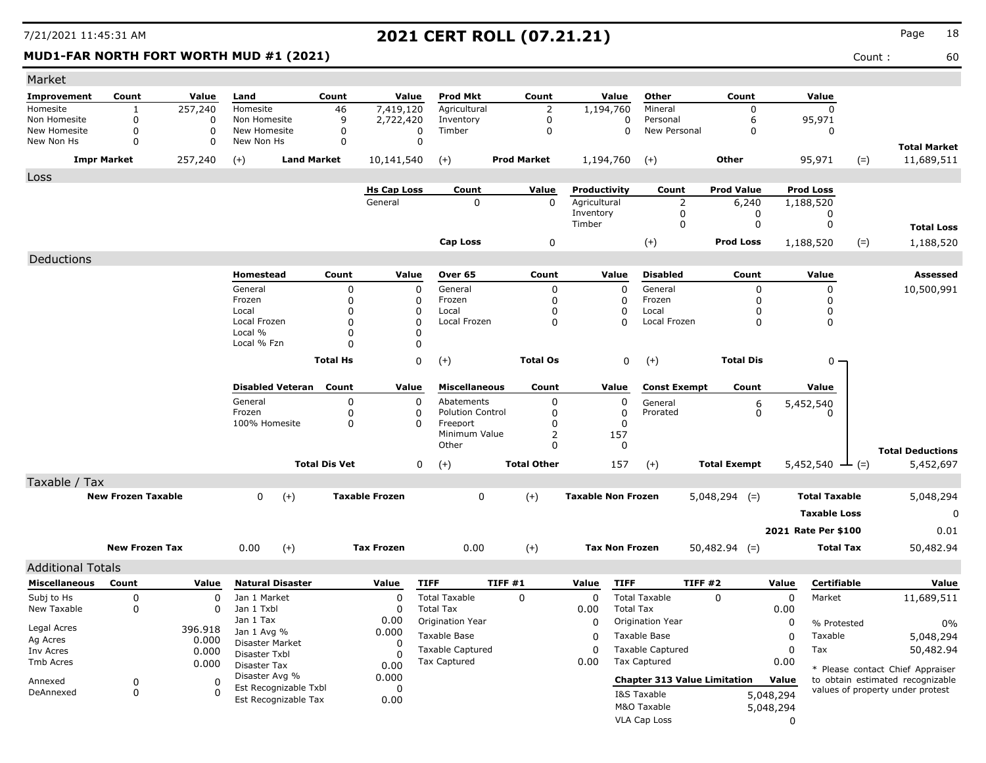**MUD1-FAR NORTH FORT WORTH MUD #1 (2021)** 60

| Market                       |                           |               |                                         |                      |                       |                                          |                    |                           |                                     |                     |                                      |                      |                                  |
|------------------------------|---------------------------|---------------|-----------------------------------------|----------------------|-----------------------|------------------------------------------|--------------------|---------------------------|-------------------------------------|---------------------|--------------------------------------|----------------------|----------------------------------|
| Improvement                  | Count                     | Value         | Land                                    | Count                | Value                 | <b>Prod Mkt</b>                          | Count              | Value                     | Other                               | Count               |                                      | Value                |                                  |
| Homesite                     | 1                         | 257,240       | Homesite                                | 46                   | 7,419,120             | Agricultural                             | 2                  | 1,194,760                 | Mineral                             | $\Omega$            |                                      | 0                    |                                  |
| Non Homesite<br>New Homesite | 0<br>0                    | 0<br>$\Omega$ | Non Homesite<br>New Homesite            | 9<br>0               | 2,722,420<br>$\Omega$ | Inventory<br>Timber                      | 0<br>0             | 0<br>$\mathbf 0$          | Personal<br>New Personal            | 6<br>0              |                                      | 95,971<br>0          |                                  |
| New Non Hs                   | 0                         | 0             | New Non Hs                              | 0                    | $\Omega$              |                                          |                    |                           |                                     |                     |                                      |                      | <b>Total Market</b>              |
|                              | <b>Impr Market</b>        | 257,240       | $(+)$<br><b>Land Market</b>             |                      | 10,141,540            | $(+)$                                    | <b>Prod Market</b> | 1,194,760                 | $^{(+)}$                            | <b>Other</b>        |                                      | 95,971<br>$(=)$      | 11,689,511                       |
| Loss                         |                           |               |                                         |                      |                       |                                          |                    |                           |                                     |                     |                                      |                      |                                  |
|                              |                           |               |                                         |                      | <b>Hs Cap Loss</b>    | Count                                    | Value              | Productivity              | Count                               | <b>Prod Value</b>   |                                      | <b>Prod Loss</b>     |                                  |
|                              |                           |               |                                         |                      | General               | 0                                        | 0                  | Agricultural<br>Inventory | $\overline{2}$                      | 6,240               |                                      | 1,188,520            |                                  |
|                              |                           |               |                                         |                      |                       |                                          |                    | Timber                    | 0<br>0                              |                     | 0<br>0                               | 0<br>0               | <b>Total Loss</b>                |
|                              |                           |               |                                         |                      |                       | Cap Loss                                 | $\mathbf 0$        |                           | $(+)$                               | <b>Prod Loss</b>    |                                      | 1,188,520<br>$(=)$   | 1,188,520                        |
|                              |                           |               |                                         |                      |                       |                                          |                    |                           |                                     |                     |                                      |                      |                                  |
| Deductions                   |                           |               | Homestead                               | Count                | Value                 | Over 65                                  | Count              | Value                     | <b>Disabled</b>                     | Count               |                                      | Value                | Assessed                         |
|                              |                           |               | General                                 | 0                    | 0                     | General                                  | 0                  | $\Omega$                  | General                             |                     | $\mathbf 0$                          | 0                    | 10,500,991                       |
|                              |                           |               | Frozen                                  | $\Omega$             | 0                     | Frozen                                   | 0                  | 0                         | Frozen                              |                     | 0                                    | 0                    |                                  |
|                              |                           |               | Local                                   | $\Omega$             | 0                     | Local                                    | $\Omega$           | O                         | Local                               |                     | 0                                    | 0                    |                                  |
|                              |                           |               | Local Frozen                            | $\mathbf{0}$         | $\Omega$              | Local Frozen                             | 0                  | O                         | Local Frozen                        |                     | $\mathbf 0$                          | 0                    |                                  |
|                              |                           |               | Local %                                 | 0                    | 0                     |                                          |                    |                           |                                     |                     |                                      |                      |                                  |
|                              |                           |               | Local % Fzn                             | $\Omega$             | 0                     |                                          |                    |                           |                                     |                     |                                      |                      |                                  |
|                              |                           |               |                                         | <b>Total Hs</b>      | 0                     | $(+)$                                    | <b>Total Os</b>    | 0                         | $(+)$                               | <b>Total Dis</b>    |                                      | 0 -                  |                                  |
|                              |                           |               | <b>Disabled Veteran</b>                 | Count                | Value                 | <b>Miscellaneous</b>                     | Count              | Value                     | <b>Const Exempt</b>                 | Count               |                                      | Value                |                                  |
|                              |                           |               | General                                 | 0                    | 0                     | Abatements                               | 0                  | 0                         | General                             |                     |                                      |                      |                                  |
|                              |                           |               | Frozen                                  | 0                    | 0                     | <b>Polution Control</b>                  | 0                  | 0                         | Prorated                            |                     | $\begin{matrix} 6 \\ 0 \end{matrix}$ | 5,452,540<br>O       |                                  |
|                              |                           |               | 100% Homesite                           | $\mathbf 0$          | 0                     | Freeport                                 | 0                  | $\Omega$                  |                                     |                     |                                      |                      |                                  |
|                              |                           |               |                                         |                      |                       | Minimum Value                            | 2                  | 157                       |                                     |                     |                                      |                      |                                  |
|                              |                           |               |                                         |                      |                       | Other                                    | 0                  | 0                         |                                     |                     |                                      |                      | <b>Total Deductions</b>          |
|                              |                           |               |                                         | <b>Total Dis Vet</b> | 0                     | $(+)$                                    | <b>Total Other</b> | 157                       | $(+)$                               | <b>Total Exempt</b> |                                      | $5,452,540$ - (=)    | 5,452,697                        |
| Taxable / Tax                |                           |               |                                         |                      |                       |                                          |                    |                           |                                     |                     |                                      |                      |                                  |
|                              | <b>New Frozen Taxable</b> |               | $(+)$<br>0                              |                      | <b>Taxable Frozen</b> | 0                                        | $(+)$              | <b>Taxable Non Frozen</b> |                                     | $5,048,294$ (=)     |                                      | <b>Total Taxable</b> | 5,048,294                        |
|                              |                           |               |                                         |                      |                       |                                          |                    |                           |                                     |                     |                                      | <b>Taxable Loss</b>  | 0                                |
|                              |                           |               |                                         |                      |                       |                                          |                    |                           |                                     |                     |                                      | 2021 Rate Per \$100  | 0.01                             |
|                              | <b>New Frozen Tax</b>     |               | $(+)$<br>0.00                           |                      | <b>Tax Frozen</b>     | 0.00                                     | $(+)$              | <b>Tax Non Frozen</b>     |                                     | $50,482.94$ (=)     |                                      | <b>Total Tax</b>     | 50,482.94                        |
| <b>Additional Totals</b>     |                           |               |                                         |                      |                       |                                          |                    |                           |                                     |                     |                                      |                      |                                  |
| <b>Miscellaneous</b>         | Count                     | Value         | <b>Natural Disaster</b>                 |                      | Value                 | <b>TIFF</b>                              | TIFF #1            | Value<br><b>TIFF</b>      |                                     | TIFF #2             | Value                                | Certifiable          | Value                            |
|                              | 0                         |               |                                         |                      |                       |                                          |                    |                           | <b>Total Taxable</b>                | 0                   |                                      |                      |                                  |
| Subj to Hs<br>New Taxable    | 0                         | 0<br>0        | Jan 1 Market<br>Jan 1 Txbl              |                      | 0<br>0                | <b>Total Taxable</b><br><b>Total Tax</b> | 0                  | 0<br>0.00                 | <b>Total Tax</b>                    |                     | 0<br>0.00                            | Market               | 11,689,511                       |
|                              |                           |               | Jan 1 Tax                               |                      | 0.00                  | Origination Year                         |                    | 0                         | Origination Year                    |                     | 0                                    | % Protested          | 0%                               |
| Legal Acres                  |                           | 396.918       | Jan 1 Avg %                             |                      | 0.000                 | Taxable Base                             |                    | 0                         | Taxable Base                        |                     | 0                                    | Taxable              | 5,048,294                        |
| Ag Acres                     |                           | 0.000         | Disaster Market                         |                      | 0                     | <b>Taxable Captured</b>                  |                    |                           | <b>Taxable Captured</b>             |                     |                                      | Tax                  |                                  |
| Inv Acres<br>Tmb Acres       |                           | 0.000         | Disaster Txbl                           |                      | <sup>0</sup>          | <b>Tax Captured</b>                      |                    | $\Omega$<br>0.00          | <b>Tax Captured</b>                 |                     | 0<br>0.00                            |                      | 50,482.94                        |
|                              |                           | 0.000         | Disaster Tax                            |                      | 0.00                  |                                          |                    |                           |                                     |                     |                                      |                      | * Please contact Chief Appraiser |
| Annexed                      | 0                         | 0             | Disaster Avg %<br>Est Recognizable Txbl |                      | 0.000<br>0            |                                          |                    |                           | <b>Chapter 313 Value Limitation</b> |                     | Value                                |                      | to obtain estimated recognizable |
| DeAnnexed                    | 0                         | 0             | Est Recognizable Tax                    |                      | 0.00                  |                                          |                    |                           | I&S Taxable                         |                     | 5,048,294                            |                      | values of property under protest |
|                              |                           |               |                                         |                      |                       |                                          |                    |                           | M&O Taxable                         |                     | 5,048,294                            |                      |                                  |
|                              |                           |               |                                         |                      |                       |                                          |                    |                           | VLA Cap Loss                        |                     | $\Omega$                             |                      |                                  |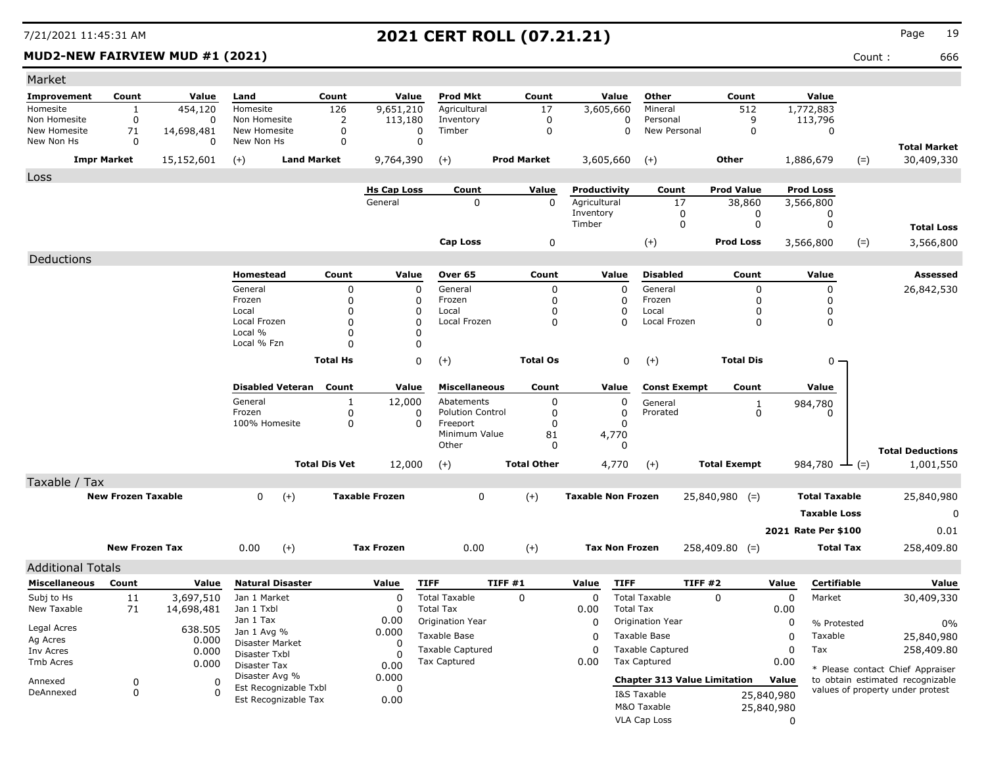### **MUD2-NEW FAIRVIEW MUD #1 (2021)** 666

| Market                     |                           |                  |                               |                      |                       |                           |                         |                           |                          |                                     |                     |                          |                      |        |                                                                      |
|----------------------------|---------------------------|------------------|-------------------------------|----------------------|-----------------------|---------------------------|-------------------------|---------------------------|--------------------------|-------------------------------------|---------------------|--------------------------|----------------------|--------|----------------------------------------------------------------------|
| Improvement                | Count                     | Value            | Land                          | Count                | Value                 | <b>Prod Mkt</b>           | Count                   | Value                     |                          | Other                               | Count               |                          | Value                |        |                                                                      |
| Homesite                   | 1                         | 454,120          | Homesite                      | 126                  | 9,651,210             | Agricultural              | 17                      | 3,605,660                 |                          | Mineral                             | 512                 |                          | 1,772,883            |        |                                                                      |
| Non Homesite               | 0                         | 0                | Non Homesite                  | 2                    | 113,180               | Inventory                 | 0                       |                           | 0                        | Personal                            | 9                   |                          | 113,796              |        |                                                                      |
| New Homesite<br>New Non Hs | 71<br>0                   | 14,698,481<br>0  | New Homesite<br>New Non Hs    | $\mathbf 0$<br>0     | 0<br>0                | Timber                    | $\mathbf 0$             |                           | $\Omega$                 | New Personal                        | $\mathbf 0$         |                          | 0                    |        |                                                                      |
|                            | <b>Impr Market</b>        | 15,152,601       | $(+)$                         | <b>Land Market</b>   | 9,764,390             | $(+)$                     | <b>Prod Market</b>      | 3,605,660                 |                          | $(+)$                               | <b>Other</b>        |                          | 1,886,679            | $(=)$  | <b>Total Market</b><br>30,409,330                                    |
| Loss                       |                           |                  |                               |                      |                       |                           |                         |                           |                          |                                     |                     |                          |                      |        |                                                                      |
|                            |                           |                  |                               |                      | <b>Hs Cap Loss</b>    | Count                     | <u>Value</u>            | Productivity              |                          | Count                               | <b>Prod Value</b>   |                          | <b>Prod Loss</b>     |        |                                                                      |
|                            |                           |                  |                               |                      | General               | 0                         | $\mathbf 0$             | Agricultural              |                          | 17                                  | 38,860              |                          | 3,566,800            |        |                                                                      |
|                            |                           |                  |                               |                      |                       |                           |                         | Inventory                 |                          | 0                                   | 0                   |                          | 0                    |        |                                                                      |
|                            |                           |                  |                               |                      |                       |                           |                         | Timber                    |                          | 0                                   | 0                   |                          | 0                    |        | <b>Total Loss</b>                                                    |
|                            |                           |                  |                               |                      |                       | Cap Loss                  | 0                       |                           |                          | $(+)$                               | <b>Prod Loss</b>    |                          | 3,566,800            | $(=)$  | 3,566,800                                                            |
| Deductions                 |                           |                  |                               |                      |                       |                           |                         |                           |                          |                                     |                     |                          |                      |        |                                                                      |
|                            |                           |                  | Homestead                     | Count                | Value                 | Over 65                   | Count                   | Value                     |                          | <b>Disabled</b>                     | Count               |                          | Value                |        | Assessed                                                             |
|                            |                           |                  | General                       | 0                    | 0                     | General                   | 0                       |                           | 0                        | General                             | 0                   |                          | 0                    |        | 26,842,530                                                           |
|                            |                           |                  | Frozen                        | 0                    | 0                     | Frozen                    | $\mathbf 0$             |                           | 0                        | Frozen                              | 0                   |                          | 0                    |        |                                                                      |
|                            |                           |                  | Local<br>Local Frozen         | 0<br>0               | 0<br>$\Omega$         | Local<br>Local Frozen     | $\Omega$<br>$\mathbf 0$ |                           | $\mathbf{0}$<br>$\Omega$ | Local<br>Local Frozen               | $\Omega$<br>0       |                          | 0<br>0               |        |                                                                      |
|                            |                           |                  | Local %                       | 0                    | 0                     |                           |                         |                           |                          |                                     |                     |                          |                      |        |                                                                      |
|                            |                           |                  | Local % Fzn                   | O                    | 0                     |                           |                         |                           |                          |                                     |                     |                          |                      |        |                                                                      |
|                            |                           |                  |                               | <b>Total Hs</b>      | 0                     | $(+)$                     | <b>Total Os</b>         |                           | 0                        | $(+)$                               | <b>Total Dis</b>    |                          | 0 -                  |        |                                                                      |
|                            |                           |                  |                               |                      |                       |                           |                         |                           |                          |                                     |                     |                          |                      |        |                                                                      |
|                            |                           |                  | <b>Disabled Veteran</b>       | Count                | Value                 | <b>Miscellaneous</b>      | Count                   | Value                     |                          | <b>Const Exempt</b>                 | Count               |                          | Value                |        |                                                                      |
|                            |                           |                  | General                       | 1                    | 12,000                | Abatements                | 0                       |                           | 0                        | General                             | $\mathbf{1}$        |                          | 984,780              |        |                                                                      |
|                            |                           |                  | Frozen                        | 0                    | 0                     | <b>Polution Control</b>   | 0                       |                           | 0                        | Prorated                            | 0                   |                          | 0                    |        |                                                                      |
|                            |                           |                  | 100% Homesite                 | 0                    | $\Omega$              | Freeport<br>Minimum Value | 0<br>81                 | 4,770                     | 0                        |                                     |                     |                          |                      |        |                                                                      |
|                            |                           |                  |                               |                      |                       | Other                     | O                       |                           | $\Omega$                 |                                     |                     |                          |                      |        |                                                                      |
|                            |                           |                  |                               | <b>Total Dis Vet</b> | 12,000                | $(+)$                     | <b>Total Other</b>      | 4,770                     |                          |                                     | <b>Total Exempt</b> |                          | 984,780              |        | <b>Total Deductions</b><br>1,001,550                                 |
|                            |                           |                  |                               |                      |                       |                           |                         |                           |                          | $(+)$                               |                     |                          |                      | $-(-)$ |                                                                      |
| Taxable / Tax              |                           |                  |                               |                      |                       |                           |                         |                           |                          |                                     |                     |                          |                      |        |                                                                      |
|                            | <b>New Frozen Taxable</b> |                  | $\mathbf{0}$                  | $(+)$                | <b>Taxable Frozen</b> | 0                         | $(+)$                   | <b>Taxable Non Frozen</b> |                          |                                     | $25,840,980$ (=)    |                          | <b>Total Taxable</b> |        | 25,840,980                                                           |
|                            |                           |                  |                               |                      |                       |                           |                         |                           |                          |                                     |                     |                          | <b>Taxable Loss</b>  |        | 0                                                                    |
|                            |                           |                  |                               |                      |                       |                           |                         |                           |                          |                                     |                     |                          | 2021 Rate Per \$100  |        | 0.01                                                                 |
|                            | <b>New Frozen Tax</b>     |                  | 0.00                          | $(+)$                | <b>Tax Frozen</b>     | 0.00                      | $(+)$                   | <b>Tax Non Frozen</b>     |                          |                                     | $258,409.80$ (=)    |                          | <b>Total Tax</b>     |        | 258,409.80                                                           |
| <b>Additional Totals</b>   |                           |                  |                               |                      |                       |                           |                         |                           |                          |                                     |                     |                          |                      |        |                                                                      |
| <b>Miscellaneous</b>       | Count                     | Value            | <b>Natural Disaster</b>       |                      | Value                 | <b>TIFF</b>               | TIFF#1                  | Value                     | <b>TIFF</b>              | <b>TIFF #2</b>                      |                     | Value                    | <b>Certifiable</b>   |        | Value                                                                |
| Subj to Hs                 | 11                        | 3,697,510        | Jan 1 Market                  |                      | 0                     | <b>Total Taxable</b>      | 0                       | 0                         | <b>Total Taxable</b>     |                                     | 0                   | 0                        | Market               |        | 30,409,330                                                           |
| New Taxable                | 71                        | 14,698,481       | Jan 1 Txbl                    |                      | 0                     | <b>Total Tax</b>          |                         | 0.00                      | <b>Total Tax</b>         |                                     |                     | 0.00                     |                      |        |                                                                      |
|                            |                           |                  | Jan 1 Tax                     |                      | 0.00                  | Origination Year          |                         | 0                         |                          | Origination Year                    |                     | 0                        | % Protested          |        | 0%                                                                   |
| Legal Acres<br>Ag Acres    |                           | 638.505<br>0.000 | Jan 1 Avg %                   |                      | 0.000                 | Taxable Base              |                         | 0                         | Taxable Base             |                                     |                     | $\Omega$                 | Taxable              |        | 25,840,980                                                           |
| Inv Acres                  |                           | 0.000            | Disaster Market               |                      | 0                     | <b>Taxable Captured</b>   |                         | $\Omega$                  |                          | <b>Taxable Captured</b>             |                     | 0                        | Tax                  |        | 258,409.80                                                           |
| Tmb Acres                  |                           | 0.000            | Disaster Txbl<br>Disaster Tax |                      | <sup>0</sup><br>0.00  | <b>Tax Captured</b>       |                         | 0.00                      | <b>Tax Captured</b>      |                                     |                     | 0.00                     |                      |        |                                                                      |
|                            |                           |                  | Disaster Avg %                |                      | 0.000                 |                           |                         |                           |                          | <b>Chapter 313 Value Limitation</b> |                     | Value                    |                      |        | * Please contact Chief Appraiser<br>to obtain estimated recognizable |
| Annexed<br>DeAnnexed       | 0<br>0                    | 0<br>0           | Est Recognizable Txbl         |                      | 0                     |                           |                         |                           | I&S Taxable              |                                     |                     |                          |                      |        | values of property under protest                                     |
|                            |                           |                  | Est Recognizable Tax          |                      | 0.00                  |                           |                         |                           | M&O Taxable              |                                     |                     | 25,840,980<br>25,840,980 |                      |        |                                                                      |
|                            |                           |                  |                               |                      |                       |                           |                         |                           | VLA Cap Loss             |                                     |                     | 0                        |                      |        |                                                                      |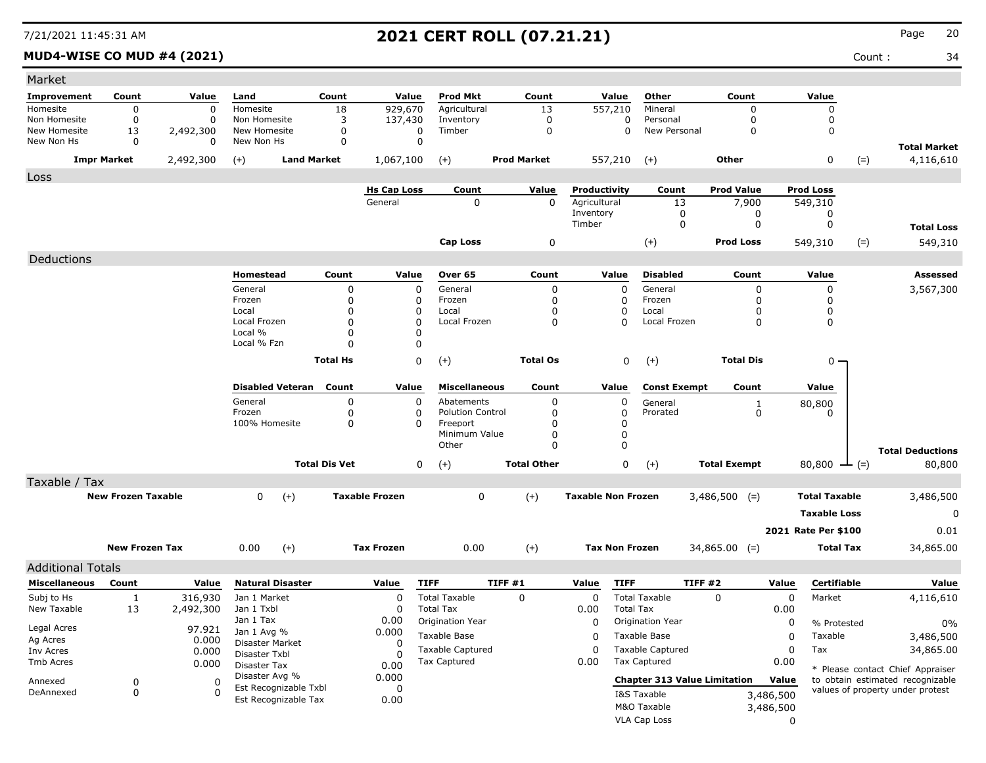### **MUD4-WISE CO MUD #4 (2021)** Count : 34

| Market                     |                           |                |                                |                      |                       |                         |                    |                           |                         |                                     |                             |                        |                      |        |                                                                      |
|----------------------------|---------------------------|----------------|--------------------------------|----------------------|-----------------------|-------------------------|--------------------|---------------------------|-------------------------|-------------------------------------|-----------------------------|------------------------|----------------------|--------|----------------------------------------------------------------------|
| <b>Improvement</b>         | Count                     | Value          | Land                           | Count                | Value                 | <b>Prod Mkt</b>         | Count              |                           | Value                   | Other                               | Count                       |                        | Value                |        |                                                                      |
| Homesite                   | 0                         | 0              | Homesite                       | 18                   | 929,670               | Agricultural            | 13                 | 557,210                   |                         | Mineral                             | $\Omega$                    |                        | 0                    |        |                                                                      |
| Non Homesite               | 0                         | 0              | Non Homesite                   | 3                    | 137,430               | Inventory               | 0                  |                           | 0                       | Personal                            | 0                           |                        | 0                    |        |                                                                      |
| New Homesite<br>New Non Hs | 13<br>0                   | 2,492,300<br>0 | New Homesite<br>New Non Hs     | $\mathbf 0$<br>0     | 0<br>0                | Timber                  | $\mathbf 0$        |                           | $\Omega$                | New Personal                        | $\mathbf 0$                 |                        | 0                    |        |                                                                      |
|                            | <b>Impr Market</b>        | 2,492,300      | $(+)$<br><b>Land Market</b>    |                      | 1,067,100             | $(+)$                   | <b>Prod Market</b> | 557,210                   |                         | $(+)$                               | Other                       |                        | 0                    | $(=)$  | <b>Total Market</b><br>4,116,610                                     |
| Loss                       |                           |                |                                |                      |                       |                         |                    |                           |                         |                                     |                             |                        |                      |        |                                                                      |
|                            |                           |                |                                |                      | <b>Hs Cap Loss</b>    | Count                   | Value              | Productivity              |                         | Count                               | <b>Prod Value</b>           |                        | <b>Prod Loss</b>     |        |                                                                      |
|                            |                           |                |                                |                      | General               | 0                       | $\mathbf 0$        | Agricultural              |                         | 13                                  | 7,900                       |                        | 549,310              |        |                                                                      |
|                            |                           |                |                                |                      |                       |                         |                    | Inventory                 |                         | 0                                   | 0                           |                        | 0                    |        |                                                                      |
|                            |                           |                |                                |                      |                       |                         |                    | Timber                    |                         | 0                                   | 0                           |                        | 0                    |        | <b>Total Loss</b>                                                    |
|                            |                           |                |                                |                      |                       | <b>Cap Loss</b>         | 0                  |                           |                         | $^{(+)}$                            | <b>Prod Loss</b>            |                        | 549,310              | $(=)$  | 549,310                                                              |
| Deductions                 |                           |                |                                |                      |                       |                         |                    |                           |                         |                                     |                             |                        |                      |        |                                                                      |
|                            |                           |                | Homestead                      | Count                | Value                 | Over 65                 | Count              |                           | Value                   | <b>Disabled</b>                     | Count                       |                        | Value                |        | Assessed                                                             |
|                            |                           |                | General                        | 0                    | $\mathbf 0$           | General                 | 0                  |                           | $\Omega$                | General                             | 0                           |                        | 0                    |        | 3,567,300                                                            |
|                            |                           |                | Frozen                         | 0                    | 0                     | Frozen                  | 0                  |                           | 0                       | Frozen                              | 0                           |                        | 0                    |        |                                                                      |
|                            |                           |                | Local<br>Local Frozen          | 0<br>0               | 0<br>0                | Local<br>Local Frozen   | 0<br>0             |                           | $\mathbf 0$<br>$\Omega$ | Local<br>Local Frozen               | $\Omega$<br>0               |                        | 0<br>0               |        |                                                                      |
|                            |                           |                | Local %                        | 0                    | $\Omega$              |                         |                    |                           |                         |                                     |                             |                        |                      |        |                                                                      |
|                            |                           |                | Local % Fzn                    | 0                    | 0                     |                         |                    |                           |                         |                                     |                             |                        |                      |        |                                                                      |
|                            |                           |                |                                | <b>Total Hs</b>      | 0                     | $(+)$                   | <b>Total Os</b>    |                           | 0                       | $(+)$                               | <b>Total Dis</b>            |                        | $0 -$                |        |                                                                      |
|                            |                           |                |                                |                      |                       |                         |                    |                           |                         |                                     |                             |                        |                      |        |                                                                      |
|                            |                           |                | <b>Disabled Veteran</b>        | Count                | Value                 | <b>Miscellaneous</b>    | Count              |                           | Value                   | <b>Const Exempt</b>                 | Count                       |                        | Value                |        |                                                                      |
|                            |                           |                | General                        | 0                    | 0                     | Abatements              | 0                  |                           | 0                       |                                     |                             |                        |                      |        |                                                                      |
|                            |                           |                | Frozen                         | 0                    | 0                     | <b>Polution Control</b> | 0                  |                           | 0                       | General<br>Prorated                 | $\mathbf{1}$<br>$\mathbf 0$ |                        | 80,800<br>0          |        |                                                                      |
|                            |                           |                | 100% Homesite                  | 0                    | $\Omega$              | Freeport                | $\mathbf 0$        |                           | 0                       |                                     |                             |                        |                      |        |                                                                      |
|                            |                           |                |                                |                      |                       | Minimum Value           | 0                  |                           | 0                       |                                     |                             |                        |                      |        |                                                                      |
|                            |                           |                |                                |                      |                       | Other                   | $\Omega$           |                           | 0                       |                                     |                             |                        |                      |        | <b>Total Deductions</b>                                              |
|                            |                           |                |                                | <b>Total Dis Vet</b> | 0                     | $(+)$                   | <b>Total Other</b> |                           | 0                       | $(+)$                               | <b>Total Exempt</b>         |                        | 80,800               | $ (=)$ | 80,800                                                               |
| Taxable / Tax              |                           |                |                                |                      |                       |                         |                    |                           |                         |                                     |                             |                        |                      |        |                                                                      |
|                            | <b>New Frozen Taxable</b> |                | $\mathbf{0}$<br>$(+)$          |                      | <b>Taxable Frozen</b> | 0                       | $(+)$              | <b>Taxable Non Frozen</b> |                         |                                     | $3,486,500$ (=)             |                        | <b>Total Taxable</b> |        | 3,486,500                                                            |
|                            |                           |                |                                |                      |                       |                         |                    |                           |                         |                                     |                             |                        | <b>Taxable Loss</b>  |        | 0                                                                    |
|                            |                           |                |                                |                      |                       |                         |                    |                           |                         |                                     |                             |                        | 2021 Rate Per \$100  |        | 0.01                                                                 |
|                            |                           |                |                                |                      |                       |                         |                    |                           |                         |                                     |                             |                        |                      |        |                                                                      |
|                            | <b>New Frozen Tax</b>     |                | $(+)$<br>0.00                  |                      | <b>Tax Frozen</b>     | 0.00                    | $(+)$              | <b>Tax Non Frozen</b>     |                         |                                     | $34,865.00$ (=)             |                        | <b>Total Tax</b>     |        | 34,865.00                                                            |
| <b>Additional Totals</b>   |                           |                |                                |                      |                       |                         |                    |                           |                         |                                     |                             |                        |                      |        |                                                                      |
| <b>Miscellaneous</b>       | Count                     | Value          | <b>Natural Disaster</b>        |                      | Value                 | <b>TIFF</b>             | <b>TIFF #1</b>     | Value                     | <b>TIFF</b>             |                                     | TIFF #2                     | Value                  | Certifiable          |        | Value                                                                |
| Subj to Hs                 | $\mathbf{1}$              | 316,930        | Jan 1 Market                   |                      | 0                     | <b>Total Taxable</b>    | 0                  | 0                         |                         | <b>Total Taxable</b>                | $\Omega$                    | $\mathbf 0$            | Market               |        | 4,116,610                                                            |
| New Taxable                | 13                        | 2,492,300      | Jan 1 Txbl                     |                      | $\Omega$              | <b>Total Tax</b>        |                    | 0.00                      | <b>Total Tax</b>        |                                     |                             | 0.00                   |                      |        |                                                                      |
| Legal Acres                |                           | 97.921         | Jan 1 Tax                      |                      | 0.00                  | Origination Year        |                    | 0                         |                         | Origination Year                    |                             | 0                      | % Protested          |        | $0\%$                                                                |
| Ag Acres                   |                           | 0.000          | Jan 1 Avg %<br>Disaster Market |                      | 0.000<br>$\Omega$     | Taxable Base            |                    | 0                         |                         | Taxable Base                        |                             | $\mathbf 0$            | Taxable              |        | 3,486,500                                                            |
| Inv Acres                  |                           | 0.000          | Disaster Txbl                  |                      |                       | Taxable Captured        |                    | $\Omega$                  |                         | <b>Taxable Captured</b>             |                             | 0                      | Tax                  |        | 34,865.00                                                            |
| Tmb Acres                  |                           | 0.000          | Disaster Tax                   |                      | 0.00                  | Tax Captured            |                    | 0.00                      |                         | <b>Tax Captured</b>                 |                             | 0.00                   |                      |        |                                                                      |
| Annexed                    | 0                         | 0              | Disaster Avg %                 |                      | 0.000                 |                         |                    |                           |                         | <b>Chapter 313 Value Limitation</b> |                             | Value                  |                      |        | * Please contact Chief Appraiser<br>to obtain estimated recognizable |
| DeAnnexed                  | 0                         | $\Omega$       | Est Recognizable Txbl          |                      | 0                     |                         |                    |                           |                         | I&S Taxable                         |                             |                        |                      |        | values of property under protest                                     |
|                            |                           |                | Est Recognizable Tax           |                      | 0.00                  |                         |                    |                           |                         | M&O Taxable                         |                             | 3,486,500<br>3,486,500 |                      |        |                                                                      |
|                            |                           |                |                                |                      |                       |                         |                    |                           |                         | <b>VLA Cap Loss</b>                 |                             |                        |                      |        |                                                                      |
|                            |                           |                |                                |                      |                       |                         |                    |                           |                         |                                     |                             | 0                      |                      |        |                                                                      |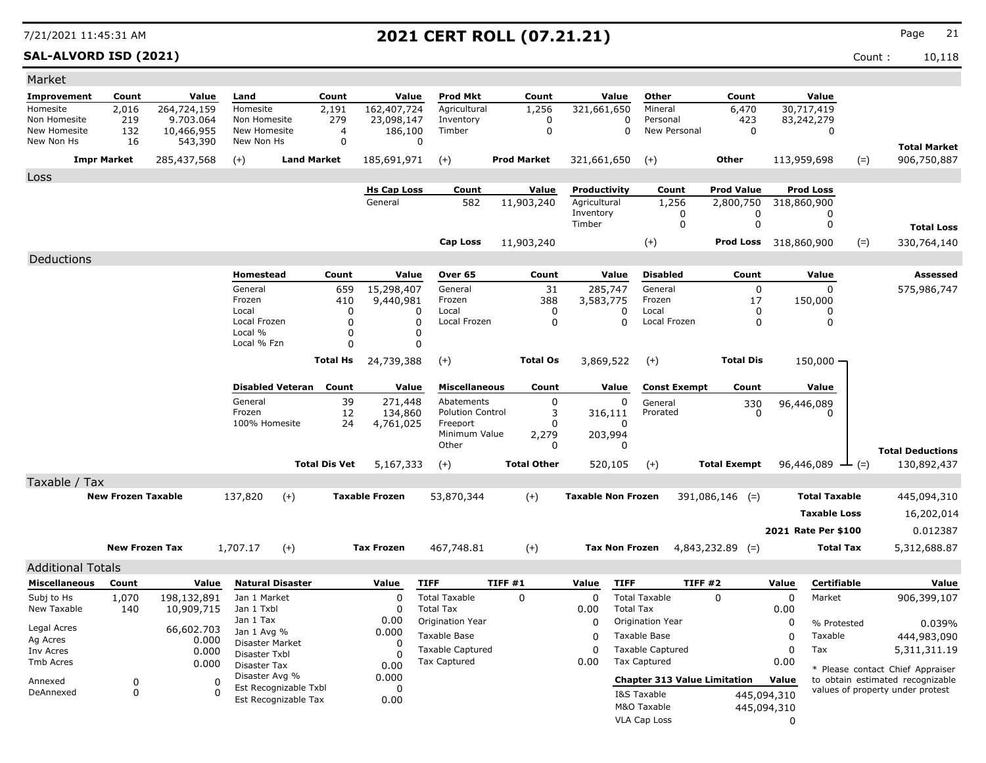**SAL-ALVORD ISD (2021)** Count : 10,118

| Market                     |                           |                       |                            |                         |                      |                       |                           |                    |                 |                           |                                     |                     |                              |             |                      |                                  |
|----------------------------|---------------------------|-----------------------|----------------------------|-------------------------|----------------------|-----------------------|---------------------------|--------------------|-----------------|---------------------------|-------------------------------------|---------------------|------------------------------|-------------|----------------------|----------------------------------|
| Improvement                | Count                     | Value                 | Land                       |                         | Count                | Value                 | <b>Prod Mkt</b>           |                    | Count           | Value                     | Other                               |                     | Count                        |             | Value                |                                  |
| Homesite                   | 2,016                     | 264,724,159           | Homesite                   |                         | 2,191                | 162,407,724           | Agricultural              |                    | 1,256           | 321,661,650               | Mineral                             |                     | 6,470                        |             | 30,717,419           |                                  |
| Non Homesite               | 219                       | 9.703.064             | Non Homesite               |                         | 279                  | 23,098,147            | Inventory                 |                    | 0               |                           | 0<br>Personal                       |                     | 423                          |             | 83,242,279           |                                  |
| New Homesite<br>New Non Hs | 132<br>16                 | 10,466,955<br>543,390 | New Homesite<br>New Non Hs |                         | 4<br>$\mathbf 0$     | 186,100               | Timber<br>$\Omega$        |                    | $\mathbf 0$     |                           | $\mathbf 0$<br>New Personal         |                     | 0                            |             | 0                    |                                  |
|                            |                           |                       |                            |                         |                      |                       |                           |                    |                 |                           |                                     |                     |                              |             |                      | <b>Total Market</b>              |
|                            | <b>Impr Market</b>        | 285,437,568           | $(+)$                      | <b>Land Market</b>      |                      | 185,691,971           | $(+)$                     | <b>Prod Market</b> |                 | 321,661,650               | $(+)$                               |                     | Other                        |             | 113,959,698<br>$(=)$ | 906,750,887                      |
| Loss                       |                           |                       |                            |                         |                      |                       |                           |                    |                 |                           |                                     |                     |                              |             |                      |                                  |
|                            |                           |                       |                            |                         |                      | <b>Hs Cap Loss</b>    | Count                     |                    | <b>Value</b>    | Productivity              | Count                               |                     | <b>Prod Value</b>            |             | <b>Prod Loss</b>     |                                  |
|                            |                           |                       |                            |                         |                      | General               | 582                       | 11,903,240         |                 | Agricultural<br>Inventory | 1,256                               | 0                   | 2,800,750<br>0               |             | 318,860,900<br>0     |                                  |
|                            |                           |                       |                            |                         |                      |                       |                           |                    |                 | Timber                    |                                     | $\mathbf 0$         | 0                            |             | 0                    | <b>Total Loss</b>                |
|                            |                           |                       |                            |                         |                      |                       | Cap Loss                  | 11,903,240         |                 |                           | $(+)$                               |                     | <b>Prod Loss</b> 318,860,900 |             | $(=)$                | 330,764,140                      |
| Deductions                 |                           |                       |                            |                         |                      |                       |                           |                    |                 |                           |                                     |                     |                              |             |                      |                                  |
|                            |                           |                       | Homestead                  |                         | Count                | Value                 | Over 65                   |                    | Count           | Value                     | <b>Disabled</b>                     |                     | Count                        |             | Value                | Assessed                         |
|                            |                           |                       | General                    |                         | 659                  | 15,298,407            | General                   |                    | 31              | 285,747                   | General                             |                     | $\mathbf 0$                  |             | 0                    | 575,986,747                      |
|                            |                           |                       | Frozen                     |                         | 410                  | 9,440,981             | Frozen                    |                    | 388             | 3,583,775                 | Frozen                              |                     | 17                           |             | 150,000              |                                  |
|                            |                           |                       | Local                      |                         | 0                    | 0                     | Local                     |                    | 0               | 0                         | Local                               |                     | 0                            |             | 0                    |                                  |
|                            |                           |                       | Local Frozen<br>Local %    |                         | $\Omega$             |                       | 0<br>Local Frozen         |                    | 0               | $\Omega$                  | Local Frozen                        |                     | 0                            |             | $\mathbf 0$          |                                  |
|                            |                           |                       | Local % Fzn                |                         | 0<br>$\Omega$        |                       | 0<br>0                    |                    |                 |                           |                                     |                     |                              |             |                      |                                  |
|                            |                           |                       |                            |                         | <b>Total Hs</b>      | 24,739,388            | $(+)$                     |                    | <b>Total Os</b> | 3,869,522                 | $(+)$                               |                     | <b>Total Dis</b>             |             | $150,000 -$          |                                  |
|                            |                           |                       |                            |                         |                      |                       |                           |                    |                 |                           |                                     |                     |                              |             |                      |                                  |
|                            |                           |                       |                            | <b>Disabled Veteran</b> | Count                | Value                 | <b>Miscellaneous</b>      |                    | Count           | Value                     |                                     | <b>Const Exempt</b> | Count                        |             | Value                |                                  |
|                            |                           |                       | General                    |                         | 39                   | 271,448               | Abatements                |                    | 0               | 0                         | General                             |                     | 330                          |             | 96,446,089           |                                  |
|                            |                           |                       | Frozen<br>100% Homesite    |                         | 12<br>24             | 134,860               | <b>Polution Control</b>   |                    | 3<br>0          | 316,111<br>0              | Prorated                            |                     | 0                            |             | O                    |                                  |
|                            |                           |                       |                            |                         |                      | 4,761,025             | Freeport<br>Minimum Value |                    | 2,279           | 203,994                   |                                     |                     |                              |             |                      |                                  |
|                            |                           |                       |                            |                         |                      |                       | Other                     |                    | 0               | 0                         |                                     |                     |                              |             |                      | <b>Total Deductions</b>          |
|                            |                           |                       |                            |                         | <b>Total Dis Vet</b> | 5,167,333             | $(+)$                     | <b>Total Other</b> |                 | 520,105                   | $(+)$                               |                     | <b>Total Exempt</b>          |             | 96,446,089<br>$-(-)$ | 130,892,437                      |
| Taxable / Tax              |                           |                       |                            |                         |                      |                       |                           |                    |                 |                           |                                     |                     |                              |             |                      |                                  |
|                            | <b>New Frozen Taxable</b> |                       | 137,820                    | $(+)$                   |                      | <b>Taxable Frozen</b> | 53,870,344                | $(+)$              |                 | <b>Taxable Non Frozen</b> |                                     |                     | $391,086,146$ (=)            |             | <b>Total Taxable</b> | 445,094,310                      |
|                            |                           |                       |                            |                         |                      |                       |                           |                    |                 |                           |                                     |                     |                              |             | <b>Taxable Loss</b>  | 16,202,014                       |
|                            |                           |                       |                            |                         |                      |                       |                           |                    |                 |                           |                                     |                     |                              |             | 2021 Rate Per \$100  | 0.012387                         |
|                            |                           |                       |                            |                         |                      |                       |                           |                    |                 |                           |                                     |                     |                              |             |                      |                                  |
|                            | <b>New Frozen Tax</b>     |                       | 1,707.17                   | $(+)$                   |                      | <b>Tax Frozen</b>     | 467,748.81                | $(+)$              |                 | <b>Tax Non Frozen</b>     |                                     |                     | $4,843,232.89$ (=)           |             | <b>Total Tax</b>     | 5,312,688.87                     |
| <b>Additional Totals</b>   |                           |                       |                            |                         |                      |                       |                           |                    |                 |                           |                                     |                     |                              |             |                      |                                  |
| <b>Miscellaneous</b>       | Count                     | Value                 |                            | <b>Natural Disaster</b> |                      | Value                 | <b>TIFF</b>               | TIFF#1             |                 | <b>TIFF</b><br>Value      |                                     | TIFF #2             |                              | Value       | <b>Certifiable</b>   | Value                            |
| Subj to Hs                 | 1,070                     | 198,132,891           | Jan 1 Market               |                         |                      | $\mathbf 0$           | <b>Total Taxable</b>      | 0                  |                 | 0                         | <b>Total Taxable</b>                |                     | 0                            | 0           | Market               | 906,399,107                      |
| New Taxable                | 140                       | 10,909,715            | Jan 1 Txbl                 |                         |                      | 0                     | <b>Total Tax</b>          |                    |                 | 0.00                      | <b>Total Tax</b>                    |                     |                              | 0.00        |                      |                                  |
| Legal Acres                |                           | 66,602.703            | Jan 1 Tax<br>Jan 1 Avg %   |                         |                      | 0.00<br>0.000         | Origination Year          |                    |                 | 0                         | Origination Year                    |                     |                              | 0           | % Protested          | 0.039%                           |
| Ag Acres                   |                           | 0.000                 | Disaster Market            |                         |                      | $\mathbf 0$           | Taxable Base              |                    |                 | 0                         | Taxable Base                        |                     |                              | 0           | Taxable              | 444,983,090                      |
| Inv Acres                  |                           | 0.000                 | Disaster Txbl              |                         |                      | O                     | <b>Taxable Captured</b>   |                    |                 | 0                         | <b>Taxable Captured</b>             |                     |                              | 0           | Tax                  | 5,311,311.19                     |
| Tmb Acres                  |                           | 0.000                 | Disaster Tax               |                         |                      | 0.00                  | <b>Tax Captured</b>       |                    |                 | 0.00                      | Tax Captured                        |                     |                              | 0.00        |                      | * Please contact Chief Appraiser |
| Annexed                    | 0                         | 0                     | Disaster Avg %             | Est Recognizable Txbl   |                      | 0.000<br>0            |                           |                    |                 |                           | <b>Chapter 313 Value Limitation</b> |                     |                              | Value       |                      | to obtain estimated recognizable |
| DeAnnexed                  | 0                         | $\Omega$              |                            | Est Recognizable Tax    |                      | 0.00                  |                           |                    |                 |                           | I&S Taxable                         |                     |                              | 445,094,310 |                      | values of property under protest |
|                            |                           |                       |                            |                         |                      |                       |                           |                    |                 |                           | M&O Taxable                         |                     |                              | 445,094,310 |                      |                                  |
|                            |                           |                       |                            |                         |                      |                       |                           |                    |                 |                           | VLA Cap Loss                        |                     |                              | 0           |                      |                                  |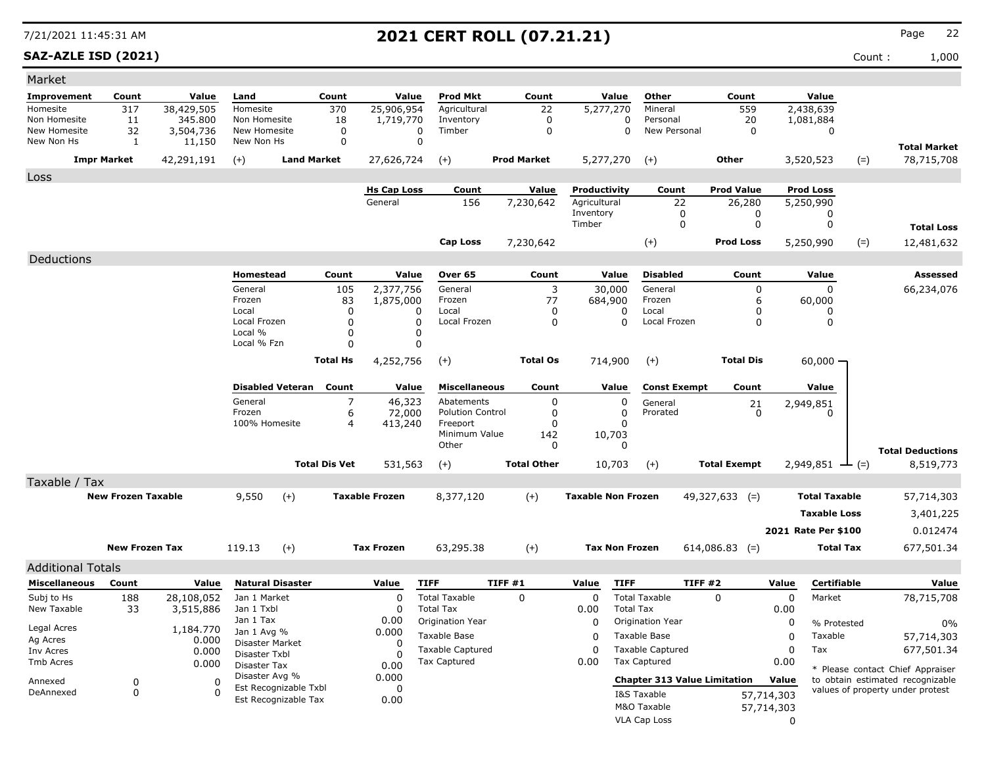### **SAZ-AZLE ISD (2021)** Count : 1,000

| Market                                                                                                                                                                                                                                    |                     |                                                                      |
|-------------------------------------------------------------------------------------------------------------------------------------------------------------------------------------------------------------------------------------------|---------------------|----------------------------------------------------------------------|
| Count<br>Value<br><b>Prod Mkt</b><br>Count<br>Value<br>Other<br><b>Improvement</b><br>Count<br>Value<br>Land                                                                                                                              | Count               | Value                                                                |
| $\overline{5,277,270}$<br>317<br>38,429,505<br>Homesite<br>370<br>25,906,954<br>22<br>Homesite<br>Agricultural<br>Mineral                                                                                                                 | 559                 | 2,438,639                                                            |
| 345.800<br>Non Homesite<br>11<br>Non Homesite<br>18<br>1,719,770<br>0<br>Personal<br>Inventory<br>0<br>New Homesite<br>New Homesite<br>Timber<br>New Personal                                                                             | 20                  | 1,081,884                                                            |
| 32<br>3,504,736<br>0<br>0<br>0<br>0<br>$\mathbf 0$<br>$\Omega$<br>New Non Hs<br>1<br>11,150<br>New Non Hs                                                                                                                                 | 0                   | 0                                                                    |
| <b>Impr Market</b><br>42,291,191<br><b>Land Market</b><br>27,626,724<br>$(+)$<br><b>Prod Market</b><br>5,277,270<br>$(+)$<br>$(+)$                                                                                                        | Other               | <b>Total Market</b><br>3,520,523<br>78,715,708<br>$(=)$              |
| Loss                                                                                                                                                                                                                                      |                     |                                                                      |
| <b>Hs Cap Loss</b><br>Count<br>Value<br>Productivity<br>Count                                                                                                                                                                             | <b>Prod Value</b>   | <b>Prod Loss</b>                                                     |
| General<br>156<br>7,230,642<br>Agricultural<br>22                                                                                                                                                                                         | 26,280              | 5,250,990                                                            |
| Inventory<br>0<br>Timber<br>0                                                                                                                                                                                                             | 0                   | 0                                                                    |
|                                                                                                                                                                                                                                           | 0                   | 0<br><b>Total Loss</b>                                               |
| $(+)$<br><b>Cap Loss</b><br>7,230,642                                                                                                                                                                                                     | Prod Loss           | $(=)$<br>5,250,990<br>12,481,632                                     |
| Deductions                                                                                                                                                                                                                                |                     |                                                                      |
| <b>Disabled</b><br>Homestead<br>Count<br>Value<br>Over 65<br>Count<br>Value                                                                                                                                                               | Count               | Value<br>Assessed                                                    |
| General<br>105<br>2,377,756<br>General<br>3<br>30,000<br>General                                                                                                                                                                          | 0                   | $\Omega$<br>66,234,076                                               |
| Frozen<br>83<br>Frozen<br>77<br>1,875,000<br>684,900<br>Frozen<br>Local<br>0<br>Local<br>Local<br>0<br>$\Omega$<br><sup>0</sup>                                                                                                           | 6<br>0              | 60,000<br>0                                                          |
| Local Frozen<br>0<br>Local Frozen<br>0<br>Local Frozen<br>0<br>0                                                                                                                                                                          | 0                   | 0                                                                    |
| Local %<br>0<br>0                                                                                                                                                                                                                         |                     |                                                                      |
| Local % Fzn<br>0<br>$\mathbf 0$                                                                                                                                                                                                           |                     |                                                                      |
| <b>Total Hs</b><br>4,252,756<br>$^{(+)}$<br><b>Total Os</b><br>714,900<br>$(+)$                                                                                                                                                           | <b>Total Dis</b>    | $60,000 -$                                                           |
| Disabled Veteran Count<br>Value<br><b>Miscellaneous</b><br>Count<br>Value<br><b>Const Exempt</b>                                                                                                                                          | Count               | Value                                                                |
| General<br>7<br>46,323<br>Abatements<br>0<br>$\Omega$<br>General                                                                                                                                                                          | 21                  | 2,949,851                                                            |
| Frozen<br>6<br>72,000<br><b>Polution Control</b><br>0<br>Prorated<br>0                                                                                                                                                                    | 0                   | 0                                                                    |
| 100% Homesite<br>4<br>413,240<br>Freeport<br>O<br>Minimum Value<br>10,703<br>142                                                                                                                                                          |                     |                                                                      |
| Other<br>0<br>$\Omega$                                                                                                                                                                                                                    |                     | <b>Total Deductions</b>                                              |
| <b>Total Dis Vet</b><br><b>Total Other</b><br>531,563<br>10,703<br>$(+)$<br>$(+)$                                                                                                                                                         | <b>Total Exempt</b> | $2,949,851$ $\rightarrow$ (=)<br>8,519,773                           |
| Taxable / Tax                                                                                                                                                                                                                             |                     |                                                                      |
| <b>New Frozen Taxable</b><br><b>Taxable Frozen</b><br><b>Taxable Non Frozen</b><br>9,550<br>$(+)$<br>$(+)$<br>8,377,120<br>49,327,633 (=)                                                                                                 |                     | <b>Total Taxable</b><br>57,714,303                                   |
|                                                                                                                                                                                                                                           |                     | <b>Taxable Loss</b><br>3,401,225                                     |
|                                                                                                                                                                                                                                           |                     | 2021 Rate Per \$100<br>0.012474                                      |
| $(+)$<br><b>New Frozen Tax</b><br>119.13<br><b>Tax Frozen</b><br>63,295.38<br>$^{(+)}$<br><b>Tax Non Frozen</b><br>$614,086.83$ (=)                                                                                                       |                     | <b>Total Tax</b><br>677,501.34                                       |
|                                                                                                                                                                                                                                           |                     |                                                                      |
| <b>Additional Totals</b>                                                                                                                                                                                                                  |                     |                                                                      |
| <b>Natural Disaster</b><br>TIFF #1<br><b>TIFF</b><br>TIFF#2<br><b>Miscellaneous</b><br>Count<br>Value<br><b>TIFF</b><br>Value<br>Value                                                                                                    | Value               | Certifiable<br>Value                                                 |
| <b>Total Taxable</b><br>$\mathbf 0$<br><b>Total Taxable</b><br>Subj to Hs<br>188<br>28,108,052<br>Jan 1 Market<br>$\Omega$<br>0<br>0<br>New Taxable<br>Jan 1 Txbl<br>0<br><b>Total Tax</b><br>0.00<br><b>Total Tax</b><br>33<br>3,515,886 | 0.00                | 0<br>Market<br>78,715,708                                            |
| Jan 1 Tax<br>0.00<br>Origination Year<br>$\Omega$<br>Origination Year                                                                                                                                                                     |                     | 0<br>% Protested<br>0%                                               |
| Legal Acres<br>1,184.770<br>0.000<br>Jan 1 Avg %<br>Taxable Base<br>Taxable Base<br>0<br>Ag Acres                                                                                                                                         |                     | 0<br>Taxable<br>57,714,303                                           |
| 0.000<br>Disaster Market<br>0<br><b>Taxable Captured</b><br><b>Taxable Captured</b><br>$\Omega$<br>0.000<br>Inv Acres                                                                                                                     |                     | 0<br>677,501.34<br>Tax                                               |
| Disaster Txbl<br>$\Omega$<br><b>Tax Captured</b><br><b>Tax Captured</b><br>0.00<br>Tmb Acres<br>0.000<br>Disaster Tax<br>0.00                                                                                                             | 0.00                |                                                                      |
| Disaster Avg %<br>0.000<br><b>Chapter 313 Value Limitation</b>                                                                                                                                                                            | Value               | * Please contact Chief Appraiser<br>to obtain estimated recognizable |
| 0<br>Annexed<br>0<br>Est Recognizable Txbl<br>0<br>0<br>DeAnnexed<br>-C<br>I&S Taxable                                                                                                                                                    | 57,714,303          | values of property under protest                                     |
| Est Recognizable Tax<br>0.00<br>M&O Taxable                                                                                                                                                                                               | 57,714,303          |                                                                      |
| VLA Cap Loss                                                                                                                                                                                                                              |                     |                                                                      |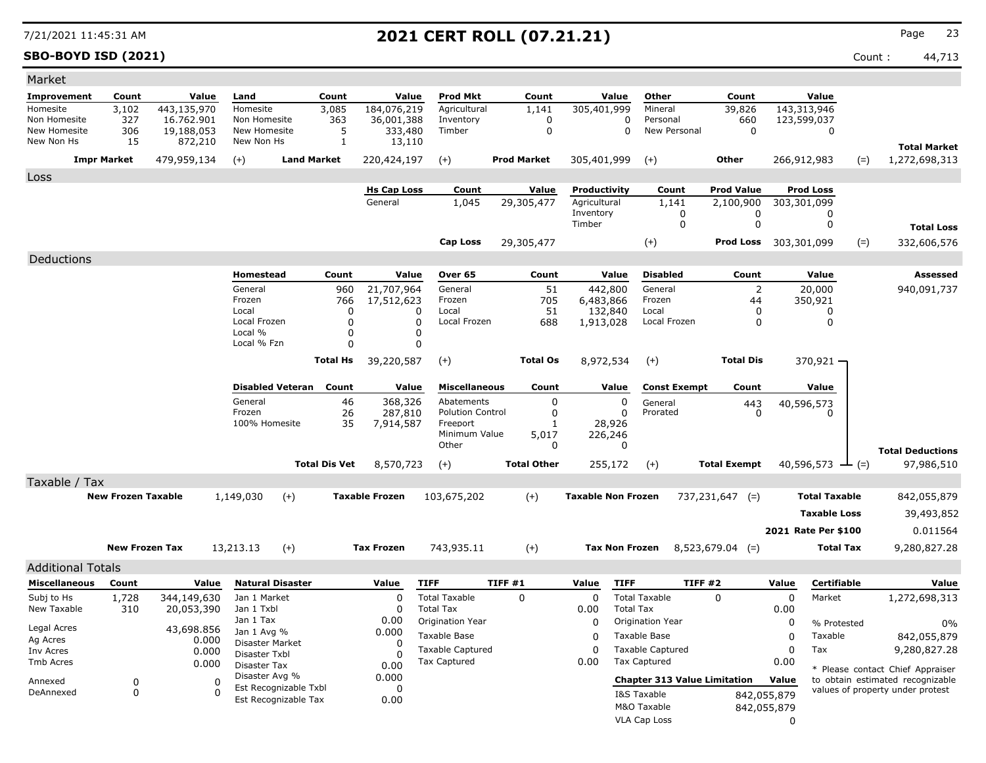**SBO-BOYD ISD (2021)** Count : 44,713

| Market                       |                           |                           |                               |                         |                 |                       |                                     |        |                    |                           |                       |                                     |                       |                            |                      |       |                                                                      |
|------------------------------|---------------------------|---------------------------|-------------------------------|-------------------------|-----------------|-----------------------|-------------------------------------|--------|--------------------|---------------------------|-----------------------|-------------------------------------|-----------------------|----------------------------|----------------------|-------|----------------------------------------------------------------------|
| <b>Improvement</b>           | Count                     | Value                     | Land                          |                         | Count           | Value                 | <b>Prod Mkt</b>                     |        | Count              |                           | Value                 | Other                               | Count                 |                            | Value                |       |                                                                      |
| Homesite                     | 3,102                     | 443,135,970               | Homesite                      |                         | 3,085           | 184,076,219           | Agricultural                        |        | 1,141              | 305,401,999               |                       | Mineral                             | 39,826                |                            | 143,313,946          |       |                                                                      |
| Non Homesite<br>New Homesite | 327<br>306                | 16.762.901<br>19,188,053  | Non Homesite<br>New Homesite  |                         | 363<br>5        | 36,001,388<br>333,480 | Inventory<br>Timber                 |        | 0<br>$\mathbf 0$   |                           | 0<br>0                | Personal<br>New Personal            | 660<br>$\mathbf 0$    |                            | 123,599,037<br>0     |       |                                                                      |
| New Non Hs                   | 15                        | 872,210                   | New Non Hs                    |                         | 1               | 13,110                |                                     |        |                    |                           |                       |                                     |                       |                            |                      |       |                                                                      |
|                              | <b>Impr Market</b>        | 479,959,134               | $(+)$                         | <b>Land Market</b>      |                 | 220,424,197           | $(+)$                               |        | <b>Prod Market</b> | 305,401,999               |                       | $(+)$                               | Other                 |                            | 266,912,983          | $(=)$ | <b>Total Market</b><br>1,272,698,313                                 |
| Loss                         |                           |                           |                               |                         |                 |                       |                                     |        |                    |                           |                       |                                     |                       |                            |                      |       |                                                                      |
|                              |                           |                           |                               |                         |                 | <b>Hs Cap Loss</b>    | Count                               |        | <b>Value</b>       | Productivity              |                       | Count                               | <b>Prod Value</b>     |                            | Prod Loss            |       |                                                                      |
|                              |                           |                           |                               |                         |                 | General               | 1,045                               |        | 29,305,477         | Agricultural              |                       | 1,141                               | 2,100,900             |                            | 303,301,099          |       |                                                                      |
|                              |                           |                           |                               |                         |                 |                       |                                     |        |                    | Inventory                 |                       | 0                                   | 0                     |                            | 0                    |       |                                                                      |
|                              |                           |                           |                               |                         |                 |                       |                                     |        |                    | Timber                    |                       | 0                                   | 0                     |                            | 0                    |       | <b>Total Loss</b>                                                    |
|                              |                           |                           |                               |                         |                 |                       | <b>Cap Loss</b>                     |        | 29,305,477         |                           |                       | $(+)$                               | Prod Loss 303,301,099 |                            |                      | $(=)$ | 332,606,576                                                          |
| Deductions                   |                           |                           |                               |                         |                 |                       |                                     |        |                    |                           |                       |                                     |                       |                            |                      |       |                                                                      |
|                              |                           |                           | Homestead                     |                         | Count           | Value                 | Over 65                             |        | Count              |                           | Value                 | <b>Disabled</b>                     | Count                 |                            | Value                |       | Assessed                                                             |
|                              |                           |                           | General                       |                         | 960             | 21,707,964            | General                             |        | 51                 |                           | 442,800               | General                             | 2                     |                            | 20,000               |       | 940,091,737                                                          |
|                              |                           |                           | Frozen<br>Local               |                         | 766<br>0        | 17,512,623            | Frozen<br>Local<br>0                |        | 705<br>51          | 6,483,866<br>132,840      |                       | Frozen<br>Local                     | 44<br>0               |                            | 350,921<br>0         |       |                                                                      |
|                              |                           |                           | Local Frozen                  |                         | 0               |                       | 0<br>Local Frozen                   |        | 688                | 1,913,028                 |                       | Local Frozen                        | 0                     |                            | 0                    |       |                                                                      |
|                              |                           |                           | Local %                       |                         | 0               |                       | 0                                   |        |                    |                           |                       |                                     |                       |                            |                      |       |                                                                      |
|                              |                           |                           | Local % Fzn                   |                         | $\Omega$        |                       | $\mathbf 0$                         |        |                    |                           |                       |                                     |                       |                            |                      |       |                                                                      |
|                              |                           |                           |                               |                         | <b>Total Hs</b> | 39,220,587            | $(+)$                               |        | <b>Total Os</b>    | 8,972,534                 |                       | $(+)$                               | <b>Total Dis</b>      |                            | $370,921 -$          |       |                                                                      |
|                              |                           |                           |                               | <b>Disabled Veteran</b> | Count           | Value                 | <b>Miscellaneous</b>                |        | Count              |                           | Value                 | <b>Const Exempt</b>                 | Count                 |                            | Value                |       |                                                                      |
|                              |                           |                           | General                       |                         | 46              | 368,326               | Abatements                          |        | 0                  |                           | 0                     | General                             | 443                   |                            | 40,596,573           |       |                                                                      |
|                              |                           |                           | Frozen<br>100% Homesite       |                         | 26<br>35        | 287,810               | <b>Polution Control</b><br>Freeport |        | 0<br>-1            |                           | $\Omega$<br>28,926    | Prorated                            | 0                     |                            | O                    |       |                                                                      |
|                              |                           |                           |                               |                         |                 | 7,914,587             | Minimum Value                       |        | 5,017              |                           | 226,246               |                                     |                       |                            |                      |       |                                                                      |
|                              |                           |                           |                               |                         |                 |                       | Other                               |        | 0                  |                           | 0                     |                                     |                       |                            |                      |       | <b>Total Deductions</b>                                              |
|                              |                           |                           |                               | <b>Total Dis Vet</b>    |                 | 8,570,723             | $(+)$                               |        | <b>Total Other</b> |                           | 255,172               | $(+)$                               | <b>Total Exempt</b>   |                            | 40,596,573 $-$ (=)   |       | 97,986,510                                                           |
| Taxable / Tax                |                           |                           |                               |                         |                 |                       |                                     |        |                    |                           |                       |                                     |                       |                            |                      |       |                                                                      |
|                              | <b>New Frozen Taxable</b> |                           | 1,149,030                     | $(+)$                   |                 | <b>Taxable Frozen</b> | 103,675,202                         |        | $(+)$              | <b>Taxable Non Frozen</b> |                       |                                     | $737,231,647$ (=)     |                            | <b>Total Taxable</b> |       | 842,055,879                                                          |
|                              |                           |                           |                               |                         |                 |                       |                                     |        |                    |                           |                       |                                     |                       |                            | <b>Taxable Loss</b>  |       | 39,493,852                                                           |
|                              |                           |                           |                               |                         |                 |                       |                                     |        |                    |                           |                       |                                     |                       |                            | 2021 Rate Per \$100  |       | 0.011564                                                             |
|                              | <b>New Frozen Tax</b>     |                           | 13,213.13                     | $(+)$                   |                 | <b>Tax Frozen</b>     | 743,935.11                          |        | $(+)$              |                           | <b>Tax Non Frozen</b> |                                     | $8,523,679.04$ (=)    |                            | Total Tax            |       | 9,280,827.28                                                         |
|                              |                           |                           |                               |                         |                 |                       |                                     |        |                    |                           |                       |                                     |                       |                            |                      |       |                                                                      |
| <b>Additional Totals</b>     |                           |                           |                               |                         |                 |                       |                                     |        |                    |                           |                       |                                     |                       |                            |                      |       |                                                                      |
| <b>Miscellaneous</b>         | Count                     | Value                     |                               | <b>Natural Disaster</b> |                 | Value<br>$\Omega$     | <b>TIFF</b><br><b>Total Taxable</b> | TIFF#1 |                    | Value                     | <b>TIFF</b>           | TIFF #2<br><b>Total Taxable</b>     |                       | Value                      | Certifiable          |       | Value                                                                |
| Subj to Hs<br>New Taxable    | 1,728<br>310              | 344,149,630<br>20,053,390 | Jan 1 Market<br>Jan 1 Txbl    |                         |                 | $\mathbf 0$           | <b>Total Tax</b>                    |        | $\Omega$           | $\mathbf 0$<br>0.00       | <b>Total Tax</b>      |                                     | $\Omega$              | 0<br>0.00                  | Market               |       | 1,272,698,313                                                        |
|                              |                           |                           | Jan 1 Tax                     |                         |                 | 0.00                  | Origination Year                    |        |                    | $\mathbf 0$               |                       | Origination Year                    |                       | 0                          | % Protested          |       | 0%                                                                   |
| Legal Acres                  |                           | 43,698.856                | Jan 1 Avg %                   |                         |                 | 0.000                 | Taxable Base                        |        |                    | 0                         |                       | Taxable Base                        |                       | 0                          | Taxable              |       | 842,055,879                                                          |
| Ag Acres<br>Inv Acres        |                           | 0.000<br>0.000            | Disaster Market               |                         |                 | 0                     | <b>Taxable Captured</b>             |        |                    | 0                         |                       | <b>Taxable Captured</b>             |                       | 0                          | Tax                  |       | 9,280,827.28                                                         |
| Tmb Acres                    |                           | 0.000                     | Disaster Txbl<br>Disaster Tax |                         |                 | 0<br>0.00             | <b>Tax Captured</b>                 |        |                    | 0.00                      |                       | Tax Captured                        |                       | 0.00                       |                      |       |                                                                      |
|                              |                           |                           | Disaster Avg %                |                         |                 | 0.000                 |                                     |        |                    |                           |                       | <b>Chapter 313 Value Limitation</b> |                       | Value                      |                      |       | * Please contact Chief Appraiser<br>to obtain estimated recognizable |
| Annexed<br>DeAnnexed         | 0<br>$\mathbf 0$          | 0<br>$\Omega$             |                               | Est Recognizable Txbl   |                 | 0                     |                                     |        |                    |                           |                       | I&S Taxable                         |                       |                            |                      |       | values of property under protest                                     |
|                              |                           |                           |                               | Est Recognizable Tax    |                 | 0.00                  |                                     |        |                    |                           |                       | M&O Taxable                         |                       | 842,055,879<br>842,055,879 |                      |       |                                                                      |
|                              |                           |                           |                               |                         |                 |                       |                                     |        |                    |                           |                       | VLA Cap Loss                        |                       | 0                          |                      |       |                                                                      |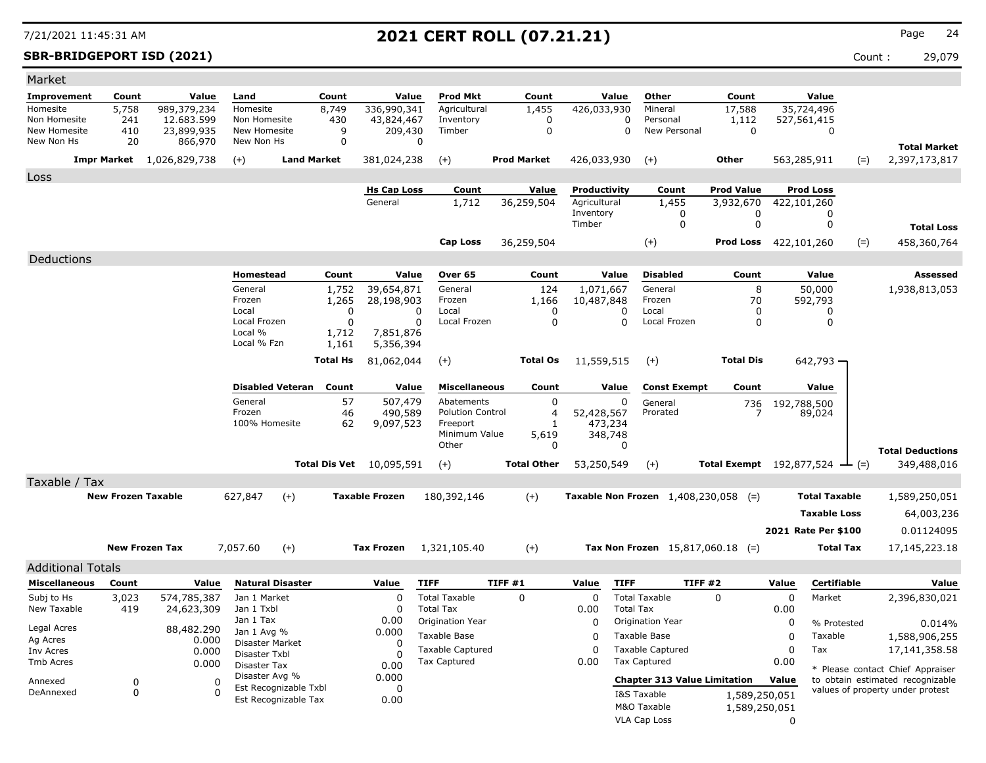**SBR-BRIDGEPORT ISD (2021)** Count : 29,079

| Market                       |                           |                          |                              |                       |                                 |             |                         |                    |                    |                           |                  |                                        |                                 |             |                            |       |                                  |
|------------------------------|---------------------------|--------------------------|------------------------------|-----------------------|---------------------------------|-------------|-------------------------|--------------------|--------------------|---------------------------|------------------|----------------------------------------|---------------------------------|-------------|----------------------------|-------|----------------------------------|
| Improvement                  | Count                     | Value                    | Land                         | Count                 |                                 | Value       | <b>Prod Mkt</b>         |                    | Count              |                           | Value            | Other                                  | Count                           |             | Value                      |       |                                  |
| Homesite                     | 5,758                     | 989,379,234              | Homesite                     | 8,749                 | 336,990,341                     |             | Agricultural            |                    | 1,455              | 426,033,930               |                  | Mineral                                | 17,588                          |             | 35,724,496                 |       |                                  |
| Non Homesite<br>New Homesite | 241<br>410                | 12.683.599<br>23,899,935 | Non Homesite<br>New Homesite | 430                   | 43,824,467<br>9<br>209,430      |             | Inventory<br>Timber     |                    | 0<br>$\mathbf 0$   |                           | 0<br>0           | Personal<br>New Personal               | 1,112<br>$\mathbf 0$            |             | 527,561,415<br>$\mathbf 0$ |       |                                  |
| New Non Hs                   | 20                        | 866,970                  | New Non Hs                   |                       | 0                               | 0           |                         |                    |                    |                           |                  |                                        |                                 |             |                            |       |                                  |
|                              |                           |                          |                              | <b>Land Market</b>    |                                 |             |                         |                    |                    |                           |                  |                                        |                                 |             |                            |       | <b>Total Market</b>              |
|                              | Impr Market               | 1,026,829,738            | $(+)$                        |                       | 381,024,238                     |             | $(+)$                   | <b>Prod Market</b> |                    | 426,033,930               |                  | $(+)$                                  | Other                           |             | 563,285,911                | $(=)$ | 2,397,173,817                    |
| Loss                         |                           |                          |                              |                       |                                 |             |                         |                    |                    |                           |                  |                                        |                                 |             |                            |       |                                  |
|                              |                           |                          |                              |                       | <b>Hs Cap Loss</b>              |             | Count                   |                    | Value              | Productivity              |                  | Count                                  | <b>Prod Value</b>               |             | <b>Prod Loss</b>           |       |                                  |
|                              |                           |                          |                              |                       | General                         |             | 1,712                   |                    | 36,259,504         | Agricultural<br>Inventory |                  | 1,455<br>0                             | 3,932,670<br>0                  |             | 422,101,260<br>0           |       |                                  |
|                              |                           |                          |                              |                       |                                 |             |                         |                    |                    | Timber                    |                  | 0                                      | $\mathbf 0$                     |             | 0                          |       | <b>Total Loss</b>                |
|                              |                           |                          |                              |                       |                                 |             | <b>Cap Loss</b>         |                    | 36,259,504         |                           |                  | $(+)$                                  | <b>Prod Loss</b>                | 422,101,260 |                            | $(=)$ | 458,360,764                      |
|                              |                           |                          |                              |                       |                                 |             |                         |                    |                    |                           |                  |                                        |                                 |             |                            |       |                                  |
| Deductions                   |                           |                          |                              |                       |                                 |             |                         |                    |                    |                           |                  | <b>Disabled</b>                        |                                 |             |                            |       |                                  |
|                              |                           |                          | Homestead                    | Count                 |                                 | Value       | Over 65                 |                    | Count              |                           | Value            |                                        | Count                           |             | Value                      |       | <b>Assessed</b>                  |
|                              |                           |                          | General<br>Frozen            | 1,752<br>1,265        | 39,654,871<br>28,198,903        |             | General<br>Frozen       |                    | 124<br>1,166       | 1,071,667<br>10,487,848   |                  | General<br>Frozen                      | 8<br>70                         |             | 50,000<br>592,793          |       | 1,938,813,053                    |
|                              |                           |                          | Local                        |                       | 0                               | 0           | Local                   |                    | 0                  |                           | O                | Local                                  | 0                               |             | 0                          |       |                                  |
|                              |                           |                          | Local Frozen                 |                       | $\mathbf 0$                     | 0           | Local Frozen            |                    | $\mathbf 0$        |                           | $\mathbf 0$      | Local Frozen                           | $\mathbf 0$                     |             | 0                          |       |                                  |
|                              |                           |                          | Local %<br>Local % Fzn       | 1,712<br>1,161        | 7,851,876<br>5,356,394          |             |                         |                    |                    |                           |                  |                                        |                                 |             |                            |       |                                  |
|                              |                           |                          |                              |                       |                                 |             |                         |                    |                    |                           |                  |                                        |                                 |             |                            |       |                                  |
|                              |                           |                          |                              | <b>Total Hs</b>       | 81,062,044                      |             | $(+)$                   |                    | <b>Total Os</b>    | 11,559,515                |                  | $(+)$                                  | <b>Total Dis</b>                |             | 642,793 -                  |       |                                  |
|                              |                           |                          | <b>Disabled Veteran</b>      | Count                 |                                 | Value       | <b>Miscellaneous</b>    |                    | Count              |                           | Value            | <b>Const Exempt</b>                    | Count                           |             | Value                      |       |                                  |
|                              |                           |                          | General                      |                       | 57<br>507,479                   |             | Abatements              |                    | 0                  |                           | 0                | General                                |                                 |             |                            |       |                                  |
|                              |                           |                          | Frozen                       |                       | 46<br>490,589                   |             | <b>Polution Control</b> |                    | $\overline{4}$     | 52,428,567                |                  | Prorated                               | 736                             | 192,788,500 | 89,024                     |       |                                  |
|                              |                           |                          | 100% Homesite                |                       | 62<br>9,097,523                 |             | Freeport                |                    | $\mathbf{1}$       | 473,234                   |                  |                                        |                                 |             |                            |       |                                  |
|                              |                           |                          |                              |                       |                                 |             | Minimum Value<br>Other  |                    | 5,619<br>0         | 348,748                   | $\Omega$         |                                        |                                 |             |                            |       |                                  |
|                              |                           |                          |                              |                       |                                 |             |                         |                    |                    |                           |                  |                                        |                                 |             |                            |       | <b>Total Deductions</b>          |
|                              |                           |                          |                              |                       | <b>Total Dis Vet</b> 10,095,591 |             | $(+)$                   |                    | <b>Total Other</b> | 53,250,549                |                  | $(+)$                                  | <b>Total Exempt</b> 192,877,524 |             |                            | $(=)$ | 349,488,016                      |
| Taxable / Tax                |                           |                          |                              |                       |                                 |             |                         |                    |                    |                           |                  |                                        |                                 |             |                            |       |                                  |
|                              | <b>New Frozen Taxable</b> |                          | 627,847                      | $(+)$                 | <b>Taxable Frozen</b>           |             | 180,392,146             |                    | $(+)$              |                           |                  | Taxable Non Frozen $1,408,230,058$ (=) |                                 |             | <b>Total Taxable</b>       |       | 1,589,250,051                    |
|                              |                           |                          |                              |                       |                                 |             |                         |                    |                    |                           |                  |                                        |                                 |             | <b>Taxable Loss</b>        |       | 64,003,236                       |
|                              |                           |                          |                              |                       |                                 |             |                         |                    |                    |                           |                  |                                        |                                 |             | 2021 Rate Per \$100        |       | 0.01124095                       |
|                              |                           | <b>New Frozen Tax</b>    |                              |                       | <b>Tax Frozen</b>               |             |                         |                    |                    |                           |                  |                                        |                                 |             | <b>Total Tax</b>           |       |                                  |
|                              |                           |                          | 7,057.60                     | $(+)$                 |                                 |             | 1,321,105.40            |                    | $(+)$              |                           |                  | Tax Non Frozen $15,817,060.18$ (=)     |                                 |             |                            |       | 17,145,223.18                    |
| <b>Additional Totals</b>     |                           |                          |                              |                       |                                 |             |                         |                    |                    |                           |                  |                                        |                                 |             |                            |       |                                  |
| <b>Miscellaneous</b>         | Count                     | Value                    | <b>Natural Disaster</b>      |                       | Value                           | <b>TIFF</b> |                         | TIFF#1             |                    | Value                     | <b>TIFF</b>      | TIFF#2                                 |                                 | Value       | Certifiable                |       | Value                            |
| Subj to Hs                   | 3,023                     | 574,785,387              | Jan 1 Market                 |                       | $\Omega$                        |             | <b>Total Taxable</b>    | $\mathbf 0$        |                    | $\mathbf 0$               |                  | <b>Total Taxable</b>                   | $\Omega$                        | 0           | Market                     |       | 2,396,830,021                    |
| New Taxable                  | 419                       | 24,623,309               | Jan 1 Txbl                   |                       | $\Omega$                        |             | <b>Total Tax</b>        |                    |                    | 0.00                      | <b>Total Tax</b> |                                        |                                 | 0.00        |                            |       |                                  |
| Legal Acres                  |                           | 88,482.290               | Jan 1 Tax<br>Jan 1 Avg %     |                       | 0.00<br>0.000                   |             | Origination Year        |                    |                    | $\Omega$                  |                  | Origination Year                       |                                 | 0           | % Protested                |       | 0.014%                           |
| Ag Acres                     |                           | 0.000                    | Disaster Market              |                       | <sup>0</sup>                    |             | Taxable Base            |                    |                    | $\Omega$                  |                  | Taxable Base                           |                                 | 0           | Taxable                    |       | 1,588,906,255                    |
| Inv Acres                    |                           | 0.000                    | Disaster Txbl                |                       | $\Omega$                        |             | <b>Taxable Captured</b> |                    |                    | $\Omega$                  |                  | <b>Taxable Captured</b>                |                                 | 0           | Tax                        |       | 17, 141, 358. 58                 |
| <b>Tmb Acres</b>             |                           | 0.000                    | Disaster Tax                 |                       | 0.00                            |             | <b>Tax Captured</b>     |                    |                    | 0.00                      |                  | <b>Tax Captured</b>                    |                                 | 0.00        |                            |       | * Please contact Chief Appraiser |
| Annexed                      | 0                         | $\Omega$                 | Disaster Avg %               | Est Recognizable Txbl | 0.000<br>$\Omega$               |             |                         |                    |                    |                           |                  | <b>Chapter 313 Value Limitation</b>    |                                 | Value       |                            |       | to obtain estimated recognizable |
| DeAnnexed                    | 0                         | $\Omega$                 |                              | Est Recognizable Tax  | 0.00                            |             |                         |                    |                    |                           |                  | I&S Taxable                            | 1,589,250,051                   |             |                            |       | values of property under protest |
|                              |                           |                          |                              |                       |                                 |             |                         |                    |                    |                           |                  | M&O Taxable                            | 1,589,250,051                   |             |                            |       |                                  |
|                              |                           |                          |                              |                       |                                 |             |                         |                    |                    |                           |                  | VLA Cap Loss                           |                                 | $\Omega$    |                            |       |                                  |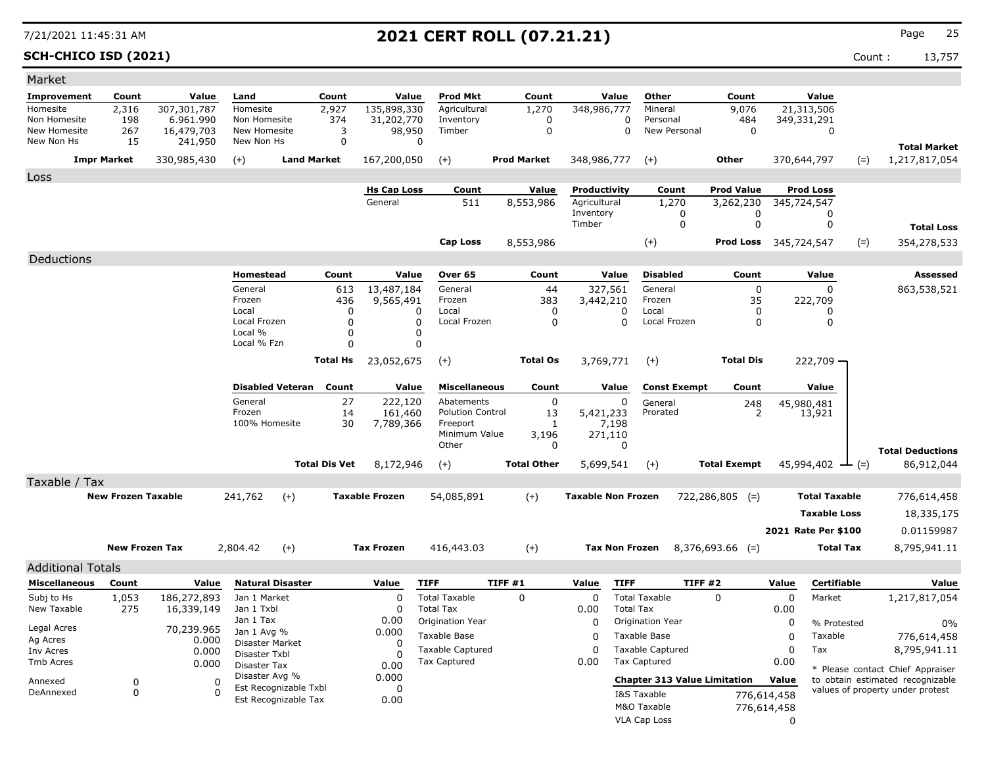**SCH-CHICO ISD (2021)** Count : 13,757

| Market                     |                           |                       |                                         |                                  |                                |                                             |                    |                  |                           |                                     |                              |             |                              |                                                                      |
|----------------------------|---------------------------|-----------------------|-----------------------------------------|----------------------------------|--------------------------------|---------------------------------------------|--------------------|------------------|---------------------------|-------------------------------------|------------------------------|-------------|------------------------------|----------------------------------------------------------------------|
| Improvement                | Count                     | Value                 | Land                                    | Count                            |                                | <b>Prod Mkt</b><br>Value                    | Count              |                  | Value                     | Other                               | Count                        |             | Value                        |                                                                      |
| Homesite                   | 2,316                     | 307,301,787           | Homesite                                | 2,927                            | 135,898,330                    | Agricultural                                | 1,270              |                  | 348,986,777               | Mineral                             | 9,076                        |             | 21,313,506                   |                                                                      |
| Non Homesite               | 198                       | 6.961.990             | Non Homesite                            | 374                              | 31,202,770                     | Inventory<br>Timber                         |                    | 0<br>$\mathbf 0$ | $\mathbf 0$               | Personal<br>New Personal            | 484<br>$\mathbf 0$           |             | 349,331,291                  |                                                                      |
| New Homesite<br>New Non Hs | 267<br>15                 | 16,479,703<br>241,950 | New Homesite<br>New Non Hs              |                                  | 3<br>98,950<br>$\mathbf 0$     | 0                                           |                    |                  | 0                         |                                     |                              |             | $\mathbf 0$                  |                                                                      |
|                            | <b>Impr Market</b>        | 330,985,430           | $(+)$                                   | <b>Land Market</b>               | 167,200,050                    | $(+)$                                       | <b>Prod Market</b> |                  | 348,986,777               | $(+)$                               | <b>Other</b>                 |             | 370,644,797<br>$(=)$         | <b>Total Market</b><br>1,217,817,054                                 |
|                            |                           |                       |                                         |                                  |                                |                                             |                    |                  |                           |                                     |                              |             |                              |                                                                      |
| Loss                       |                           |                       |                                         |                                  | <b>Hs Cap Loss</b>             | Count                                       | Value              |                  | Productivity              | Count                               | <b>Prod Value</b>            |             | <b>Prod Loss</b>             |                                                                      |
|                            |                           |                       |                                         |                                  | General                        | 511                                         | 8,553,986          |                  | Agricultural              | 1,270                               | 3,262,230                    |             | 345,724,547                  |                                                                      |
|                            |                           |                       |                                         |                                  |                                |                                             |                    |                  | Inventory                 | 0                                   | 0                            |             | 0                            |                                                                      |
|                            |                           |                       |                                         |                                  |                                |                                             |                    | Timber           |                           | $\mathbf 0$                         | $\mathbf 0$                  |             | $\mathbf 0$                  | <b>Total Loss</b>                                                    |
|                            |                           |                       |                                         |                                  |                                | <b>Cap Loss</b>                             | 8,553,986          |                  |                           | $(+)$                               | <b>Prod Loss</b> 345,724,547 |             | $(=)$                        | 354,278,533                                                          |
| Deductions                 |                           |                       |                                         |                                  |                                |                                             |                    |                  |                           |                                     |                              |             |                              |                                                                      |
|                            |                           |                       | Homestead                               | Count                            |                                | Value<br>Over 65                            | Count              |                  | Value                     | <b>Disabled</b>                     | Count                        |             | Value                        | Assessed                                                             |
|                            |                           |                       | General                                 |                                  | 13,487,184<br>613              | General                                     |                    | 44               | 327,561                   | General                             | $\mathbf 0$                  |             | $\Omega$                     | 863,538,521                                                          |
|                            |                           |                       | Frozen                                  |                                  | 9,565,491<br>436               | Frozen                                      |                    | 383              | 3,442,210                 | Frozen                              | 35                           |             | 222,709                      |                                                                      |
|                            |                           |                       | Local<br>Local Frozen                   |                                  | $\Omega$<br>0                  | Local<br>0<br>0<br>Local Frozen             |                    | $\mathbf 0$<br>0 | 0<br>0                    | Local<br>Local Frozen               | 0<br>0                       |             | 0<br>0                       |                                                                      |
|                            |                           |                       | Local %                                 |                                  | 0                              | 0                                           |                    |                  |                           |                                     |                              |             |                              |                                                                      |
|                            |                           |                       | Local % Fzn                             |                                  | $\mathbf 0$                    | 0                                           |                    |                  |                           |                                     |                              |             |                              |                                                                      |
|                            |                           |                       |                                         | <b>Total Hs</b>                  | 23,052,675                     | $(+)$                                       | <b>Total Os</b>    |                  | 3,769,771                 | $(+)$                               | <b>Total Dis</b>             |             | 222,709                      |                                                                      |
|                            |                           |                       |                                         |                                  |                                |                                             |                    |                  |                           |                                     |                              |             |                              |                                                                      |
|                            |                           |                       | General                                 | <b>Disabled Veteran</b><br>Count |                                | <b>Miscellaneous</b><br>Value<br>Abatements | Count              |                  | Value                     | <b>Const Exempt</b>                 | Count                        |             | Value                        |                                                                      |
|                            |                           |                       | Frozen                                  |                                  | 27<br>222,120<br>14<br>161,460 | <b>Polution Control</b>                     |                    | 0<br>13          | $\Omega$<br>5,421,233     | General<br>Prorated                 | 248<br>2                     |             | 45,980,481<br>13,921         |                                                                      |
|                            |                           |                       | 100% Homesite                           |                                  | 30<br>7,789,366                | Freeport                                    |                    | -1               | 7,198                     |                                     |                              |             |                              |                                                                      |
|                            |                           |                       |                                         |                                  |                                | Minimum Value<br>Other                      | 3,196              |                  | 271,110<br>$\Omega$       |                                     |                              |             |                              |                                                                      |
|                            |                           |                       |                                         |                                  |                                |                                             |                    | 0                |                           |                                     |                              |             |                              | <b>Total Deductions</b>                                              |
|                            |                           |                       |                                         | <b>Total Dis Vet</b>             | 8,172,946                      | $(+)$                                       | <b>Total Other</b> |                  | 5,699,541                 | $(+)$                               | <b>Total Exempt</b>          |             | 45,994,402 $\rightarrow$ (=) | 86,912,044                                                           |
| Taxable / Tax              |                           |                       |                                         |                                  |                                |                                             |                    |                  |                           |                                     |                              |             |                              |                                                                      |
|                            | <b>New Frozen Taxable</b> |                       | 241,762                                 | $(+)$                            | <b>Taxable Frozen</b>          | 54,085,891                                  | $(+)$              |                  | <b>Taxable Non Frozen</b> |                                     | $722,286,805$ (=)            |             | <b>Total Taxable</b>         | 776,614,458                                                          |
|                            |                           |                       |                                         |                                  |                                |                                             |                    |                  |                           |                                     |                              |             | <b>Taxable Loss</b>          | 18,335,175                                                           |
|                            |                           |                       |                                         |                                  |                                |                                             |                    |                  |                           |                                     |                              |             | 2021 Rate Per \$100          | 0.01159987                                                           |
|                            | <b>New Frozen Tax</b>     |                       | 2,804.42                                | $(+)$                            | <b>Tax Frozen</b>              | 416,443.03                                  | $(+)$              |                  | <b>Tax Non Frozen</b>     |                                     | $8,376,693.66$ (=)           |             | <b>Total Tax</b>             | 8,795,941.11                                                         |
| <b>Additional Totals</b>   |                           |                       |                                         |                                  |                                |                                             |                    |                  |                           |                                     |                              |             |                              |                                                                      |
| <b>Miscellaneous</b>       | Count                     | Value                 |                                         | <b>Natural Disaster</b>          | Value                          | <b>TIFF</b>                                 | TIFF #1            | Value            | <b>TIFF</b>               |                                     | <b>TIFF #2</b>               | Value       | Certifiable                  | Value                                                                |
| Subj to Hs                 | 1,053                     | 186,272,893           | Jan 1 Market                            |                                  | 0                              | <b>Total Taxable</b>                        | $\Omega$           |                  | $\Omega$                  | <b>Total Taxable</b>                | $\Omega$                     | 0           | Market                       | 1,217,817,054                                                        |
| New Taxable                | 275                       | 16,339,149            | Jan 1 Txbl                              |                                  | 0                              | <b>Total Tax</b>                            |                    | 0.00             | <b>Total Tax</b>          |                                     |                              | 0.00        |                              |                                                                      |
|                            |                           |                       | Jan 1 Tax                               |                                  | 0.00                           | Origination Year                            |                    |                  | 0                         | Origination Year                    |                              | 0           | % Protested                  | 0%                                                                   |
| Legal Acres<br>Ag Acres    |                           | 70,239.965<br>0.000   | Jan 1 Avg %                             |                                  | 0.000                          | Taxable Base                                |                    |                  | $\Omega$                  | Taxable Base                        |                              | 0           | Taxable                      | 776,614,458                                                          |
| Inv Acres                  |                           | 0.000                 | <b>Disaster Market</b><br>Disaster Txbl |                                  | $\Omega$<br>0                  | <b>Taxable Captured</b>                     |                    |                  | 0                         | <b>Taxable Captured</b>             |                              | $\Omega$    | Tax                          | 8,795,941.11                                                         |
| Tmb Acres                  |                           | 0.000                 | Disaster Tax                            |                                  | 0.00                           | Tax Captured                                |                    | 0.00             |                           | Tax Captured                        |                              | 0.00        |                              |                                                                      |
| Annexed                    | 0                         |                       | Disaster Avg %<br>$\mathbf 0$           |                                  | 0.000                          |                                             |                    |                  |                           | <b>Chapter 313 Value Limitation</b> |                              | Value       |                              | * Please contact Chief Appraiser<br>to obtain estimated recognizable |
| DeAnnexed                  | $\Omega$                  |                       | $\Omega$                                | Est Recognizable Txbl            | $\mathbf 0$                    |                                             |                    |                  |                           | I&S Taxable                         |                              | 776,614,458 |                              | values of property under protest                                     |
|                            |                           |                       |                                         | Est Recognizable Tax             | 0.00                           |                                             |                    |                  |                           | M&O Taxable                         |                              | 776,614,458 |                              |                                                                      |
|                            |                           |                       |                                         |                                  |                                |                                             |                    |                  |                           | <b>VLA Cap Loss</b>                 |                              | $\Omega$    |                              |                                                                      |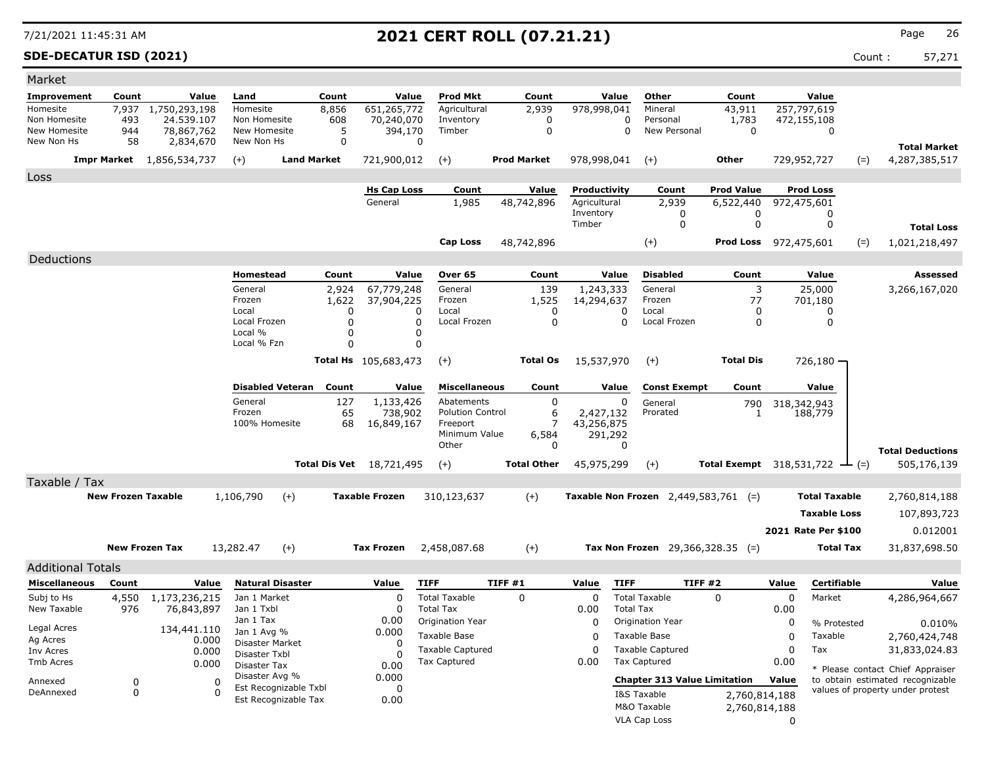**SDE-DECATUR ISD (2021)** Count : 57,271

| Market                     |                           |                                  |                            |                         |                  |                                 |                                     |                    |                     |                              |                  |                                               |                                                     |          |                                 |       |                                  |
|----------------------------|---------------------------|----------------------------------|----------------------------|-------------------------|------------------|---------------------------------|-------------------------------------|--------------------|---------------------|------------------------------|------------------|-----------------------------------------------|-----------------------------------------------------|----------|---------------------------------|-------|----------------------------------|
| Improvement                | Count                     | Value                            | Land                       |                         | Count            | Value                           | <b>Prod Mkt</b>                     |                    | Count               |                              | Value            | Other                                         | Count                                               |          | Value                           |       |                                  |
| Homesite                   | 7,937                     | 1,750,293,198                    | Homesite                   |                         | 8,856            | 651,265,772                     | Agricultural                        |                    | 2,939               | 978,998,041                  |                  | Mineral                                       | 43,911                                              |          | 257,797,619                     |       |                                  |
| Non Homesite               | 493                       | 24,539,107                       | Non Homesite               |                         | 608              | 70,240,070                      | Inventory<br>Timber                 |                    | 0                   |                              | $\Omega$         | Personal<br>New Personal                      | 1,783<br>$\Omega$                                   |          | 472,155,108                     |       |                                  |
| New Homesite<br>New Non Hs | 944<br>58                 | 78,867,762<br>2,834,670          | New Homesite<br>New Non Hs |                         | 5<br>0           | 394,170                         | 0                                   |                    | $\mathbf 0$         |                              | $\Omega$         |                                               |                                                     |          | $\Omega$                        |       |                                  |
|                            |                           |                                  |                            |                         |                  |                                 |                                     |                    |                     |                              |                  |                                               |                                                     |          |                                 |       | <b>Total Market</b>              |
|                            |                           | <b>Impr Market</b> 1,856,534,737 | $(+)$                      | <b>Land Market</b>      |                  | 721,900,012                     | $(+)$                               | <b>Prod Market</b> |                     | 978,998,041                  |                  | $(+)$                                         | Other                                               |          | 729,952,727                     | $(=)$ | 4,287,385,517                    |
| Loss                       |                           |                                  |                            |                         |                  |                                 |                                     |                    |                     |                              |                  |                                               |                                                     |          |                                 |       |                                  |
|                            |                           |                                  |                            |                         |                  | <b>Hs Cap Loss</b><br>General   | Count<br>1,985                      | 48,742,896         | Value               | Productivity<br>Agricultural |                  | Count<br>2,939                                | <b>Prod Value</b><br>6,522,440                      |          | <b>Prod Loss</b><br>972,475,601 |       |                                  |
|                            |                           |                                  |                            |                         |                  |                                 |                                     |                    |                     | Inventory                    |                  | 0                                             | 0                                                   |          | 0                               |       |                                  |
|                            |                           |                                  |                            |                         |                  |                                 |                                     |                    |                     | Timber                       |                  | $\mathbf 0$                                   | 0                                                   |          | 0                               |       | <b>Total Loss</b>                |
|                            |                           |                                  |                            |                         |                  |                                 | <b>Cap Loss</b>                     | 48,742,896         |                     |                              |                  | $(+)$                                         | <b>Prod Loss</b> 972,475,601                        |          |                                 | $(=)$ | 1,021,218,497                    |
| Deductions                 |                           |                                  |                            |                         |                  |                                 |                                     |                    |                     |                              |                  |                                               |                                                     |          |                                 |       |                                  |
|                            |                           |                                  | Homestead                  |                         | Count            | Value                           | Over 65                             |                    | Count               |                              | Value            | <b>Disabled</b>                               | Count                                               |          | Value                           |       | <b>Assessed</b>                  |
|                            |                           |                                  | General                    |                         | 2,924            | 67,779,248                      | General                             |                    | 139                 | 1,243,333                    |                  | General                                       | 3                                                   |          | 25,000                          |       | 3,266,167,020                    |
|                            |                           |                                  | Frozen                     |                         | 1,622            | 37,904,225                      | Frozen                              |                    | 1,525               | 14,294,637                   |                  | Frozen                                        | 77                                                  |          | 701,180                         |       |                                  |
|                            |                           |                                  | Local                      |                         | $\Omega$         |                                 | Local<br>O                          |                    | 0                   |                              | 0                | Local                                         | $\Omega$                                            |          | 0                               |       |                                  |
|                            |                           |                                  | Local Frozen<br>Local %    |                         | $\mathbf 0$<br>0 |                                 | $\mathbf 0$<br>Local Frozen<br>0    |                    | $\mathbf 0$         |                              | $\mathbf 0$      | Local Frozen                                  | $\mathbf 0$                                         |          | 0                               |       |                                  |
|                            |                           |                                  | Local % Fzn                |                         | $\Omega$         |                                 | $\Omega$                            |                    |                     |                              |                  |                                               |                                                     |          |                                 |       |                                  |
|                            |                           |                                  |                            |                         |                  | Total Hs 105,683,473            | $(+)$                               |                    | <b>Total Os</b>     | 15,537,970                   |                  | $(+)$                                         | <b>Total Dis</b>                                    |          | $726,180 -$                     |       |                                  |
|                            |                           |                                  |                            |                         |                  |                                 |                                     |                    |                     |                              |                  |                                               |                                                     |          |                                 |       |                                  |
|                            |                           |                                  |                            | <b>Disabled Veteran</b> | Count            | Value                           | <b>Miscellaneous</b>                |                    | Count               |                              | Value            | <b>Const Exempt</b>                           | Count                                               |          | Value                           |       |                                  |
|                            |                           |                                  | General                    |                         | 127              | 1,133,426                       | Abatements                          |                    | 0                   |                              | 0                | General                                       | 790                                                 |          | 318,342,943                     |       |                                  |
|                            |                           |                                  | Frozen<br>100% Homesite    |                         | 65<br>68         | 738,902<br>16,849,167           | <b>Polution Control</b><br>Freeport |                    | 6<br>$\overline{7}$ | 2,427,132<br>43,256,875      |                  | Prorated                                      | 1                                                   |          | 188,779                         |       |                                  |
|                            |                           |                                  |                            |                         |                  |                                 | Minimum Value                       |                    | 6,584               | 291,292                      |                  |                                               |                                                     |          |                                 |       |                                  |
|                            |                           |                                  |                            |                         |                  |                                 | Other                               |                    | 0                   |                              | $\Omega$         |                                               |                                                     |          |                                 |       | <b>Total Deductions</b>          |
|                            |                           |                                  |                            |                         |                  | <b>Total Dis Vet</b> 18,721,495 | $(+)$                               | <b>Total Other</b> |                     | 45,975,299                   |                  | $(+)$                                         | <b>Total Exempt</b> $318,531,722$ $\rightarrow$ (=) |          |                                 |       | 505,176,139                      |
| Taxable / Tax              |                           |                                  |                            |                         |                  |                                 |                                     |                    |                     |                              |                  |                                               |                                                     |          |                                 |       |                                  |
|                            | <b>New Frozen Taxable</b> |                                  | 1,106,790                  | $(+)$                   |                  | <b>Taxable Frozen</b>           | 310,123,637                         | $(+)$              |                     |                              |                  | <b>Taxable Non Frozen</b> 2,449,583,761 $(=)$ |                                                     |          | <b>Total Taxable</b>            |       | 2,760,814,188                    |
|                            |                           |                                  |                            |                         |                  |                                 |                                     |                    |                     |                              |                  |                                               |                                                     |          | <b>Taxable Loss</b>             |       | 107,893,723                      |
|                            |                           |                                  |                            |                         |                  |                                 |                                     |                    |                     |                              |                  |                                               |                                                     |          |                                 |       |                                  |
|                            |                           |                                  |                            |                         |                  |                                 |                                     |                    |                     |                              |                  |                                               |                                                     |          | 2021 Rate Per \$100             |       | 0.012001                         |
|                            |                           | <b>New Frozen Tax</b>            | 13,282.47                  | $(+)$                   |                  | <b>Tax Frozen</b>               | 2,458,087.68                        | $(+)$              |                     |                              |                  | Tax Non Frozen 29,366,328.35 (=)              |                                                     |          | <b>Total Tax</b>                |       | 31,837,698.50                    |
| <b>Additional Totals</b>   |                           |                                  |                            |                         |                  |                                 |                                     |                    |                     |                              |                  |                                               |                                                     |          |                                 |       |                                  |
| <b>Miscellaneous</b>       | Count                     | Value                            |                            | <b>Natural Disaster</b> |                  | Value                           | <b>TIFF</b>                         | TIFF #1            |                     | Value                        | <b>TIFF</b>      | <b>TIFF #2</b>                                |                                                     | Value    | <b>Certifiable</b>              |       | Value                            |
| Subj to Hs                 | 4,550                     | 1,173,236,215                    | Jan 1 Market               |                         |                  | $\Omega$                        | <b>Total Taxable</b>                | $\mathbf 0$        |                     | $\mathbf 0$                  |                  | <b>Total Taxable</b>                          | $\Omega$                                            | 0        | Market                          |       | 4,286,964,667                    |
| New Taxable                | 976                       | 76,843,897                       | Jan 1 Txbl                 |                         |                  | $\Omega$                        | <b>Total Tax</b>                    |                    |                     | 0.00                         | <b>Total Tax</b> |                                               |                                                     | 0.00     |                                 |       |                                  |
| Legal Acres                |                           | 134,441.110                      | Jan 1 Tax<br>Jan 1 Avg %   |                         |                  | 0.00<br>0.000                   | Origination Year                    |                    |                     | 0                            |                  | Origination Year                              |                                                     | 0        | % Protested                     |       | 0.010%                           |
| Ag Acres                   |                           | 0.000                            | <b>Disaster Market</b>     |                         |                  | $\Omega$                        | Taxable Base                        |                    |                     | $\Omega$                     |                  | <b>Taxable Base</b>                           |                                                     | 0        | Taxable                         |       | 2,760,424,748                    |
| Inv Acres                  |                           | 0.000                            | Disaster Txbl              |                         |                  | $\Omega$                        | <b>Taxable Captured</b>             |                    |                     | $\Omega$                     |                  | <b>Taxable Captured</b>                       |                                                     | $\Omega$ | Tax                             |       | 31,833,024.83                    |
| Tmb Acres                  |                           | 0.000                            | Disaster Tax               |                         |                  | 0.00                            | <b>Tax Captured</b>                 |                    |                     | 0.00                         |                  | <b>Tax Captured</b>                           |                                                     | 0.00     |                                 |       | * Please contact Chief Appraiser |
| Annexed                    | 0                         |                                  | Disaster Avg %<br>$\Omega$ | Est Recognizable Txbl   |                  | 0.000                           |                                     |                    |                     |                              |                  | <b>Chapter 313 Value Limitation</b>           |                                                     | Value    |                                 |       | to obtain estimated recognizable |
| DeAnnexed                  | $\mathbf 0$               |                                  | $\Omega$                   | Est Recognizable Tax    |                  | $\Omega$<br>0.00                |                                     |                    |                     |                              |                  | I&S Taxable                                   | 2,760,814,188                                       |          |                                 |       | values of property under protest |
|                            |                           |                                  |                            |                         |                  |                                 |                                     |                    |                     |                              |                  | M&O Taxable                                   | 2,760,814,188                                       |          |                                 |       |                                  |
|                            |                           |                                  |                            |                         |                  |                                 |                                     |                    |                     |                              |                  | <b>VLA Cap Loss</b>                           |                                                     | $\Omega$ |                                 |       |                                  |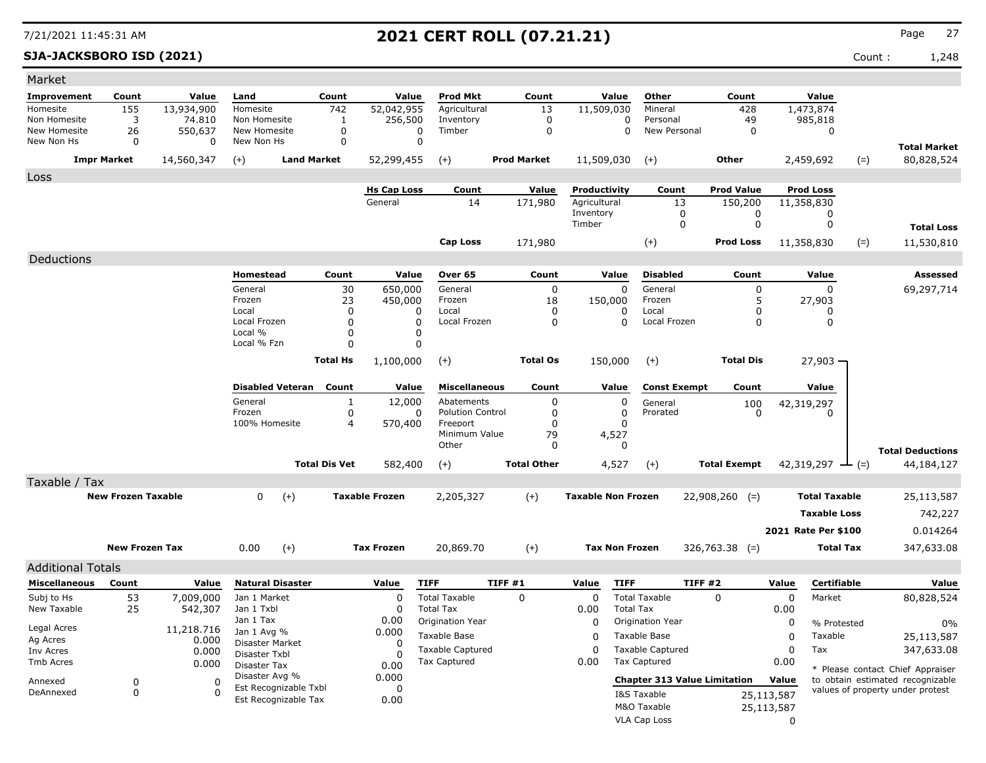### **SJA-JACKSBORO ISD (2021)** Count : 1,248

| <b>Prod Mkt</b><br>Count<br>Value<br>Improvement<br>Count<br>Count<br>Value<br>Count<br>Value<br>Other<br>Value<br>Land<br>52,042,955<br>155<br>13,934,900<br>Homesite<br>742<br>Agricultural<br>13<br>11,509,030<br>Mineral<br>428<br>1,473,874<br>Homesite<br>256,500<br>49<br>Non Homesite<br>3<br>74.810<br>Non Homesite<br>Inventory<br>0<br>Personal<br>985,818<br>1<br>0<br>550,637<br>$\mathbf 0$<br>Timber<br>New Personal<br>New Homesite<br>26<br>New Homesite<br>$\mathbf 0$<br>0<br>$\mathbf 0$<br>$\mathbf 0$<br>0<br>New Non Hs<br>$\mathbf 0$<br>New Non Hs<br>0<br>0<br>0<br><b>Total Market</b><br>Other<br>80,828,524<br><b>Impr Market</b><br>14,560,347<br>$(+)$<br><b>Land Market</b><br>52,299,455<br><b>Prod Market</b><br>11,509,030<br>2,459,692<br>$(=)$<br>$(+)$<br>$(+)$<br>Loss<br><b>Hs Cap Loss</b><br>Count<br>Value<br>Productivity<br>Count<br><b>Prod Value</b><br><b>Prod Loss</b><br>Agricultural<br>General<br>14<br>171,980<br>13<br>150,200<br>11,358,830<br>Inventory<br>0<br>0<br>0<br>Timber<br>$\mathbf 0$<br>$\mathbf 0$<br>$\mathbf 0$<br><b>Total Loss</b><br><b>Cap Loss</b><br>171,980<br>$(+)$<br><b>Prod Loss</b><br>11,358,830<br>11,530,810<br>$(=)$<br>Deductions<br>Value<br><b>Disabled</b><br><b>Assessed</b><br>Homestead<br>Count<br>Over 65<br>Count<br>Value<br>Count<br>Value<br>General<br>30<br>650,000<br>General<br>$\mathbf 0$<br>General<br>$\mathbf 0$<br>$\mathbf 0$<br>69,297,714<br>0<br>Frozen<br>23<br>450,000<br>Frozen<br>18<br>Frozen<br>5<br>27,903<br>150,000<br>Local<br>0<br>Local<br>Local<br>0<br>0<br>0<br>0<br>0<br>Local Frozen<br>$\mathbf 0$<br>$\mathbf 0$<br>Local Frozen<br>$\mathbf 0$<br>Local Frozen<br>$\mathbf 0$<br>$\mathbf 0$<br>0<br>Local %<br>0<br>0<br>Local % Fzn<br>0<br>0<br><b>Total Os</b><br>$(+)$<br><b>Total Dis</b><br><b>Total Hs</b><br>1,100,000<br>$(+)$<br>150,000<br>$27,903 -$<br><b>Disabled Veteran</b><br>Count<br>Value<br><b>Miscellaneous</b><br>Count<br>Value<br><b>Const Exempt</b><br>Count<br>Value<br>General<br>12,000<br>Abatements<br>0<br>1<br>0<br>General<br>100<br>42,319,297<br>$\pmb{0}$<br>Frozen<br><b>Polution Control</b><br>$\mathbf 0$<br>0<br>0<br>Prorated<br>$\Omega$<br>0<br>100% Homesite<br>$\overline{4}$<br>Freeport<br>$\Omega$<br>570,400<br>$\Omega$<br>Minimum Value<br>79<br>4,527<br>Other<br>0<br>$\Omega$<br><b>Total Deductions</b><br><b>Total Dis Vet</b><br><b>Total Other</b><br>582,400<br>4,527<br><b>Total Exempt</b><br>42,319,297 $\rightarrow$ (=)<br>44,184,127<br>$(+)$<br>$(+)$<br>Taxable / Tax<br><b>New Frozen Taxable</b><br>$(+)$<br><b>Taxable Non Frozen</b><br>$\Omega$<br>$(+)$<br><b>Taxable Frozen</b><br>2,205,327<br><b>Total Taxable</b><br>25,113,587<br>$22,908,260$ (=)<br><b>Taxable Loss</b><br>742,227<br>2021 Rate Per \$100<br>0.014264<br><b>New Frozen Tax</b><br>$(+)$<br><b>Tax Frozen</b><br>$(+)$<br><b>Tax Non Frozen</b><br>0.00<br>20,869.70<br>$326,763.38$ (=)<br><b>Total Tax</b><br>347,633.08<br><b>Additional Totals</b><br><b>Miscellaneous</b><br><b>Natural Disaster</b><br><b>TIFF</b><br>TIFF#1<br><b>TIFF</b><br>TIFF#2<br>Count<br>Value<br>Value<br>Value<br>Value<br>Certifiable<br>Value<br><b>Total Taxable</b><br><b>Total Taxable</b><br>Subj to Hs<br>53<br>$\mathbf 0$<br>$\mathbf 0$<br>$\Omega$<br>0<br>Market<br>7,009,000<br>Jan 1 Market<br>$\Omega$<br>80,828,524<br>New Taxable<br>25<br>542,307<br>Jan 1 Txbl<br><b>Total Tax</b><br><b>Total Tax</b><br>0.00<br>$\Omega$<br>0.00<br>Jan 1 Tax<br>0.00<br>Origination Year<br>Origination Year<br>0<br>0<br>% Protested<br>0%<br>Legal Acres<br>11,218.716<br>0.000<br>Jan 1 Avg %<br>Taxable Base<br>Taxable Base<br>$\Omega$<br>0<br>Taxable<br>25,113,587 |
|-----------------------------------------------------------------------------------------------------------------------------------------------------------------------------------------------------------------------------------------------------------------------------------------------------------------------------------------------------------------------------------------------------------------------------------------------------------------------------------------------------------------------------------------------------------------------------------------------------------------------------------------------------------------------------------------------------------------------------------------------------------------------------------------------------------------------------------------------------------------------------------------------------------------------------------------------------------------------------------------------------------------------------------------------------------------------------------------------------------------------------------------------------------------------------------------------------------------------------------------------------------------------------------------------------------------------------------------------------------------------------------------------------------------------------------------------------------------------------------------------------------------------------------------------------------------------------------------------------------------------------------------------------------------------------------------------------------------------------------------------------------------------------------------------------------------------------------------------------------------------------------------------------------------------------------------------------------------------------------------------------------------------------------------------------------------------------------------------------------------------------------------------------------------------------------------------------------------------------------------------------------------------------------------------------------------------------------------------------------------------------------------------------------------------------------------------------------------------------------------------------------------------------------------------------------------------------------------------------------------------------------------------------------------------------------------------------------------------------------------------------------------------------------------------------------------------------------------------------------------------------------------------------------------------------------------------------------------------------------------------------------------------------------------------------------------------------------------------------------------------------------------------------------------------------------------------------------------------------------------------------------------------------------------------------------------------------------------------------------------------------------------------------------------------------------------------------------------------------------------------------------------------------------------------------------------------------------------------------------------------------------------------------------------------------------------------------------------------------------------------------------|
|                                                                                                                                                                                                                                                                                                                                                                                                                                                                                                                                                                                                                                                                                                                                                                                                                                                                                                                                                                                                                                                                                                                                                                                                                                                                                                                                                                                                                                                                                                                                                                                                                                                                                                                                                                                                                                                                                                                                                                                                                                                                                                                                                                                                                                                                                                                                                                                                                                                                                                                                                                                                                                                                                                                                                                                                                                                                                                                                                                                                                                                                                                                                                                                                                                                                                                                                                                                                                                                                                                                                                                                                                                                                                                                                                           |
|                                                                                                                                                                                                                                                                                                                                                                                                                                                                                                                                                                                                                                                                                                                                                                                                                                                                                                                                                                                                                                                                                                                                                                                                                                                                                                                                                                                                                                                                                                                                                                                                                                                                                                                                                                                                                                                                                                                                                                                                                                                                                                                                                                                                                                                                                                                                                                                                                                                                                                                                                                                                                                                                                                                                                                                                                                                                                                                                                                                                                                                                                                                                                                                                                                                                                                                                                                                                                                                                                                                                                                                                                                                                                                                                                           |
|                                                                                                                                                                                                                                                                                                                                                                                                                                                                                                                                                                                                                                                                                                                                                                                                                                                                                                                                                                                                                                                                                                                                                                                                                                                                                                                                                                                                                                                                                                                                                                                                                                                                                                                                                                                                                                                                                                                                                                                                                                                                                                                                                                                                                                                                                                                                                                                                                                                                                                                                                                                                                                                                                                                                                                                                                                                                                                                                                                                                                                                                                                                                                                                                                                                                                                                                                                                                                                                                                                                                                                                                                                                                                                                                                           |
|                                                                                                                                                                                                                                                                                                                                                                                                                                                                                                                                                                                                                                                                                                                                                                                                                                                                                                                                                                                                                                                                                                                                                                                                                                                                                                                                                                                                                                                                                                                                                                                                                                                                                                                                                                                                                                                                                                                                                                                                                                                                                                                                                                                                                                                                                                                                                                                                                                                                                                                                                                                                                                                                                                                                                                                                                                                                                                                                                                                                                                                                                                                                                                                                                                                                                                                                                                                                                                                                                                                                                                                                                                                                                                                                                           |
|                                                                                                                                                                                                                                                                                                                                                                                                                                                                                                                                                                                                                                                                                                                                                                                                                                                                                                                                                                                                                                                                                                                                                                                                                                                                                                                                                                                                                                                                                                                                                                                                                                                                                                                                                                                                                                                                                                                                                                                                                                                                                                                                                                                                                                                                                                                                                                                                                                                                                                                                                                                                                                                                                                                                                                                                                                                                                                                                                                                                                                                                                                                                                                                                                                                                                                                                                                                                                                                                                                                                                                                                                                                                                                                                                           |
|                                                                                                                                                                                                                                                                                                                                                                                                                                                                                                                                                                                                                                                                                                                                                                                                                                                                                                                                                                                                                                                                                                                                                                                                                                                                                                                                                                                                                                                                                                                                                                                                                                                                                                                                                                                                                                                                                                                                                                                                                                                                                                                                                                                                                                                                                                                                                                                                                                                                                                                                                                                                                                                                                                                                                                                                                                                                                                                                                                                                                                                                                                                                                                                                                                                                                                                                                                                                                                                                                                                                                                                                                                                                                                                                                           |
|                                                                                                                                                                                                                                                                                                                                                                                                                                                                                                                                                                                                                                                                                                                                                                                                                                                                                                                                                                                                                                                                                                                                                                                                                                                                                                                                                                                                                                                                                                                                                                                                                                                                                                                                                                                                                                                                                                                                                                                                                                                                                                                                                                                                                                                                                                                                                                                                                                                                                                                                                                                                                                                                                                                                                                                                                                                                                                                                                                                                                                                                                                                                                                                                                                                                                                                                                                                                                                                                                                                                                                                                                                                                                                                                                           |
|                                                                                                                                                                                                                                                                                                                                                                                                                                                                                                                                                                                                                                                                                                                                                                                                                                                                                                                                                                                                                                                                                                                                                                                                                                                                                                                                                                                                                                                                                                                                                                                                                                                                                                                                                                                                                                                                                                                                                                                                                                                                                                                                                                                                                                                                                                                                                                                                                                                                                                                                                                                                                                                                                                                                                                                                                                                                                                                                                                                                                                                                                                                                                                                                                                                                                                                                                                                                                                                                                                                                                                                                                                                                                                                                                           |
|                                                                                                                                                                                                                                                                                                                                                                                                                                                                                                                                                                                                                                                                                                                                                                                                                                                                                                                                                                                                                                                                                                                                                                                                                                                                                                                                                                                                                                                                                                                                                                                                                                                                                                                                                                                                                                                                                                                                                                                                                                                                                                                                                                                                                                                                                                                                                                                                                                                                                                                                                                                                                                                                                                                                                                                                                                                                                                                                                                                                                                                                                                                                                                                                                                                                                                                                                                                                                                                                                                                                                                                                                                                                                                                                                           |
|                                                                                                                                                                                                                                                                                                                                                                                                                                                                                                                                                                                                                                                                                                                                                                                                                                                                                                                                                                                                                                                                                                                                                                                                                                                                                                                                                                                                                                                                                                                                                                                                                                                                                                                                                                                                                                                                                                                                                                                                                                                                                                                                                                                                                                                                                                                                                                                                                                                                                                                                                                                                                                                                                                                                                                                                                                                                                                                                                                                                                                                                                                                                                                                                                                                                                                                                                                                                                                                                                                                                                                                                                                                                                                                                                           |
|                                                                                                                                                                                                                                                                                                                                                                                                                                                                                                                                                                                                                                                                                                                                                                                                                                                                                                                                                                                                                                                                                                                                                                                                                                                                                                                                                                                                                                                                                                                                                                                                                                                                                                                                                                                                                                                                                                                                                                                                                                                                                                                                                                                                                                                                                                                                                                                                                                                                                                                                                                                                                                                                                                                                                                                                                                                                                                                                                                                                                                                                                                                                                                                                                                                                                                                                                                                                                                                                                                                                                                                                                                                                                                                                                           |
|                                                                                                                                                                                                                                                                                                                                                                                                                                                                                                                                                                                                                                                                                                                                                                                                                                                                                                                                                                                                                                                                                                                                                                                                                                                                                                                                                                                                                                                                                                                                                                                                                                                                                                                                                                                                                                                                                                                                                                                                                                                                                                                                                                                                                                                                                                                                                                                                                                                                                                                                                                                                                                                                                                                                                                                                                                                                                                                                                                                                                                                                                                                                                                                                                                                                                                                                                                                                                                                                                                                                                                                                                                                                                                                                                           |
|                                                                                                                                                                                                                                                                                                                                                                                                                                                                                                                                                                                                                                                                                                                                                                                                                                                                                                                                                                                                                                                                                                                                                                                                                                                                                                                                                                                                                                                                                                                                                                                                                                                                                                                                                                                                                                                                                                                                                                                                                                                                                                                                                                                                                                                                                                                                                                                                                                                                                                                                                                                                                                                                                                                                                                                                                                                                                                                                                                                                                                                                                                                                                                                                                                                                                                                                                                                                                                                                                                                                                                                                                                                                                                                                                           |
|                                                                                                                                                                                                                                                                                                                                                                                                                                                                                                                                                                                                                                                                                                                                                                                                                                                                                                                                                                                                                                                                                                                                                                                                                                                                                                                                                                                                                                                                                                                                                                                                                                                                                                                                                                                                                                                                                                                                                                                                                                                                                                                                                                                                                                                                                                                                                                                                                                                                                                                                                                                                                                                                                                                                                                                                                                                                                                                                                                                                                                                                                                                                                                                                                                                                                                                                                                                                                                                                                                                                                                                                                                                                                                                                                           |
|                                                                                                                                                                                                                                                                                                                                                                                                                                                                                                                                                                                                                                                                                                                                                                                                                                                                                                                                                                                                                                                                                                                                                                                                                                                                                                                                                                                                                                                                                                                                                                                                                                                                                                                                                                                                                                                                                                                                                                                                                                                                                                                                                                                                                                                                                                                                                                                                                                                                                                                                                                                                                                                                                                                                                                                                                                                                                                                                                                                                                                                                                                                                                                                                                                                                                                                                                                                                                                                                                                                                                                                                                                                                                                                                                           |
|                                                                                                                                                                                                                                                                                                                                                                                                                                                                                                                                                                                                                                                                                                                                                                                                                                                                                                                                                                                                                                                                                                                                                                                                                                                                                                                                                                                                                                                                                                                                                                                                                                                                                                                                                                                                                                                                                                                                                                                                                                                                                                                                                                                                                                                                                                                                                                                                                                                                                                                                                                                                                                                                                                                                                                                                                                                                                                                                                                                                                                                                                                                                                                                                                                                                                                                                                                                                                                                                                                                                                                                                                                                                                                                                                           |
|                                                                                                                                                                                                                                                                                                                                                                                                                                                                                                                                                                                                                                                                                                                                                                                                                                                                                                                                                                                                                                                                                                                                                                                                                                                                                                                                                                                                                                                                                                                                                                                                                                                                                                                                                                                                                                                                                                                                                                                                                                                                                                                                                                                                                                                                                                                                                                                                                                                                                                                                                                                                                                                                                                                                                                                                                                                                                                                                                                                                                                                                                                                                                                                                                                                                                                                                                                                                                                                                                                                                                                                                                                                                                                                                                           |
|                                                                                                                                                                                                                                                                                                                                                                                                                                                                                                                                                                                                                                                                                                                                                                                                                                                                                                                                                                                                                                                                                                                                                                                                                                                                                                                                                                                                                                                                                                                                                                                                                                                                                                                                                                                                                                                                                                                                                                                                                                                                                                                                                                                                                                                                                                                                                                                                                                                                                                                                                                                                                                                                                                                                                                                                                                                                                                                                                                                                                                                                                                                                                                                                                                                                                                                                                                                                                                                                                                                                                                                                                                                                                                                                                           |
|                                                                                                                                                                                                                                                                                                                                                                                                                                                                                                                                                                                                                                                                                                                                                                                                                                                                                                                                                                                                                                                                                                                                                                                                                                                                                                                                                                                                                                                                                                                                                                                                                                                                                                                                                                                                                                                                                                                                                                                                                                                                                                                                                                                                                                                                                                                                                                                                                                                                                                                                                                                                                                                                                                                                                                                                                                                                                                                                                                                                                                                                                                                                                                                                                                                                                                                                                                                                                                                                                                                                                                                                                                                                                                                                                           |
|                                                                                                                                                                                                                                                                                                                                                                                                                                                                                                                                                                                                                                                                                                                                                                                                                                                                                                                                                                                                                                                                                                                                                                                                                                                                                                                                                                                                                                                                                                                                                                                                                                                                                                                                                                                                                                                                                                                                                                                                                                                                                                                                                                                                                                                                                                                                                                                                                                                                                                                                                                                                                                                                                                                                                                                                                                                                                                                                                                                                                                                                                                                                                                                                                                                                                                                                                                                                                                                                                                                                                                                                                                                                                                                                                           |
|                                                                                                                                                                                                                                                                                                                                                                                                                                                                                                                                                                                                                                                                                                                                                                                                                                                                                                                                                                                                                                                                                                                                                                                                                                                                                                                                                                                                                                                                                                                                                                                                                                                                                                                                                                                                                                                                                                                                                                                                                                                                                                                                                                                                                                                                                                                                                                                                                                                                                                                                                                                                                                                                                                                                                                                                                                                                                                                                                                                                                                                                                                                                                                                                                                                                                                                                                                                                                                                                                                                                                                                                                                                                                                                                                           |
|                                                                                                                                                                                                                                                                                                                                                                                                                                                                                                                                                                                                                                                                                                                                                                                                                                                                                                                                                                                                                                                                                                                                                                                                                                                                                                                                                                                                                                                                                                                                                                                                                                                                                                                                                                                                                                                                                                                                                                                                                                                                                                                                                                                                                                                                                                                                                                                                                                                                                                                                                                                                                                                                                                                                                                                                                                                                                                                                                                                                                                                                                                                                                                                                                                                                                                                                                                                                                                                                                                                                                                                                                                                                                                                                                           |
|                                                                                                                                                                                                                                                                                                                                                                                                                                                                                                                                                                                                                                                                                                                                                                                                                                                                                                                                                                                                                                                                                                                                                                                                                                                                                                                                                                                                                                                                                                                                                                                                                                                                                                                                                                                                                                                                                                                                                                                                                                                                                                                                                                                                                                                                                                                                                                                                                                                                                                                                                                                                                                                                                                                                                                                                                                                                                                                                                                                                                                                                                                                                                                                                                                                                                                                                                                                                                                                                                                                                                                                                                                                                                                                                                           |
|                                                                                                                                                                                                                                                                                                                                                                                                                                                                                                                                                                                                                                                                                                                                                                                                                                                                                                                                                                                                                                                                                                                                                                                                                                                                                                                                                                                                                                                                                                                                                                                                                                                                                                                                                                                                                                                                                                                                                                                                                                                                                                                                                                                                                                                                                                                                                                                                                                                                                                                                                                                                                                                                                                                                                                                                                                                                                                                                                                                                                                                                                                                                                                                                                                                                                                                                                                                                                                                                                                                                                                                                                                                                                                                                                           |
|                                                                                                                                                                                                                                                                                                                                                                                                                                                                                                                                                                                                                                                                                                                                                                                                                                                                                                                                                                                                                                                                                                                                                                                                                                                                                                                                                                                                                                                                                                                                                                                                                                                                                                                                                                                                                                                                                                                                                                                                                                                                                                                                                                                                                                                                                                                                                                                                                                                                                                                                                                                                                                                                                                                                                                                                                                                                                                                                                                                                                                                                                                                                                                                                                                                                                                                                                                                                                                                                                                                                                                                                                                                                                                                                                           |
|                                                                                                                                                                                                                                                                                                                                                                                                                                                                                                                                                                                                                                                                                                                                                                                                                                                                                                                                                                                                                                                                                                                                                                                                                                                                                                                                                                                                                                                                                                                                                                                                                                                                                                                                                                                                                                                                                                                                                                                                                                                                                                                                                                                                                                                                                                                                                                                                                                                                                                                                                                                                                                                                                                                                                                                                                                                                                                                                                                                                                                                                                                                                                                                                                                                                                                                                                                                                                                                                                                                                                                                                                                                                                                                                                           |
|                                                                                                                                                                                                                                                                                                                                                                                                                                                                                                                                                                                                                                                                                                                                                                                                                                                                                                                                                                                                                                                                                                                                                                                                                                                                                                                                                                                                                                                                                                                                                                                                                                                                                                                                                                                                                                                                                                                                                                                                                                                                                                                                                                                                                                                                                                                                                                                                                                                                                                                                                                                                                                                                                                                                                                                                                                                                                                                                                                                                                                                                                                                                                                                                                                                                                                                                                                                                                                                                                                                                                                                                                                                                                                                                                           |
|                                                                                                                                                                                                                                                                                                                                                                                                                                                                                                                                                                                                                                                                                                                                                                                                                                                                                                                                                                                                                                                                                                                                                                                                                                                                                                                                                                                                                                                                                                                                                                                                                                                                                                                                                                                                                                                                                                                                                                                                                                                                                                                                                                                                                                                                                                                                                                                                                                                                                                                                                                                                                                                                                                                                                                                                                                                                                                                                                                                                                                                                                                                                                                                                                                                                                                                                                                                                                                                                                                                                                                                                                                                                                                                                                           |
|                                                                                                                                                                                                                                                                                                                                                                                                                                                                                                                                                                                                                                                                                                                                                                                                                                                                                                                                                                                                                                                                                                                                                                                                                                                                                                                                                                                                                                                                                                                                                                                                                                                                                                                                                                                                                                                                                                                                                                                                                                                                                                                                                                                                                                                                                                                                                                                                                                                                                                                                                                                                                                                                                                                                                                                                                                                                                                                                                                                                                                                                                                                                                                                                                                                                                                                                                                                                                                                                                                                                                                                                                                                                                                                                                           |
|                                                                                                                                                                                                                                                                                                                                                                                                                                                                                                                                                                                                                                                                                                                                                                                                                                                                                                                                                                                                                                                                                                                                                                                                                                                                                                                                                                                                                                                                                                                                                                                                                                                                                                                                                                                                                                                                                                                                                                                                                                                                                                                                                                                                                                                                                                                                                                                                                                                                                                                                                                                                                                                                                                                                                                                                                                                                                                                                                                                                                                                                                                                                                                                                                                                                                                                                                                                                                                                                                                                                                                                                                                                                                                                                                           |
|                                                                                                                                                                                                                                                                                                                                                                                                                                                                                                                                                                                                                                                                                                                                                                                                                                                                                                                                                                                                                                                                                                                                                                                                                                                                                                                                                                                                                                                                                                                                                                                                                                                                                                                                                                                                                                                                                                                                                                                                                                                                                                                                                                                                                                                                                                                                                                                                                                                                                                                                                                                                                                                                                                                                                                                                                                                                                                                                                                                                                                                                                                                                                                                                                                                                                                                                                                                                                                                                                                                                                                                                                                                                                                                                                           |
|                                                                                                                                                                                                                                                                                                                                                                                                                                                                                                                                                                                                                                                                                                                                                                                                                                                                                                                                                                                                                                                                                                                                                                                                                                                                                                                                                                                                                                                                                                                                                                                                                                                                                                                                                                                                                                                                                                                                                                                                                                                                                                                                                                                                                                                                                                                                                                                                                                                                                                                                                                                                                                                                                                                                                                                                                                                                                                                                                                                                                                                                                                                                                                                                                                                                                                                                                                                                                                                                                                                                                                                                                                                                                                                                                           |
|                                                                                                                                                                                                                                                                                                                                                                                                                                                                                                                                                                                                                                                                                                                                                                                                                                                                                                                                                                                                                                                                                                                                                                                                                                                                                                                                                                                                                                                                                                                                                                                                                                                                                                                                                                                                                                                                                                                                                                                                                                                                                                                                                                                                                                                                                                                                                                                                                                                                                                                                                                                                                                                                                                                                                                                                                                                                                                                                                                                                                                                                                                                                                                                                                                                                                                                                                                                                                                                                                                                                                                                                                                                                                                                                                           |
|                                                                                                                                                                                                                                                                                                                                                                                                                                                                                                                                                                                                                                                                                                                                                                                                                                                                                                                                                                                                                                                                                                                                                                                                                                                                                                                                                                                                                                                                                                                                                                                                                                                                                                                                                                                                                                                                                                                                                                                                                                                                                                                                                                                                                                                                                                                                                                                                                                                                                                                                                                                                                                                                                                                                                                                                                                                                                                                                                                                                                                                                                                                                                                                                                                                                                                                                                                                                                                                                                                                                                                                                                                                                                                                                                           |
|                                                                                                                                                                                                                                                                                                                                                                                                                                                                                                                                                                                                                                                                                                                                                                                                                                                                                                                                                                                                                                                                                                                                                                                                                                                                                                                                                                                                                                                                                                                                                                                                                                                                                                                                                                                                                                                                                                                                                                                                                                                                                                                                                                                                                                                                                                                                                                                                                                                                                                                                                                                                                                                                                                                                                                                                                                                                                                                                                                                                                                                                                                                                                                                                                                                                                                                                                                                                                                                                                                                                                                                                                                                                                                                                                           |
|                                                                                                                                                                                                                                                                                                                                                                                                                                                                                                                                                                                                                                                                                                                                                                                                                                                                                                                                                                                                                                                                                                                                                                                                                                                                                                                                                                                                                                                                                                                                                                                                                                                                                                                                                                                                                                                                                                                                                                                                                                                                                                                                                                                                                                                                                                                                                                                                                                                                                                                                                                                                                                                                                                                                                                                                                                                                                                                                                                                                                                                                                                                                                                                                                                                                                                                                                                                                                                                                                                                                                                                                                                                                                                                                                           |
|                                                                                                                                                                                                                                                                                                                                                                                                                                                                                                                                                                                                                                                                                                                                                                                                                                                                                                                                                                                                                                                                                                                                                                                                                                                                                                                                                                                                                                                                                                                                                                                                                                                                                                                                                                                                                                                                                                                                                                                                                                                                                                                                                                                                                                                                                                                                                                                                                                                                                                                                                                                                                                                                                                                                                                                                                                                                                                                                                                                                                                                                                                                                                                                                                                                                                                                                                                                                                                                                                                                                                                                                                                                                                                                                                           |
| Ag Acres<br>0.000<br>Disaster Market<br><sup>0</sup><br>Taxable Captured<br><b>Taxable Captured</b><br>$\mathbf 0$<br>$\Omega$<br>Tax                                                                                                                                                                                                                                                                                                                                                                                                                                                                                                                                                                                                                                                                                                                                                                                                                                                                                                                                                                                                                                                                                                                                                                                                                                                                                                                                                                                                                                                                                                                                                                                                                                                                                                                                                                                                                                                                                                                                                                                                                                                                                                                                                                                                                                                                                                                                                                                                                                                                                                                                                                                                                                                                                                                                                                                                                                                                                                                                                                                                                                                                                                                                                                                                                                                                                                                                                                                                                                                                                                                                                                                                                     |
| 347,633.08<br>0.000<br>Inv Acres<br>Disaster Txbl<br>$\Omega$<br><b>Tax Captured</b><br><b>Tax Captured</b><br>0.00<br>0.00<br>Tmb Acres<br>0.000                                                                                                                                                                                                                                                                                                                                                                                                                                                                                                                                                                                                                                                                                                                                                                                                                                                                                                                                                                                                                                                                                                                                                                                                                                                                                                                                                                                                                                                                                                                                                                                                                                                                                                                                                                                                                                                                                                                                                                                                                                                                                                                                                                                                                                                                                                                                                                                                                                                                                                                                                                                                                                                                                                                                                                                                                                                                                                                                                                                                                                                                                                                                                                                                                                                                                                                                                                                                                                                                                                                                                                                                         |
| Disaster Tax<br>0.00<br>* Please contact Chief Appraiser<br>Disaster Avg %<br>0.000                                                                                                                                                                                                                                                                                                                                                                                                                                                                                                                                                                                                                                                                                                                                                                                                                                                                                                                                                                                                                                                                                                                                                                                                                                                                                                                                                                                                                                                                                                                                                                                                                                                                                                                                                                                                                                                                                                                                                                                                                                                                                                                                                                                                                                                                                                                                                                                                                                                                                                                                                                                                                                                                                                                                                                                                                                                                                                                                                                                                                                                                                                                                                                                                                                                                                                                                                                                                                                                                                                                                                                                                                                                                       |
| <b>Chapter 313 Value Limitation</b><br>Value<br>to obtain estimated recognizable<br>$\mathbf 0$<br>$\Omega$<br>Annexed<br>Est Recognizable Txbl<br>$\Omega$<br>values of property under protest                                                                                                                                                                                                                                                                                                                                                                                                                                                                                                                                                                                                                                                                                                                                                                                                                                                                                                                                                                                                                                                                                                                                                                                                                                                                                                                                                                                                                                                                                                                                                                                                                                                                                                                                                                                                                                                                                                                                                                                                                                                                                                                                                                                                                                                                                                                                                                                                                                                                                                                                                                                                                                                                                                                                                                                                                                                                                                                                                                                                                                                                                                                                                                                                                                                                                                                                                                                                                                                                                                                                                           |
|                                                                                                                                                                                                                                                                                                                                                                                                                                                                                                                                                                                                                                                                                                                                                                                                                                                                                                                                                                                                                                                                                                                                                                                                                                                                                                                                                                                                                                                                                                                                                                                                                                                                                                                                                                                                                                                                                                                                                                                                                                                                                                                                                                                                                                                                                                                                                                                                                                                                                                                                                                                                                                                                                                                                                                                                                                                                                                                                                                                                                                                                                                                                                                                                                                                                                                                                                                                                                                                                                                                                                                                                                                                                                                                                                           |
| $\mathbf 0$<br>DeAnnexed<br>$\Omega$<br>I&S Taxable<br>25,113,587<br>Est Recognizable Tax<br>0.00<br>M&O Taxable<br>25,113,587                                                                                                                                                                                                                                                                                                                                                                                                                                                                                                                                                                                                                                                                                                                                                                                                                                                                                                                                                                                                                                                                                                                                                                                                                                                                                                                                                                                                                                                                                                                                                                                                                                                                                                                                                                                                                                                                                                                                                                                                                                                                                                                                                                                                                                                                                                                                                                                                                                                                                                                                                                                                                                                                                                                                                                                                                                                                                                                                                                                                                                                                                                                                                                                                                                                                                                                                                                                                                                                                                                                                                                                                                            |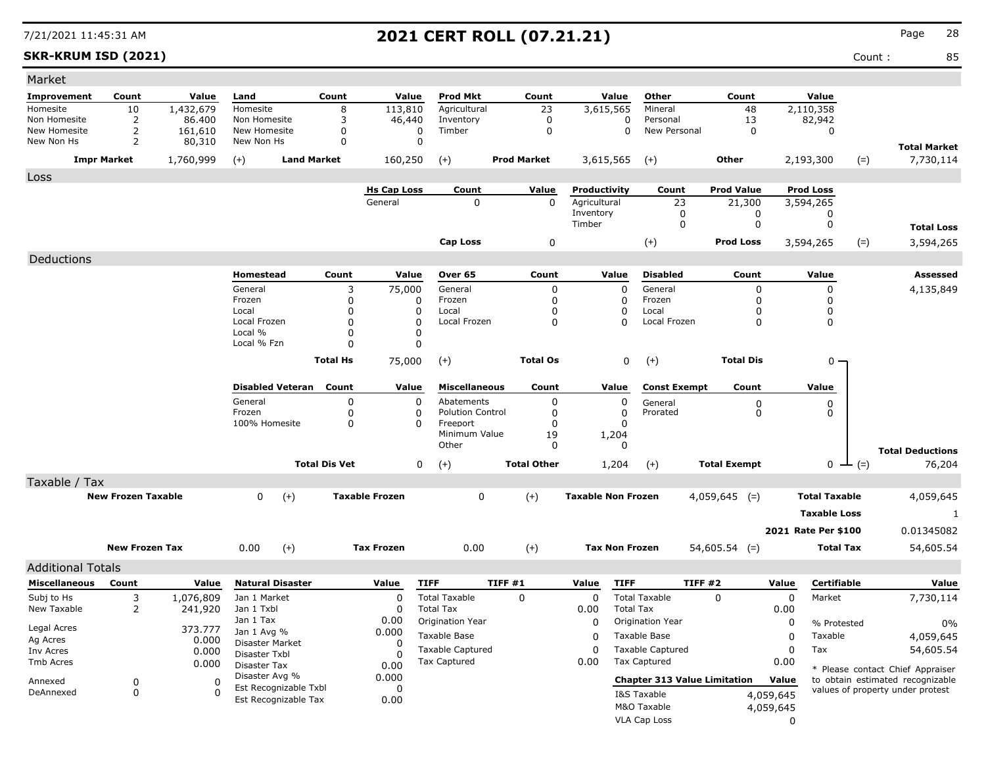### **SKR-KRUM ISD (2021)** Count : 85

| Market                     |                           |                   |                            |                               |                       |                              |                    |                           |                                     |                     |                     |           |                      |                                           |
|----------------------------|---------------------------|-------------------|----------------------------|-------------------------------|-----------------------|------------------------------|--------------------|---------------------------|-------------------------------------|---------------------|---------------------|-----------|----------------------|-------------------------------------------|
| Improvement                | Count                     | Value             | Land                       | Count                         | Value                 | <b>Prod Mkt</b>              | Count              | Value                     | Other                               |                     | Count               |           | Value                |                                           |
| Homesite                   | 10                        | 1,432,679         | Homesite                   | 8                             | 113,810               | Agricultural                 | 23                 | 3,615,565                 | Mineral                             |                     | 48                  |           | 2,110,358            |                                           |
| Non Homesite               | 2                         | 86,400            | Non Homesite               | 3                             | 46,440                | Inventory                    | 0                  |                           | 0<br>Personal                       |                     | 13                  |           | 82,942               |                                           |
| New Homesite<br>New Non Hs | $\overline{2}$<br>2       | 161,610<br>80,310 | New Homesite<br>New Non Hs | 0<br>0                        |                       | Timber<br>0<br>$\mathbf 0$   | $\mathbf 0$        |                           | $\mathbf 0$                         | New Personal        | 0                   |           | $\mathbf 0$          |                                           |
|                            | <b>Impr Market</b>        | 1,760,999         | $(+)$                      | <b>Land Market</b>            | 160,250               | $(+)$                        | <b>Prod Market</b> | 3,615,565                 | $(+)$                               |                     | Other               |           | 2,193,300            | <b>Total Market</b><br>7,730,114<br>$(=)$ |
| Loss                       |                           |                   |                            |                               |                       |                              |                    |                           |                                     |                     |                     |           |                      |                                           |
|                            |                           |                   |                            |                               | <b>Hs Cap Loss</b>    | Count                        | Value              | Productivity              |                                     | Count               | <b>Prod Value</b>   |           | <b>Prod Loss</b>     |                                           |
|                            |                           |                   |                            |                               | General               | $\mathbf 0$                  | $\mathbf 0$        | Agricultural              |                                     | 23                  | 21,300              |           | 3,594,265            |                                           |
|                            |                           |                   |                            |                               |                       |                              |                    | Inventory<br>Timber       |                                     | 0<br>0              | 0<br>0              |           | 0<br>0               |                                           |
|                            |                           |                   |                            |                               |                       |                              |                    |                           |                                     |                     |                     |           |                      | <b>Total Loss</b>                         |
|                            |                           |                   |                            |                               |                       | <b>Cap Loss</b>              | 0                  |                           | $(+)$                               |                     | <b>Prod Loss</b>    |           | 3,594,265            | 3,594,265<br>$(=)$                        |
| Deductions                 |                           |                   |                            |                               |                       |                              |                    |                           |                                     |                     |                     |           |                      |                                           |
|                            |                           |                   | Homestead                  | Count                         | Value                 | Over 65                      | Count              | Value                     | <b>Disabled</b>                     |                     | Count               |           | Value                | Assessed                                  |
|                            |                           |                   | General                    |                               | 3<br>75,000           | General                      | 0                  |                           | General<br>$\mathbf 0$              |                     | 0                   |           | 0                    | 4,135,849                                 |
|                            |                           |                   | Frozen<br>Local            |                               | 0<br>$\Omega$         | Frozen<br>0<br>0<br>Local    | 0<br>0             |                           | Frozen<br>0<br>Local<br>0           |                     | 0<br>0              |           | 0<br>$\mathbf 0$     |                                           |
|                            |                           |                   | Local Frozen               |                               | $\Omega$              | $\Omega$<br>Local Frozen     | 0                  |                           | 0                                   | Local Frozen        | 0                   |           | 0                    |                                           |
|                            |                           |                   | Local %                    |                               | $\Omega$              | 0                            |                    |                           |                                     |                     |                     |           |                      |                                           |
|                            |                           |                   | Local % Fzn                |                               | 0                     | 0                            |                    |                           |                                     |                     |                     |           |                      |                                           |
|                            |                           |                   |                            | <b>Total Hs</b>               | 75,000                | $(+)$                        | <b>Total Os</b>    |                           | 0<br>$(+)$                          |                     | <b>Total Dis</b>    |           | 0 -                  |                                           |
|                            |                           |                   |                            | <b>Disabled Veteran</b> Count | Value                 | <b>Miscellaneous</b>         | Count              | Value                     |                                     | <b>Const Exempt</b> | Count               |           | Value                |                                           |
|                            |                           |                   | General                    |                               | 0                     | 0<br>Abatements              | 0                  |                           | 0<br>General                        |                     | 0                   |           | 0                    |                                           |
|                            |                           |                   | Frozen                     |                               | 0                     | <b>Polution Control</b><br>0 | 0                  |                           | 0<br>Prorated                       |                     | 0                   |           | 0                    |                                           |
|                            |                           |                   | 100% Homesite              |                               | 0                     | 0<br>Freeport                | 0                  |                           | 0                                   |                     |                     |           |                      |                                           |
|                            |                           |                   |                            |                               |                       | Minimum Value<br>Other       | 19<br>0            | 1,204                     | $\Omega$                            |                     |                     |           |                      |                                           |
|                            |                           |                   |                            |                               |                       |                              |                    |                           |                                     |                     |                     |           |                      | <b>Total Deductions</b>                   |
|                            |                           |                   |                            | <b>Total Dis Vet</b>          |                       | 0<br>$(+)$                   | <b>Total Other</b> | 1,204                     | $(+)$                               |                     | <b>Total Exempt</b> |           | $0 \leftarrow (=)$   | 76,204                                    |
| Taxable / Tax              |                           |                   |                            |                               |                       |                              |                    |                           |                                     |                     |                     |           |                      |                                           |
|                            | <b>New Frozen Taxable</b> |                   | $\mathbf 0$                | $(+)$                         | <b>Taxable Frozen</b> | 0                            | $(+)$              | <b>Taxable Non Frozen</b> |                                     |                     | $4,059,645$ (=)     |           | <b>Total Taxable</b> | 4,059,645                                 |
|                            |                           |                   |                            |                               |                       |                              |                    |                           |                                     |                     |                     |           | <b>Taxable Loss</b>  | 1                                         |
|                            |                           |                   |                            |                               |                       |                              |                    |                           |                                     |                     |                     |           | 2021 Rate Per \$100  | 0.01345082                                |
|                            | <b>New Frozen Tax</b>     |                   | 0.00                       | $(+)$                         | <b>Tax Frozen</b>     | 0.00                         | $(+)$              |                           | <b>Tax Non Frozen</b>               |                     | $54,605.54$ (=)     |           | <b>Total Tax</b>     | 54,605.54                                 |
|                            |                           |                   |                            |                               |                       |                              |                    |                           |                                     |                     |                     |           |                      |                                           |
| <b>Additional Totals</b>   |                           |                   |                            |                               |                       |                              |                    |                           |                                     |                     |                     |           |                      |                                           |
| <b>Miscellaneous</b>       | Count                     | Value             | <b>Natural Disaster</b>    |                               | Value                 | <b>TIFF</b>                  | TIFF #1            | Value                     | <b>TIFF</b>                         | TIFF #2             |                     | Value     | <b>Certifiable</b>   | Value                                     |
| Subj to Hs                 | 3                         | 1,076,809         | Jan 1 Market               |                               | 0                     | <b>Total Taxable</b>         | 0                  | 0                         | <b>Total Taxable</b>                |                     | $\mathbf{0}$        | 0         | Market               | 7,730,114                                 |
| New Taxable                | 2                         | 241,920           | Jan 1 Txbl<br>Jan 1 Tax    |                               | 0<br>0.00             | <b>Total Tax</b>             |                    | 0.00                      | <b>Total Tax</b>                    |                     |                     | 0.00      |                      |                                           |
| Legal Acres                |                           | 373.777           | Jan 1 Avg %                |                               | 0.000                 | Origination Year             |                    | 0                         | Origination Year                    |                     |                     | 0         | % Protested          | 0%                                        |
| Ag Acres                   |                           | 0.000             | Disaster Market            |                               | 0                     | Taxable Base                 |                    | 0                         | Taxable Base                        |                     |                     | 0         | Taxable              | 4,059,645                                 |
| Inv Acres                  |                           | 0.000             | Disaster Txbl              |                               |                       | <b>Taxable Captured</b>      |                    | 0                         | <b>Taxable Captured</b>             |                     |                     | 0         | Tax                  | 54,605.54                                 |
| Tmb Acres                  |                           | 0.000             | <b>Disaster Tax</b>        |                               | 0.00                  | <b>Tax Captured</b>          |                    | 0.00                      | Tax Captured                        |                     |                     | 0.00      |                      | * Please contact Chief Appraiser          |
| Annexed                    | 0                         | 0                 | Disaster Avg %             |                               | 0.000                 |                              |                    |                           | <b>Chapter 313 Value Limitation</b> |                     |                     | Value     |                      | to obtain estimated recognizable          |
| DeAnnexed                  | 0                         | 0                 | Est Recognizable Txbl      |                               | 0                     |                              |                    |                           | I&S Taxable                         |                     |                     | 4,059,645 |                      | values of property under protest          |
|                            |                           |                   | Est Recognizable Tax       |                               | 0.00                  |                              |                    |                           | M&O Taxable                         |                     |                     | 4,059,645 |                      |                                           |
|                            |                           |                   |                            |                               |                       |                              |                    |                           | <b>VLA Cap Loss</b>                 |                     |                     | 0         |                      |                                           |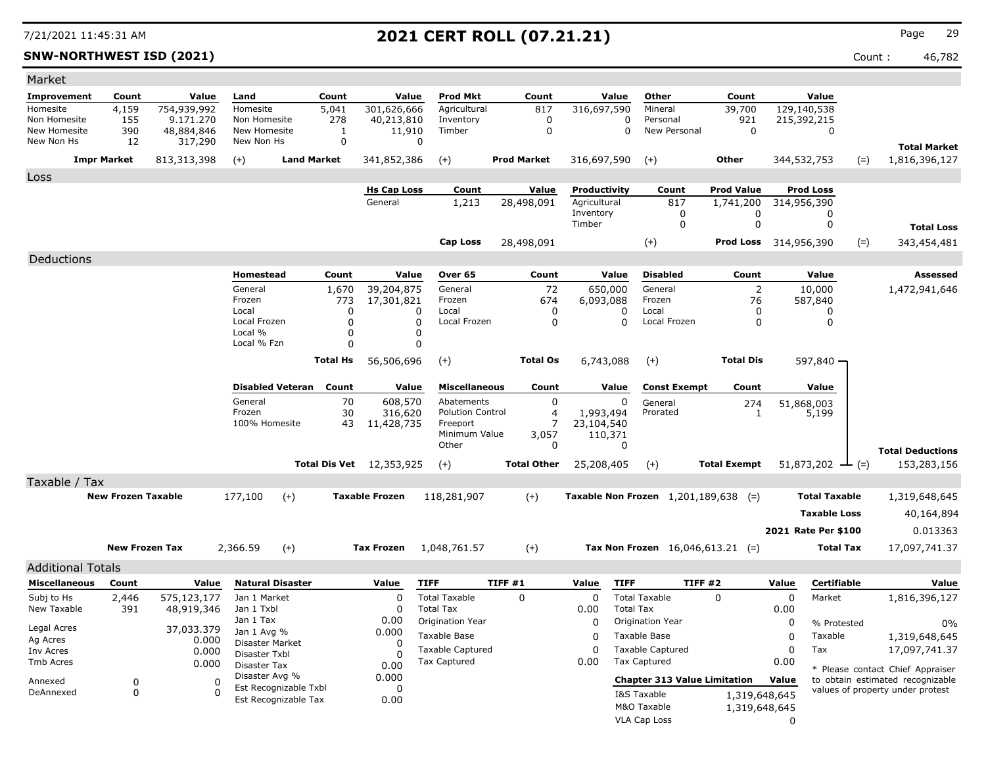### **SNW-NORTHWEST ISD (2021)** Count : 46,782

| Market                       |                           |                         |                                |                       |                                 |                           |        |                     |                              |                  |                                        |                                |          |                                 |       |                                  |
|------------------------------|---------------------------|-------------------------|--------------------------------|-----------------------|---------------------------------|---------------------------|--------|---------------------|------------------------------|------------------|----------------------------------------|--------------------------------|----------|---------------------------------|-------|----------------------------------|
| Improvement                  | Count                     | Value                   | Land                           | Count                 | Value                           | <b>Prod Mkt</b>           |        | Count               | Value                        |                  | Other                                  | Count                          |          | Value                           |       |                                  |
| Homesite                     | 4,159                     | 754,939,992             | Homesite                       | 5,041                 | 301,626,666                     | Agricultural              |        | 817                 | 316,697,590                  |                  | Mineral                                | 39,700                         |          | 129,140,538                     |       |                                  |
| Non Homesite<br>New Homesite | 155<br>390                | 9.171.270<br>48,884,846 | Non Homesite<br>New Homesite   | 278<br>1              | 40,213,810<br>11,910            | Inventory<br>Timber       |        | 0<br>$\mathbf 0$    |                              | 0<br>0           | Personal<br>New Personal               | 921<br>$\mathbf 0$             |          | 215,392,215<br>$\mathbf 0$      |       |                                  |
| New Non Hs                   | 12                        | 317,290                 | New Non Hs                     | $\mathbf 0$           |                                 | 0                         |        |                     |                              |                  |                                        |                                |          |                                 |       |                                  |
|                              |                           |                         |                                | <b>Land Market</b>    |                                 |                           |        | <b>Prod Market</b>  |                              |                  |                                        | Other                          |          |                                 |       | <b>Total Market</b>              |
|                              | <b>Impr Market</b>        | 813,313,398             | $(+)$                          |                       | 341,852,386                     | $(+)$                     |        |                     | 316,697,590                  |                  | $(+)$                                  |                                |          | 344,532,753                     | $(=)$ | 1,816,396,127                    |
| Loss                         |                           |                         |                                |                       |                                 |                           |        |                     |                              |                  |                                        |                                |          |                                 |       |                                  |
|                              |                           |                         |                                |                       | <b>Hs Cap Loss</b><br>General   | Count<br>1,213            |        | Value<br>28,498,091 | Productivity<br>Agricultural |                  | Count<br>817                           | <b>Prod Value</b><br>1,741,200 |          | <b>Prod Loss</b><br>314,956,390 |       |                                  |
|                              |                           |                         |                                |                       |                                 |                           |        |                     | Inventory                    |                  | 0                                      | 0                              |          | 0                               |       |                                  |
|                              |                           |                         |                                |                       |                                 |                           |        |                     | Timber                       |                  | 0                                      | $\mathbf 0$                    |          | 0                               |       | <b>Total Loss</b>                |
|                              |                           |                         |                                |                       |                                 | <b>Cap Loss</b>           |        | 28,498,091          |                              |                  | $(+)$                                  | <b>Prod Loss</b> 314,956,390   |          |                                 | $(=)$ | 343,454,481                      |
| Deductions                   |                           |                         |                                |                       |                                 |                           |        |                     |                              |                  |                                        |                                |          |                                 |       |                                  |
|                              |                           |                         | Homestead                      | Count                 | Value                           | Over 65                   |        | Count               | Value                        |                  | <b>Disabled</b>                        | Count                          |          | Value                           |       | Assessed                         |
|                              |                           |                         | General                        | 1,670                 | 39,204,875                      | General                   |        | 72                  | 650,000                      |                  | General                                | $\overline{2}$                 |          | 10,000                          |       | 1,472,941,646                    |
|                              |                           |                         | Frozen                         | 773                   | 17,301,821                      | Frozen                    |        | 674                 | 6,093,088                    |                  | Frozen                                 | 76                             |          | 587,840                         |       |                                  |
|                              |                           |                         | Local                          |                       | 0                               | Local<br>0                |        | 0                   |                              | 0                | Local                                  | 0                              |          | 0                               |       |                                  |
|                              |                           |                         | Local Frozen<br>Local %        |                       | $\mathbf 0$<br>0                | Local Frozen<br>0<br>0    |        | $\Omega$            |                              | $\Omega$         | Local Frozen                           | 0                              |          | $\mathbf 0$                     |       |                                  |
|                              |                           |                         | Local % Fzn                    |                       | 0                               | 0                         |        |                     |                              |                  |                                        |                                |          |                                 |       |                                  |
|                              |                           |                         |                                | <b>Total Hs</b>       | 56,506,696                      | $(+)$                     |        | <b>Total Os</b>     | 6,743,088                    |                  | $(+)$                                  | <b>Total Dis</b>               |          | 597,840 -                       |       |                                  |
|                              |                           |                         |                                |                       |                                 |                           |        |                     |                              |                  |                                        |                                |          |                                 |       |                                  |
|                              |                           |                         | <b>Disabled Veteran</b>        | Count                 | Value                           | <b>Miscellaneous</b>      |        | Count               | Value                        |                  | <b>Const Exempt</b>                    | Count                          |          | Value                           |       |                                  |
|                              |                           |                         | General                        |                       | 70<br>608,570                   | Abatements                |        | $\mathbf 0$         |                              | 0                | General                                | 274                            |          | 51,868,003                      |       |                                  |
|                              |                           |                         | Frozen                         |                       | 30<br>316,620                   | <b>Polution Control</b>   |        | $\overline{4}$<br>7 | 1,993,494                    |                  | Prorated                               | 1                              |          | 5,199                           |       |                                  |
|                              |                           |                         | 100% Homesite                  |                       | 43<br>11,428,735                | Freeport<br>Minimum Value |        | 3,057               | 23,104,540<br>110,371        |                  |                                        |                                |          |                                 |       |                                  |
|                              |                           |                         |                                |                       |                                 | Other                     |        | 0                   |                              | 0                |                                        |                                |          |                                 |       | <b>Total Deductions</b>          |
|                              |                           |                         |                                |                       | <b>Total Dis Vet</b> 12,353,925 | $(+)$                     |        | <b>Total Other</b>  | 25,208,405                   |                  | $(+)$                                  | <b>Total Exempt</b>            |          | $51,873,202$ — (=)              |       | 153,283,156                      |
| Taxable / Tax                |                           |                         |                                |                       |                                 |                           |        |                     |                              |                  |                                        |                                |          |                                 |       |                                  |
|                              | <b>New Frozen Taxable</b> |                         | 177,100                        | $(+)$                 | <b>Taxable Frozen</b>           | 118,281,907               |        | $(+)$               |                              |                  | Taxable Non Frozen $1,201,189,638$ (=) |                                |          | <b>Total Taxable</b>            |       | 1,319,648,645                    |
|                              |                           |                         |                                |                       |                                 |                           |        |                     |                              |                  |                                        |                                |          |                                 |       |                                  |
|                              |                           |                         |                                |                       |                                 |                           |        |                     |                              |                  |                                        |                                |          | <b>Taxable Loss</b>             |       | 40,164,894                       |
|                              |                           |                         |                                |                       |                                 |                           |        |                     |                              |                  |                                        |                                |          | 2021 Rate Per \$100             |       | 0.013363                         |
|                              | <b>New Frozen Tax</b>     |                         | 2,366.59                       | $(+)$                 | <b>Tax Frozen</b>               | 1,048,761.57              |        | $(+)$               |                              |                  | Tax Non Frozen $16,046,613.21$ (=)     |                                |          | <b>Total Tax</b>                |       | 17,097,741.37                    |
| <b>Additional Totals</b>     |                           |                         |                                |                       |                                 |                           |        |                     |                              |                  |                                        |                                |          |                                 |       |                                  |
| <b>Miscellaneous</b>         | Count                     | Value                   | <b>Natural Disaster</b>        |                       | Value                           | <b>TIFF</b>               | TIFF#1 |                     | Value                        | <b>TIFF</b>      | <b>TIFF #2</b>                         |                                | Value    | <b>Certifiable</b>              |       | Value                            |
| Subj to Hs                   | 2,446                     | 575,123,177             | Jan 1 Market                   |                       | 0                               | <b>Total Taxable</b>      |        | 0                   | $\mathbf 0$                  |                  | <b>Total Taxable</b>                   | $\Omega$                       | 0        | Market                          |       | 1,816,396,127                    |
| New Taxable                  | 391                       | 48,919,346              | Jan 1 Txbl                     |                       | $\Omega$                        | <b>Total Tax</b>          |        |                     | 0.00                         | <b>Total Tax</b> |                                        |                                | 0.00     |                                 |       |                                  |
| Legal Acres                  |                           | 37,033.379              | Jan 1 Tax                      |                       | 0.00                            | Origination Year          |        |                     | 0                            |                  | Origination Year                       |                                | 0        | % Protested                     |       | 0%                               |
| Ag Acres                     |                           | 0.000                   | Jan 1 Avg %<br>Disaster Market |                       | 0.000<br>$\Omega$               | <b>Taxable Base</b>       |        |                     | $\Omega$                     |                  | Taxable Base                           |                                | 0        | Taxable                         |       | 1,319,648,645                    |
| Inv Acres                    |                           | 0.000                   | Disaster Txbl                  |                       | $\Omega$                        | Taxable Captured          |        |                     | $\Omega$                     |                  | <b>Taxable Captured</b>                |                                | 0        | Tax                             |       | 17,097,741.37                    |
| Tmb Acres                    |                           | 0.000                   | Disaster Tax                   |                       | 0.00                            | <b>Tax Captured</b>       |        |                     | 0.00                         |                  | <b>Tax Captured</b>                    |                                | 0.00     |                                 |       | * Please contact Chief Appraiser |
| Annexed                      | $\mathbf 0$               | $\Omega$                | Disaster Avg %                 |                       | 0.000                           |                           |        |                     |                              |                  | <b>Chapter 313 Value Limitation</b>    |                                | Value    |                                 |       | to obtain estimated recognizable |
| DeAnnexed                    | $\mathbf 0$               | $\Omega$                |                                | Est Recognizable Txbl | $\Omega$                        |                           |        |                     |                              |                  | I&S Taxable                            | 1,319,648,645                  |          |                                 |       | values of property under protest |
|                              |                           |                         |                                | Est Recognizable Tax  | 0.00                            |                           |        |                     |                              |                  | M&O Taxable                            | 1,319,648,645                  |          |                                 |       |                                  |
|                              |                           |                         |                                |                       |                                 |                           |        |                     |                              |                  | VLA Cap Loss                           |                                | $\Omega$ |                                 |       |                                  |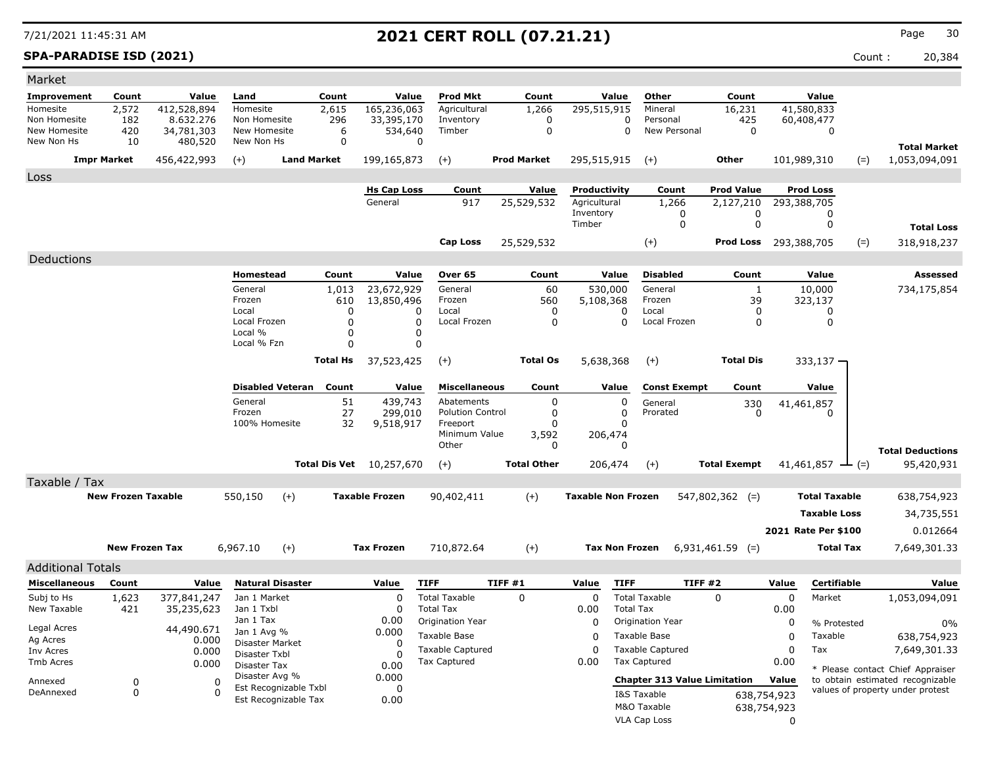**SPA-PARADISE ISD (2021)** Count : 20,384

| Market                       |                           |                         |                              |                         |             |                                 |                                                |                    |                           |                          |                                                |                              |                         |                              |                                                                      |
|------------------------------|---------------------------|-------------------------|------------------------------|-------------------------|-------------|---------------------------------|------------------------------------------------|--------------------|---------------------------|--------------------------|------------------------------------------------|------------------------------|-------------------------|------------------------------|----------------------------------------------------------------------|
| Improvement                  | Count                     | Value                   | Land                         |                         | Count       | Value                           | <b>Prod Mkt</b>                                | Count              |                           | Value                    | Other                                          | Count                        |                         | Value                        |                                                                      |
| Homesite                     | 2,572                     | 412,528,894             | Homesite                     |                         | 2,615       | 165,236,063                     | Agricultural                                   | 1,266              | 295,515,915               |                          | Mineral                                        | 16,231                       |                         | 41,580,833                   |                                                                      |
| Non Homesite<br>New Homesite | 182<br>420                | 8.632.276<br>34,781,303 | Non Homesite<br>New Homesite |                         | 296<br>6    | 33,395,170<br>534,640           | Inventory<br>Timber                            | 0<br>$\mathbf 0$   |                           | $\Omega$<br>$\Omega$     | Personal<br>New Personal                       | 425<br>$\Omega$              |                         | 60,408,477<br>$\mathbf 0$    |                                                                      |
| New Non Hs                   | 10                        | 480,520                 | New Non Hs                   |                         | $\mathbf 0$ |                                 | 0                                              |                    |                           |                          |                                                |                              |                         |                              |                                                                      |
|                              | <b>Impr Market</b>        | 456,422,993             | $(+)$                        | <b>Land Market</b>      |             | 199,165,873                     | $(+)$                                          | <b>Prod Market</b> | 295,515,915               |                          | $(+)$                                          | <b>Other</b>                 |                         | 101,989,310                  | <b>Total Market</b><br>$(=)$<br>1,053,094,091                        |
|                              |                           |                         |                              |                         |             |                                 |                                                |                    |                           |                          |                                                |                              |                         |                              |                                                                      |
| Loss                         |                           |                         |                              |                         |             | <b>Hs Cap Loss</b>              | Count                                          | Value              | Productivity              |                          | Count                                          | <b>Prod Value</b>            |                         | <b>Prod Loss</b>             |                                                                      |
|                              |                           |                         |                              |                         |             | General                         | 917                                            | 25,529,532         | Agricultural              |                          | 1,266                                          | 2,127,210                    |                         | 293,388,705                  |                                                                      |
|                              |                           |                         |                              |                         |             |                                 |                                                |                    | Inventory                 |                          | 0                                              | 0                            |                         | 0                            |                                                                      |
|                              |                           |                         |                              |                         |             |                                 |                                                |                    | Timber                    |                          | $\mathbf 0$                                    | $\mathbf 0$                  |                         | $\mathbf 0$                  | <b>Total Loss</b>                                                    |
|                              |                           |                         |                              |                         |             |                                 | <b>Cap Loss</b>                                | 25,529,532         |                           |                          | $(+)$                                          | <b>Prod Loss</b> 293,388,705 |                         |                              | 318,918,237<br>$(=)$                                                 |
| Deductions                   |                           |                         |                              |                         |             |                                 |                                                |                    |                           |                          |                                                |                              |                         |                              |                                                                      |
|                              |                           |                         | Homestead                    |                         | Count       | Value                           | Over 65                                        | Count              |                           | Value                    | <b>Disabled</b>                                | Count                        |                         | Value                        | Assessed                                                             |
|                              |                           |                         | General                      |                         | 1,013       | 23,672,929                      | General                                        | 60                 | 530,000                   |                          | General                                        | 1                            |                         | 10,000                       | 734,175,854                                                          |
|                              |                           |                         | Frozen                       |                         | 610         | 13,850,496                      | Frozen                                         | 560                | 5,108,368                 |                          | Frozen                                         | 39                           |                         | 323,137                      |                                                                      |
|                              |                           |                         | Local<br>Local Frozen        |                         | 0<br>0      | O<br>$\Omega$                   | Local<br>Local Frozen                          | 0<br>0             |                           | <sup>0</sup><br>$\Omega$ | Local<br>Local Frozen                          | 0<br>0                       |                         | 0<br>0                       |                                                                      |
|                              |                           |                         | Local %                      |                         | 0           | $\mathbf 0$                     |                                                |                    |                           |                          |                                                |                              |                         |                              |                                                                      |
|                              |                           |                         | Local % Fzn                  |                         | 0           | $\mathbf 0$                     |                                                |                    |                           |                          |                                                |                              |                         |                              |                                                                      |
|                              |                           |                         |                              |                         | Total Hs    | 37,523,425                      | $(+)$                                          | <b>Total Os</b>    | 5,638,368                 |                          | $(+)$                                          | <b>Total Dis</b>             |                         | 333,137 -                    |                                                                      |
|                              |                           |                         |                              |                         |             |                                 |                                                |                    |                           |                          |                                                |                              |                         |                              |                                                                      |
|                              |                           |                         |                              | <b>Disabled Veteran</b> | Count       | Value                           | <b>Miscellaneous</b>                           | Count              |                           | Value                    | <b>Const Exempt</b>                            | Count                        |                         | Value                        |                                                                      |
|                              |                           |                         | General<br>Frozen            |                         | 51          | 439,743                         | Abatements<br><b>Polution Control</b>          | 0<br>0             |                           | 0<br>$\Omega$            | General<br>Prorated                            | 330                          |                         | 41,461,857<br>n              |                                                                      |
|                              |                           |                         | 100% Homesite                |                         | 27<br>32    | 299,010<br>9,518,917            | Freeport                                       | O                  |                           | $\Omega$                 |                                                | 0                            |                         |                              |                                                                      |
|                              |                           |                         |                              |                         |             |                                 | Minimum Value                                  | 3,592              | 206,474                   |                          |                                                |                              |                         |                              |                                                                      |
|                              |                           |                         |                              |                         |             |                                 | Other                                          | 0                  |                           | $\Omega$                 |                                                |                              |                         |                              | <b>Total Deductions</b>                                              |
|                              |                           |                         |                              |                         |             | <b>Total Dis Vet</b> 10,257,670 | $(+)$                                          | <b>Total Other</b> | 206,474                   |                          | $(+)$                                          | <b>Total Exempt</b>          |                         | 41,461,857 $\rightarrow$ (=) | 95,420,931                                                           |
| Taxable / Tax                |                           |                         |                              |                         |             |                                 |                                                |                    |                           |                          |                                                |                              |                         |                              |                                                                      |
|                              | <b>New Frozen Taxable</b> |                         | 550,150                      | $(+)$                   |             | <b>Taxable Frozen</b>           | 90,402,411                                     | $(+)$              | <b>Taxable Non Frozen</b> |                          |                                                | $547,802,362$ (=)            |                         | <b>Total Taxable</b>         | 638,754,923                                                          |
|                              |                           |                         |                              |                         |             |                                 |                                                |                    |                           |                          |                                                |                              |                         | <b>Taxable Loss</b>          | 34,735,551                                                           |
|                              |                           |                         |                              |                         |             |                                 |                                                |                    |                           |                          |                                                |                              |                         | 2021 Rate Per \$100          | 0.012664                                                             |
|                              |                           |                         |                              |                         |             |                                 |                                                |                    |                           |                          |                                                |                              |                         |                              |                                                                      |
|                              | <b>New Frozen Tax</b>     |                         | 6,967.10                     | $(+)$                   |             | <b>Tax Frozen</b>               | 710,872.64                                     | $(+)$              | <b>Tax Non Frozen</b>     |                          |                                                | $6,931,461.59$ (=)           |                         | <b>Total Tax</b>             | 7,649,301.33                                                         |
| <b>Additional Totals</b>     |                           |                         |                              |                         |             |                                 |                                                |                    |                           |                          |                                                |                              |                         |                              |                                                                      |
| <b>Miscellaneous</b>         | Count                     | Value                   |                              | <b>Natural Disaster</b> |             | Value                           | <b>TIFF</b>                                    | TIFF #1            | Value                     | <b>TIFF</b>              | <b>TIFF #2</b>                                 |                              | Value                   | <b>Certifiable</b>           | Value                                                                |
| Subj to Hs                   | 1,623                     | 377,841,247             | Jan 1 Market                 |                         |             | $\mathbf 0$                     | <b>Total Taxable</b>                           | $\Omega$           | $\Omega$                  |                          | <b>Total Taxable</b>                           | $\mathbf{0}$                 | $\mathbf 0$             | Market                       | 1,053,094,091                                                        |
| New Taxable                  | 421                       | 35,235,623              | Jan 1 Txbl<br>Jan 1 Tax      |                         |             | 0                               | <b>Total Tax</b>                               |                    | 0.00                      | <b>Total Tax</b>         |                                                |                              | 0.00                    |                              |                                                                      |
| Legal Acres                  |                           | 44,490.671              | Jan 1 Avg %                  |                         |             | 0.00<br>0.000                   | Origination Year                               |                    | $\mathbf{0}$              |                          | Origination Year                               |                              | 0                       | % Protested                  | 0%                                                                   |
| Ag Acres                     |                           | 0.000                   |                              | Disaster Market         |             | $\Omega$                        | <b>Taxable Base</b>                            |                    | $\Omega$                  |                          | Taxable Base                                   |                              | 0                       | Taxable                      | 638,754,923                                                          |
| Inv Acres<br>Tmb Acres       |                           | 0.000                   | Disaster Txbl                |                         |             | $\Omega$                        | <b>Taxable Captured</b><br><b>Tax Captured</b> |                    | $\mathbf 0$<br>0.00       |                          | <b>Taxable Captured</b><br><b>Tax Captured</b> |                              | 0<br>0.00               | Tax                          | 7,649,301.33                                                         |
|                              |                           | 0.000                   | Disaster Tax                 | Disaster Avg %          |             | 0.00<br>0.000                   |                                                |                    |                           |                          |                                                |                              |                         |                              | * Please contact Chief Appraiser                                     |
| Annexed                      | 0<br>$\Omega$             |                         | $\mathbf 0$<br>$\Omega$      | Est Recognizable Txbl   |             | 0                               |                                                |                    |                           |                          | <b>Chapter 313 Value Limitation</b>            |                              | Value                   |                              | to obtain estimated recognizable<br>values of property under protest |
| DeAnnexed                    |                           |                         |                              | Est Recognizable Tax    |             | 0.00                            |                                                |                    |                           |                          | I&S Taxable<br>M&O Taxable                     |                              | 638,754,923             |                              |                                                                      |
|                              |                           |                         |                              |                         |             |                                 |                                                |                    |                           |                          | <b>VLA Cap Loss</b>                            |                              | 638,754,923<br>$\Omega$ |                              |                                                                      |
|                              |                           |                         |                              |                         |             |                                 |                                                |                    |                           |                          |                                                |                              |                         |                              |                                                                      |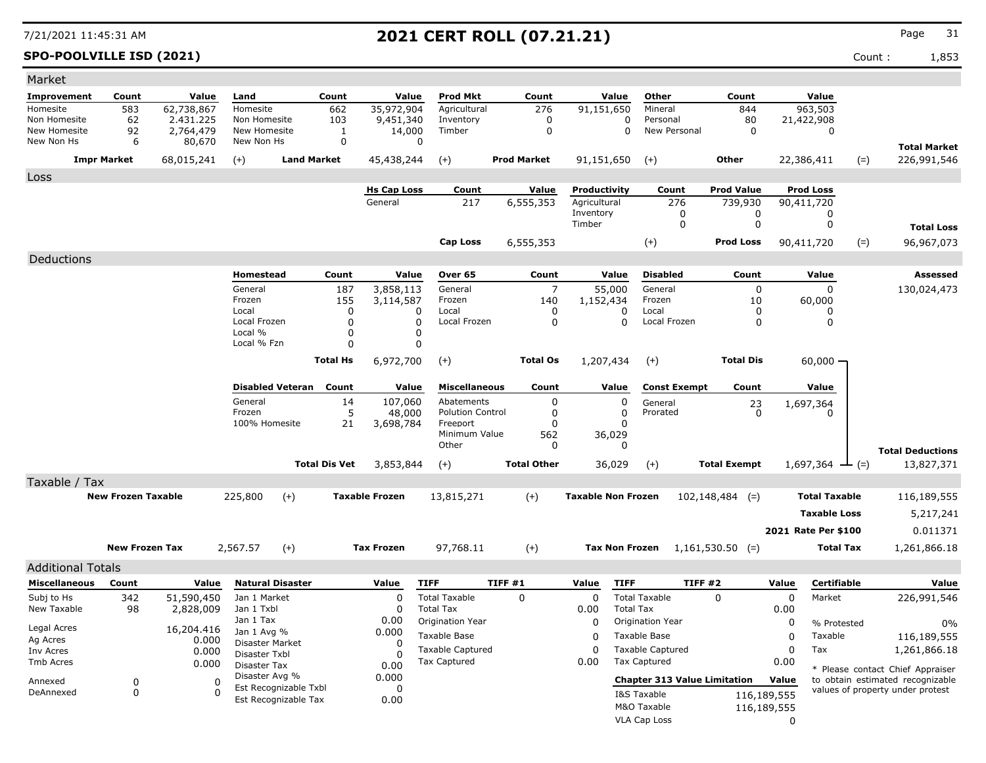**SPO-POOLVILLE ISD (2021)** Count : 1,853

| Market                     |                           |                     |                            |                         |                      |                       |                         |                    |                |                           |                         |                                     |             |                      |                                  |
|----------------------------|---------------------------|---------------------|----------------------------|-------------------------|----------------------|-----------------------|-------------------------|--------------------|----------------|---------------------------|-------------------------|-------------------------------------|-------------|----------------------|----------------------------------|
| Improvement                | Count                     | Value               | Land                       |                         | Count                | Value                 | <b>Prod Mkt</b>         | Count              |                | Value                     | Other                   | Count                               |             | Value                |                                  |
| Homesite                   | 583                       | 62,738,867          | Homesite                   |                         | 662                  | 35,972,904            | Agricultural            | 276                |                | 91,151,650                | Mineral                 | 844                                 |             | 963,503              |                                  |
| Non Homesite               | 62                        | 2.431.225           | Non Homesite               |                         | 103                  | 9,451,340             | Inventory               | 0                  |                | $\Omega$                  | Personal                | 80                                  |             | 21,422,908           |                                  |
| New Homesite<br>New Non Hs | 92<br>6                   | 2,764,479<br>80,670 | New Homesite<br>New Non Hs |                         | 1<br>$\mathbf 0$     | 14,000<br>$\mathbf 0$ | Timber                  | $\mathbf 0$        |                | $\Omega$                  | New Personal            | $\Omega$                            |             | $\mathbf 0$          |                                  |
|                            |                           |                     |                            |                         |                      |                       |                         |                    |                |                           |                         |                                     |             |                      | <b>Total Market</b>              |
|                            | <b>Impr Market</b>        | 68,015,241          | $(+)$                      | <b>Land Market</b>      |                      | 45,438,244            | $(+)$                   | <b>Prod Market</b> |                | 91,151,650                | $(+)$                   | <b>Other</b>                        |             | 22,386,411<br>$(=)$  | 226,991,546                      |
| Loss                       |                           |                     |                            |                         |                      |                       |                         |                    |                |                           |                         |                                     |             |                      |                                  |
|                            |                           |                     |                            |                         |                      | <b>Hs Cap Loss</b>    | Count                   | Value              |                | Productivity              | Count                   | <b>Prod Value</b>                   |             | <b>Prod Loss</b>     |                                  |
|                            |                           |                     |                            |                         |                      | General               | 217                     | 6,555,353          |                | Agricultural<br>Inventory | 276<br>0                | 739,930<br>0                        |             | 90,411,720<br>0      |                                  |
|                            |                           |                     |                            |                         |                      |                       |                         |                    |                | Timber                    | $\mathbf 0$             | 0                                   |             | 0                    | <b>Total Loss</b>                |
|                            |                           |                     |                            |                         |                      |                       | <b>Cap Loss</b>         | 6,555,353          |                |                           | $(+)$                   | <b>Prod Loss</b>                    |             | 90,411,720<br>$(=)$  | 96,967,073                       |
|                            |                           |                     |                            |                         |                      |                       |                         |                    |                |                           |                         |                                     |             |                      |                                  |
| Deductions                 |                           |                     |                            |                         |                      |                       |                         |                    |                |                           |                         |                                     |             |                      |                                  |
|                            |                           |                     | Homestead                  |                         | Count                | Value                 | Over 65                 | Count              |                | Value                     | <b>Disabled</b>         | Count                               |             | Value                | Assessed                         |
|                            |                           |                     | General<br>Frozen          |                         | 187<br>155           | 3,858,113             | General<br>Frozen       | 140                | $\overline{7}$ | 55,000                    | General<br>Frozen       | $\mathbf 0$<br>10                   |             | $\Omega$             | 130,024,473                      |
|                            |                           |                     | Local                      |                         | 0                    | 3,114,587<br>0        | Local                   |                    | 0              | 1,152,434<br>0            | Local                   | 0                                   |             | 60,000<br>O          |                                  |
|                            |                           |                     | Local Frozen               |                         | $\Omega$             | $\mathbf 0$           | Local Frozen            |                    | 0              | $\Omega$                  | Local Frozen            | 0                                   |             | 0                    |                                  |
|                            |                           |                     | Local %                    |                         | 0                    | 0                     |                         |                    |                |                           |                         |                                     |             |                      |                                  |
|                            |                           |                     | Local % Fzn                |                         | 0                    | 0                     |                         |                    |                |                           |                         |                                     |             |                      |                                  |
|                            |                           |                     |                            |                         | <b>Total Hs</b>      | 6,972,700             | $(+)$                   | <b>Total Os</b>    |                | 1,207,434                 | $(+)$                   | <b>Total Dis</b>                    |             | $60,000 -$           |                                  |
|                            |                           |                     |                            | <b>Disabled Veteran</b> | Count                | Value                 | <b>Miscellaneous</b>    | Count              |                | Value                     | <b>Const Exempt</b>     | Count                               |             | Value                |                                  |
|                            |                           |                     | General                    |                         | 14                   | 107,060               | Abatements              |                    | 0              | 0                         |                         |                                     |             |                      |                                  |
|                            |                           |                     | Frozen                     |                         | 5                    | 48,000                | <b>Polution Control</b> |                    | $\Omega$       | $\Omega$                  | General<br>Prorated     | 23<br>$\Omega$                      |             | 1,697,364            |                                  |
|                            |                           |                     | 100% Homesite              |                         | 21                   | 3,698,784             | Freeport                |                    | $\Omega$       | n                         |                         |                                     |             |                      |                                  |
|                            |                           |                     |                            |                         |                      |                       | Minimum Value<br>Other  | 562                | 0              | 36,029<br>$\Omega$        |                         |                                     |             |                      |                                  |
|                            |                           |                     |                            |                         |                      |                       |                         |                    |                |                           |                         |                                     |             |                      | <b>Total Deductions</b>          |
|                            |                           |                     |                            |                         | <b>Total Dis Vet</b> | 3,853,844             | $(+)$                   | <b>Total Other</b> |                | 36,029                    | $(+)$                   | <b>Total Exempt</b>                 |             | $1,697,364$ — (=)    | 13,827,371                       |
| Taxable / Tax              |                           |                     |                            |                         |                      |                       |                         |                    |                |                           |                         |                                     |             |                      |                                  |
|                            | <b>New Frozen Taxable</b> |                     | 225,800                    | $(+)$                   |                      | <b>Taxable Frozen</b> | 13,815,271              | $(+)$              |                | <b>Taxable Non Frozen</b> |                         | $102, 148, 484$ (=)                 |             | <b>Total Taxable</b> | 116,189,555                      |
|                            |                           |                     |                            |                         |                      |                       |                         |                    |                |                           |                         |                                     |             | <b>Taxable Loss</b>  | 5,217,241                        |
|                            |                           |                     |                            |                         |                      |                       |                         |                    |                |                           |                         |                                     |             | 2021 Rate Per \$100  | 0.011371                         |
|                            |                           |                     |                            |                         |                      |                       |                         |                    |                |                           |                         |                                     |             |                      |                                  |
|                            | <b>New Frozen Tax</b>     |                     | 2,567.57                   | $(+)$                   |                      | <b>Tax Frozen</b>     | 97,768.11               | $(+)$              |                | <b>Tax Non Frozen</b>     |                         | $1,161,530.50$ (=)                  |             | <b>Total Tax</b>     | 1,261,866.18                     |
| <b>Additional Totals</b>   |                           |                     |                            |                         |                      |                       |                         |                    |                |                           |                         |                                     |             |                      |                                  |
| <b>Miscellaneous</b>       | Count                     | Value               |                            | <b>Natural Disaster</b> |                      | Value                 | <b>TIFF</b>             | TIFF #1            |                | <b>TIFF</b><br>Value      |                         | <b>TIFF #2</b>                      | Value       | <b>Certifiable</b>   | Value                            |
| Subj to Hs                 | 342                       | 51,590,450          | Jan 1 Market               |                         |                      | $\mathbf 0$           | <b>Total Taxable</b>    | 0                  |                | $\mathbf 0$               | <b>Total Taxable</b>    | $\Omega$                            | $\mathbf 0$ | Market               | 226,991,546                      |
| New Taxable                | 98                        | 2,828,009           | Jan 1 Txbl                 |                         |                      | $\Omega$              | <b>Total Tax</b>        |                    |                | 0.00<br><b>Total Tax</b>  |                         |                                     | 0.00        |                      |                                  |
| Legal Acres                |                           | 16,204.416          | Jan 1 Tax<br>Jan 1 Avg %   |                         |                      | 0.00<br>0.000         | Origination Year        |                    |                | 0                         | Origination Year        |                                     | 0           | % Protested          | 0%                               |
| Ag Acres                   |                           | 0.000               | Disaster Market            |                         |                      | $\Omega$              | Taxable Base            |                    |                | $\Omega$                  | Taxable Base            |                                     | $\mathbf 0$ | Taxable              | 116,189,555                      |
| Inv Acres                  |                           | 0.000               | Disaster Txbl              |                         |                      | $\Omega$              | Taxable Captured        |                    |                | $\Omega$                  | <b>Taxable Captured</b> |                                     | $\mathbf 0$ | Tax                  | 1,261,866.18                     |
| <b>Tmb Acres</b>           |                           | 0.000               | Disaster Tax               |                         |                      | 0.00                  | <b>Tax Captured</b>     |                    |                | 0.00                      | Tax Captured            |                                     | 0.00        |                      | * Please contact Chief Appraiser |
| Annexed                    | $\mathbf 0$               | $\sqrt{ }$          | Disaster Avg %             | Est Recognizable Txbl   |                      | 0.000<br>$\mathbf 0$  |                         |                    |                |                           |                         | <b>Chapter 313 Value Limitation</b> | Value       |                      | to obtain estimated recognizable |
| DeAnnexed                  | $\mathbf 0$               | $\Omega$            |                            | Est Recognizable Tax    |                      | 0.00                  |                         |                    |                |                           | I&S Taxable             |                                     | 116,189,555 |                      | values of property under protest |
|                            |                           |                     |                            |                         |                      |                       |                         |                    |                |                           | M&O Taxable             |                                     | 116,189,555 |                      |                                  |
|                            |                           |                     |                            |                         |                      |                       |                         |                    |                |                           | <b>VLA Cap Loss</b>     |                                     | $\Omega$    |                      |                                  |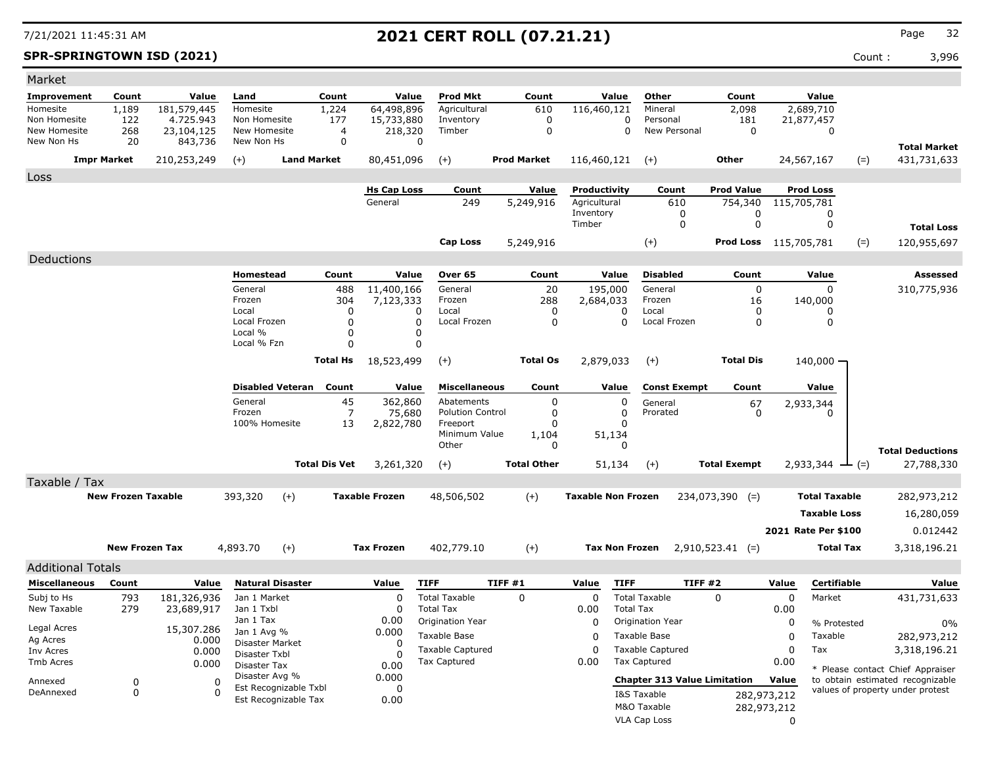**SPR-SPRINGTOWN ISD (2021)** Count : 3,996

| Market                   |                           |             |                                |                       |                      |                       |                           |        |                    |                           |                       |                                     |                              |             |                               |                                  |
|--------------------------|---------------------------|-------------|--------------------------------|-----------------------|----------------------|-----------------------|---------------------------|--------|--------------------|---------------------------|-----------------------|-------------------------------------|------------------------------|-------------|-------------------------------|----------------------------------|
| <b>Improvement</b>       | Count                     | Value       | Land                           | Count                 |                      | Value                 | <b>Prod Mkt</b>           |        | Count              |                           | Value                 | Other                               | Count                        |             | Value                         |                                  |
| Homesite                 | 1,189                     | 181,579,445 | Homesite                       | 1,224                 |                      | 64,498,896            | Agricultural              |        | 610                | 116,460,121               |                       | Mineral                             | 2,098                        |             | 2,689,710                     |                                  |
| Non Homesite             | 122                       | 4.725.943   | Non Homesite                   |                       | 177                  | 15,733,880            | Inventory                 |        | 0                  |                           | 0                     | Personal                            | 181                          |             | 21,877,457                    |                                  |
| New Homesite             | 268                       | 23,104,125  | New Homesite                   |                       | 4                    | 218,320               | Timber                    |        | $\mathbf 0$        |                           | 0                     | New Personal                        | $\mathbf 0$                  |             | 0                             |                                  |
| New Non Hs               | 20                        | 843,736     | New Non Hs                     |                       | $\mathbf 0$          | $\Omega$              |                           |        |                    |                           |                       |                                     |                              |             |                               | <b>Total Market</b>              |
|                          | <b>Impr Market</b>        | 210,253,249 | $(+)$                          | <b>Land Market</b>    |                      | 80,451,096            | $(+)$                     |        | <b>Prod Market</b> | 116,460,121               |                       | $(+)$                               | Other                        |             | 24,567,167<br>$(=)$           | 431,731,633                      |
| Loss                     |                           |             |                                |                       |                      |                       |                           |        |                    |                           |                       |                                     |                              |             |                               |                                  |
|                          |                           |             |                                |                       |                      | <b>Hs Cap Loss</b>    | Count                     |        | Value              | Productivity              |                       | Count                               | <b>Prod Value</b>            |             | <b>Prod Loss</b>              |                                  |
|                          |                           |             |                                |                       |                      | General               | 249                       |        | 5,249,916          | Agricultural              |                       | 610                                 | 754,340                      |             | 115,705,781                   |                                  |
|                          |                           |             |                                |                       |                      |                       |                           |        |                    | Inventory                 |                       | 0                                   | 0                            |             | 0                             |                                  |
|                          |                           |             |                                |                       |                      |                       |                           |        |                    | Timber                    |                       | 0                                   | 0                            |             | 0                             | <b>Total Loss</b>                |
|                          |                           |             |                                |                       |                      |                       | Cap Loss                  |        | 5,249,916          |                           |                       | $(+)$                               | <b>Prod Loss</b> 115,705,781 |             | $(=)$                         | 120,955,697                      |
| Deductions               |                           |             |                                |                       |                      |                       |                           |        |                    |                           |                       |                                     |                              |             |                               |                                  |
|                          |                           |             | Homestead                      |                       | Count                | Value                 | Over 65                   |        | Count              |                           | Value                 | <b>Disabled</b>                     | Count                        |             | Value                         | <b>Assessed</b>                  |
|                          |                           |             | General                        |                       | 488                  | 11,400,166            | General                   |        | 20                 |                           | 195,000               | General                             | $\mathbf 0$                  |             | 0                             | 310,775,936                      |
|                          |                           |             | Frozen                         |                       | 304                  | 7,123,333             | Frozen                    |        | 288                | 2,684,033                 |                       | Frozen                              | 16                           |             | 140,000                       |                                  |
|                          |                           |             | Local                          |                       | 0                    | 0                     | Local                     |        | 0                  |                           | 0                     | Local                               | 0                            |             | 0                             |                                  |
|                          |                           |             | Local Frozen<br>Local %        |                       | $\Omega$<br>$\Omega$ | $\Omega$<br>0         | Local Frozen              |        | 0                  |                           | $\Omega$              | Local Frozen                        | $\mathbf 0$                  |             | 0                             |                                  |
|                          |                           |             | Local % Fzn                    |                       | $\Omega$             | 0                     |                           |        |                    |                           |                       |                                     |                              |             |                               |                                  |
|                          |                           |             |                                |                       |                      |                       |                           |        | <b>Total Os</b>    |                           |                       |                                     | <b>Total Dis</b>             |             |                               |                                  |
|                          |                           |             |                                | <b>Total Hs</b>       |                      | 18,523,499            | $(+)$                     |        |                    | 2,879,033                 |                       | $(+)$                               |                              |             | 140,000 -                     |                                  |
|                          |                           |             | <b>Disabled Veteran</b>        |                       | Count                | Value                 | <b>Miscellaneous</b>      |        | Count              |                           | Value                 | <b>Const Exempt</b>                 | Count                        |             | Value                         |                                  |
|                          |                           |             | General                        |                       | 45                   | 362,860               | Abatements                |        | 0                  |                           | 0                     | General                             | 67                           |             | 2,933,344                     |                                  |
|                          |                           |             | Frozen                         |                       | 7                    | 75,680                | <b>Polution Control</b>   |        | 0                  |                           | 0                     | Prorated                            | $\Omega$                     |             | 0                             |                                  |
|                          |                           |             | 100% Homesite                  |                       | 13                   | 2,822,780             | Freeport<br>Minimum Value |        | 0                  |                           | 0<br>51,134           |                                     |                              |             |                               |                                  |
|                          |                           |             |                                |                       |                      |                       | Other                     |        | 1,104<br>0         |                           | 0                     |                                     |                              |             |                               |                                  |
|                          |                           |             |                                |                       |                      |                       |                           |        |                    |                           |                       |                                     |                              |             |                               | <b>Total Deductions</b>          |
|                          |                           |             |                                | <b>Total Dis Vet</b>  |                      | 3,261,320             | $(+)$                     |        | <b>Total Other</b> |                           | 51,134                | $(+)$                               | <b>Total Exempt</b>          |             | $2,933,344$ $\rightarrow$ (=) | 27,788,330                       |
| Taxable / Tax            |                           |             |                                |                       |                      |                       |                           |        |                    |                           |                       |                                     |                              |             |                               |                                  |
|                          | <b>New Frozen Taxable</b> |             | 393,320                        | $(+)$                 |                      | <b>Taxable Frozen</b> | 48,506,502                |        | $(+)$              | <b>Taxable Non Frozen</b> |                       |                                     | $234,073,390$ (=)            |             | <b>Total Taxable</b>          | 282,973,212                      |
|                          |                           |             |                                |                       |                      |                       |                           |        |                    |                           |                       |                                     |                              |             | <b>Taxable Loss</b>           | 16,280,059                       |
|                          |                           |             |                                |                       |                      |                       |                           |        |                    |                           |                       |                                     |                              |             | 2021 Rate Per \$100           | 0.012442                         |
|                          | <b>New Frozen Tax</b>     |             | 4,893.70                       | $(+)$                 |                      | <b>Tax Frozen</b>     | 402,779.10                |        |                    |                           | <b>Tax Non Frozen</b> |                                     |                              |             | Total Tax                     |                                  |
|                          |                           |             |                                |                       |                      |                       |                           |        | $(+)$              |                           |                       |                                     | $2,910,523.41$ (=)           |             |                               | 3,318,196.21                     |
| <b>Additional Totals</b> |                           |             |                                |                       |                      |                       |                           |        |                    |                           |                       |                                     |                              |             |                               |                                  |
| <b>Miscellaneous</b>     | Count                     | Value       | <b>Natural Disaster</b>        |                       |                      | Value                 | <b>TIFF</b>               | TIFF#1 |                    | Value                     | <b>TIFF</b>           | TIFF#2                              |                              | Value       | Certifiable                   | Value                            |
| Subj to Hs               | 793                       | 181,326,936 | Jan 1 Market                   |                       |                      | $\Omega$              | <b>Total Taxable</b>      |        | $\Omega$           | 0                         |                       | <b>Total Taxable</b>                | $\Omega$                     | 0           | Market                        | 431,731,633                      |
| New Taxable              | 279                       | 23,689,917  | Jan 1 Txbl                     |                       |                      | 0                     | <b>Total Tax</b>          |        |                    | 0.00                      | <b>Total Tax</b>      |                                     |                              | 0.00        |                               |                                  |
| Legal Acres              |                           | 15,307.286  | Jan 1 Tax                      |                       |                      | 0.00                  | Origination Year          |        |                    | 0                         |                       | Origination Year                    |                              | 0           | % Protested                   | 0%                               |
| Ag Acres                 |                           | 0.000       | Jan 1 Avg %<br>Disaster Market |                       |                      | 0.000<br>$\Omega$     | Taxable Base              |        |                    | 0                         |                       | Taxable Base                        |                              | 0           | Taxable                       | 282,973,212                      |
| Inv Acres                |                           | 0.000       | Disaster Txbl                  |                       |                      | O                     | <b>Taxable Captured</b>   |        |                    | 0                         |                       | <b>Taxable Captured</b>             |                              | 0           | Tax                           | 3,318,196.21                     |
| Tmb Acres                |                           | 0.000       | Disaster Tax                   |                       |                      | 0.00                  | <b>Tax Captured</b>       |        |                    | 0.00                      |                       | Tax Captured                        |                              | 0.00        |                               | * Please contact Chief Appraiser |
| Annexed                  | 0                         | 0           | Disaster Avg %                 |                       |                      | 0.000                 |                           |        |                    |                           |                       | <b>Chapter 313 Value Limitation</b> |                              | Value       |                               | to obtain estimated recognizable |
| DeAnnexed                | 0                         | $\Omega$    |                                | Est Recognizable Txbl |                      | 0                     |                           |        |                    |                           |                       | I&S Taxable                         |                              | 282,973,212 |                               | values of property under protest |
|                          |                           |             |                                | Est Recognizable Tax  |                      | 0.00                  |                           |        |                    |                           |                       | M&O Taxable                         |                              | 282,973,212 |                               |                                  |
|                          |                           |             |                                |                       |                      |                       |                           |        |                    |                           |                       | VLA Cap Loss                        |                              | $\Omega$    |                               |                                  |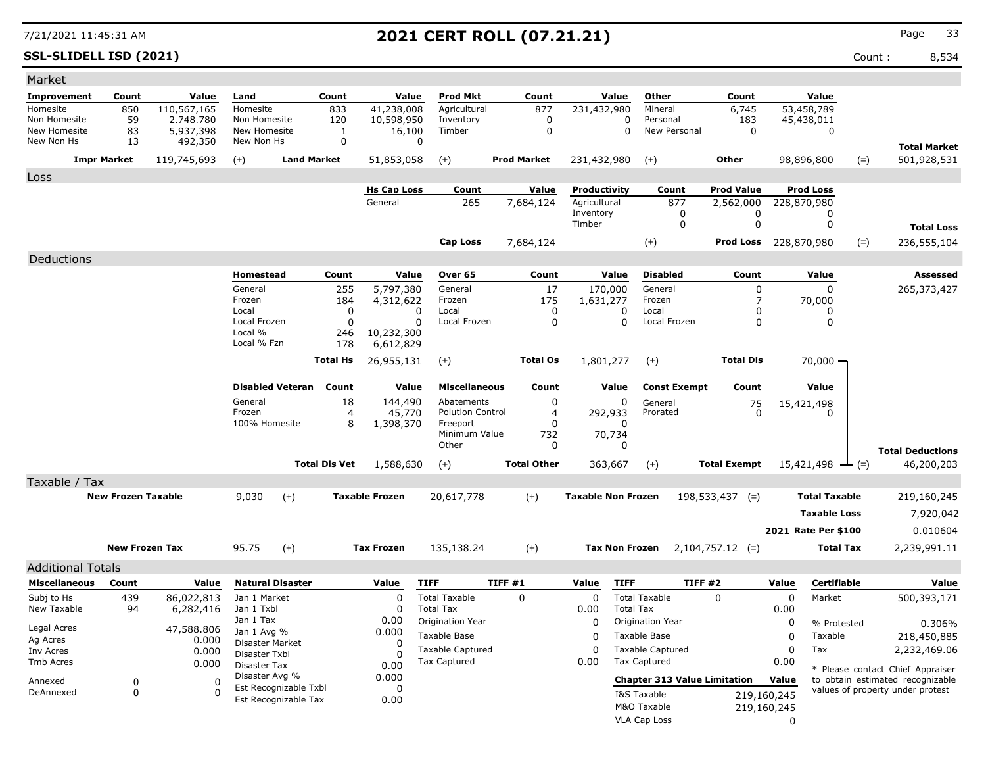**SSL-SLIDELL ISD (2021)** Count : 8,534

| Market                       |                           |                        |                              |                                               |                      |                        |                         |                            |                           |                            |                                     |                     |             |                                |                                  |                     |
|------------------------------|---------------------------|------------------------|------------------------------|-----------------------------------------------|----------------------|------------------------|-------------------------|----------------------------|---------------------------|----------------------------|-------------------------------------|---------------------|-------------|--------------------------------|----------------------------------|---------------------|
| Improvement                  | Count                     | Value                  | Land                         |                                               | Count                | Value                  | <b>Prod Mkt</b>         | Count                      |                           | Value                      | Other                               | Count               |             | Value                          |                                  |                     |
| Homesite                     | 850                       | 110,567,165            | Homesite                     |                                               | 833                  | 41,238,008             | Agricultural            | 877                        | 231,432,980               |                            | Mineral                             | 6,745               |             | 53,458,789                     |                                  |                     |
| Non Homesite<br>New Homesite | 59<br>83                  | 2.748.780<br>5,937,398 | Non Homesite<br>New Homesite |                                               | 120<br>$\mathbf{1}$  | 10,598,950<br>16,100   | Inventory<br>Timber     | $\mathbf 0$<br>$\mathbf 0$ |                           | $\mathbf 0$<br>$\mathbf 0$ | Personal<br>New Personal            | 183<br>$\mathbf 0$  |             | 45,438,011<br>$\mathbf 0$      |                                  |                     |
| New Non Hs                   | 13                        | 492,350                | New Non Hs                   |                                               | $\mathbf 0$          | $\mathbf 0$            |                         |                            |                           |                            |                                     |                     |             |                                |                                  |                     |
|                              |                           |                        |                              |                                               |                      |                        |                         |                            |                           |                            |                                     |                     |             |                                |                                  | <b>Total Market</b> |
|                              | <b>Impr Market</b>        | 119,745,693            | $(+)$                        | <b>Land Market</b>                            |                      | 51,853,058             | $(+)$                   | <b>Prod Market</b>         | 231,432,980               |                            | $(+)$                               | Other               |             | 98,896,800                     | $(=)$                            | 501,928,531         |
| Loss                         |                           |                        |                              |                                               |                      |                        |                         |                            |                           |                            |                                     |                     |             |                                |                                  |                     |
|                              |                           |                        |                              |                                               |                      | <b>Hs Cap Loss</b>     | Count                   | Value                      | Productivity              |                            | Count                               | <b>Prod Value</b>   |             | <b>Prod Loss</b>               |                                  |                     |
|                              |                           |                        |                              |                                               |                      | General                | 265                     | 7,684,124                  | Agricultural<br>Inventory |                            | 877<br>0                            | 2,562,000<br>0      |             | 228,870,980<br>0               |                                  |                     |
|                              |                           |                        |                              |                                               |                      |                        |                         |                            | Timber                    |                            | 0                                   | $\mathbf 0$         |             | $\mathbf 0$                    |                                  | <b>Total Loss</b>   |
|                              |                           |                        |                              |                                               |                      |                        | Cap Loss                | 7,684,124                  |                           |                            | $(+)$                               | <b>Prod Loss</b>    |             | 228,870,980                    | $(=)$                            | 236,555,104         |
|                              |                           |                        |                              |                                               |                      |                        |                         |                            |                           |                            |                                     |                     |             |                                |                                  |                     |
| Deductions                   |                           |                        |                              |                                               |                      |                        |                         |                            |                           |                            |                                     |                     |             |                                |                                  |                     |
|                              |                           |                        | Homestead                    |                                               | Count                | Value                  | Over 65                 | Count                      |                           | Value                      | <b>Disabled</b>                     | Count               |             | Value                          |                                  | Assessed            |
|                              |                           |                        | General<br>Frozen            |                                               | 255<br>184           | 5,797,380<br>4,312,622 | General<br>Frozen       | 17<br>175                  | 170,000<br>1,631,277      |                            | General<br>Frozen                   | 0<br>7              |             | 0<br>70,000                    |                                  | 265,373,427         |
|                              |                           |                        | Local                        |                                               | 0                    | $\Omega$               | Local                   | $\mathbf 0$                |                           | $\Omega$                   | Local                               | 0                   |             | $\Omega$                       |                                  |                     |
|                              |                           |                        | Local Frozen                 |                                               | $\mathbf 0$          | $\Omega$               | Local Frozen            | $\mathbf 0$                |                           | $\mathbf 0$                | Local Frozen                        | 0                   |             | $\mathbf 0$                    |                                  |                     |
|                              |                           |                        | Local %                      |                                               | 246                  | 10,232,300             |                         |                            |                           |                            |                                     |                     |             |                                |                                  |                     |
|                              |                           |                        | Local % Fzn                  |                                               | 178                  | 6,612,829              |                         |                            |                           |                            |                                     |                     |             |                                |                                  |                     |
|                              |                           |                        |                              |                                               | <b>Total Hs</b>      | 26,955,131             | $(+)$                   | <b>Total Os</b>            | 1,801,277                 |                            | $(+)$                               | <b>Total Dis</b>    |             | $70,000 -$                     |                                  |                     |
|                              |                           |                        |                              | <b>Disabled Veteran</b>                       | Count                | Value                  | <b>Miscellaneous</b>    | Count                      |                           | Value                      | <b>Const Exempt</b>                 | Count               |             | Value                          |                                  |                     |
|                              |                           |                        | General                      |                                               | 18                   | 144,490                | Abatements              | 0                          |                           | 0                          |                                     |                     |             |                                |                                  |                     |
|                              |                           |                        | Frozen                       |                                               | 4                    | 45,770                 | <b>Polution Control</b> | 4                          | 292,933                   |                            | General<br>Prorated                 | 75<br>$\mathbf{0}$  |             | 15,421,498                     |                                  |                     |
|                              |                           |                        | 100% Homesite                |                                               | 8                    | 1,398,370              | Freeport                | $\Omega$                   |                           |                            |                                     |                     |             |                                |                                  |                     |
|                              |                           |                        |                              |                                               |                      |                        | Minimum Value           | 732                        | 70,734                    |                            |                                     |                     |             |                                |                                  |                     |
|                              |                           |                        |                              |                                               |                      |                        | Other                   | 0                          |                           | $\Omega$                   |                                     |                     |             |                                | <b>Total Deductions</b>          |                     |
|                              |                           |                        |                              |                                               | <b>Total Dis Vet</b> | 1,588,630              | $(+)$                   | <b>Total Other</b>         | 363,667                   |                            | $(+)$                               | <b>Total Exempt</b> |             | $15,421,498$ $\rightarrow$ (=) |                                  | 46,200,203          |
| Taxable / Tax                |                           |                        |                              |                                               |                      |                        |                         |                            |                           |                            |                                     |                     |             |                                |                                  |                     |
|                              | <b>New Frozen Taxable</b> |                        | 9,030                        | $(+)$                                         |                      | <b>Taxable Frozen</b>  | 20,617,778              | $(+)$                      | <b>Taxable Non Frozen</b> |                            |                                     | $198,533,437$ (=)   |             | <b>Total Taxable</b>           |                                  | 219,160,245         |
|                              |                           |                        |                              |                                               |                      |                        |                         |                            |                           |                            |                                     |                     |             | <b>Taxable Loss</b>            |                                  | 7,920,042           |
|                              |                           |                        |                              |                                               |                      |                        |                         |                            |                           |                            |                                     |                     |             | 2021 Rate Per \$100            |                                  | 0.010604            |
|                              |                           |                        |                              |                                               |                      |                        |                         |                            |                           |                            |                                     |                     |             |                                |                                  |                     |
|                              | <b>New Frozen Tax</b>     |                        | 95.75                        | $(+)$                                         |                      | <b>Tax Frozen</b>      | 135,138.24              | $(+)$                      | <b>Tax Non Frozen</b>     |                            |                                     | $2,104,757.12$ (=)  |             | <b>Total Tax</b>               |                                  | 2,239,991.11        |
| <b>Additional Totals</b>     |                           |                        |                              |                                               |                      |                        |                         |                            |                           |                            |                                     |                     |             |                                |                                  |                     |
| <b>Miscellaneous</b>         | Count                     | Value                  |                              | <b>Natural Disaster</b>                       |                      | Value                  | <b>TIFF</b>             | TIFF#1                     | Value                     | <b>TIFF</b>                | <b>TIFF #2</b>                      |                     | Value       | Certifiable                    |                                  | Value               |
| Subj to Hs                   | 439                       | 86,022,813             | Jan 1 Market                 |                                               |                      | $\Omega$               | <b>Total Taxable</b>    | $\Omega$                   | $\mathbf 0$               |                            | <b>Total Taxable</b>                | $\Omega$            | $\mathbf 0$ | Market                         |                                  | 500,393,171         |
| New Taxable                  | 94                        | 6,282,416              | Jan 1 Txbl                   |                                               |                      | $\Omega$               | <b>Total Tax</b>        |                            | 0.00                      | <b>Total Tax</b>           |                                     |                     | 0.00        |                                |                                  |                     |
| Legal Acres                  |                           | 47,588.806             | Jan 1 Tax<br>Jan 1 Avg %     |                                               |                      | 0.00<br>0.000          | Origination Year        |                            | $\mathbf 0$               |                            | Origination Year                    |                     | 0           | % Protested                    |                                  | 0.306%              |
| Ag Acres                     |                           | 0.000                  | Disaster Market              |                                               |                      | 0                      | Taxable Base            |                            | $\Omega$                  |                            | Taxable Base                        |                     | $\mathbf 0$ | Taxable                        |                                  | 218,450,885         |
| Inv Acres                    |                           | 0.000                  | Disaster Txbl                |                                               |                      | $\Omega$               | Taxable Captured        |                            | $\Omega$                  |                            | <b>Taxable Captured</b>             |                     | $\mathbf 0$ | Tax                            |                                  | 2,232,469.06        |
| <b>Tmb Acres</b>             |                           | 0.000                  | Disaster Tax                 |                                               |                      | 0.00                   | <b>Tax Captured</b>     |                            | 0.00                      |                            | Tax Captured                        |                     | 0.00        |                                | * Please contact Chief Appraiser |                     |
| Annexed                      | $\mathbf 0$               | $\sqrt{ }$             | Disaster Avg %               |                                               |                      | 0.000                  |                         |                            |                           |                            | <b>Chapter 313 Value Limitation</b> |                     | Value       |                                | to obtain estimated recognizable |                     |
| DeAnnexed                    | $\mathbf 0$               | $\Omega$               |                              | Est Recognizable Txbl<br>Est Recognizable Tax |                      | $\mathbf 0$<br>0.00    |                         |                            |                           |                            | I&S Taxable                         |                     | 219,160,245 |                                | values of property under protest |                     |
|                              |                           |                        |                              |                                               |                      |                        |                         |                            |                           |                            | M&O Taxable                         |                     | 219,160,245 |                                |                                  |                     |
|                              |                           |                        |                              |                                               |                      |                        |                         |                            |                           |                            | <b>VLA Cap Loss</b>                 |                     | $\Omega$    |                                |                                  |                     |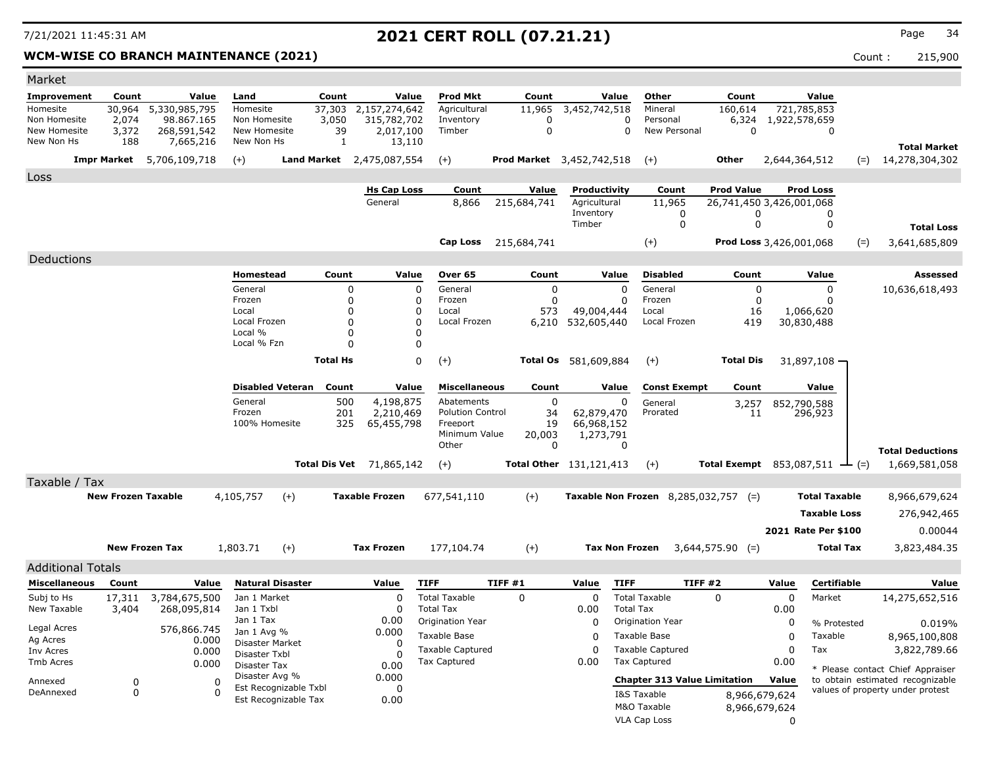### **WCM-WISE CO BRANCH MAINTENANCE (2021)** Count : 215,900

| Market                       |                           |                           |                                |                                  |                                 |        |                                  |                                  |                                |                  |                                             |                                                   |                         |                      |                                                                      |
|------------------------------|---------------------------|---------------------------|--------------------------------|----------------------------------|---------------------------------|--------|----------------------------------|----------------------------------|--------------------------------|------------------|---------------------------------------------|---------------------------------------------------|-------------------------|----------------------|----------------------------------------------------------------------|
| Improvement                  | Count                     | Value                     | Land                           | Count                            |                                 | Value  | <b>Prod Mkt</b>                  | Count                            |                                | Value            | Other                                       | Count                                             |                         | Value                |                                                                      |
| Homesite                     | 30,964                    | 5,330,985,795             | Homesite                       | 37,303                           | 2,157,274,642                   |        | Agricultural                     | 11,965                           | 3,452,742,518                  |                  | Mineral                                     | 160,614                                           | 721,785,853             |                      |                                                                      |
| Non Homesite<br>New Homesite | 2,074<br>3,372            | 98,867,165<br>268,591,542 | Non Homesite<br>New Homesite   | 3,050                            | 315,782,702<br>39               |        | Inventory<br>Timber              | 0<br>0                           |                                | 0<br>$\mathbf 0$ | Personal<br>New Personal                    | 6,324<br>$\mathbf 0$                              | 1,922,578,659           | $\mathbf 0$          |                                                                      |
| New Non Hs                   | 188                       | 7,665,216                 | New Non Hs                     |                                  | 2,017,100<br>1                  | 13,110 |                                  |                                  |                                |                  |                                             |                                                   |                         |                      |                                                                      |
|                              |                           |                           |                                |                                  |                                 |        |                                  |                                  |                                |                  |                                             | Other                                             |                         |                      | <b>Total Market</b>                                                  |
|                              | <b>Impr Market</b>        | 5,706,109,718             | $(+)$                          | <b>Land Market</b>               | 2,475,087,554                   |        | $(+)$                            | <b>Prod Market</b> 3,452,742,518 |                                |                  | $(+)$                                       |                                                   | 2,644,364,512           | $(=)$                | 14,278,304,302                                                       |
| Loss                         |                           |                           |                                |                                  |                                 |        |                                  |                                  |                                |                  |                                             |                                                   |                         |                      |                                                                      |
|                              |                           |                           |                                |                                  | <b>Hs Cap Loss</b><br>General   |        | Count                            | Value                            | Productivity<br>Agricultural   |                  | Count                                       | <b>Prod Value</b>                                 | <b>Prod Loss</b>        |                      |                                                                      |
|                              |                           |                           |                                |                                  |                                 |        | 8,866                            | 215,684,741                      | Inventory                      |                  | 11,965<br>0                                 | 26,741,450 3,426,001,068<br>$\Omega$              |                         | 0                    |                                                                      |
|                              |                           |                           |                                |                                  |                                 |        |                                  |                                  | Timber                         |                  | $\mathbf 0$                                 | $\Omega$                                          |                         | 0                    | <b>Total Loss</b>                                                    |
|                              |                           |                           |                                |                                  |                                 |        | Cap Loss                         | 215,684,741                      |                                |                  | $(+)$                                       |                                                   | Prod Loss 3,426,001,068 | $(=)$                | 3,641,685,809                                                        |
| Deductions                   |                           |                           |                                |                                  |                                 |        |                                  |                                  |                                |                  |                                             |                                                   |                         |                      |                                                                      |
|                              |                           |                           | <b>Homestead</b>               | Count                            |                                 | Value  | Over 65                          | Count                            |                                | Value            | <b>Disabled</b>                             | Count                                             |                         | Value                | <b>Assessed</b>                                                      |
|                              |                           |                           | General                        |                                  | 0                               | 0      | General                          | 0                                |                                | 0                | General                                     | 0                                                 |                         | $\mathbf 0$          | 10,636,618,493                                                       |
|                              |                           |                           | Frozen                         |                                  | $\Omega$                        | 0      | Frozen                           | $\Omega$                         |                                | $\Omega$         | Frozen                                      | $\mathbf{0}$                                      |                         | 0                    |                                                                      |
|                              |                           |                           | Local                          |                                  | $\Omega$                        | 0      | Local                            | 573                              | 49,004,444                     |                  | Local                                       | 16                                                | 1,066,620               |                      |                                                                      |
|                              |                           |                           | Local Frozen<br>Local %        |                                  | $\Omega$<br>$\Omega$            | 0<br>0 | Local Frozen                     | 6,210                            | 532,605,440                    |                  | Local Frozen                                | 419                                               | 30,830,488              |                      |                                                                      |
|                              |                           |                           | Local % Fzn                    |                                  | $\Omega$                        | 0      |                                  |                                  |                                |                  |                                             |                                                   |                         |                      |                                                                      |
|                              |                           |                           |                                | <b>Total Hs</b>                  |                                 | 0      | $(+)$                            | Total Os                         | 581,609,884                    |                  | $(+)$                                       | <b>Total Dis</b>                                  | 31,897,108 -            |                      |                                                                      |
|                              |                           |                           |                                |                                  |                                 |        |                                  |                                  |                                |                  |                                             |                                                   |                         |                      |                                                                      |
|                              |                           |                           |                                | <b>Disabled Veteran</b><br>Count |                                 | Value  | <b>Miscellaneous</b>             | Count                            |                                | Value            | <b>Const Exempt</b>                         | Count                                             |                         | Value                |                                                                      |
|                              |                           |                           | General                        |                                  | 4,198,875<br>500                |        | Abatements                       | $\mathbf 0$                      |                                | 0                | General                                     | 3,257                                             | 852,790,588             |                      |                                                                      |
|                              |                           |                           | Frozen                         |                                  | 201<br>2,210,469                |        | <b>Polution Control</b>          | 34                               | 62,879,470                     |                  | Prorated                                    | 11                                                | 296,923                 |                      |                                                                      |
|                              |                           |                           | 100% Homesite                  |                                  | 325<br>65,455,798               |        | Freeport<br>Minimum Value        | 19<br>20,003                     | 66,968,152<br>1,273,791        |                  |                                             |                                                   |                         |                      |                                                                      |
|                              |                           |                           |                                |                                  |                                 |        | Other                            | 0                                |                                | $\mathbf 0$      |                                             |                                                   |                         |                      |                                                                      |
|                              |                           |                           |                                |                                  | <b>Total Dis Vet</b> 71,865,142 |        | $(+)$                            |                                  | <b>Total Other</b> 131,121,413 |                  | $(+)$                                       | <b>Total Exempt</b> 853,087,511 $\rightarrow$ (=) |                         |                      | <b>Total Deductions</b><br>1,669,581,058                             |
| Taxable / Tax                |                           |                           |                                |                                  |                                 |        |                                  |                                  |                                |                  |                                             |                                                   |                         |                      |                                                                      |
|                              | <b>New Frozen Taxable</b> |                           | 4,105,757                      | $(+)$                            | <b>Taxable Frozen</b>           |        | 677,541,110                      | $(+)$                            |                                |                  | <b>Taxable Non Frozen</b> 8,285,032,757 (=) |                                                   |                         | <b>Total Taxable</b> | 8,966,679,624                                                        |
|                              |                           |                           |                                |                                  |                                 |        |                                  |                                  |                                |                  |                                             |                                                   |                         | <b>Taxable Loss</b>  | 276,942,465                                                          |
|                              |                           |                           |                                |                                  |                                 |        |                                  |                                  |                                |                  |                                             |                                                   | 2021 Rate Per \$100     |                      | 0.00044                                                              |
|                              |                           | <b>New Frozen Tax</b>     |                                |                                  |                                 |        |                                  |                                  |                                |                  |                                             |                                                   |                         | <b>Total Tax</b>     |                                                                      |
|                              |                           |                           | 1,803.71                       | $(+)$                            | <b>Tax Frozen</b>               |        | 177,104.74                       | $(+)$                            | <b>Tax Non Frozen</b>          |                  |                                             | $3,644,575.90$ (=)                                |                         |                      | 3,823,484.35                                                         |
| <b>Additional Totals</b>     |                           |                           |                                |                                  |                                 |        |                                  |                                  |                                |                  |                                             |                                                   |                         |                      |                                                                      |
| <b>Miscellaneous</b>         | Count                     | Value                     |                                | <b>Natural Disaster</b>          | Value                           |        | <b>TIFF</b>                      | TIFF #1                          | Value                          | <b>TIFF</b>      | <b>TIFF #2</b>                              |                                                   | Value                   | <b>Certifiable</b>   | Value                                                                |
| Subj to Hs                   | 17,311                    | 3,784,675,500             | Jan 1 Market                   |                                  | $\Omega$                        |        | <b>Total Taxable</b>             | $\Omega$                         | $\Omega$                       |                  | <b>Total Taxable</b>                        | $\mathbf 0$                                       | 0                       | Market               | 14,275,652,516                                                       |
| New Taxable                  | 3,404                     | 268,095,814               | Jan 1 Txbl<br>Jan 1 Tax        |                                  | 0<br>0.00                       |        | <b>Total Tax</b>                 |                                  | 0.00                           | <b>Total Tax</b> |                                             |                                                   | 0.00                    |                      |                                                                      |
| Legal Acres                  |                           | 576,866.745               | Jan 1 Avg %                    |                                  | 0.000                           |        | Origination Year<br>Taxable Base |                                  | 0                              |                  | Origination Year<br>Taxable Base            |                                                   | 0                       | % Protested          | 0.019%                                                               |
| Ag Acres                     |                           | 0.000                     | Disaster Market                |                                  | O                               |        | <b>Taxable Captured</b>          |                                  | 0<br>$\Omega$                  |                  | <b>Taxable Captured</b>                     |                                                   | $\Omega$                | Taxable<br>Tax       | 8,965,100,808                                                        |
| Inv Acres<br>Tmb Acres       |                           | 0.000<br>0.000            | Disaster Txbl                  |                                  | O                               |        | <b>Tax Captured</b>              |                                  | 0.00                           |                  | <b>Tax Captured</b>                         |                                                   | 0<br>0.00               |                      | 3,822,789.66                                                         |
|                              |                           |                           | Disaster Tax<br>Disaster Avg % |                                  | 0.00<br>0.000                   |        |                                  |                                  |                                |                  |                                             |                                                   |                         |                      | * Please contact Chief Appraiser                                     |
| Annexed                      | $\Omega$<br>$\Omega$      |                           | $\Omega$                       | Est Recognizable Txbl            | $\Omega$                        |        |                                  |                                  |                                |                  | <b>Chapter 313 Value Limitation</b>         |                                                   | Value                   |                      | to obtain estimated recognizable<br>values of property under protest |
| DeAnnexed                    |                           |                           | 0                              | Est Recognizable Tax             | 0.00                            |        |                                  |                                  |                                |                  | I&S Taxable                                 | 8,966,679,624                                     |                         |                      |                                                                      |
|                              |                           |                           |                                |                                  |                                 |        |                                  |                                  |                                |                  | M&O Taxable                                 | 8,966,679,624                                     |                         |                      |                                                                      |
|                              |                           |                           |                                |                                  |                                 |        |                                  |                                  |                                |                  | VLA Cap Loss                                |                                                   | $\mathbf{0}$            |                      |                                                                      |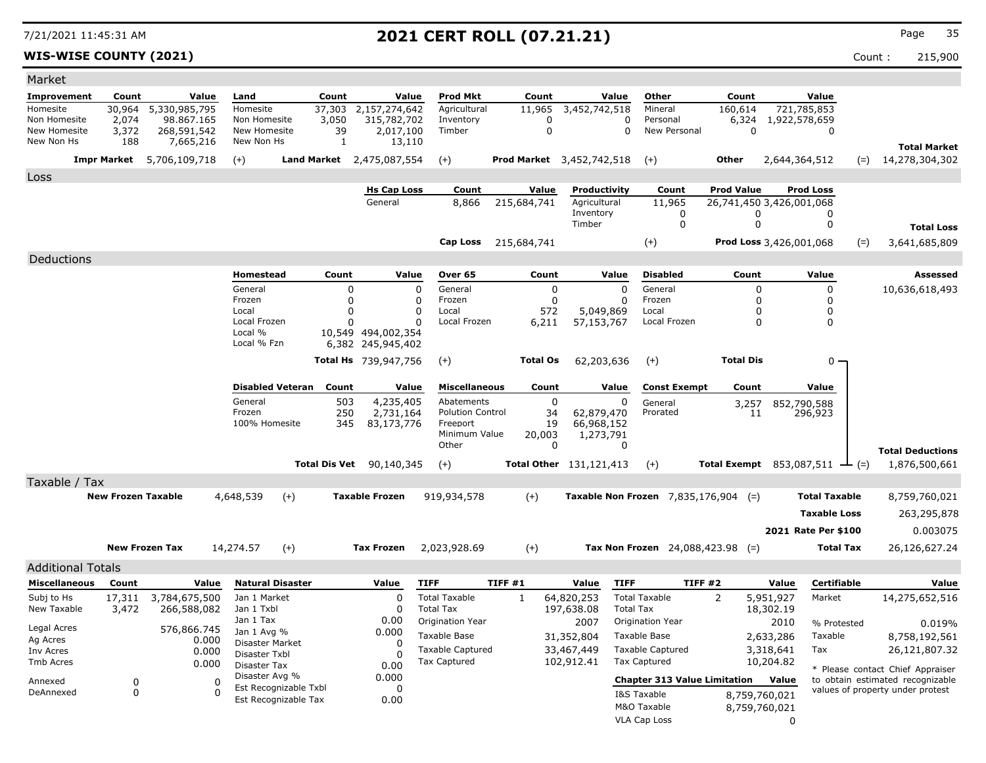### **WIS-WISE COUNTY (2021)** Count : 215,900

| Market                       |                           |                                  |          |                              |                       |               |                                |                           |             |                 |                                               |                                           |                                               |                         |                      |       |                                                                      |
|------------------------------|---------------------------|----------------------------------|----------|------------------------------|-----------------------|---------------|--------------------------------|---------------------------|-------------|-----------------|-----------------------------------------------|-------------------------------------------|-----------------------------------------------|-------------------------|----------------------|-------|----------------------------------------------------------------------|
| Improvement                  | Count                     |                                  | Value    | Land                         |                       | Count         | Value                          | <b>Prod Mkt</b>           |             | Count           | Value                                         | Other                                     | Count                                         |                         | Value                |       |                                                                      |
| Homesite                     | 30,964                    | 5,330,985,795                    |          | Homesite                     |                       | 37,303        | 2,157,274,642                  | Agricultural              |             | 11,965          | $\overline{3,}452,742,518$                    | Mineral                                   | 160,614                                       |                         | 721,785,853          |       |                                                                      |
| Non Homesite<br>New Homesite | 2,074                     | 98.867.165                       |          | Non Homesite<br>New Homesite |                       | 3,050         | 315,782,702                    | Inventory<br>Timber       |             | 0<br>0          | 0<br>$\Omega$                                 | Personal<br>New Personal                  | 6,324<br>0                                    | 1,922,578,659           |                      |       |                                                                      |
| New Non Hs                   | 3,372<br>188              | 268,591,542<br>7,665,216         |          | New Non Hs                   |                       | 39<br>1       | 2,017,100<br>13,110            |                           |             |                 |                                               |                                           |                                               |                         | 0                    |       |                                                                      |
|                              |                           |                                  |          |                              |                       |               |                                |                           |             |                 |                                               |                                           | <b>Other</b>                                  |                         |                      |       | <b>Total Market</b>                                                  |
|                              |                           | <b>Impr Market</b> 5,706,109,718 |          | $(+)$                        |                       |               | Land Market 2,475,087,554      | $(+)$                     |             |                 | <b>Prod Market</b> 3,452,742,518              | $(+)$                                     |                                               | 2,644,364,512           |                      | $(=)$ | 14,278,304,302                                                       |
| Loss                         |                           |                                  |          |                              |                       |               |                                |                           |             |                 |                                               |                                           |                                               |                         |                      |       |                                                                      |
|                              |                           |                                  |          |                              |                       |               | <b>Hs Cap Loss</b><br>General  | Count<br>8,866            | 215,684,741 | Value           | Productivity<br>Agricultural                  | Count<br>11,965                           | <b>Prod Value</b><br>26,741,450 3,426,001,068 |                         | <b>Prod Loss</b>     |       |                                                                      |
|                              |                           |                                  |          |                              |                       |               |                                |                           |             |                 | Inventory                                     | 0                                         |                                               | 0                       | 0                    |       |                                                                      |
|                              |                           |                                  |          |                              |                       |               |                                |                           |             |                 | Timber                                        | 0                                         |                                               | 0                       | 0                    |       | <b>Total Loss</b>                                                    |
|                              |                           |                                  |          |                              |                       |               |                                | Cap Loss                  | 215,684,741 |                 |                                               | $(+)$                                     |                                               | Prod Loss 3,426,001,068 |                      | $(=)$ | 3,641,685,809                                                        |
| Deductions                   |                           |                                  |          |                              |                       |               |                                |                           |             |                 |                                               |                                           |                                               |                         |                      |       |                                                                      |
|                              |                           |                                  |          | Homestead                    |                       | Count         | Value                          | Over 65                   |             | Count           | Value                                         | <b>Disabled</b>                           | Count                                         |                         | Value                |       | Assessed                                                             |
|                              |                           |                                  |          | General                      |                       | 0             | $\mathbf 0$                    | General                   |             | 0               | $\Omega$                                      | General                                   |                                               | 0                       | 0                    |       | 10,636,618,493                                                       |
|                              |                           |                                  |          | Frozen                       |                       | 0             | 0                              | Frozen                    |             | 0               | $\Omega$                                      | Frozen                                    |                                               | 0                       | 0                    |       |                                                                      |
|                              |                           |                                  |          | Local                        |                       | 0             | 0                              | Local                     |             | 572             | 5,049,869                                     | Local                                     |                                               | O                       | 0                    |       |                                                                      |
|                              |                           |                                  |          | Local Frozen<br>Local %      |                       | n             | $\Omega$<br>10,549 494,002,354 | Local Frozen              |             | 6,211           | 57,153,767                                    | Local Frozen                              |                                               | 0                       | 0                    |       |                                                                      |
|                              |                           |                                  |          | Local % Fzn                  |                       |               | 6,382 245,945,402              |                           |             |                 |                                               |                                           |                                               |                         |                      |       |                                                                      |
|                              |                           |                                  |          |                              |                       |               | <b>Total Hs</b> 739,947,756    | $(+)$                     |             | <b>Total Os</b> | 62,203,636                                    | $(+)$                                     | <b>Total Dis</b>                              |                         | 0                    |       |                                                                      |
|                              |                           |                                  |          |                              |                       |               |                                |                           |             |                 |                                               |                                           |                                               |                         |                      |       |                                                                      |
|                              |                           |                                  |          | <b>Disabled Veteran</b>      |                       | Count         | Value                          | <b>Miscellaneous</b>      |             | Count           | Value                                         | <b>Const Exempt</b>                       | Count                                         |                         | Value                |       |                                                                      |
|                              |                           |                                  |          | General                      |                       | 503           | 4,235,405                      | Abatements                |             | 0               | 0                                             | General                                   | 3,257                                         |                         | 852,790,588          |       |                                                                      |
|                              |                           |                                  |          | Frozen<br>100% Homesite      |                       | 250           | 2,731,164                      | <b>Polution Control</b>   |             | 34              | 62,879,470                                    | Prorated                                  | 11                                            |                         | 296,923              |       |                                                                      |
|                              |                           |                                  |          |                              |                       | 345           | 83,173,776                     | Freeport<br>Minimum Value |             | 19<br>20,003    | 66,968,152<br>1,273,791                       |                                           |                                               |                         |                      |       |                                                                      |
|                              |                           |                                  |          |                              |                       |               |                                | Other                     |             | $\Omega$        | 0                                             |                                           |                                               |                         |                      |       | <b>Total Deductions</b>                                              |
|                              |                           |                                  |          |                              |                       | Total Dis Vet | 90,140,345                     | $(+)$                     |             |                 | Total Other 131,121,413                       | $(+)$                                     | Total Exempt $853,087,511 \rightarrow (=)$    |                         |                      |       | 1,876,500,661                                                        |
| Taxable / Tax                |                           |                                  |          |                              |                       |               |                                |                           |             |                 |                                               |                                           |                                               |                         |                      |       |                                                                      |
|                              | <b>New Frozen Taxable</b> |                                  |          | 4,648,539                    | $(+)$                 |               | <b>Taxable Frozen</b>          | 919,934,578               | $(+)$       |                 | <b>Taxable Non Frozen</b> $7,835,176,904$ (=) |                                           |                                               |                         | <b>Total Taxable</b> |       | 8,759,760,021                                                        |
|                              |                           |                                  |          |                              |                       |               |                                |                           |             |                 |                                               |                                           |                                               |                         | <b>Taxable Loss</b>  |       | 263,295,878                                                          |
|                              |                           |                                  |          |                              |                       |               |                                |                           |             |                 |                                               |                                           |                                               |                         |                      |       |                                                                      |
|                              |                           |                                  |          |                              |                       |               |                                |                           |             |                 |                                               |                                           |                                               |                         | 2021 Rate Per \$100  |       | 0.003075                                                             |
|                              |                           | <b>New Frozen Tax</b>            |          | 14,274.57                    | $(+)$                 |               | <b>Tax Frozen</b>              | 2,023,928.69              | $(+)$       |                 |                                               | <b>Tax Non Frozen</b> 24,088,423.98 $(=)$ |                                               |                         | Total Tax            |       | 26,126,627.24                                                        |
| <b>Additional Totals</b>     |                           |                                  |          |                              |                       |               |                                |                           |             |                 |                                               |                                           |                                               |                         |                      |       |                                                                      |
| <b>Miscellaneous</b>         | Count                     |                                  | Value    | <b>Natural Disaster</b>      |                       |               | Value                          | <b>TIFF</b>               | TIFF #1     |                 | <b>TIFF</b><br>Value                          |                                           | TIFF #2                                       | Value                   | Certifiable          |       | Value                                                                |
| Subj to Hs                   | 17,311                    | 3,784,675,500                    |          | Jan 1 Market                 |                       |               | $\Omega$                       | <b>Total Taxable</b>      | 1           |                 | 64,820,253                                    | <b>Total Taxable</b>                      | 2                                             | 5,951,927               | Market               |       | 14,275,652,516                                                       |
| New Taxable                  | 3,472                     | 266,588,082                      |          | Jan 1 Txbl                   |                       |               | O                              | <b>Total Tax</b>          |             |                 | 197,638.08                                    | <b>Total Tax</b>                          |                                               | 18,302.19               |                      |       |                                                                      |
| Legal Acres                  |                           | 576,866.745                      |          | Jan 1 Tax<br>Jan 1 Avg %     |                       |               | 0.00<br>0.000                  | Origination Year          |             |                 | 2007                                          | Origination Year                          |                                               | 2010                    | % Protested          |       | 0.019%                                                               |
| Ag Acres                     |                           |                                  | 0.000    | Disaster Market              |                       |               | 0                              | Taxable Base              |             |                 | 31,352,804                                    | Taxable Base                              |                                               | 2,633,286               | Taxable              |       | 8,758,192,561                                                        |
| Inv Acres                    |                           |                                  | 0.000    | Disaster Txbl                |                       |               |                                | <b>Taxable Captured</b>   |             |                 | 33,467,449                                    | <b>Taxable Captured</b>                   |                                               | 3,318,641               | Tax                  |       | 26,121,807.32                                                        |
| Tmb Acres                    |                           |                                  | 0.000    | Disaster Tax                 |                       |               | 0.00                           | Tax Captured              |             |                 | 102,912.41                                    | Tax Captured                              |                                               | 10,204.82               |                      |       | * Please contact Chief Appraiser                                     |
| Annexed                      | 0                         |                                  | 0        | Disaster Avg %               | Est Recognizable Txbl |               | 0.000<br>0                     |                           |             |                 |                                               | <b>Chapter 313 Value Limitation</b>       |                                               | Value                   |                      |       | to obtain estimated recognizable<br>values of property under protest |
| DeAnnexed                    | 0                         |                                  | $\Omega$ |                              | Est Recognizable Tax  |               | 0.00                           |                           |             |                 |                                               | I&S Taxable                               |                                               | 8,759,760,021           |                      |       |                                                                      |
|                              |                           |                                  |          |                              |                       |               |                                |                           |             |                 |                                               | M&O Taxable                               |                                               | 8,759,760,021           |                      |       |                                                                      |
|                              |                           |                                  |          |                              |                       |               |                                |                           |             |                 |                                               | VLA Cap Loss                              |                                               | 0                       |                      |       |                                                                      |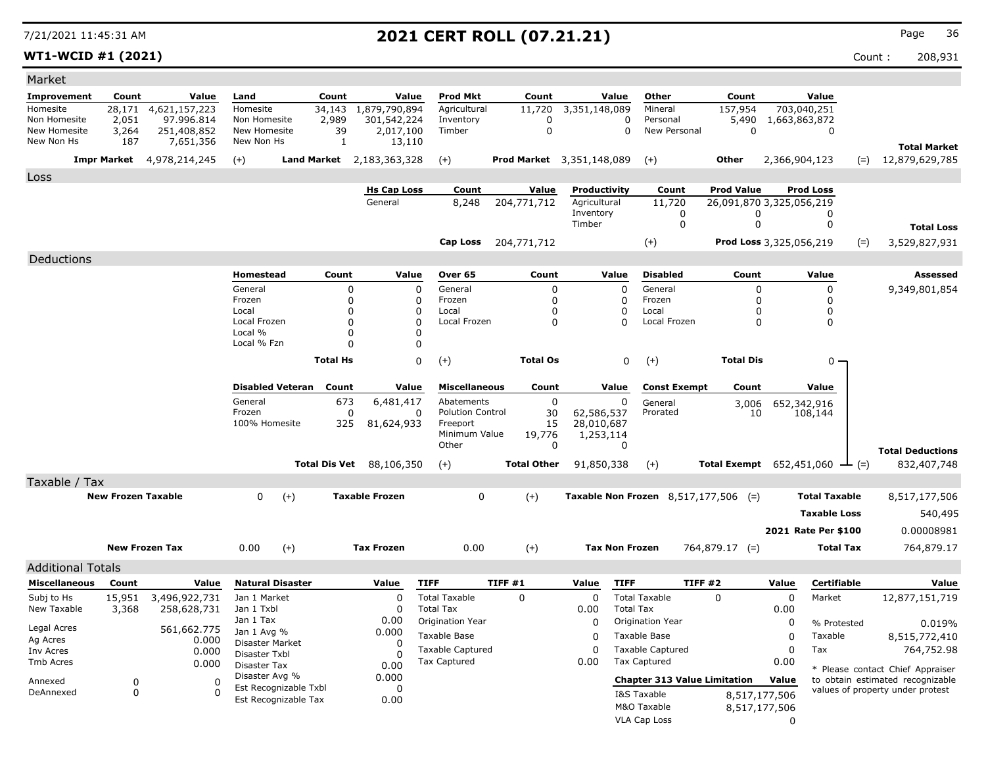**WT1-WCID #1 (2021)** Count : 208,931

| <b>Total Market</b><br>12,879,629,785                                |
|----------------------------------------------------------------------|
|                                                                      |
|                                                                      |
|                                                                      |
|                                                                      |
|                                                                      |
|                                                                      |
|                                                                      |
|                                                                      |
|                                                                      |
|                                                                      |
| <b>Total Loss</b>                                                    |
| 3,529,827,931                                                        |
|                                                                      |
| Assessed                                                             |
| 9,349,801,854                                                        |
|                                                                      |
|                                                                      |
|                                                                      |
|                                                                      |
|                                                                      |
|                                                                      |
|                                                                      |
|                                                                      |
|                                                                      |
|                                                                      |
| <b>Total Deductions</b>                                              |
| 832,407,748                                                          |
|                                                                      |
|                                                                      |
|                                                                      |
| 8,517,177,506                                                        |
| 540,495                                                              |
| 0.00008981                                                           |
| 764,879.17                                                           |
|                                                                      |
|                                                                      |
| Value                                                                |
| 12,877,151,719                                                       |
|                                                                      |
| 0.019%                                                               |
| 8,515,772,410                                                        |
| 764,752.98                                                           |
| * Please contact Chief Appraiser                                     |
| to obtain estimated recognizable<br>values of property under protest |
|                                                                      |
|                                                                      |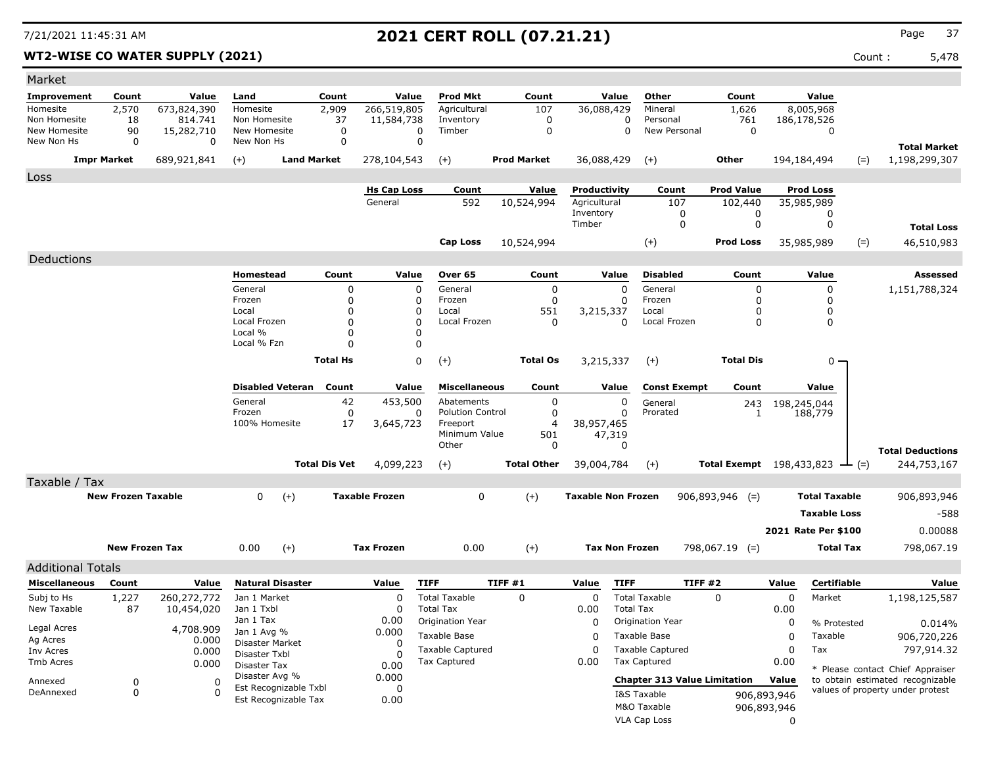**WT2-WISE CO WATER SUPPLY (2021)** 6,478

| Market                     |                           |                 |                                |                                               |                  |                             |                           |        |                       |                           |                       |                                     |                                                     |             |                      |       |                                  |
|----------------------------|---------------------------|-----------------|--------------------------------|-----------------------------------------------|------------------|-----------------------------|---------------------------|--------|-----------------------|---------------------------|-----------------------|-------------------------------------|-----------------------------------------------------|-------------|----------------------|-------|----------------------------------|
| Improvement                | Count                     | Value           | Land                           |                                               | Count            | Value                       | <b>Prod Mkt</b>           |        | Count                 |                           | Value                 | Other                               | Count                                               |             | Value                |       |                                  |
| Homesite                   | 2,570                     | 673,824,390     | Homesite                       |                                               | 2,909            | 266,519,805                 | Agricultural              |        | 107                   | 36,088,429                |                       | Mineral                             | 1,626                                               |             | 8,005,968            |       |                                  |
| Non Homesite               | 18                        | 814.741         | Non Homesite                   |                                               | 37               | 11,584,738                  | Inventory                 |        | 0                     |                           | 0                     | Personal                            | 761                                                 |             | 186,178,526          |       |                                  |
| New Homesite<br>New Non Hs | 90<br>$\mathbf 0$         | 15,282,710<br>0 | New Homesite<br>New Non Hs     |                                               | $\mathbf 0$<br>0 | $\mathbf 0$<br>$\mathbf 0$  | Timber                    |        | $\mathbf 0$           |                           | 0                     | New Personal                        | $\mathbf 0$                                         |             | $\mathbf 0$          |       |                                  |
|                            |                           |                 |                                |                                               |                  |                             |                           |        |                       |                           |                       |                                     |                                                     |             |                      |       | <b>Total Market</b>              |
|                            | <b>Impr Market</b>        | 689,921,841     | $(+)$                          | <b>Land Market</b>                            |                  | 278,104,543                 | $(+)$                     |        | <b>Prod Market</b>    | 36,088,429                |                       | $(+)$                               | Other                                               |             | 194,184,494          | $(=)$ | 1,198,299,307                    |
| Loss                       |                           |                 |                                |                                               |                  |                             |                           |        |                       |                           |                       |                                     |                                                     |             |                      |       |                                  |
|                            |                           |                 |                                |                                               |                  | <b>Hs Cap Loss</b>          | Count                     |        | Value                 | Productivity              |                       | Count                               | <b>Prod Value</b>                                   |             | <b>Prod Loss</b>     |       |                                  |
|                            |                           |                 |                                |                                               |                  | General                     | 592                       |        | 10,524,994            | Agricultural<br>Inventory |                       | 107<br>0                            | 102,440<br>0                                        |             | 35,985,989<br>0      |       |                                  |
|                            |                           |                 |                                |                                               |                  |                             |                           |        |                       | Timber                    |                       | $\mathbf 0$                         | $\mathbf 0$                                         |             | $\mathbf 0$          |       | <b>Total Loss</b>                |
|                            |                           |                 |                                |                                               |                  |                             | <b>Cap Loss</b>           |        | 10,524,994            |                           |                       | $(+)$                               | <b>Prod Loss</b>                                    |             | 35,985,989           | $(=)$ | 46,510,983                       |
|                            |                           |                 |                                |                                               |                  |                             |                           |        |                       |                           |                       |                                     |                                                     |             |                      |       |                                  |
| Deductions                 |                           |                 |                                |                                               |                  |                             |                           |        |                       |                           |                       |                                     |                                                     |             |                      |       |                                  |
|                            |                           |                 | Homestead                      |                                               | Count            | Value                       | Over 65                   |        | Count                 |                           | Value                 | <b>Disabled</b>                     | Count                                               |             | Value                |       | <b>Assessed</b>                  |
|                            |                           |                 | General<br>Frozen              |                                               | 0<br>$\mathbf 0$ | $\mathbf 0$<br>$\mathbf{0}$ | General<br>Frozen         |        | $\mathbf 0$<br>0      |                           | $\Omega$<br>0         | General<br>Frozen                   | $\mathbf 0$<br>0                                    |             | 0<br>0               |       | 1,151,788,324                    |
|                            |                           |                 | Local                          |                                               | 0                | 0                           | Local                     |        | 551                   | 3,215,337                 |                       | Local                               | 0                                                   |             | $\mathbf 0$          |       |                                  |
|                            |                           |                 | Local Frozen                   |                                               | $\mathbf 0$      | 0                           | Local Frozen              |        | $\mathbf 0$           |                           | 0                     | Local Frozen                        | $\mathbf 0$                                         |             | 0                    |       |                                  |
|                            |                           |                 | Local %<br>Local % Fzn         |                                               | 0<br>$\Omega$    | 0<br>0                      |                           |        |                       |                           |                       |                                     |                                                     |             |                      |       |                                  |
|                            |                           |                 |                                |                                               |                  |                             |                           |        |                       |                           |                       |                                     |                                                     |             |                      |       |                                  |
|                            |                           |                 |                                |                                               | <b>Total Hs</b>  | $\Omega$                    | $(+)$                     |        | <b>Total Os</b>       | 3,215,337                 |                       | $(+)$                               | <b>Total Dis</b>                                    |             | $0 \cdot$            |       |                                  |
|                            |                           |                 | <b>Disabled Veteran</b>        |                                               | Count            | Value                       | <b>Miscellaneous</b>      |        | Count                 |                           | Value                 | <b>Const Exempt</b>                 | Count                                               |             | Value                |       |                                  |
|                            |                           |                 | General                        |                                               | 42               | 453,500                     | Abatements                |        | 0                     |                           | 0                     | General                             | 243                                                 |             | 198,245,044          |       |                                  |
|                            |                           |                 | Frozen                         |                                               | $\mathbf 0$      | 0                           | <b>Polution Control</b>   |        | 0                     |                           | $\mathbf{0}$          | Prorated                            | 1                                                   |             | 188,779              |       |                                  |
|                            |                           |                 | 100% Homesite                  |                                               | 17               | 3,645,723                   | Freeport<br>Minimum Value |        | $\overline{4}$<br>501 | 38,957,465                | 47,319                |                                     |                                                     |             |                      |       |                                  |
|                            |                           |                 |                                |                                               |                  |                             | Other                     |        | 0                     |                           | $\mathbf{0}$          |                                     |                                                     |             |                      |       | <b>Total Deductions</b>          |
|                            |                           |                 |                                | <b>Total Dis Vet</b>                          |                  | 4,099,223                   | $(+)$                     |        | <b>Total Other</b>    | 39,004,784                |                       | $(+)$                               | <b>Total Exempt</b> $198,433,823$ $\rightarrow$ (=) |             |                      |       | 244,753,167                      |
| Taxable / Tax              |                           |                 |                                |                                               |                  |                             |                           |        |                       |                           |                       |                                     |                                                     |             |                      |       |                                  |
|                            | <b>New Frozen Taxable</b> |                 | $\Omega$                       | $(+)$                                         |                  | <b>Taxable Frozen</b>       | $\Omega$                  |        | $(+)$                 | <b>Taxable Non Frozen</b> |                       |                                     | $906,893,946$ (=)                                   |             | <b>Total Taxable</b> |       | 906,893,946                      |
|                            |                           |                 |                                |                                               |                  |                             |                           |        |                       |                           |                       |                                     |                                                     |             |                      |       |                                  |
|                            |                           |                 |                                |                                               |                  |                             |                           |        |                       |                           |                       |                                     |                                                     |             | <b>Taxable Loss</b>  |       | $-588$                           |
|                            |                           |                 |                                |                                               |                  |                             |                           |        |                       |                           |                       |                                     |                                                     |             | 2021 Rate Per \$100  |       | 0.00088                          |
|                            | <b>New Frozen Tax</b>     |                 | 0.00                           | $(+)$                                         |                  | <b>Tax Frozen</b>           | 0.00                      |        | $(+)$                 |                           | <b>Tax Non Frozen</b> |                                     | $798,067.19$ (=)                                    |             | <b>Total Tax</b>     |       | 798,067.19                       |
| <b>Additional Totals</b>   |                           |                 |                                |                                               |                  |                             |                           |        |                       |                           |                       |                                     |                                                     |             |                      |       |                                  |
| <b>Miscellaneous</b>       | Count                     | Value           | <b>Natural Disaster</b>        |                                               |                  | Value                       | <b>TIFF</b>               | TIFF#1 |                       | Value                     | <b>TIFF</b>           |                                     | TIFF#2                                              | Value       | Certifiable          |       | Value                            |
| Subj to Hs                 | 1,227                     | 260,272,772     | Jan 1 Market                   |                                               |                  | 0                           | <b>Total Taxable</b>      |        | $\mathbf 0$           | $\mathbf 0$               |                       | <b>Total Taxable</b>                | $\Omega$                                            | 0           | Market               |       | 1,198,125,587                    |
| New Taxable                | 87                        | 10,454,020      | Jan 1 Txbl                     |                                               |                  | $\Omega$                    | <b>Total Tax</b>          |        |                       | 0.00                      | <b>Total Tax</b>      |                                     |                                                     | 0.00        |                      |       |                                  |
| Legal Acres                |                           | 4,708.909       | Jan 1 Tax                      |                                               |                  | 0.00                        | Origination Year          |        |                       | 0                         |                       | Origination Year                    |                                                     | 0           | % Protested          |       | 0.014%                           |
| Ag Acres                   |                           | 0.000           | Jan 1 Avg %<br>Disaster Market |                                               |                  | 0.000<br>$\Omega$           | Taxable Base              |        |                       | 0                         |                       | Taxable Base                        |                                                     | 0           | Taxable              |       | 906,720,226                      |
| Inv Acres                  |                           | 0.000           | Disaster Txbl                  |                                               |                  | $\Omega$                    | <b>Taxable Captured</b>   |        |                       | $\mathbf 0$               |                       | <b>Taxable Captured</b>             |                                                     | 0           | Tax                  |       | 797,914.32                       |
| Tmb Acres                  |                           | 0.000           | Disaster Tax                   |                                               |                  | 0.00                        | <b>Tax Captured</b>       |        |                       | 0.00                      |                       | <b>Tax Captured</b>                 |                                                     | 0.00        |                      |       | * Please contact Chief Appraiser |
| Annexed                    | 0                         | $\Omega$        | Disaster Avg %                 |                                               |                  | 0.000                       |                           |        |                       |                           |                       | <b>Chapter 313 Value Limitation</b> |                                                     | Value       |                      |       | to obtain estimated recognizable |
| DeAnnexed                  | $\mathbf 0$               | $\Omega$        |                                | Est Recognizable Txbl<br>Est Recognizable Tax |                  | $\Omega$<br>0.00            |                           |        |                       |                           |                       | I&S Taxable                         |                                                     | 906,893,946 |                      |       | values of property under protest |
|                            |                           |                 |                                |                                               |                  |                             |                           |        |                       |                           |                       | M&O Taxable                         |                                                     | 906,893,946 |                      |       |                                  |
|                            |                           |                 |                                |                                               |                  |                             |                           |        |                       |                           |                       | <b>VLA Cap Loss</b>                 |                                                     | $\Omega$    |                      |       |                                  |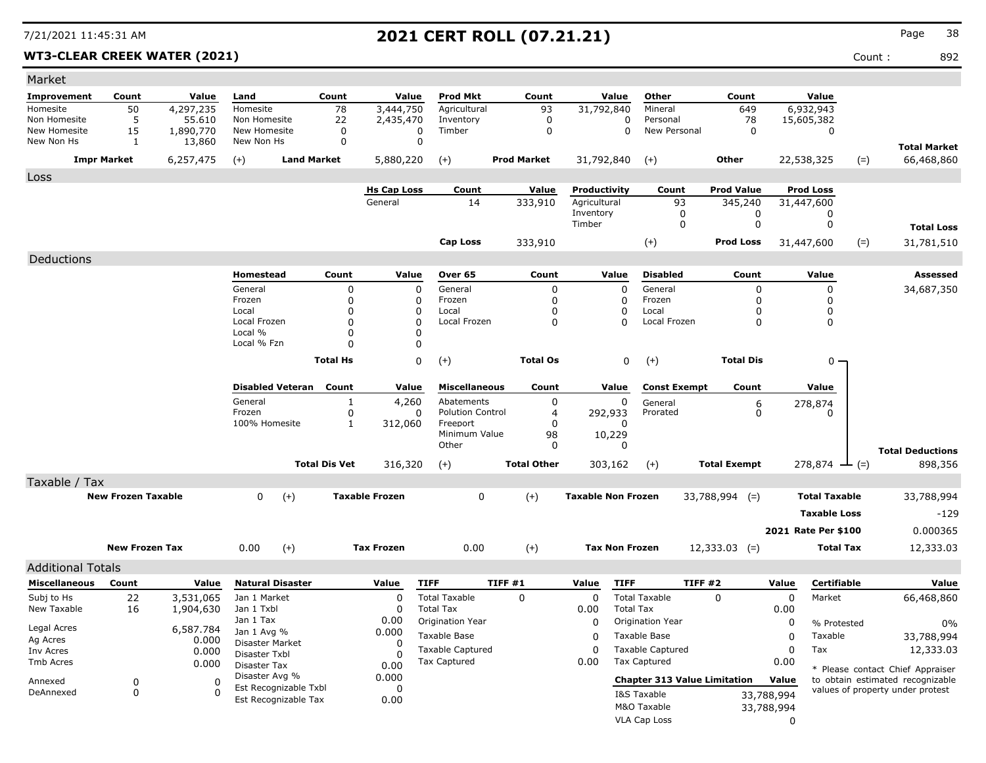WT3-CLEAR CREEK WATER (2021) **Count :** 892

| Market                   |                           |               |                                  |                      |                       |                         |                    |                           |                  |                                     |                     |            |                             |                                                                      |
|--------------------------|---------------------------|---------------|----------------------------------|----------------------|-----------------------|-------------------------|--------------------|---------------------------|------------------|-------------------------------------|---------------------|------------|-----------------------------|----------------------------------------------------------------------|
| Improvement              | Count                     | Value         | Land                             | Count                | Value                 | <b>Prod Mkt</b>         | Count              |                           | Value            | Other                               | Count               |            | Value                       |                                                                      |
| Homesite                 | 50                        | 4,297,235     | Homesite                         | 78                   | 3,444,750             | Agricultural            | 93                 | 31,792,840                |                  | Mineral                             | 649                 |            | 6,932,943                   |                                                                      |
| Non Homesite             | 5                         | 55.610        | Non Homesite                     | 22                   | 2,435,470             | Inventory               | 0                  |                           | 0                | Personal                            | 78                  |            | 15,605,382                  |                                                                      |
| New Homesite             | 15                        | 1,890,770     | New Homesite                     | 0                    | 0                     | Timber                  | 0                  |                           | 0                | New Personal                        | $\mathbf 0$         |            | 0                           |                                                                      |
| New Non Hs               | 1                         | 13,860        | New Non Hs                       | $\mathbf 0$          | 0                     |                         |                    |                           |                  |                                     |                     |            |                             | <b>Total Market</b>                                                  |
|                          | <b>Impr Market</b>        | 6,257,475     | $(+)$                            | <b>Land Market</b>   | 5,880,220             | $(+)$                   | <b>Prod Market</b> | 31,792,840                |                  | $(+)$                               | Other               |            | $(=)$<br>22,538,325         | 66,468,860                                                           |
| Loss                     |                           |               |                                  |                      |                       |                         |                    |                           |                  |                                     |                     |            |                             |                                                                      |
|                          |                           |               |                                  |                      | <b>Hs Cap Loss</b>    | Count                   | Value              | Productivity              |                  | Count                               | <b>Prod Value</b>   |            | <b>Prod Loss</b>            |                                                                      |
|                          |                           |               |                                  |                      | General               | 14                      | 333,910            | Agricultural              |                  | 93                                  | 345,240             |            | 31,447,600                  |                                                                      |
|                          |                           |               |                                  |                      |                       |                         |                    | Inventory                 |                  | 0                                   | 0                   |            | 0                           |                                                                      |
|                          |                           |               |                                  |                      |                       |                         |                    | Timber                    |                  | 0                                   | 0                   |            | 0                           | <b>Total Loss</b>                                                    |
|                          |                           |               |                                  |                      |                       | <b>Cap Loss</b>         | 333,910            |                           |                  | $(+)$                               | <b>Prod Loss</b>    |            | $(=)$<br>31,447,600         | 31,781,510                                                           |
| Deductions               |                           |               |                                  |                      |                       |                         |                    |                           |                  |                                     |                     |            |                             |                                                                      |
|                          |                           |               | Homestead                        | Count                | Value                 | Over 65                 | Count              |                           | Value            | <b>Disabled</b>                     | Count               |            | Value                       | Assessed                                                             |
|                          |                           |               | General                          | 0                    | 0                     | General                 | $\mathbf 0$        |                           | $\mathbf 0$      | General                             | 0                   |            | 0                           | 34,687,350                                                           |
|                          |                           |               | Frozen                           | 0                    | 0                     | Frozen                  | 0                  |                           | 0                | Frozen                              | 0                   |            | 0                           |                                                                      |
|                          |                           |               | Local                            | 0                    | 0                     | Local                   | 0                  |                           | 0                | Local                               | 0                   |            | 0                           |                                                                      |
|                          |                           |               | Local Frozen                     | $\Omega$             | $\Omega$              | Local Frozen            | 0                  |                           | $\Omega$         | Local Frozen                        | $\Omega$            |            | 0                           |                                                                      |
|                          |                           |               | Local %                          | $\Omega$             | O                     |                         |                    |                           |                  |                                     |                     |            |                             |                                                                      |
|                          |                           |               | Local % Fzn                      | $\Omega$             | $\Omega$              |                         |                    |                           |                  |                                     |                     |            |                             |                                                                      |
|                          |                           |               |                                  | <b>Total Hs</b>      | 0                     | $(+)$                   | <b>Total Os</b>    |                           | 0                | $(+)$                               | <b>Total Dis</b>    |            | $0 -$                       |                                                                      |
|                          |                           |               | <b>Disabled Veteran</b>          | Count                | Value                 | <b>Miscellaneous</b>    | Count              |                           | Value            | <b>Const Exempt</b>                 | Count               |            | Value                       |                                                                      |
|                          |                           |               | General                          | 1                    | 4,260                 | Abatements              | 0                  |                           | 0                | General                             | 6                   |            | 278,874                     |                                                                      |
|                          |                           |               | Frozen                           | 0                    | 0                     | <b>Polution Control</b> | $\overline{4}$     | 292,933                   |                  | Prorated                            | $\Omega$            |            | 0                           |                                                                      |
|                          |                           |               | 100% Homesite                    | 1                    | 312,060               | Freeport                | 0                  |                           | 0                |                                     |                     |            |                             |                                                                      |
|                          |                           |               |                                  |                      |                       | Minimum Value<br>Other  | 98<br>0            | 10,229                    | 0                |                                     |                     |            |                             |                                                                      |
|                          |                           |               |                                  |                      |                       |                         |                    |                           |                  |                                     |                     |            |                             | <b>Total Deductions</b>                                              |
|                          |                           |               |                                  | <b>Total Dis Vet</b> | 316,320               | $(+)$                   | <b>Total Other</b> | 303,162                   |                  | $(+)$                               | <b>Total Exempt</b> |            | $278,874$ $\rightarrow$ (=) | 898,356                                                              |
| Taxable / Tax            |                           |               |                                  |                      |                       |                         |                    |                           |                  |                                     |                     |            |                             |                                                                      |
|                          | <b>New Frozen Taxable</b> |               | 0<br>$(+)$                       |                      | <b>Taxable Frozen</b> | 0                       | $(+)$              | <b>Taxable Non Frozen</b> |                  |                                     | $33,788,994$ (=)    |            | <b>Total Taxable</b>        | 33,788,994                                                           |
|                          |                           |               |                                  |                      |                       |                         |                    |                           |                  |                                     |                     |            | <b>Taxable Loss</b>         | $-129$                                                               |
|                          |                           |               |                                  |                      |                       |                         |                    |                           |                  |                                     |                     |            | 2021 Rate Per \$100         | 0.000365                                                             |
|                          | <b>New Frozen Tax</b>     |               |                                  |                      | <b>Tax Frozen</b>     |                         |                    | <b>Tax Non Frozen</b>     |                  |                                     |                     |            |                             |                                                                      |
|                          |                           |               | 0.00<br>$(+)$                    |                      |                       | 0.00                    | $(+)$              |                           |                  |                                     | $12,333.03$ (=)     |            | Total Tax                   | 12,333.03                                                            |
| <b>Additional Totals</b> |                           |               |                                  |                      |                       |                         |                    |                           |                  |                                     |                     |            |                             |                                                                      |
| <b>Miscellaneous</b>     | Count                     | Value         | <b>Natural Disaster</b>          |                      | Value                 | <b>TIFF</b>             | TIFF #1            | Value                     | <b>TIFF</b>      | <b>TIFF #2</b>                      |                     | Value      | Certifiable                 | Value                                                                |
| Subj to Hs               | 22                        | 3,531,065     | Jan 1 Market                     |                      | $\Omega$              | <b>Total Taxable</b>    | 0                  | 0                         |                  | <b>Total Taxable</b>                | $\mathbf{0}$        | 0          | Market                      | 66,468,860                                                           |
| New Taxable              | 16                        | 1,904,630     | Jan 1 Txbl                       |                      | 0                     | <b>Total Tax</b>        |                    | 0.00                      | <b>Total Tax</b> |                                     |                     | 0.00       |                             |                                                                      |
| Legal Acres              |                           | 6,587.784     | Jan 1 Tax                        |                      | 0.00                  | Origination Year        |                    | 0                         |                  | Origination Year                    |                     | 0          | % Protested                 | $0\%$                                                                |
| Ag Acres                 |                           | 0.000         | Jan 1 Avg %                      |                      | 0.000                 | Taxable Base            |                    | 0                         |                  | Taxable Base                        |                     | 0          | Taxable                     | 33,788,994                                                           |
| Inv Acres                |                           | 0.000         | Disaster Market<br>Disaster Txbl |                      | 0                     | <b>Taxable Captured</b> |                    | 0                         |                  | <b>Taxable Captured</b>             |                     | 0          | Tax                         | 12,333.03                                                            |
| Tmb Acres                |                           | 0.000         | Disaster Tax                     |                      | 0.00                  | Tax Captured            |                    | 0.00                      |                  | Tax Captured                        |                     | 0.00       |                             |                                                                      |
|                          |                           |               | Disaster Avg %                   |                      | 0.000                 |                         |                    |                           |                  | <b>Chapter 313 Value Limitation</b> |                     | Value      |                             | * Please contact Chief Appraiser<br>to obtain estimated recognizable |
| Annexed<br>DeAnnexed     | 0<br>0                    | 0<br>$\Omega$ | Est Recognizable Txbl            |                      | 0                     |                         |                    |                           |                  |                                     |                     |            |                             | values of property under protest                                     |
|                          |                           |               | Est Recognizable Tax             |                      | 0.00                  |                         |                    |                           |                  | I&S Taxable<br>M&O Taxable          |                     | 33,788,994 |                             |                                                                      |
|                          |                           |               |                                  |                      |                       |                         |                    |                           |                  |                                     |                     | 33,788,994 |                             |                                                                      |
|                          |                           |               |                                  |                      |                       |                         |                    |                           |                  | VLA Cap Loss                        |                     | $\Omega$   |                             |                                                                      |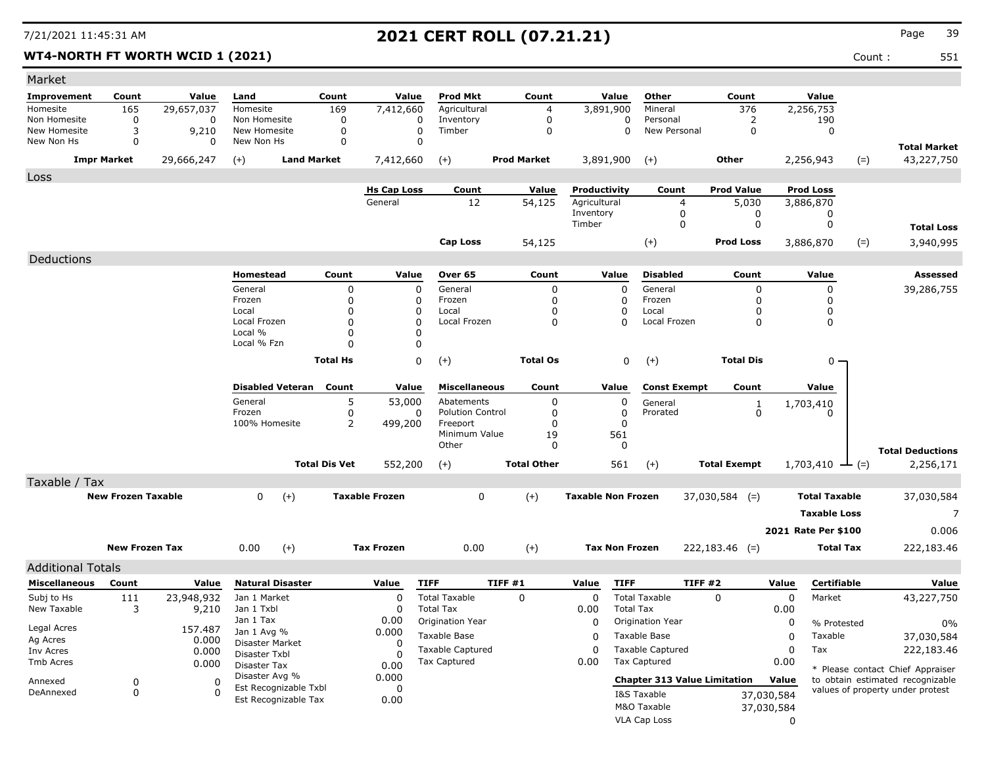### **WT4-NORTH FT WORTH WCID 1 (2021)** Count : 551

| Market                       |                           |            |                               |                      |                       |                           |                    |                           |                                     |                     |             |                             |       |                                      |
|------------------------------|---------------------------|------------|-------------------------------|----------------------|-----------------------|---------------------------|--------------------|---------------------------|-------------------------------------|---------------------|-------------|-----------------------------|-------|--------------------------------------|
| <b>Improvement</b>           | Count                     | Value      | Land                          | Count                | Value                 | <b>Prod Mkt</b>           | Count              | Value                     | Other                               | Count               |             | Value                       |       |                                      |
| Homesite                     | 165                       | 29,657,037 | Homesite                      | 169                  | 7,412,660             | Agricultural              | 4                  | 3,891,900                 | Mineral                             | 376                 |             | 2,256,753                   |       |                                      |
| Non Homesite<br>New Homesite | 0<br>3                    | 0<br>9,210 | Non Homesite<br>New Homesite  | 0<br>0               | 0<br>0                | Inventory<br>Timber       | 0<br>$\mathbf 0$   | 0<br>0                    | Personal<br>New Personal            | 2<br>$\mathbf 0$    |             | 190<br>$\Omega$             |       |                                      |
| New Non Hs                   | 0                         | 0          | New Non Hs                    | 0                    | $\mathbf 0$           |                           |                    |                           |                                     |                     |             |                             |       | <b>Total Market</b>                  |
|                              | <b>Impr Market</b>        | 29,666,247 | $(+)$                         | <b>Land Market</b>   | 7,412,660             | $(+)$                     | <b>Prod Market</b> | 3,891,900                 | $(+)$                               | Other               |             | 2,256,943                   | $(=)$ | 43,227,750                           |
| Loss                         |                           |            |                               |                      |                       |                           |                    |                           |                                     |                     |             |                             |       |                                      |
|                              |                           |            |                               |                      | <b>Hs Cap Loss</b>    | Count                     | <u>Value</u>       | Productivity              | Count                               | <b>Prod Value</b>   |             | <b>Prod Loss</b>            |       |                                      |
|                              |                           |            |                               |                      | General               | 12                        | 54,125             | Agricultural<br>Inventory | 4<br>0                              | 5,030<br>0          |             | 3,886,870<br>0              |       |                                      |
|                              |                           |            |                               |                      |                       |                           |                    | Timber                    | 0                                   | 0                   |             | 0                           |       | <b>Total Loss</b>                    |
|                              |                           |            |                               |                      |                       | Cap Loss                  | 54,125             |                           | $(+)$                               | <b>Prod Loss</b>    |             | 3,886,870                   | $(=)$ | 3,940,995                            |
| Deductions                   |                           |            |                               |                      |                       |                           |                    |                           |                                     |                     |             |                             |       |                                      |
|                              |                           |            | Homestead                     | Count                | Value                 | Over 65                   | Count              | Value                     | <b>Disabled</b>                     | Count               |             | Value                       |       | Assessed                             |
|                              |                           |            | General                       | 0                    | 0                     | General                   | 0                  | 0                         | General                             | 0                   |             | 0                           |       | 39,286,755                           |
|                              |                           |            | Frozen                        | $\Omega$             | 0                     | Frozen                    | 0                  | 0                         | Frozen                              | 0                   |             | 0                           |       |                                      |
|                              |                           |            | Local                         | $\Omega$             | 0                     | Local                     | $\Omega$           | 0                         | Local                               |                     |             | 0                           |       |                                      |
|                              |                           |            | Local Frozen                  | $\Omega$             | 0                     | Local Frozen              | 0                  | $\Omega$                  | Local Frozen                        | 0                   |             | 0                           |       |                                      |
|                              |                           |            | Local %                       | $\Omega$             | 0                     |                           |                    |                           |                                     |                     |             |                             |       |                                      |
|                              |                           |            | Local % Fzn                   | $\Omega$             | 0                     |                           |                    |                           |                                     |                     |             |                             |       |                                      |
|                              |                           |            |                               | <b>Total Hs</b>      | 0                     | $^{(+)}$                  | <b>Total Os</b>    | 0                         | $(+)$                               | <b>Total Dis</b>    |             | 0 -                         |       |                                      |
|                              |                           |            | <b>Disabled Veteran</b> Count |                      | Value                 | <b>Miscellaneous</b>      | Count              | Value                     | <b>Const Exempt</b>                 | Count               |             | Value                       |       |                                      |
|                              |                           |            | General                       | 5                    | 53,000                | Abatements                | 0                  | 0                         | General                             | 1                   |             | 1,703,410                   |       |                                      |
|                              |                           |            | Frozen                        | 0                    | 0                     | <b>Polution Control</b>   | 0                  | 0                         | Prorated                            | 0                   |             | 0                           |       |                                      |
|                              |                           |            | 100% Homesite                 | 2                    | 499,200               | Freeport<br>Minimum Value | $\Omega$           | 0<br>561                  |                                     |                     |             |                             |       |                                      |
|                              |                           |            |                               |                      |                       | Other                     | 19<br>$\Omega$     | 0                         |                                     |                     |             |                             |       |                                      |
|                              |                           |            |                               | <b>Total Dis Vet</b> | 552,200               | $(+)$                     | <b>Total Other</b> | 561                       | $(+)$                               | <b>Total Exempt</b> |             | $1,703,410 \rightarrow$ (=) |       | <b>Total Deductions</b><br>2,256,171 |
| Taxable / Tax                |                           |            |                               |                      |                       |                           |                    |                           |                                     |                     |             |                             |       |                                      |
|                              | <b>New Frozen Taxable</b> |            | $(+)$<br>$\mathbf{0}$         |                      | <b>Taxable Frozen</b> | 0                         | $(+)$              | <b>Taxable Non Frozen</b> |                                     | $37,030,584$ (=)    |             | <b>Total Taxable</b>        |       | 37,030,584                           |
|                              |                           |            |                               |                      |                       |                           |                    |                           |                                     |                     |             | <b>Taxable Loss</b>         |       | 7                                    |
|                              |                           |            |                               |                      |                       |                           |                    |                           |                                     |                     |             | 2021 Rate Per \$100         |       | 0.006                                |
|                              |                           |            |                               |                      |                       |                           |                    |                           |                                     |                     |             |                             |       |                                      |
|                              | <b>New Frozen Tax</b>     |            | $(+)$<br>0.00                 |                      | <b>Tax Frozen</b>     | 0.00                      | $(+)$              | <b>Tax Non Frozen</b>     |                                     | $222,183.46$ (=)    |             | <b>Total Tax</b>            |       | 222,183.46                           |
| <b>Additional Totals</b>     |                           |            |                               |                      |                       |                           |                    |                           |                                     |                     |             |                             |       |                                      |
| <b>Miscellaneous</b>         | Count                     | Value      | <b>Natural Disaster</b>       |                      | Value                 | <b>TIFF</b>               | TIFF#1             | <b>TIFF</b><br>Value      |                                     | TIFF #2             | Value       | Certifiable                 |       | Value                                |
| Subj to Hs                   | 111                       | 23,948,932 | Jan 1 Market                  |                      | 0                     | <b>Total Taxable</b>      | 0                  | 0                         | <b>Total Taxable</b>                | $\mathbf{0}$        | 0           | Market                      |       | 43,227,750                           |
| New Taxable                  | 3                         | 9,210      | Jan 1 Txbl                    |                      | 0                     | <b>Total Tax</b>          |                    | 0.00                      | <b>Total Tax</b>                    |                     | 0.00        |                             |       |                                      |
| Legal Acres                  |                           | 157.487    | Jan 1 Tax<br>Jan 1 Avg %      |                      | 0.00<br>0.000         | Origination Year          |                    | 0                         | Origination Year                    |                     | 0           | % Protested                 |       | $0\%$                                |
| Ag Acres                     |                           | 0.000      | Disaster Market               |                      | 0                     | Taxable Base              |                    | 0                         | Taxable Base                        |                     | $\mathbf 0$ | Taxable                     |       | 37,030,584                           |
| Inv Acres                    |                           | 0.000      | Disaster Txbl                 |                      | O                     | <b>Taxable Captured</b>   |                    | 0                         | <b>Taxable Captured</b>             |                     | 0           | Tax                         |       | 222,183.46                           |
| Tmb Acres                    |                           | 0.000      | Disaster Tax                  |                      | 0.00                  | <b>Tax Captured</b>       |                    | 0.00                      | Tax Captured                        |                     | 0.00        |                             |       | * Please contact Chief Appraiser     |
| Annexed                      | 0                         | 0          | Disaster Avg %                |                      | 0.000                 |                           |                    |                           | <b>Chapter 313 Value Limitation</b> |                     | Value       |                             |       | to obtain estimated recognizable     |
| DeAnnexed                    | 0                         | 0          | Est Recognizable Txbl         |                      | 0                     |                           |                    |                           | I&S Taxable                         |                     | 37,030,584  |                             |       | values of property under protest     |
|                              |                           |            | Est Recognizable Tax          |                      | 0.00                  |                           |                    |                           | M&O Taxable                         |                     | 37,030,584  |                             |       |                                      |
|                              |                           |            |                               |                      |                       |                           |                    |                           | VLA Cap Loss                        |                     | 0           |                             |       |                                      |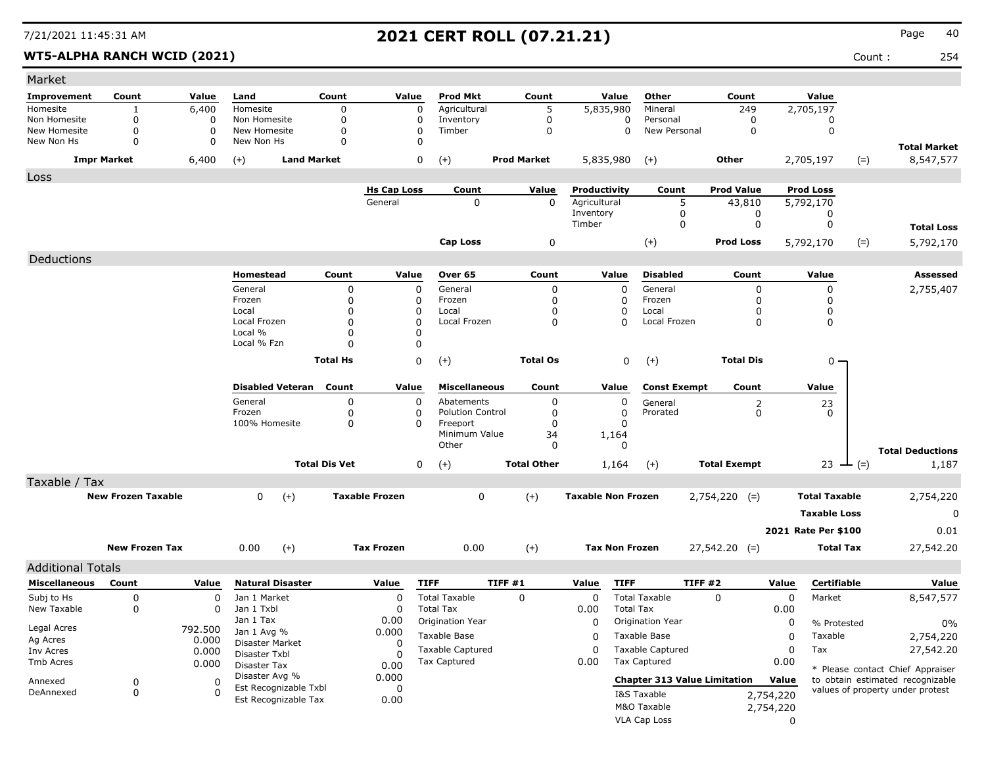**WT5-ALPHA RANCH WCID (2021)** Count : 254

| <b>Improvement</b><br>Count<br>Land<br>Count<br>Value<br><b>Prod Mkt</b><br>Count<br>Value<br>Other<br>Count<br>Value<br>Value<br>6,400<br>5<br>249<br>2,705,197<br>Homesite<br>Homesite<br>0<br>0<br>Agricultural<br>5,835,980<br>Mineral<br>1<br>0<br>$\mathbf 0$<br>Non Homesite<br>0<br>Non Homesite<br>0<br>0<br>Inventory<br>0<br>Personal<br>0<br>0<br>New Homesite<br>$\mathbf 0$<br>0<br>New Homesite<br>0<br>Timber<br>0<br>$\Omega$<br>New Personal<br>0<br>$\mathbf 0$<br>0<br>$\mathbf 0$<br>0<br>0<br>New Non Hs<br>New Non Hs<br>$\Omega$<br><b>Total Market</b><br>8,547,577<br><b>Impr Market</b><br>6,400<br>$(+)$<br><b>Land Market</b><br>0<br>$(+)$<br><b>Prod Market</b><br>5,835,980<br>$(+)$<br>Other<br>2,705,197<br>$(=)$<br><b>Hs Cap Loss</b><br>Value<br>Productivity<br><b>Prod Value</b><br><b>Prod Loss</b><br>Count<br>Count<br>$\mathbf 0$<br>0<br>Agricultural<br>5<br>General<br>43,810<br>5,792,170<br>Inventory<br>0<br>0<br>0<br>Timber<br>0<br>0<br>0<br><b>Total Loss</b><br>0<br>$(+)$<br><b>Cap Loss</b><br><b>Prod Loss</b><br>5,792,170<br>$(=)$<br>5,792,170<br>Deductions<br><b>Disabled</b><br>Homestead<br>Count<br>Over 65<br>Count<br>Value<br>Value<br><b>Assessed</b><br>Value<br>Count<br>0<br>0<br>0<br>General<br>0<br>2,755,407<br>General<br>0<br>General<br>0<br>Frozen<br>0<br>Frozen<br>0<br>0<br>Frozen<br>0<br>0<br>O<br>Local<br>0<br>Local<br>0<br>0<br>Local<br>0<br>0<br>O<br>Local Frozen<br>0<br>Local Frozen<br>0<br>$\Omega$<br>Local Frozen<br>0<br>$\Omega$<br>0<br>Local %<br>0<br>O<br>Local % Fzn<br>0<br>$\Omega$<br>0<br>$(+)$<br><b>Total Os</b><br><b>Total Dis</b><br><b>Total Hs</b><br>0<br>$(+)$<br>$0 -$<br>Count<br><b>Disabled Veteran</b><br>Value<br><b>Miscellaneous</b><br>Count<br>Value<br><b>Const Exempt</b><br>Count<br>Value<br>General<br>0<br>$\Omega$<br>Abatements<br>0<br>0<br>General<br>2<br>23<br>$\mathbf 0$<br>Frozen<br>0<br><b>Polution Control</b><br>0<br>0<br>Prorated<br>0<br>0<br>100% Homesite<br>0<br>Freeport<br>$\Omega$<br>$\Omega$<br>$\Omega$<br>Minimum Value<br>34<br>1,164<br>Other<br>0<br>0<br><b>Total Deductions</b><br><b>Total Dis Vet</b><br><b>Total Other</b><br><b>Total Exempt</b><br>0<br>$(+)$<br>23 $-(-)$<br>1,187<br>1,164<br>$(+)$<br>Taxable / Tax<br><b>New Frozen Taxable</b><br><b>Taxable Frozen</b><br>$(+)$<br><b>Taxable Non Frozen</b><br><b>Total Taxable</b><br>0<br>$(+)$<br>0<br>$2,754,220$ (=)<br>2,754,220<br><b>Taxable Loss</b><br>0<br>2021 Rate Per \$100<br>0.01<br>$(+)$<br><b>New Frozen Tax</b><br>0.00<br>$(+)$<br><b>Tax Frozen</b><br>0.00<br><b>Tax Non Frozen</b><br>$27,542.20$ (=)<br><b>Total Tax</b><br>27,542.20<br><b>Additional Totals</b><br><b>TIFF #1</b><br><b>TIFF #2</b><br><b>Natural Disaster</b><br><b>TIFF</b><br><b>TIFF</b><br><b>Certifiable</b><br>Value<br><b>Miscellaneous</b><br>Count<br>Value<br>Value<br>Value<br>Value<br>0<br>Subj to Hs<br>Jan 1 Market<br><b>Total Taxable</b><br>0<br><b>Total Taxable</b><br>$\Omega$<br>0<br>Market<br>8,547,577<br>0<br>0<br>0<br>New Taxable<br>Jan 1 Txbl<br><b>Total Tax</b><br>0<br><b>Total Tax</b><br>0.00<br>0.00<br>0<br>0<br>Jan 1 Tax<br>0.00<br>Origination Year<br>0<br>Origination Year<br>0<br>% Protested<br>0%<br>Legal Acres<br>792.500<br>Jan 1 Avg %<br>0.000<br>Taxable Base<br>Taxable Base<br>0<br>0<br>Taxable<br>2,754,220<br>Ag Acres<br>0.000<br>Disaster Market<br>0<br><b>Taxable Captured</b><br><b>Taxable Captured</b><br>Tax<br>27,542.20<br>0<br>$\Omega$<br>Inv Acres<br>0.000<br>Disaster Txbl<br><b>Tax Captured</b><br><b>Tax Captured</b><br>0.00<br>0.00<br>Tmb Acres<br>0.000<br>Disaster Tax<br>0.00<br>* Please contact Chief Appraiser<br>Disaster Avg %<br>0.000<br>to obtain estimated recognizable<br><b>Chapter 313 Value Limitation</b><br>Value<br>0<br>Annexed<br>0<br>Est Recognizable Txbl<br>0<br>values of property under protest<br>DeAnnexed<br>0<br>$\Omega$<br>2,754,220<br>I&S Taxable<br>Est Recognizable Tax<br>0.00<br>M&O Taxable<br>2,754,220<br>VLA Cap Loss | Market |  |  |  |  |  |   |  |  |
|----------------------------------------------------------------------------------------------------------------------------------------------------------------------------------------------------------------------------------------------------------------------------------------------------------------------------------------------------------------------------------------------------------------------------------------------------------------------------------------------------------------------------------------------------------------------------------------------------------------------------------------------------------------------------------------------------------------------------------------------------------------------------------------------------------------------------------------------------------------------------------------------------------------------------------------------------------------------------------------------------------------------------------------------------------------------------------------------------------------------------------------------------------------------------------------------------------------------------------------------------------------------------------------------------------------------------------------------------------------------------------------------------------------------------------------------------------------------------------------------------------------------------------------------------------------------------------------------------------------------------------------------------------------------------------------------------------------------------------------------------------------------------------------------------------------------------------------------------------------------------------------------------------------------------------------------------------------------------------------------------------------------------------------------------------------------------------------------------------------------------------------------------------------------------------------------------------------------------------------------------------------------------------------------------------------------------------------------------------------------------------------------------------------------------------------------------------------------------------------------------------------------------------------------------------------------------------------------------------------------------------------------------------------------------------------------------------------------------------------------------------------------------------------------------------------------------------------------------------------------------------------------------------------------------------------------------------------------------------------------------------------------------------------------------------------------------------------------------------------------------------------------------------------------------------------------------------------------------------------------------------------------------------------------------------------------------------------------------------------------------------------------------------------------------------------------------------------------------------------------------------------------------------------------------------------------------------------------------------------------------------------------------------------------------------------------------------------------------------------------------------------------------------------------------------------------------------------------------------------------------------------------------------------------------------------------------------------------------------------------------------------------------------------------------------------------------|--------|--|--|--|--|--|---|--|--|
|                                                                                                                                                                                                                                                                                                                                                                                                                                                                                                                                                                                                                                                                                                                                                                                                                                                                                                                                                                                                                                                                                                                                                                                                                                                                                                                                                                                                                                                                                                                                                                                                                                                                                                                                                                                                                                                                                                                                                                                                                                                                                                                                                                                                                                                                                                                                                                                                                                                                                                                                                                                                                                                                                                                                                                                                                                                                                                                                                                                                                                                                                                                                                                                                                                                                                                                                                                                                                                                                                                                                                                                                                                                                                                                                                                                                                                                                                                                                                                                                                                                                            |        |  |  |  |  |  |   |  |  |
|                                                                                                                                                                                                                                                                                                                                                                                                                                                                                                                                                                                                                                                                                                                                                                                                                                                                                                                                                                                                                                                                                                                                                                                                                                                                                                                                                                                                                                                                                                                                                                                                                                                                                                                                                                                                                                                                                                                                                                                                                                                                                                                                                                                                                                                                                                                                                                                                                                                                                                                                                                                                                                                                                                                                                                                                                                                                                                                                                                                                                                                                                                                                                                                                                                                                                                                                                                                                                                                                                                                                                                                                                                                                                                                                                                                                                                                                                                                                                                                                                                                                            |        |  |  |  |  |  |   |  |  |
|                                                                                                                                                                                                                                                                                                                                                                                                                                                                                                                                                                                                                                                                                                                                                                                                                                                                                                                                                                                                                                                                                                                                                                                                                                                                                                                                                                                                                                                                                                                                                                                                                                                                                                                                                                                                                                                                                                                                                                                                                                                                                                                                                                                                                                                                                                                                                                                                                                                                                                                                                                                                                                                                                                                                                                                                                                                                                                                                                                                                                                                                                                                                                                                                                                                                                                                                                                                                                                                                                                                                                                                                                                                                                                                                                                                                                                                                                                                                                                                                                                                                            |        |  |  |  |  |  |   |  |  |
|                                                                                                                                                                                                                                                                                                                                                                                                                                                                                                                                                                                                                                                                                                                                                                                                                                                                                                                                                                                                                                                                                                                                                                                                                                                                                                                                                                                                                                                                                                                                                                                                                                                                                                                                                                                                                                                                                                                                                                                                                                                                                                                                                                                                                                                                                                                                                                                                                                                                                                                                                                                                                                                                                                                                                                                                                                                                                                                                                                                                                                                                                                                                                                                                                                                                                                                                                                                                                                                                                                                                                                                                                                                                                                                                                                                                                                                                                                                                                                                                                                                                            |        |  |  |  |  |  |   |  |  |
|                                                                                                                                                                                                                                                                                                                                                                                                                                                                                                                                                                                                                                                                                                                                                                                                                                                                                                                                                                                                                                                                                                                                                                                                                                                                                                                                                                                                                                                                                                                                                                                                                                                                                                                                                                                                                                                                                                                                                                                                                                                                                                                                                                                                                                                                                                                                                                                                                                                                                                                                                                                                                                                                                                                                                                                                                                                                                                                                                                                                                                                                                                                                                                                                                                                                                                                                                                                                                                                                                                                                                                                                                                                                                                                                                                                                                                                                                                                                                                                                                                                                            |        |  |  |  |  |  |   |  |  |
|                                                                                                                                                                                                                                                                                                                                                                                                                                                                                                                                                                                                                                                                                                                                                                                                                                                                                                                                                                                                                                                                                                                                                                                                                                                                                                                                                                                                                                                                                                                                                                                                                                                                                                                                                                                                                                                                                                                                                                                                                                                                                                                                                                                                                                                                                                                                                                                                                                                                                                                                                                                                                                                                                                                                                                                                                                                                                                                                                                                                                                                                                                                                                                                                                                                                                                                                                                                                                                                                                                                                                                                                                                                                                                                                                                                                                                                                                                                                                                                                                                                                            | Loss   |  |  |  |  |  |   |  |  |
|                                                                                                                                                                                                                                                                                                                                                                                                                                                                                                                                                                                                                                                                                                                                                                                                                                                                                                                                                                                                                                                                                                                                                                                                                                                                                                                                                                                                                                                                                                                                                                                                                                                                                                                                                                                                                                                                                                                                                                                                                                                                                                                                                                                                                                                                                                                                                                                                                                                                                                                                                                                                                                                                                                                                                                                                                                                                                                                                                                                                                                                                                                                                                                                                                                                                                                                                                                                                                                                                                                                                                                                                                                                                                                                                                                                                                                                                                                                                                                                                                                                                            |        |  |  |  |  |  |   |  |  |
|                                                                                                                                                                                                                                                                                                                                                                                                                                                                                                                                                                                                                                                                                                                                                                                                                                                                                                                                                                                                                                                                                                                                                                                                                                                                                                                                                                                                                                                                                                                                                                                                                                                                                                                                                                                                                                                                                                                                                                                                                                                                                                                                                                                                                                                                                                                                                                                                                                                                                                                                                                                                                                                                                                                                                                                                                                                                                                                                                                                                                                                                                                                                                                                                                                                                                                                                                                                                                                                                                                                                                                                                                                                                                                                                                                                                                                                                                                                                                                                                                                                                            |        |  |  |  |  |  |   |  |  |
|                                                                                                                                                                                                                                                                                                                                                                                                                                                                                                                                                                                                                                                                                                                                                                                                                                                                                                                                                                                                                                                                                                                                                                                                                                                                                                                                                                                                                                                                                                                                                                                                                                                                                                                                                                                                                                                                                                                                                                                                                                                                                                                                                                                                                                                                                                                                                                                                                                                                                                                                                                                                                                                                                                                                                                                                                                                                                                                                                                                                                                                                                                                                                                                                                                                                                                                                                                                                                                                                                                                                                                                                                                                                                                                                                                                                                                                                                                                                                                                                                                                                            |        |  |  |  |  |  |   |  |  |
|                                                                                                                                                                                                                                                                                                                                                                                                                                                                                                                                                                                                                                                                                                                                                                                                                                                                                                                                                                                                                                                                                                                                                                                                                                                                                                                                                                                                                                                                                                                                                                                                                                                                                                                                                                                                                                                                                                                                                                                                                                                                                                                                                                                                                                                                                                                                                                                                                                                                                                                                                                                                                                                                                                                                                                                                                                                                                                                                                                                                                                                                                                                                                                                                                                                                                                                                                                                                                                                                                                                                                                                                                                                                                                                                                                                                                                                                                                                                                                                                                                                                            |        |  |  |  |  |  |   |  |  |
|                                                                                                                                                                                                                                                                                                                                                                                                                                                                                                                                                                                                                                                                                                                                                                                                                                                                                                                                                                                                                                                                                                                                                                                                                                                                                                                                                                                                                                                                                                                                                                                                                                                                                                                                                                                                                                                                                                                                                                                                                                                                                                                                                                                                                                                                                                                                                                                                                                                                                                                                                                                                                                                                                                                                                                                                                                                                                                                                                                                                                                                                                                                                                                                                                                                                                                                                                                                                                                                                                                                                                                                                                                                                                                                                                                                                                                                                                                                                                                                                                                                                            |        |  |  |  |  |  |   |  |  |
|                                                                                                                                                                                                                                                                                                                                                                                                                                                                                                                                                                                                                                                                                                                                                                                                                                                                                                                                                                                                                                                                                                                                                                                                                                                                                                                                                                                                                                                                                                                                                                                                                                                                                                                                                                                                                                                                                                                                                                                                                                                                                                                                                                                                                                                                                                                                                                                                                                                                                                                                                                                                                                                                                                                                                                                                                                                                                                                                                                                                                                                                                                                                                                                                                                                                                                                                                                                                                                                                                                                                                                                                                                                                                                                                                                                                                                                                                                                                                                                                                                                                            |        |  |  |  |  |  |   |  |  |
|                                                                                                                                                                                                                                                                                                                                                                                                                                                                                                                                                                                                                                                                                                                                                                                                                                                                                                                                                                                                                                                                                                                                                                                                                                                                                                                                                                                                                                                                                                                                                                                                                                                                                                                                                                                                                                                                                                                                                                                                                                                                                                                                                                                                                                                                                                                                                                                                                                                                                                                                                                                                                                                                                                                                                                                                                                                                                                                                                                                                                                                                                                                                                                                                                                                                                                                                                                                                                                                                                                                                                                                                                                                                                                                                                                                                                                                                                                                                                                                                                                                                            |        |  |  |  |  |  |   |  |  |
|                                                                                                                                                                                                                                                                                                                                                                                                                                                                                                                                                                                                                                                                                                                                                                                                                                                                                                                                                                                                                                                                                                                                                                                                                                                                                                                                                                                                                                                                                                                                                                                                                                                                                                                                                                                                                                                                                                                                                                                                                                                                                                                                                                                                                                                                                                                                                                                                                                                                                                                                                                                                                                                                                                                                                                                                                                                                                                                                                                                                                                                                                                                                                                                                                                                                                                                                                                                                                                                                                                                                                                                                                                                                                                                                                                                                                                                                                                                                                                                                                                                                            |        |  |  |  |  |  |   |  |  |
|                                                                                                                                                                                                                                                                                                                                                                                                                                                                                                                                                                                                                                                                                                                                                                                                                                                                                                                                                                                                                                                                                                                                                                                                                                                                                                                                                                                                                                                                                                                                                                                                                                                                                                                                                                                                                                                                                                                                                                                                                                                                                                                                                                                                                                                                                                                                                                                                                                                                                                                                                                                                                                                                                                                                                                                                                                                                                                                                                                                                                                                                                                                                                                                                                                                                                                                                                                                                                                                                                                                                                                                                                                                                                                                                                                                                                                                                                                                                                                                                                                                                            |        |  |  |  |  |  |   |  |  |
|                                                                                                                                                                                                                                                                                                                                                                                                                                                                                                                                                                                                                                                                                                                                                                                                                                                                                                                                                                                                                                                                                                                                                                                                                                                                                                                                                                                                                                                                                                                                                                                                                                                                                                                                                                                                                                                                                                                                                                                                                                                                                                                                                                                                                                                                                                                                                                                                                                                                                                                                                                                                                                                                                                                                                                                                                                                                                                                                                                                                                                                                                                                                                                                                                                                                                                                                                                                                                                                                                                                                                                                                                                                                                                                                                                                                                                                                                                                                                                                                                                                                            |        |  |  |  |  |  |   |  |  |
|                                                                                                                                                                                                                                                                                                                                                                                                                                                                                                                                                                                                                                                                                                                                                                                                                                                                                                                                                                                                                                                                                                                                                                                                                                                                                                                                                                                                                                                                                                                                                                                                                                                                                                                                                                                                                                                                                                                                                                                                                                                                                                                                                                                                                                                                                                                                                                                                                                                                                                                                                                                                                                                                                                                                                                                                                                                                                                                                                                                                                                                                                                                                                                                                                                                                                                                                                                                                                                                                                                                                                                                                                                                                                                                                                                                                                                                                                                                                                                                                                                                                            |        |  |  |  |  |  |   |  |  |
|                                                                                                                                                                                                                                                                                                                                                                                                                                                                                                                                                                                                                                                                                                                                                                                                                                                                                                                                                                                                                                                                                                                                                                                                                                                                                                                                                                                                                                                                                                                                                                                                                                                                                                                                                                                                                                                                                                                                                                                                                                                                                                                                                                                                                                                                                                                                                                                                                                                                                                                                                                                                                                                                                                                                                                                                                                                                                                                                                                                                                                                                                                                                                                                                                                                                                                                                                                                                                                                                                                                                                                                                                                                                                                                                                                                                                                                                                                                                                                                                                                                                            |        |  |  |  |  |  |   |  |  |
|                                                                                                                                                                                                                                                                                                                                                                                                                                                                                                                                                                                                                                                                                                                                                                                                                                                                                                                                                                                                                                                                                                                                                                                                                                                                                                                                                                                                                                                                                                                                                                                                                                                                                                                                                                                                                                                                                                                                                                                                                                                                                                                                                                                                                                                                                                                                                                                                                                                                                                                                                                                                                                                                                                                                                                                                                                                                                                                                                                                                                                                                                                                                                                                                                                                                                                                                                                                                                                                                                                                                                                                                                                                                                                                                                                                                                                                                                                                                                                                                                                                                            |        |  |  |  |  |  |   |  |  |
|                                                                                                                                                                                                                                                                                                                                                                                                                                                                                                                                                                                                                                                                                                                                                                                                                                                                                                                                                                                                                                                                                                                                                                                                                                                                                                                                                                                                                                                                                                                                                                                                                                                                                                                                                                                                                                                                                                                                                                                                                                                                                                                                                                                                                                                                                                                                                                                                                                                                                                                                                                                                                                                                                                                                                                                                                                                                                                                                                                                                                                                                                                                                                                                                                                                                                                                                                                                                                                                                                                                                                                                                                                                                                                                                                                                                                                                                                                                                                                                                                                                                            |        |  |  |  |  |  |   |  |  |
|                                                                                                                                                                                                                                                                                                                                                                                                                                                                                                                                                                                                                                                                                                                                                                                                                                                                                                                                                                                                                                                                                                                                                                                                                                                                                                                                                                                                                                                                                                                                                                                                                                                                                                                                                                                                                                                                                                                                                                                                                                                                                                                                                                                                                                                                                                                                                                                                                                                                                                                                                                                                                                                                                                                                                                                                                                                                                                                                                                                                                                                                                                                                                                                                                                                                                                                                                                                                                                                                                                                                                                                                                                                                                                                                                                                                                                                                                                                                                                                                                                                                            |        |  |  |  |  |  |   |  |  |
|                                                                                                                                                                                                                                                                                                                                                                                                                                                                                                                                                                                                                                                                                                                                                                                                                                                                                                                                                                                                                                                                                                                                                                                                                                                                                                                                                                                                                                                                                                                                                                                                                                                                                                                                                                                                                                                                                                                                                                                                                                                                                                                                                                                                                                                                                                                                                                                                                                                                                                                                                                                                                                                                                                                                                                                                                                                                                                                                                                                                                                                                                                                                                                                                                                                                                                                                                                                                                                                                                                                                                                                                                                                                                                                                                                                                                                                                                                                                                                                                                                                                            |        |  |  |  |  |  |   |  |  |
|                                                                                                                                                                                                                                                                                                                                                                                                                                                                                                                                                                                                                                                                                                                                                                                                                                                                                                                                                                                                                                                                                                                                                                                                                                                                                                                                                                                                                                                                                                                                                                                                                                                                                                                                                                                                                                                                                                                                                                                                                                                                                                                                                                                                                                                                                                                                                                                                                                                                                                                                                                                                                                                                                                                                                                                                                                                                                                                                                                                                                                                                                                                                                                                                                                                                                                                                                                                                                                                                                                                                                                                                                                                                                                                                                                                                                                                                                                                                                                                                                                                                            |        |  |  |  |  |  |   |  |  |
|                                                                                                                                                                                                                                                                                                                                                                                                                                                                                                                                                                                                                                                                                                                                                                                                                                                                                                                                                                                                                                                                                                                                                                                                                                                                                                                                                                                                                                                                                                                                                                                                                                                                                                                                                                                                                                                                                                                                                                                                                                                                                                                                                                                                                                                                                                                                                                                                                                                                                                                                                                                                                                                                                                                                                                                                                                                                                                                                                                                                                                                                                                                                                                                                                                                                                                                                                                                                                                                                                                                                                                                                                                                                                                                                                                                                                                                                                                                                                                                                                                                                            |        |  |  |  |  |  |   |  |  |
|                                                                                                                                                                                                                                                                                                                                                                                                                                                                                                                                                                                                                                                                                                                                                                                                                                                                                                                                                                                                                                                                                                                                                                                                                                                                                                                                                                                                                                                                                                                                                                                                                                                                                                                                                                                                                                                                                                                                                                                                                                                                                                                                                                                                                                                                                                                                                                                                                                                                                                                                                                                                                                                                                                                                                                                                                                                                                                                                                                                                                                                                                                                                                                                                                                                                                                                                                                                                                                                                                                                                                                                                                                                                                                                                                                                                                                                                                                                                                                                                                                                                            |        |  |  |  |  |  |   |  |  |
|                                                                                                                                                                                                                                                                                                                                                                                                                                                                                                                                                                                                                                                                                                                                                                                                                                                                                                                                                                                                                                                                                                                                                                                                                                                                                                                                                                                                                                                                                                                                                                                                                                                                                                                                                                                                                                                                                                                                                                                                                                                                                                                                                                                                                                                                                                                                                                                                                                                                                                                                                                                                                                                                                                                                                                                                                                                                                                                                                                                                                                                                                                                                                                                                                                                                                                                                                                                                                                                                                                                                                                                                                                                                                                                                                                                                                                                                                                                                                                                                                                                                            |        |  |  |  |  |  |   |  |  |
|                                                                                                                                                                                                                                                                                                                                                                                                                                                                                                                                                                                                                                                                                                                                                                                                                                                                                                                                                                                                                                                                                                                                                                                                                                                                                                                                                                                                                                                                                                                                                                                                                                                                                                                                                                                                                                                                                                                                                                                                                                                                                                                                                                                                                                                                                                                                                                                                                                                                                                                                                                                                                                                                                                                                                                                                                                                                                                                                                                                                                                                                                                                                                                                                                                                                                                                                                                                                                                                                                                                                                                                                                                                                                                                                                                                                                                                                                                                                                                                                                                                                            |        |  |  |  |  |  |   |  |  |
|                                                                                                                                                                                                                                                                                                                                                                                                                                                                                                                                                                                                                                                                                                                                                                                                                                                                                                                                                                                                                                                                                                                                                                                                                                                                                                                                                                                                                                                                                                                                                                                                                                                                                                                                                                                                                                                                                                                                                                                                                                                                                                                                                                                                                                                                                                                                                                                                                                                                                                                                                                                                                                                                                                                                                                                                                                                                                                                                                                                                                                                                                                                                                                                                                                                                                                                                                                                                                                                                                                                                                                                                                                                                                                                                                                                                                                                                                                                                                                                                                                                                            |        |  |  |  |  |  |   |  |  |
|                                                                                                                                                                                                                                                                                                                                                                                                                                                                                                                                                                                                                                                                                                                                                                                                                                                                                                                                                                                                                                                                                                                                                                                                                                                                                                                                                                                                                                                                                                                                                                                                                                                                                                                                                                                                                                                                                                                                                                                                                                                                                                                                                                                                                                                                                                                                                                                                                                                                                                                                                                                                                                                                                                                                                                                                                                                                                                                                                                                                                                                                                                                                                                                                                                                                                                                                                                                                                                                                                                                                                                                                                                                                                                                                                                                                                                                                                                                                                                                                                                                                            |        |  |  |  |  |  |   |  |  |
|                                                                                                                                                                                                                                                                                                                                                                                                                                                                                                                                                                                                                                                                                                                                                                                                                                                                                                                                                                                                                                                                                                                                                                                                                                                                                                                                                                                                                                                                                                                                                                                                                                                                                                                                                                                                                                                                                                                                                                                                                                                                                                                                                                                                                                                                                                                                                                                                                                                                                                                                                                                                                                                                                                                                                                                                                                                                                                                                                                                                                                                                                                                                                                                                                                                                                                                                                                                                                                                                                                                                                                                                                                                                                                                                                                                                                                                                                                                                                                                                                                                                            |        |  |  |  |  |  |   |  |  |
|                                                                                                                                                                                                                                                                                                                                                                                                                                                                                                                                                                                                                                                                                                                                                                                                                                                                                                                                                                                                                                                                                                                                                                                                                                                                                                                                                                                                                                                                                                                                                                                                                                                                                                                                                                                                                                                                                                                                                                                                                                                                                                                                                                                                                                                                                                                                                                                                                                                                                                                                                                                                                                                                                                                                                                                                                                                                                                                                                                                                                                                                                                                                                                                                                                                                                                                                                                                                                                                                                                                                                                                                                                                                                                                                                                                                                                                                                                                                                                                                                                                                            |        |  |  |  |  |  |   |  |  |
|                                                                                                                                                                                                                                                                                                                                                                                                                                                                                                                                                                                                                                                                                                                                                                                                                                                                                                                                                                                                                                                                                                                                                                                                                                                                                                                                                                                                                                                                                                                                                                                                                                                                                                                                                                                                                                                                                                                                                                                                                                                                                                                                                                                                                                                                                                                                                                                                                                                                                                                                                                                                                                                                                                                                                                                                                                                                                                                                                                                                                                                                                                                                                                                                                                                                                                                                                                                                                                                                                                                                                                                                                                                                                                                                                                                                                                                                                                                                                                                                                                                                            |        |  |  |  |  |  |   |  |  |
|                                                                                                                                                                                                                                                                                                                                                                                                                                                                                                                                                                                                                                                                                                                                                                                                                                                                                                                                                                                                                                                                                                                                                                                                                                                                                                                                                                                                                                                                                                                                                                                                                                                                                                                                                                                                                                                                                                                                                                                                                                                                                                                                                                                                                                                                                                                                                                                                                                                                                                                                                                                                                                                                                                                                                                                                                                                                                                                                                                                                                                                                                                                                                                                                                                                                                                                                                                                                                                                                                                                                                                                                                                                                                                                                                                                                                                                                                                                                                                                                                                                                            |        |  |  |  |  |  |   |  |  |
|                                                                                                                                                                                                                                                                                                                                                                                                                                                                                                                                                                                                                                                                                                                                                                                                                                                                                                                                                                                                                                                                                                                                                                                                                                                                                                                                                                                                                                                                                                                                                                                                                                                                                                                                                                                                                                                                                                                                                                                                                                                                                                                                                                                                                                                                                                                                                                                                                                                                                                                                                                                                                                                                                                                                                                                                                                                                                                                                                                                                                                                                                                                                                                                                                                                                                                                                                                                                                                                                                                                                                                                                                                                                                                                                                                                                                                                                                                                                                                                                                                                                            |        |  |  |  |  |  |   |  |  |
|                                                                                                                                                                                                                                                                                                                                                                                                                                                                                                                                                                                                                                                                                                                                                                                                                                                                                                                                                                                                                                                                                                                                                                                                                                                                                                                                                                                                                                                                                                                                                                                                                                                                                                                                                                                                                                                                                                                                                                                                                                                                                                                                                                                                                                                                                                                                                                                                                                                                                                                                                                                                                                                                                                                                                                                                                                                                                                                                                                                                                                                                                                                                                                                                                                                                                                                                                                                                                                                                                                                                                                                                                                                                                                                                                                                                                                                                                                                                                                                                                                                                            |        |  |  |  |  |  |   |  |  |
|                                                                                                                                                                                                                                                                                                                                                                                                                                                                                                                                                                                                                                                                                                                                                                                                                                                                                                                                                                                                                                                                                                                                                                                                                                                                                                                                                                                                                                                                                                                                                                                                                                                                                                                                                                                                                                                                                                                                                                                                                                                                                                                                                                                                                                                                                                                                                                                                                                                                                                                                                                                                                                                                                                                                                                                                                                                                                                                                                                                                                                                                                                                                                                                                                                                                                                                                                                                                                                                                                                                                                                                                                                                                                                                                                                                                                                                                                                                                                                                                                                                                            |        |  |  |  |  |  |   |  |  |
|                                                                                                                                                                                                                                                                                                                                                                                                                                                                                                                                                                                                                                                                                                                                                                                                                                                                                                                                                                                                                                                                                                                                                                                                                                                                                                                                                                                                                                                                                                                                                                                                                                                                                                                                                                                                                                                                                                                                                                                                                                                                                                                                                                                                                                                                                                                                                                                                                                                                                                                                                                                                                                                                                                                                                                                                                                                                                                                                                                                                                                                                                                                                                                                                                                                                                                                                                                                                                                                                                                                                                                                                                                                                                                                                                                                                                                                                                                                                                                                                                                                                            |        |  |  |  |  |  |   |  |  |
|                                                                                                                                                                                                                                                                                                                                                                                                                                                                                                                                                                                                                                                                                                                                                                                                                                                                                                                                                                                                                                                                                                                                                                                                                                                                                                                                                                                                                                                                                                                                                                                                                                                                                                                                                                                                                                                                                                                                                                                                                                                                                                                                                                                                                                                                                                                                                                                                                                                                                                                                                                                                                                                                                                                                                                                                                                                                                                                                                                                                                                                                                                                                                                                                                                                                                                                                                                                                                                                                                                                                                                                                                                                                                                                                                                                                                                                                                                                                                                                                                                                                            |        |  |  |  |  |  |   |  |  |
|                                                                                                                                                                                                                                                                                                                                                                                                                                                                                                                                                                                                                                                                                                                                                                                                                                                                                                                                                                                                                                                                                                                                                                                                                                                                                                                                                                                                                                                                                                                                                                                                                                                                                                                                                                                                                                                                                                                                                                                                                                                                                                                                                                                                                                                                                                                                                                                                                                                                                                                                                                                                                                                                                                                                                                                                                                                                                                                                                                                                                                                                                                                                                                                                                                                                                                                                                                                                                                                                                                                                                                                                                                                                                                                                                                                                                                                                                                                                                                                                                                                                            |        |  |  |  |  |  |   |  |  |
|                                                                                                                                                                                                                                                                                                                                                                                                                                                                                                                                                                                                                                                                                                                                                                                                                                                                                                                                                                                                                                                                                                                                                                                                                                                                                                                                                                                                                                                                                                                                                                                                                                                                                                                                                                                                                                                                                                                                                                                                                                                                                                                                                                                                                                                                                                                                                                                                                                                                                                                                                                                                                                                                                                                                                                                                                                                                                                                                                                                                                                                                                                                                                                                                                                                                                                                                                                                                                                                                                                                                                                                                                                                                                                                                                                                                                                                                                                                                                                                                                                                                            |        |  |  |  |  |  |   |  |  |
|                                                                                                                                                                                                                                                                                                                                                                                                                                                                                                                                                                                                                                                                                                                                                                                                                                                                                                                                                                                                                                                                                                                                                                                                                                                                                                                                                                                                                                                                                                                                                                                                                                                                                                                                                                                                                                                                                                                                                                                                                                                                                                                                                                                                                                                                                                                                                                                                                                                                                                                                                                                                                                                                                                                                                                                                                                                                                                                                                                                                                                                                                                                                                                                                                                                                                                                                                                                                                                                                                                                                                                                                                                                                                                                                                                                                                                                                                                                                                                                                                                                                            |        |  |  |  |  |  |   |  |  |
|                                                                                                                                                                                                                                                                                                                                                                                                                                                                                                                                                                                                                                                                                                                                                                                                                                                                                                                                                                                                                                                                                                                                                                                                                                                                                                                                                                                                                                                                                                                                                                                                                                                                                                                                                                                                                                                                                                                                                                                                                                                                                                                                                                                                                                                                                                                                                                                                                                                                                                                                                                                                                                                                                                                                                                                                                                                                                                                                                                                                                                                                                                                                                                                                                                                                                                                                                                                                                                                                                                                                                                                                                                                                                                                                                                                                                                                                                                                                                                                                                                                                            |        |  |  |  |  |  |   |  |  |
|                                                                                                                                                                                                                                                                                                                                                                                                                                                                                                                                                                                                                                                                                                                                                                                                                                                                                                                                                                                                                                                                                                                                                                                                                                                                                                                                                                                                                                                                                                                                                                                                                                                                                                                                                                                                                                                                                                                                                                                                                                                                                                                                                                                                                                                                                                                                                                                                                                                                                                                                                                                                                                                                                                                                                                                                                                                                                                                                                                                                                                                                                                                                                                                                                                                                                                                                                                                                                                                                                                                                                                                                                                                                                                                                                                                                                                                                                                                                                                                                                                                                            |        |  |  |  |  |  |   |  |  |
|                                                                                                                                                                                                                                                                                                                                                                                                                                                                                                                                                                                                                                                                                                                                                                                                                                                                                                                                                                                                                                                                                                                                                                                                                                                                                                                                                                                                                                                                                                                                                                                                                                                                                                                                                                                                                                                                                                                                                                                                                                                                                                                                                                                                                                                                                                                                                                                                                                                                                                                                                                                                                                                                                                                                                                                                                                                                                                                                                                                                                                                                                                                                                                                                                                                                                                                                                                                                                                                                                                                                                                                                                                                                                                                                                                                                                                                                                                                                                                                                                                                                            |        |  |  |  |  |  |   |  |  |
|                                                                                                                                                                                                                                                                                                                                                                                                                                                                                                                                                                                                                                                                                                                                                                                                                                                                                                                                                                                                                                                                                                                                                                                                                                                                                                                                                                                                                                                                                                                                                                                                                                                                                                                                                                                                                                                                                                                                                                                                                                                                                                                                                                                                                                                                                                                                                                                                                                                                                                                                                                                                                                                                                                                                                                                                                                                                                                                                                                                                                                                                                                                                                                                                                                                                                                                                                                                                                                                                                                                                                                                                                                                                                                                                                                                                                                                                                                                                                                                                                                                                            |        |  |  |  |  |  | 0 |  |  |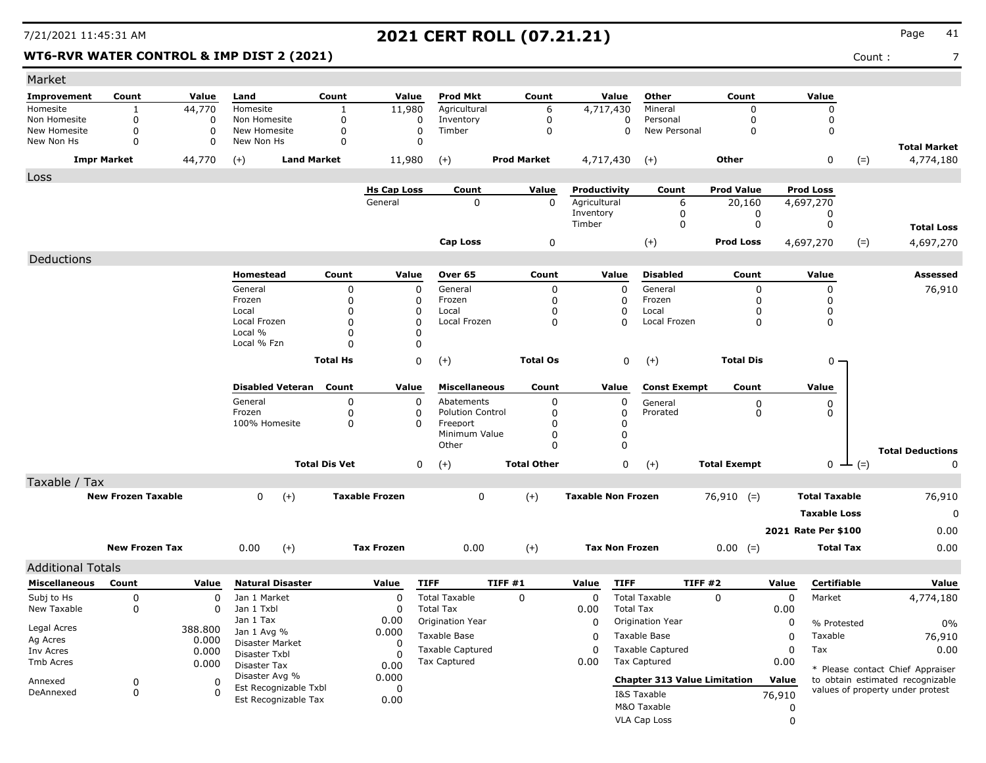### **WT6-RVR WATER CONTROL & IMP DIST 2 (2021)** Count : 7

| Market                   |                           |                  |                               |                      |                         |                         |                    |                           |                                     |                     |                      |                                                                      |                                  |
|--------------------------|---------------------------|------------------|-------------------------------|----------------------|-------------------------|-------------------------|--------------------|---------------------------|-------------------------------------|---------------------|----------------------|----------------------------------------------------------------------|----------------------------------|
| Improvement              | Count                     | Value            | Land                          | Count                | Value                   | <b>Prod Mkt</b>         | Count              | Value                     | Other                               | Count               | Value                |                                                                      |                                  |
| Homesite                 |                           | 44,770           | Homesite                      | 1                    | 11,980                  | Agricultural            | 6                  | 4,717,430                 | Mineral                             | 0                   | $\mathbf 0$          |                                                                      |                                  |
| Non Homesite             | 0                         | 0                | Non Homesite                  | 0                    | 0                       | Inventory               | 0                  | 0                         | Personal                            | $\mathbf 0$         | 0                    |                                                                      |                                  |
| New Homesite             | 0<br>$\Omega$             | 0<br>0           | New Homesite<br>New Non Hs    | 0<br>$\mathbf 0$     | $\mathbf 0$<br>$\Omega$ | Timber                  | $\mathbf 0$        | 0                         | New Personal                        | $\Omega$            | 0                    |                                                                      |                                  |
| New Non Hs               |                           |                  |                               |                      |                         |                         |                    |                           |                                     |                     |                      |                                                                      | <b>Total Market</b>              |
|                          | <b>Impr Market</b>        | 44,770           | $(+)$                         | <b>Land Market</b>   | 11,980                  | $(+)$                   | <b>Prod Market</b> | 4,717,430                 | $(+)$                               | Other               | $\mathbf 0$          | $(=)$                                                                | 4,774,180                        |
| Loss                     |                           |                  |                               |                      |                         |                         |                    |                           |                                     |                     |                      |                                                                      |                                  |
|                          |                           |                  |                               |                      | <b>Hs Cap Loss</b>      | Count                   | Value              | Productivity              | Count                               | <b>Prod Value</b>   | <b>Prod Loss</b>     |                                                                      |                                  |
|                          |                           |                  |                               |                      | General                 | $\Omega$                | $\mathbf 0$        | Agricultural<br>Inventory | 6                                   | 20,160              | 4,697,270            |                                                                      |                                  |
|                          |                           |                  |                               |                      |                         |                         |                    | Timber                    | 0<br>0                              | 0<br>$\mathbf 0$    | 0<br>0               |                                                                      | <b>Total Loss</b>                |
|                          |                           |                  |                               |                      |                         | Cap Loss                |                    |                           |                                     | <b>Prod Loss</b>    |                      |                                                                      |                                  |
| Deductions               |                           |                  |                               |                      |                         |                         | $\pmb{0}$          |                           | $(+)$                               |                     | 4,697,270            | $(=)$                                                                | 4,697,270                        |
|                          |                           |                  | Homestead                     | Count                | Value                   | Over 65                 | Count              | Value                     | <b>Disabled</b>                     | Count               | Value                |                                                                      | <b>Assessed</b>                  |
|                          |                           |                  | General                       | $\Omega$             | 0                       | General                 | 0                  | $\Omega$                  | General                             | 0                   | 0                    |                                                                      |                                  |
|                          |                           |                  | Frozen                        | $\Omega$             | 0                       | Frozen                  | 0                  | <sup>0</sup>              | Frozen                              | 0                   | 0                    |                                                                      | 76,910                           |
|                          |                           |                  | Local                         | O                    | 0                       | Local                   | 0                  |                           | Local                               | 0                   | 0                    |                                                                      |                                  |
|                          |                           |                  | Local Frozen                  | $\Omega$             | $\Omega$                | Local Frozen            | $\mathbf{0}$       |                           | Local Frozen                        | 0                   | 0                    |                                                                      |                                  |
|                          |                           |                  | Local %<br>Local % Fzn        | O<br>n               | 0<br>0                  |                         |                    |                           |                                     |                     |                      |                                                                      |                                  |
|                          |                           |                  |                               |                      |                         |                         |                    |                           |                                     |                     |                      |                                                                      |                                  |
|                          |                           |                  |                               | <b>Total Hs</b>      | 0                       | $(+)$                   | <b>Total Os</b>    | 0                         | $(+)$                               | <b>Total Dis</b>    |                      | $0 -$                                                                |                                  |
|                          |                           |                  | <b>Disabled Veteran</b>       | Count                | Value                   | <b>Miscellaneous</b>    | Count              | Value                     | <b>Const Exempt</b>                 | Count               | Value                |                                                                      |                                  |
|                          |                           |                  | General                       | 0                    | 0                       | Abatements              | 0                  | 0                         | General                             | 0                   | 0                    |                                                                      |                                  |
|                          |                           |                  | Frozen                        | 0                    | 0                       | <b>Polution Control</b> | 0                  | <sup>0</sup>              | Prorated                            | 0                   | 0                    |                                                                      |                                  |
|                          |                           |                  | 100% Homesite                 | 0                    | 0                       | Freeport                | O                  | 0                         |                                     |                     |                      |                                                                      |                                  |
|                          |                           |                  |                               |                      |                         | Minimum Value<br>Other  | 0<br>$\Omega$      | $\Omega$<br>$\Omega$      |                                     |                     |                      |                                                                      |                                  |
|                          |                           |                  |                               |                      |                         |                         |                    |                           |                                     |                     |                      |                                                                      | <b>Total Deductions</b>          |
|                          |                           |                  |                               | <b>Total Dis Vet</b> | 0                       | $(+)$                   | <b>Total Other</b> | 0                         | $(+)$                               | <b>Total Exempt</b> | $\mathbf 0$          | $-$ (=)                                                              | 0                                |
| Taxable / Tax            |                           |                  |                               |                      |                         |                         |                    |                           |                                     |                     |                      |                                                                      |                                  |
|                          | <b>New Frozen Taxable</b> |                  | $\mathbf 0$<br>$(+)$          |                      | <b>Taxable Frozen</b>   | 0                       | $(+)$              | <b>Taxable Non Frozen</b> |                                     | $76,910$ (=)        | <b>Total Taxable</b> |                                                                      | 76,910                           |
|                          |                           |                  |                               |                      |                         |                         |                    |                           |                                     |                     | <b>Taxable Loss</b>  |                                                                      | $\mathbf 0$                      |
|                          |                           |                  |                               |                      |                         |                         |                    |                           |                                     |                     | 2021 Rate Per \$100  |                                                                      | 0.00                             |
|                          | <b>New Frozen Tax</b>     |                  | $(+)$<br>0.00                 |                      | <b>Tax Frozen</b>       | 0.00                    | $(+)$              | <b>Tax Non Frozen</b>     |                                     | $0.00 (=)$          |                      | <b>Total Tax</b>                                                     | 0.00                             |
| <b>Additional Totals</b> |                           |                  |                               |                      |                         |                         |                    |                           |                                     |                     |                      |                                                                      |                                  |
| <b>Miscellaneous</b>     | Count                     | Value            | <b>Natural Disaster</b>       |                      | Value                   | <b>TIFF</b>             | TIFF #1            | <b>TIFF</b><br>Value      | <b>TIFF #2</b>                      |                     | Value                | <b>Certifiable</b>                                                   | Value                            |
| Subj to Hs               | 0                         | 0                | Jan 1 Market                  |                      | 0                       | <b>Total Taxable</b>    | 0                  | 0                         | <b>Total Taxable</b>                | 0                   | 0<br>Market          |                                                                      | 4,774,180                        |
| New Taxable              | 0                         | 0                | Jan 1 Txbl                    |                      | 0                       | <b>Total Tax</b>        |                    | <b>Total Tax</b><br>0.00  |                                     |                     | 0.00                 |                                                                      |                                  |
|                          |                           |                  | Jan 1 Tax                     |                      | 0.00                    | Origination Year        |                    |                           | 0 Origination Year                  |                     | 0                    | % Protested                                                          | $0\%$                            |
| Legal Acres<br>Ag Acres  |                           | 388.800<br>0.000 | Jan 1 Avg %                   |                      | 0.000                   | Taxable Base            |                    | 0                         | Taxable Base                        |                     | Taxable<br>0         |                                                                      | 76,910                           |
| Inv Acres                |                           | 0.000            | Disaster Market               |                      | 0                       | <b>Taxable Captured</b> |                    | 0                         | <b>Taxable Captured</b>             |                     | Tax<br>0             |                                                                      | 0.00                             |
| Tmb Acres                |                           | 0.000            | Disaster Txbl<br>Disaster Tax |                      | <sup>0</sup><br>0.00    | Tax Captured            |                    | 0.00                      | <b>Tax Captured</b>                 |                     | 0.00                 |                                                                      |                                  |
| Annexed                  | 0                         | 0                | Disaster Avg %                |                      | 0.000                   |                         |                    |                           | <b>Chapter 313 Value Limitation</b> |                     | Value                | * Please contact Chief Appraiser<br>to obtain estimated recognizable |                                  |
| DeAnnexed                | 0                         | 0                | Est Recognizable Txbl         |                      | 0                       |                         |                    |                           | I&S Taxable                         |                     | 76,910               |                                                                      | values of property under protest |
|                          |                           |                  | Est Recognizable Tax          |                      | 0.00                    |                         |                    |                           | M&O Taxable                         |                     | 0                    |                                                                      |                                  |
|                          |                           |                  |                               |                      |                         |                         |                    |                           | <b>VLA Cap Loss</b>                 |                     | $\mathbf 0$          |                                                                      |                                  |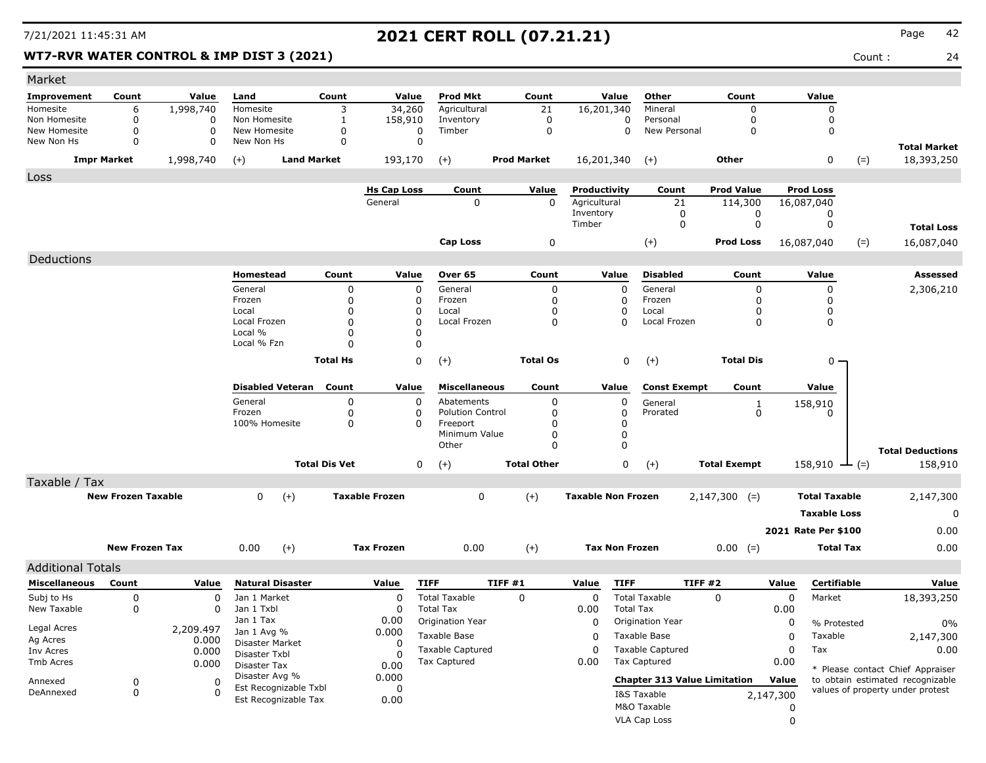### **WT7-RVR WATER CONTROL & IMP DIST 3 (2021)** Count : 24

| Market                   |                           |                    |                                  |                      |                       |                         |                         |                           |                                     |                     |                     |                           |                                                                      |
|--------------------------|---------------------------|--------------------|----------------------------------|----------------------|-----------------------|-------------------------|-------------------------|---------------------------|-------------------------------------|---------------------|---------------------|---------------------------|----------------------------------------------------------------------|
| <b>Improvement</b>       | Count                     | Value              | Land                             | Count                | Value                 | <b>Prod Mkt</b>         | Count                   | Value                     | Other                               | Count               | Value               |                           |                                                                      |
| Homesite                 | 6                         | 1,998,740          | Homesite                         | 3                    | 34,260                | Agricultural            | 21                      | 16,201,340                | Mineral                             | $\Omega$            |                     | $\Omega$                  |                                                                      |
| Non Homesite             | 0                         | $\Omega$           | Non Homesite                     | 1                    | 158,910               | Inventory               | 0                       |                           | 0<br>Personal                       | $\mathbf 0$         |                     | 0                         |                                                                      |
| New Homesite             | $\mathbf 0$               | $\Omega$           | New Homesite                     | 0                    | 0                     | Timber                  | $\mathbf 0$             |                           | New Personal<br>0                   | $\Omega$            |                     | 0                         |                                                                      |
| New Non Hs               | $\mathbf 0$               | 0                  | New Non Hs                       | 0                    | $\mathbf 0$           |                         |                         |                           |                                     |                     |                     |                           | <b>Total Market</b>                                                  |
|                          | <b>Impr Market</b>        | 1,998,740          | <b>Land Market</b><br>$(+)$      |                      | 193,170               | $(+)$                   | <b>Prod Market</b>      | 16,201,340                | $(+)$                               | Other               |                     | 0<br>$(=)$                | 18,393,250                                                           |
| Loss                     |                           |                    |                                  |                      |                       |                         |                         |                           |                                     |                     |                     |                           |                                                                      |
|                          |                           |                    |                                  |                      | <b>Hs Cap Loss</b>    | Count                   | Value                   | Productivity              | Count                               | <b>Prod Value</b>   | <b>Prod Loss</b>    |                           |                                                                      |
|                          |                           |                    |                                  |                      | General               | 0                       | 0                       | Agricultural<br>Inventory | 21<br>0                             | 114,300<br>0        | 16,087,040          | 0                         |                                                                      |
|                          |                           |                    |                                  |                      |                       |                         |                         | Timber                    | 0                                   | 0                   |                     | 0                         | <b>Total Loss</b>                                                    |
|                          |                           |                    |                                  |                      |                       |                         |                         |                           |                                     | <b>Prod Loss</b>    |                     |                           |                                                                      |
|                          |                           |                    |                                  |                      |                       | <b>Cap Loss</b>         | 0                       |                           | $(+)$                               |                     | 16,087,040          | $(=)$                     | 16,087,040                                                           |
| Deductions               |                           |                    |                                  |                      |                       |                         |                         |                           |                                     |                     |                     |                           |                                                                      |
|                          |                           |                    | Homestead                        | Count                | Value                 | Over 65                 | Count                   | Value                     | <b>Disabled</b>                     | Count               | Value               |                           | <b>Assessed</b>                                                      |
|                          |                           |                    | General                          | $\Omega$             | $\mathbf 0$           | General                 | 0                       | 0                         | General                             | 0                   |                     | $\mathbf 0$               | 2,306,210                                                            |
|                          |                           |                    | Frozen<br>Local                  | 0<br>O               | 0<br>0                | Frozen<br>Local         | $\mathbf 0$<br>$\Omega$ | 0<br>0                    | Frozen<br>Local                     | 0<br>0              |                     | 0<br>0                    |                                                                      |
|                          |                           |                    | Local Frozen                     | $\Omega$             | 0                     | Local Frozen            | 0                       | 0                         | Local Frozen                        | 0                   |                     | 0                         |                                                                      |
|                          |                           |                    | Local %                          | $\Omega$             | 0                     |                         |                         |                           |                                     |                     |                     |                           |                                                                      |
|                          |                           |                    | Local % Fzn                      | $\Omega$             | 0                     |                         |                         |                           |                                     |                     |                     |                           |                                                                      |
|                          |                           |                    |                                  | <b>Total Hs</b>      | 0                     | $(+)$                   | <b>Total Os</b>         |                           | 0<br>$(+)$                          | <b>Total Dis</b>    |                     | $0 -$                     |                                                                      |
|                          |                           |                    |                                  |                      |                       |                         |                         |                           |                                     |                     |                     |                           |                                                                      |
|                          |                           |                    | <b>Disabled Veteran</b>          | Count                | Value                 | <b>Miscellaneous</b>    | Count                   | Value                     | <b>Const Exempt</b>                 | Count               | Value               |                           |                                                                      |
|                          |                           |                    | General                          | 0                    | 0                     | Abatements              | 0                       | 0                         | General                             |                     |                     |                           |                                                                      |
|                          |                           |                    | Frozen                           | 0                    | 0                     | <b>Polution Control</b> | 0                       | 0                         | Prorated                            | $\frac{1}{0}$       | 158,910             | 0                         |                                                                      |
|                          |                           |                    | 100% Homesite                    | 0                    | 0                     | Freeport                | 0                       | 0                         |                                     |                     |                     |                           |                                                                      |
|                          |                           |                    |                                  |                      |                       | Minimum Value           | 0                       | 0                         |                                     |                     |                     |                           |                                                                      |
|                          |                           |                    |                                  |                      |                       | Other                   | $\Omega$                | 0                         |                                     |                     |                     |                           | <b>Total Deductions</b>                                              |
|                          |                           |                    |                                  | <b>Total Dis Vet</b> | 0                     | $(+)$                   | <b>Total Other</b>      | 0                         | $(+)$                               | <b>Total Exempt</b> |                     | 158,910 $\rightarrow$ (=) | 158,910                                                              |
| Taxable / Tax            |                           |                    |                                  |                      |                       |                         |                         |                           |                                     |                     |                     |                           |                                                                      |
|                          | <b>New Frozen Taxable</b> |                    | $(+)$<br>0                       |                      | <b>Taxable Frozen</b> | 0                       | $(+)$                   | <b>Taxable Non Frozen</b> |                                     | $2,147,300$ (=)     |                     | <b>Total Taxable</b>      | 2,147,300                                                            |
|                          |                           |                    |                                  |                      |                       |                         |                         |                           |                                     |                     |                     | <b>Taxable Loss</b>       | 0                                                                    |
|                          |                           |                    |                                  |                      |                       |                         |                         |                           |                                     |                     |                     |                           |                                                                      |
|                          |                           |                    |                                  |                      |                       |                         |                         |                           |                                     |                     | 2021 Rate Per \$100 |                           | 0.00                                                                 |
|                          | <b>New Frozen Tax</b>     |                    | 0.00<br>$(+)$                    |                      | <b>Tax Frozen</b>     | 0.00                    | $(+)$                   | <b>Tax Non Frozen</b>     |                                     | $0.00 (=)$          |                     | <b>Total Tax</b>          | 0.00                                                                 |
| <b>Additional Totals</b> |                           |                    |                                  |                      |                       |                         |                         |                           |                                     |                     |                     |                           |                                                                      |
| <b>Miscellaneous</b>     | Count                     | Value              | <b>Natural Disaster</b>          |                      | Value                 | <b>TIFF</b>             | TIFF#1                  | <b>TIFF</b><br>Value      |                                     | TIFF #2             | Value               | Certifiable               | Value                                                                |
| Subj to Hs               | 0                         | 0                  | Jan 1 Market                     |                      | $\mathbf 0$           | <b>Total Taxable</b>    | 0                       | 0                         | <b>Total Taxable</b>                | 0                   | 0                   | Market                    | 18,393,250                                                           |
| New Taxable              | 0                         | 0                  | Jan 1 Txbl                       |                      | 0                     | <b>Total Tax</b>        |                         | 0.00                      | <b>Total Tax</b>                    |                     | 0.00                |                           |                                                                      |
|                          |                           |                    | Jan 1 Tax                        |                      | 0.00                  | Origination Year        |                         | 0                         | Origination Year                    |                     | 0                   | % Protested               | 0%                                                                   |
| Legal Acres<br>Ag Acres  |                           | 2,209.497<br>0.000 | Jan 1 Avg %                      |                      | 0.000                 | Taxable Base            |                         | 0                         | Taxable Base                        |                     | 0                   | Taxable                   | 2,147,300                                                            |
| Inv Acres                |                           | 0.000              | Disaster Market<br>Disaster Txbl |                      | 0                     | <b>Taxable Captured</b> |                         | 0                         | <b>Taxable Captured</b>             |                     | 0<br>Tax            |                           | 0.00                                                                 |
| Tmb Acres                |                           | 0.000              | Disaster Tax                     |                      | $\Omega$<br>0.00      | <b>Tax Captured</b>     |                         | 0.00                      | <b>Tax Captured</b>                 |                     | 0.00                |                           |                                                                      |
|                          |                           |                    | Disaster Avg %                   |                      | 0.000                 |                         |                         |                           | <b>Chapter 313 Value Limitation</b> |                     | Value               |                           | * Please contact Chief Appraiser<br>to obtain estimated recognizable |
| Annexed<br>DeAnnexed     | 0<br>0                    | 0<br>$\Omega$      | Est Recognizable Txbl            |                      | 0                     |                         |                         |                           |                                     |                     |                     |                           | values of property under protest                                     |
|                          |                           |                    | Est Recognizable Tax             |                      | 0.00                  |                         |                         |                           | I&S Taxable                         |                     | 2,147,300           |                           |                                                                      |
|                          |                           |                    |                                  |                      |                       |                         |                         |                           | M&O Taxable                         |                     | 0                   |                           |                                                                      |
|                          |                           |                    |                                  |                      |                       |                         |                         |                           | VLA Cap Loss                        |                     | $\mathbf 0$         |                           |                                                                      |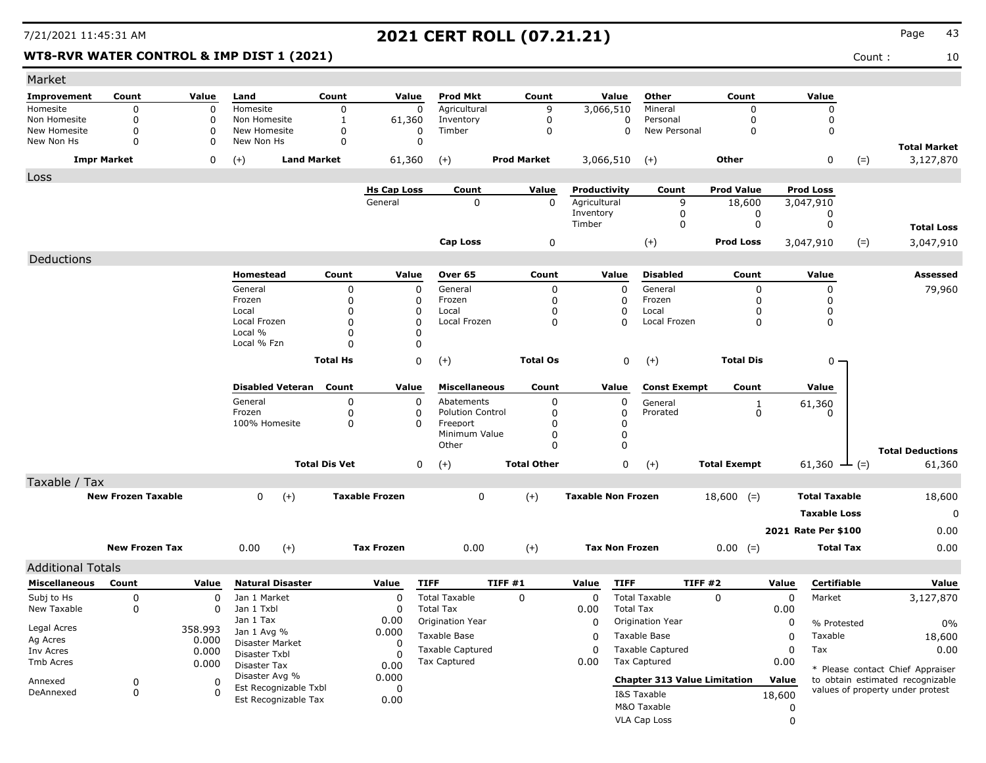### **WT8-RVR WATER CONTROL & IMP DIST 1 (2021)** Count : 10

| Market                     |                           |               |                                |                      |                       |                         |                    |                           |                                     |                     |                     |                      |                                  |
|----------------------------|---------------------------|---------------|--------------------------------|----------------------|-----------------------|-------------------------|--------------------|---------------------------|-------------------------------------|---------------------|---------------------|----------------------|----------------------------------|
| Improvement                | Count                     | Value         | Land                           | Count                | Value                 | <b>Prod Mkt</b>         | Count              | Value                     | Other                               | Count               | Value               |                      |                                  |
| Homesite                   | 0                         | $\mathbf 0$   | Homesite                       | 0                    | 0                     | Agricultural            | 9                  | 3,066,510                 | Mineral                             | 0                   |                     | 0                    |                                  |
| Non Homesite               | 0                         | $\Omega$      | Non Homesite                   | 1                    | 61,360                | Inventory               | 0                  | $\mathbf 0$               | Personal                            | 0                   |                     | 0                    |                                  |
| New Homesite<br>New Non Hs | $\mathbf 0$<br>$\Omega$   | $\Omega$<br>0 | New Homesite<br>New Non Hs     | 0<br>0               | 0<br>0                | Timber                  | $\mathbf 0$        | $\mathbf 0$               | New Personal                        | $\mathbf 0$         |                     | 0                    |                                  |
|                            | <b>Impr Market</b>        | 0             | <b>Land Market</b><br>$^{(+)}$ |                      | 61,360                | $(+)$                   | <b>Prod Market</b> | 3,066,510                 | $(+)$                               | Other               |                     | 0<br>$(=)$           | <b>Total Market</b><br>3,127,870 |
| Loss                       |                           |               |                                |                      |                       |                         |                    |                           |                                     |                     |                     |                      |                                  |
|                            |                           |               |                                |                      | <b>Hs Cap Loss</b>    | Count                   | Value              | Productivity              | Count                               | <b>Prod Value</b>   | <b>Prod Loss</b>    |                      |                                  |
|                            |                           |               |                                |                      | General               | 0                       | $\mathbf 0$        | Agricultural              | 9                                   | 18,600              | 3,047,910           |                      |                                  |
|                            |                           |               |                                |                      |                       |                         |                    | Inventory                 | 0                                   | 0                   |                     | 0                    |                                  |
|                            |                           |               |                                |                      |                       |                         |                    | Timber                    | 0                                   | 0                   |                     | 0                    | <b>Total Loss</b>                |
|                            |                           |               |                                |                      |                       | <b>Cap Loss</b>         | 0                  |                           | $(+)$                               | <b>Prod Loss</b>    | 3,047,910           | $(=)$                | 3,047,910                        |
| Deductions                 |                           |               |                                |                      |                       |                         |                    |                           |                                     |                     |                     |                      |                                  |
|                            |                           |               | Homestead                      | Count                | Value                 | Over 65                 | Count              | Value                     | <b>Disabled</b>                     | Count               | Value               |                      | Assessed                         |
|                            |                           |               | General                        | 0                    | 0                     | General                 | 0                  | $\Omega$                  | General                             | $\Omega$            |                     | 0                    | 79,960                           |
|                            |                           |               | Frozen                         | 0                    | 0                     | Frozen                  | 0                  | 0                         | Frozen                              | 0                   |                     | 0                    |                                  |
|                            |                           |               | Local<br>Local Frozen          | 0<br>0               | 0<br>$\Omega$         | Local<br>Local Frozen   | 0                  | O                         | Local<br>Local Frozen               | 0<br>$\mathbf 0$    |                     | 0                    |                                  |
|                            |                           |               | Local %                        | 0                    | 0                     |                         | 0                  | 0                         |                                     |                     |                     | 0                    |                                  |
|                            |                           |               | Local % Fzn                    | 0                    | 0                     |                         |                    |                           |                                     |                     |                     |                      |                                  |
|                            |                           |               |                                | <b>Total Hs</b>      | 0                     | $(+)$                   | <b>Total Os</b>    | 0                         | $(+)$                               | <b>Total Dis</b>    |                     | $0 -$                |                                  |
|                            |                           |               |                                |                      |                       |                         |                    |                           |                                     |                     |                     |                      |                                  |
|                            |                           |               | <b>Disabled Veteran</b>        | Count                | Value                 | <b>Miscellaneous</b>    | Count              | Value                     | <b>Const Exempt</b>                 | Count               | Value               |                      |                                  |
|                            |                           |               | General                        | 0                    | 0                     | Abatements              | 0                  | 0                         | General                             | 1                   |                     |                      |                                  |
|                            |                           |               | Frozen                         | 0                    | 0                     | <b>Polution Control</b> | 0                  | 0                         | Prorated                            | $\mathbf 0$         | 61,360              | 0                    |                                  |
|                            |                           |               | 100% Homesite                  | 0                    | $\Omega$              | Freeport                | O                  | 0                         |                                     |                     |                     |                      |                                  |
|                            |                           |               |                                |                      |                       | Minimum Value           | 0                  | 0                         |                                     |                     |                     |                      |                                  |
|                            |                           |               |                                |                      |                       | Other                   | 0                  | $\Omega$                  |                                     |                     |                     |                      | <b>Total Deductions</b>          |
|                            |                           |               |                                | <b>Total Dis Vet</b> | 0                     | $(+)$                   | <b>Total Other</b> | 0                         | $(+)$                               | <b>Total Exempt</b> | 61,360              | $-(-)$               | 61,360                           |
| Taxable / Tax              |                           |               |                                |                      |                       |                         |                    |                           |                                     |                     |                     |                      |                                  |
|                            | <b>New Frozen Taxable</b> |               | $(+)$<br>0                     |                      | <b>Taxable Frozen</b> | 0                       | $(+)$              | <b>Taxable Non Frozen</b> |                                     | $18,600$ (=)        |                     | <b>Total Taxable</b> | 18,600                           |
|                            |                           |               |                                |                      |                       |                         |                    |                           |                                     |                     |                     | <b>Taxable Loss</b>  | 0                                |
|                            |                           |               |                                |                      |                       |                         |                    |                           |                                     |                     | 2021 Rate Per \$100 |                      | 0.00                             |
|                            |                           |               |                                |                      |                       |                         |                    |                           |                                     |                     |                     |                      |                                  |
|                            | <b>New Frozen Tax</b>     |               | $(+)$<br>0.00                  |                      | <b>Tax Frozen</b>     | 0.00                    | $(+)$              | <b>Tax Non Frozen</b>     |                                     | $0.00 (=)$          |                     | <b>Total Tax</b>     | 0.00                             |
| <b>Additional Totals</b>   |                           |               |                                |                      |                       |                         |                    |                           |                                     |                     |                     |                      |                                  |
| <b>Miscellaneous</b>       | Count                     | Value         | <b>Natural Disaster</b>        |                      | Value                 | <b>TIFF</b>             | TIFF#1             | <b>TIFF</b><br>Value      |                                     | TIFF #2             | Value               | <b>Certifiable</b>   | Value                            |
| Subj to Hs                 | 0                         | 0             | Jan 1 Market                   |                      | $\Omega$              | <b>Total Taxable</b>    | $\mathbf 0$        | 0                         | <b>Total Taxable</b>                | 0                   | 0                   | Market               | 3,127,870                        |
| New Taxable                | 0                         | 0             | Jan 1 Txbl                     |                      | <sup>0</sup>          | <b>Total Tax</b>        |                    | 0.00                      | <b>Total Tax</b>                    |                     | 0.00                |                      |                                  |
| Legal Acres                |                           | 358.993       | Jan 1 Tax                      |                      | 0.00                  | Origination Year        |                    | 0                         | Origination Year                    |                     | 0                   | % Protested          | 0%                               |
| Ag Acres                   |                           | 0.000         | Jan 1 Avg %<br>Disaster Market |                      | 0.000<br>0            | Taxable Base            |                    | 0                         | Taxable Base                        |                     | 0                   | Taxable              | 18,600                           |
| Inv Acres                  |                           | 0.000         | Disaster Txbl                  |                      |                       | <b>Taxable Captured</b> |                    | $\mathbf 0$               | <b>Taxable Captured</b>             |                     | Tax<br>0            |                      | 0.00                             |
| Tmb Acres                  |                           | 0.000         | Disaster Tax                   |                      | 0.00                  | <b>Tax Captured</b>     |                    | 0.00                      | <b>Tax Captured</b>                 |                     | 0.00                |                      | * Please contact Chief Appraiser |
| Annexed                    | 0                         | 0             | Disaster Avg %                 |                      | 0.000                 |                         |                    |                           | <b>Chapter 313 Value Limitation</b> |                     | Value               |                      | to obtain estimated recognizable |
| DeAnnexed                  | 0                         | 0             | Est Recognizable Txbl          |                      | 0                     |                         |                    |                           | I&S Taxable                         |                     | 18,600              |                      | values of property under protest |
|                            |                           |               | Est Recognizable Tax           |                      | 0.00                  |                         |                    |                           | M&O Taxable                         |                     | 0                   |                      |                                  |
|                            |                           |               |                                |                      |                       |                         |                    |                           | VLA Cap Loss                        |                     | $\mathbf 0$         |                      |                                  |